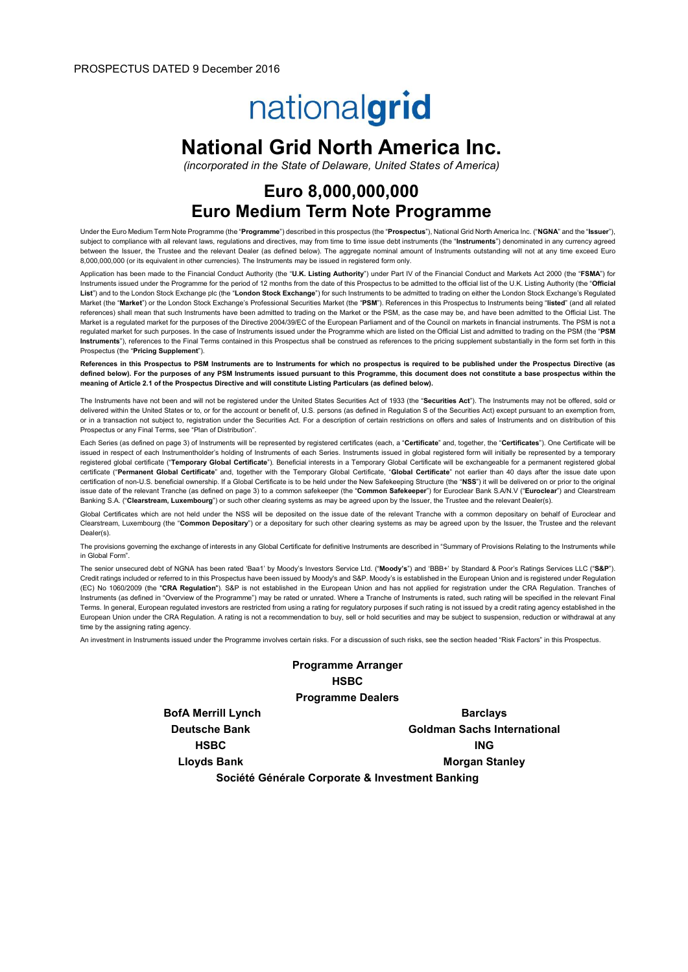# nationalgrid

# National Grid North America Inc.

(incorporated in the State of Delaware, United States of America)

# Euro 8,000,000,000 Euro Medium Term Note Programme

Under the Euro Medium Term Note Programme (the "Programme") described in this prospectus (the "Prospectus"), National Grid North America Inc. ("NGNA" and the "Issuer"), subject to compliance with all relevant laws, regulations and directives, may from time to time issue debt instruments (the "Instruments") denominated in any currency agreed between the Issuer, the Trustee and the relevant Dealer (as defined below). The aggregate nominal amount of Instruments outstanding will not at any time exceed Euro 8,000,000,000 (or its equivalent in other currencies). The Instruments may be issued in registered form only.

Application has been made to the Financial Conduct Authority (the "U.K. Listing Authority") under Part IV of the Financial Conduct and Markets Act 2000 (the "FSMA") for Instruments issued under the Programme for the period of 12 months from the date of this Prospectus to be admitted to the official list of the U.K. Listing Authority (the "Official List") and to the London Stock Exchange plc (the "London Stock Exchange") for such Instruments to be admitted to trading on either the London Stock Exchange's Regulated Market (the "Market") or the London Stock Exchange's Professional Securities Market (the "PSM"). References in this Prospectus to Instruments being "listed" (and all related references) shall mean that such Instruments have been admitted to trading on the Market or the PSM, as the case may be, and have been admitted to the Official List. The Market is a regulated market for the purposes of the Directive 2004/39/EC of the European Parliament and of the Council on markets in financial instruments. The PSM is not a regulated market for such purposes. In the case of Instruments issued under the Programme which are listed on the Official List and admitted to trading on the PSM (the "PSM Instruments"), references to the Final Terms contained in this Prospectus shall be construed as references to the pricing supplement substantially in the form set forth in this Prospectus (the "Pricing Supplement").

References in this Prospectus to PSM Instruments are to Instruments for which no prospectus is required to be published under the Prospectus Directive (as defined below). For the purposes of any PSM Instruments issued pursuant to this Programme, this document does not constitute a base prospectus within the meaning of Article 2.1 of the Prospectus Directive and will constitute Listing Particulars (as defined below).

The Instruments have not been and will not be registered under the United States Securities Act of 1933 (the "Securities Act"). The Instruments may not be offered, sold or delivered within the United States or to, or for the account or benefit of, U.S. persons (as defined in Regulation S of the Securities Act) except pursuant to an exemption from, or in a transaction not subject to, registration under the Securities Act. For a description of certain restrictions on offers and sales of Instruments and on distribution of this Prospectus or any Final Terms, see "Plan of Distribution".

Each Series (as defined on page 3) of Instruments will be represented by registered certificates (each, a "Certificate" and, together, the "Certificates"). One Certificate will be issued in respect of each Instrumentholder's holding of Instruments of each Series. Instruments issued in global registered form will initially be represented by a temporary registered global certificate ("Temporary Global Certificate"). Beneficial interests in a Temporary Global Certificate will be exchangeable for a permanent registered global certificate ("Permanent Global Certificate" and, together with the Temporary Global Certificate, "Global Certificate" not earlier than 40 days after the issue date upon certification of non-U.S. beneficial ownership. If a Global Certificate is to be held under the New Safekeeping Structure (the "NSS") it will be delivered on or prior to the original issue date of the relevant Tranche (as defined on page 3) to a common safekeeper (the "Common Safekeeper") for Euroclear Bank S.A/N.V ("Euroclear") and Clearstream Banking S.A. ("Clearstream, Luxembourg") or such other clearing systems as may be agreed upon by the Issuer, the Trustee and the relevant Dealer(s).

Global Certificates which are not held under the NSS will be deposited on the issue date of the relevant Tranche with a common depositary on behalf of Euroclear and Clearstream, Luxembourg (the "Common Depositary") or a depositary for such other clearing systems as may be agreed upon by the Issuer, the Trustee and the relevant Dealer(s).

The provisions governing the exchange of interests in any Global Certificate for definitive Instruments are described in "Summary of Provisions Relating to the Instruments while in Global Form".

The senior unsecured debt of NGNA has been rated 'Baa1' by Moody's Investors Service Ltd. ("Moody's") and 'BBB+' by Standard & Poor's Ratings Services LLC ("S&P"). Credit ratings included or referred to in this Prospectus have been issued by Moody's and S&P. Moody's is established in the European Union and is registered under Regulation (EC) No 1060/2009 (the "CRA Regulation"). S&P is not established in the European Union and has not applied for registration under the CRA Regulation. Tranches of Instruments (as defined in "Overview of the Programme") may be rated or unrated. Where a Tranche of Instruments is rated, such rating will be specified in the relevant Final Terms. In general, European regulated investors are restricted from using a rating for regulatory purposes if such rating is not issued by a credit rating agency established in the European Union under the CRA Regulation. A rating is not a recommendation to buy, sell or hold securities and may be subject to suspension, reduction or withdrawal at any time by the assigning rating agency.

An investment in Instruments issued under the Programme involves certain risks. For a discussion of such risks, see the section headed "Risk Factors" in this Prospectus.

# Programme Arranger **HSBC** Programme Dealers

BofA Merrill Lynch Barclays

Deutsche Bank Goldman Sachs International HSBC **ING** Lloyds Bank Morgan Stanley

Société Générale Corporate & Investment Banking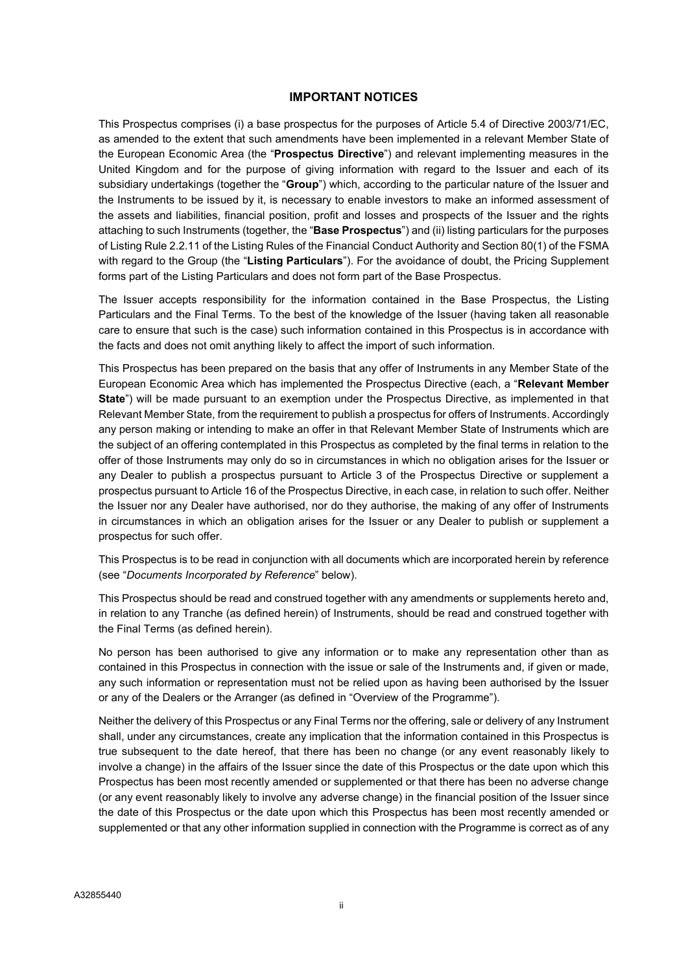#### IMPORTANT NOTICES

This Prospectus comprises (i) a base prospectus for the purposes of Article 5.4 of Directive 2003/71/EC, as amended to the extent that such amendments have been implemented in a relevant Member State of the European Economic Area (the "**Prospectus Directive**") and relevant implementing measures in the United Kingdom and for the purpose of giving information with regard to the Issuer and each of its subsidiary undertakings (together the "Group") which, according to the particular nature of the Issuer and the Instruments to be issued by it, is necessary to enable investors to make an informed assessment of the assets and liabilities, financial position, profit and losses and prospects of the Issuer and the rights attaching to such Instruments (together, the "Base Prospectus") and (ii) listing particulars for the purposes of Listing Rule 2.2.11 of the Listing Rules of the Financial Conduct Authority and Section 80(1) of the FSMA with regard to the Group (the "Listing Particulars"). For the avoidance of doubt, the Pricing Supplement forms part of the Listing Particulars and does not form part of the Base Prospectus.

The Issuer accepts responsibility for the information contained in the Base Prospectus, the Listing Particulars and the Final Terms. To the best of the knowledge of the Issuer (having taken all reasonable care to ensure that such is the case) such information contained in this Prospectus is in accordance with the facts and does not omit anything likely to affect the import of such information.

This Prospectus has been prepared on the basis that any offer of Instruments in any Member State of the European Economic Area which has implemented the Prospectus Directive (each, a "Relevant Member State") will be made pursuant to an exemption under the Prospectus Directive, as implemented in that Relevant Member State, from the requirement to publish a prospectus for offers of Instruments. Accordingly any person making or intending to make an offer in that Relevant Member State of Instruments which are the subject of an offering contemplated in this Prospectus as completed by the final terms in relation to the offer of those Instruments may only do so in circumstances in which no obligation arises for the Issuer or any Dealer to publish a prospectus pursuant to Article 3 of the Prospectus Directive or supplement a prospectus pursuant to Article 16 of the Prospectus Directive, in each case, in relation to such offer. Neither the Issuer nor any Dealer have authorised, nor do they authorise, the making of any offer of Instruments in circumstances in which an obligation arises for the Issuer or any Dealer to publish or supplement a prospectus for such offer.

This Prospectus is to be read in conjunction with all documents which are incorporated herein by reference (see "Documents Incorporated by Reference" below).

This Prospectus should be read and construed together with any amendments or supplements hereto and, in relation to any Tranche (as defined herein) of Instruments, should be read and construed together with the Final Terms (as defined herein).

No person has been authorised to give any information or to make any representation other than as contained in this Prospectus in connection with the issue or sale of the Instruments and, if given or made, any such information or representation must not be relied upon as having been authorised by the Issuer or any of the Dealers or the Arranger (as defined in "Overview of the Programme").

Neither the delivery of this Prospectus or any Final Terms nor the offering, sale or delivery of any Instrument shall, under any circumstances, create any implication that the information contained in this Prospectus is true subsequent to the date hereof, that there has been no change (or any event reasonably likely to involve a change) in the affairs of the Issuer since the date of this Prospectus or the date upon which this Prospectus has been most recently amended or supplemented or that there has been no adverse change (or any event reasonably likely to involve any adverse change) in the financial position of the Issuer since the date of this Prospectus or the date upon which this Prospectus has been most recently amended or supplemented or that any other information supplied in connection with the Programme is correct as of any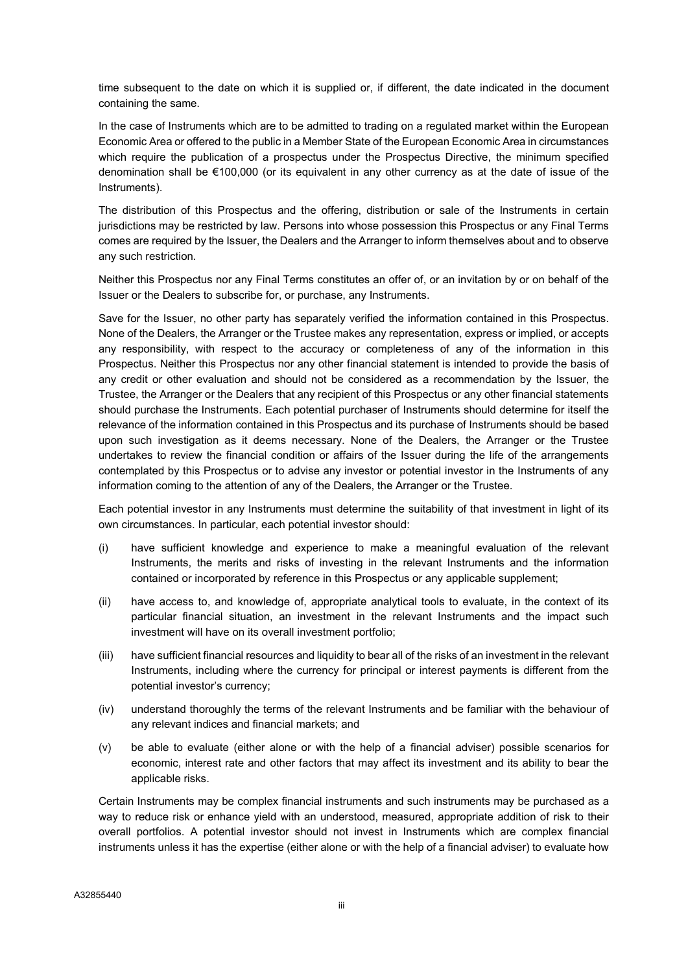time subsequent to the date on which it is supplied or, if different, the date indicated in the document containing the same.

In the case of Instruments which are to be admitted to trading on a regulated market within the European Economic Area or offered to the public in a Member State of the European Economic Area in circumstances which require the publication of a prospectus under the Prospectus Directive, the minimum specified denomination shall be €100,000 (or its equivalent in any other currency as at the date of issue of the Instruments).

The distribution of this Prospectus and the offering, distribution or sale of the Instruments in certain jurisdictions may be restricted by law. Persons into whose possession this Prospectus or any Final Terms comes are required by the Issuer, the Dealers and the Arranger to inform themselves about and to observe any such restriction.

Neither this Prospectus nor any Final Terms constitutes an offer of, or an invitation by or on behalf of the Issuer or the Dealers to subscribe for, or purchase, any Instruments.

Save for the Issuer, no other party has separately verified the information contained in this Prospectus. None of the Dealers, the Arranger or the Trustee makes any representation, express or implied, or accepts any responsibility, with respect to the accuracy or completeness of any of the information in this Prospectus. Neither this Prospectus nor any other financial statement is intended to provide the basis of any credit or other evaluation and should not be considered as a recommendation by the Issuer, the Trustee, the Arranger or the Dealers that any recipient of this Prospectus or any other financial statements should purchase the Instruments. Each potential purchaser of Instruments should determine for itself the relevance of the information contained in this Prospectus and its purchase of Instruments should be based upon such investigation as it deems necessary. None of the Dealers, the Arranger or the Trustee undertakes to review the financial condition or affairs of the Issuer during the life of the arrangements contemplated by this Prospectus or to advise any investor or potential investor in the Instruments of any information coming to the attention of any of the Dealers, the Arranger or the Trustee.

Each potential investor in any Instruments must determine the suitability of that investment in light of its own circumstances. In particular, each potential investor should:

- (i) have sufficient knowledge and experience to make a meaningful evaluation of the relevant Instruments, the merits and risks of investing in the relevant Instruments and the information contained or incorporated by reference in this Prospectus or any applicable supplement;
- (ii) have access to, and knowledge of, appropriate analytical tools to evaluate, in the context of its particular financial situation, an investment in the relevant Instruments and the impact such investment will have on its overall investment portfolio;
- (iii) have sufficient financial resources and liquidity to bear all of the risks of an investment in the relevant Instruments, including where the currency for principal or interest payments is different from the potential investor's currency;
- (iv) understand thoroughly the terms of the relevant Instruments and be familiar with the behaviour of any relevant indices and financial markets; and
- (v) be able to evaluate (either alone or with the help of a financial adviser) possible scenarios for economic, interest rate and other factors that may affect its investment and its ability to bear the applicable risks.

Certain Instruments may be complex financial instruments and such instruments may be purchased as a way to reduce risk or enhance yield with an understood, measured, appropriate addition of risk to their overall portfolios. A potential investor should not invest in Instruments which are complex financial instruments unless it has the expertise (either alone or with the help of a financial adviser) to evaluate how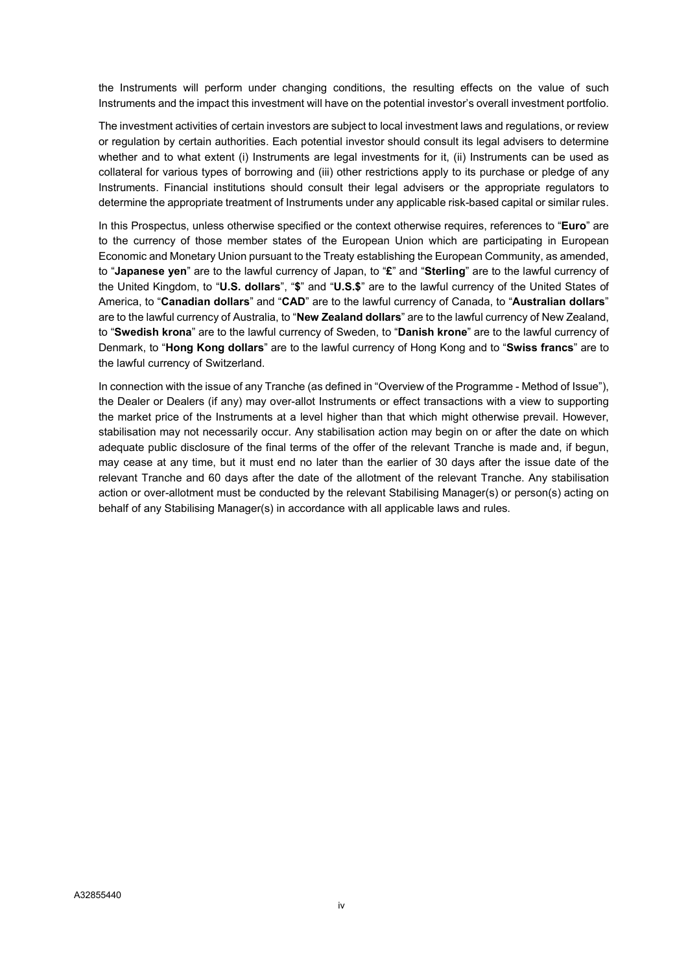the Instruments will perform under changing conditions, the resulting effects on the value of such Instruments and the impact this investment will have on the potential investor's overall investment portfolio.

The investment activities of certain investors are subject to local investment laws and regulations, or review or regulation by certain authorities. Each potential investor should consult its legal advisers to determine whether and to what extent (i) Instruments are legal investments for it, (ii) Instruments can be used as collateral for various types of borrowing and (iii) other restrictions apply to its purchase or pledge of any Instruments. Financial institutions should consult their legal advisers or the appropriate regulators to determine the appropriate treatment of Instruments under any applicable risk-based capital or similar rules.

In this Prospectus, unless otherwise specified or the context otherwise requires, references to "Euro" are to the currency of those member states of the European Union which are participating in European Economic and Monetary Union pursuant to the Treaty establishing the European Community, as amended, to "Japanese yen" are to the lawful currency of Japan, to "£" and "Sterling" are to the lawful currency of the United Kingdom, to "U.S. dollars", "\$" and "U.S.\$" are to the lawful currency of the United States of America, to "Canadian dollars" and "CAD" are to the lawful currency of Canada, to "Australian dollars" are to the lawful currency of Australia, to "New Zealand dollars" are to the lawful currency of New Zealand, to "Swedish krona" are to the lawful currency of Sweden, to "Danish krone" are to the lawful currency of Denmark, to "Hong Kong dollars" are to the lawful currency of Hong Kong and to "Swiss francs" are to the lawful currency of Switzerland.

In connection with the issue of any Tranche (as defined in "Overview of the Programme - Method of Issue"), the Dealer or Dealers (if any) may over-allot Instruments or effect transactions with a view to supporting the market price of the Instruments at a level higher than that which might otherwise prevail. However, stabilisation may not necessarily occur. Any stabilisation action may begin on or after the date on which adequate public disclosure of the final terms of the offer of the relevant Tranche is made and, if begun, may cease at any time, but it must end no later than the earlier of 30 days after the issue date of the relevant Tranche and 60 days after the date of the allotment of the relevant Tranche. Any stabilisation action or over-allotment must be conducted by the relevant Stabilising Manager(s) or person(s) acting on behalf of any Stabilising Manager(s) in accordance with all applicable laws and rules.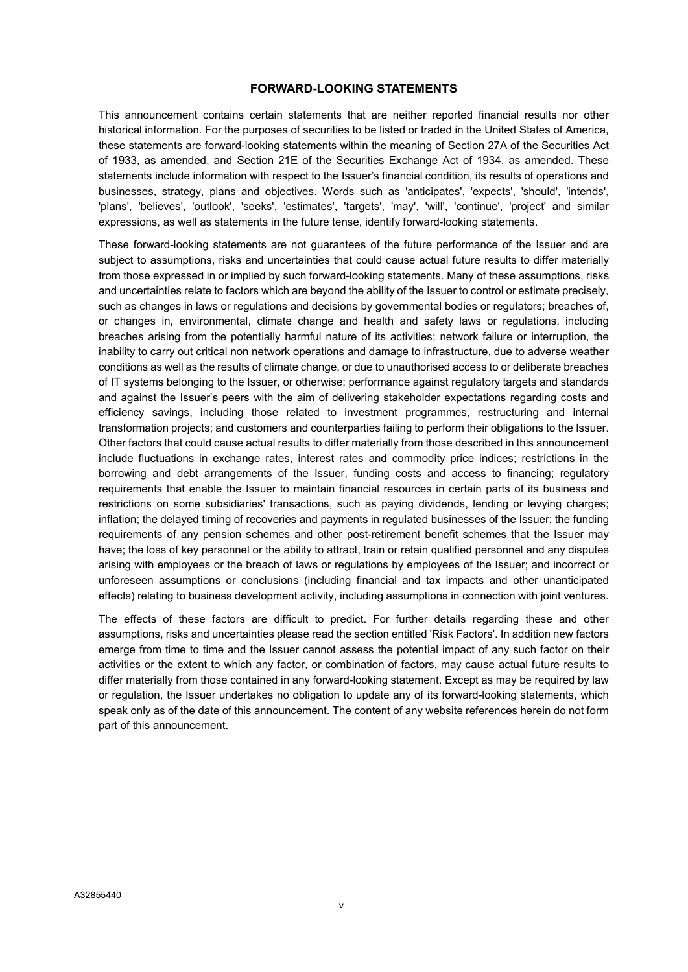#### FORWARD-LOOKING STATEMENTS

This announcement contains certain statements that are neither reported financial results nor other historical information. For the purposes of securities to be listed or traded in the United States of America, these statements are forward-looking statements within the meaning of Section 27A of the Securities Act of 1933, as amended, and Section 21E of the Securities Exchange Act of 1934, as amended. These statements include information with respect to the Issuer's financial condition, its results of operations and businesses, strategy, plans and objectives. Words such as 'anticipates', 'expects', 'should', 'intends', 'plans', 'believes', 'outlook', 'seeks', 'estimates', 'targets', 'may', 'will', 'continue', 'project' and similar expressions, as well as statements in the future tense, identify forward-looking statements.

These forward-looking statements are not guarantees of the future performance of the Issuer and are subject to assumptions, risks and uncertainties that could cause actual future results to differ materially from those expressed in or implied by such forward-looking statements. Many of these assumptions, risks and uncertainties relate to factors which are beyond the ability of the Issuer to control or estimate precisely, such as changes in laws or regulations and decisions by governmental bodies or regulators; breaches of, or changes in, environmental, climate change and health and safety laws or regulations, including breaches arising from the potentially harmful nature of its activities; network failure or interruption, the inability to carry out critical non network operations and damage to infrastructure, due to adverse weather conditions as well as the results of climate change, or due to unauthorised access to or deliberate breaches of IT systems belonging to the Issuer, or otherwise; performance against regulatory targets and standards and against the Issuer's peers with the aim of delivering stakeholder expectations regarding costs and efficiency savings, including those related to investment programmes, restructuring and internal transformation projects; and customers and counterparties failing to perform their obligations to the Issuer. Other factors that could cause actual results to differ materially from those described in this announcement include fluctuations in exchange rates, interest rates and commodity price indices; restrictions in the borrowing and debt arrangements of the Issuer, funding costs and access to financing; regulatory requirements that enable the Issuer to maintain financial resources in certain parts of its business and restrictions on some subsidiaries' transactions, such as paying dividends, lending or levying charges; inflation; the delayed timing of recoveries and payments in regulated businesses of the Issuer; the funding requirements of any pension schemes and other post-retirement benefit schemes that the Issuer may have; the loss of key personnel or the ability to attract, train or retain qualified personnel and any disputes arising with employees or the breach of laws or regulations by employees of the Issuer; and incorrect or unforeseen assumptions or conclusions (including financial and tax impacts and other unanticipated effects) relating to business development activity, including assumptions in connection with joint ventures.

The effects of these factors are difficult to predict. For further details regarding these and other assumptions, risks and uncertainties please read the section entitled 'Risk Factors'. In addition new factors emerge from time to time and the Issuer cannot assess the potential impact of any such factor on their activities or the extent to which any factor, or combination of factors, may cause actual future results to differ materially from those contained in any forward-looking statement. Except as may be required by law or regulation, the Issuer undertakes no obligation to update any of its forward-looking statements, which speak only as of the date of this announcement. The content of any website references herein do not form part of this announcement.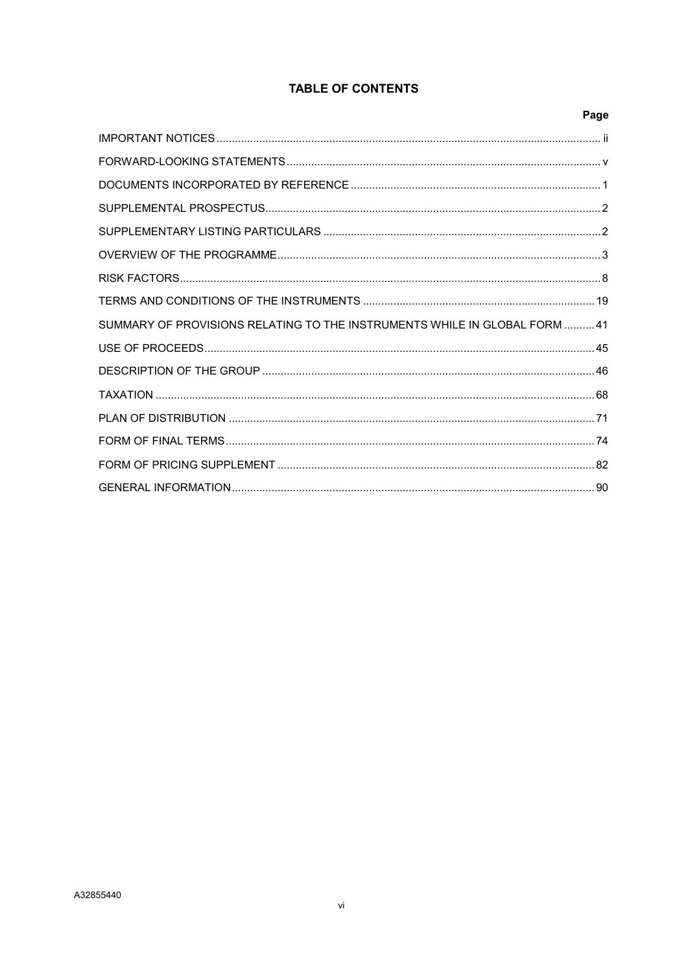# **TABLE OF CONTENTS**

|                                                                            | Page |
|----------------------------------------------------------------------------|------|
|                                                                            |      |
|                                                                            |      |
|                                                                            |      |
|                                                                            |      |
|                                                                            |      |
|                                                                            |      |
|                                                                            |      |
|                                                                            |      |
| SUMMARY OF PROVISIONS RELATING TO THE INSTRUMENTS WHILE IN GLOBAL FORM  41 |      |
|                                                                            |      |
|                                                                            |      |
|                                                                            |      |
|                                                                            |      |
|                                                                            |      |
|                                                                            |      |
|                                                                            |      |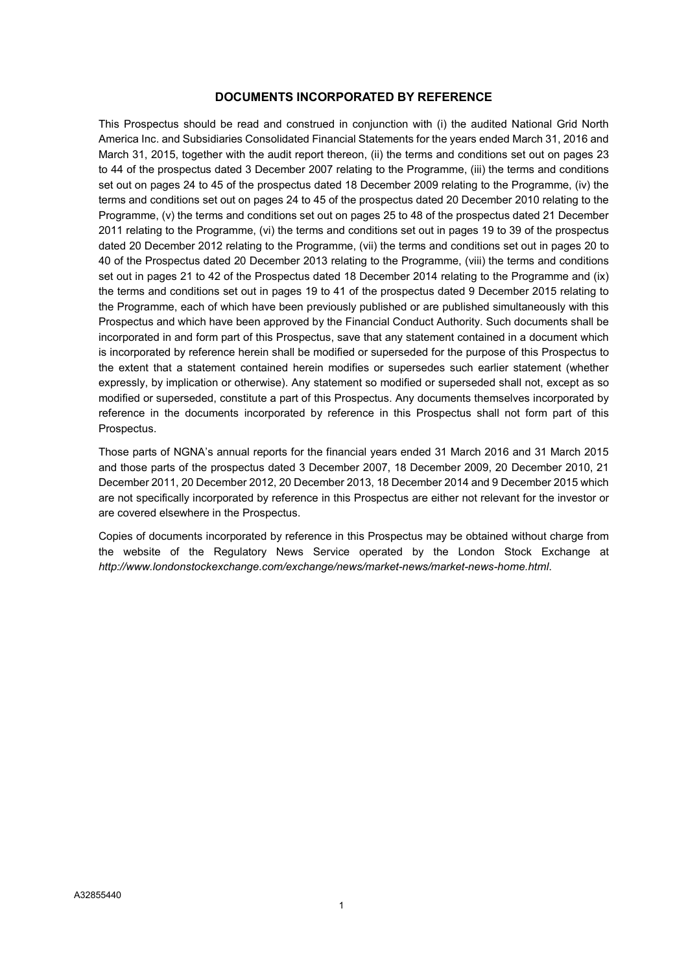# DOCUMENTS INCORPORATED BY REFERENCE

This Prospectus should be read and construed in conjunction with (i) the audited National Grid North America Inc. and Subsidiaries Consolidated Financial Statements for the years ended March 31, 2016 and March 31, 2015, together with the audit report thereon, (ii) the terms and conditions set out on pages 23 to 44 of the prospectus dated 3 December 2007 relating to the Programme, (iii) the terms and conditions set out on pages 24 to 45 of the prospectus dated 18 December 2009 relating to the Programme, (iv) the terms and conditions set out on pages 24 to 45 of the prospectus dated 20 December 2010 relating to the Programme, (v) the terms and conditions set out on pages 25 to 48 of the prospectus dated 21 December 2011 relating to the Programme, (vi) the terms and conditions set out in pages 19 to 39 of the prospectus dated 20 December 2012 relating to the Programme, (vii) the terms and conditions set out in pages 20 to 40 of the Prospectus dated 20 December 2013 relating to the Programme, (viii) the terms and conditions set out in pages 21 to 42 of the Prospectus dated 18 December 2014 relating to the Programme and (ix) the terms and conditions set out in pages 19 to 41 of the prospectus dated 9 December 2015 relating to the Programme, each of which have been previously published or are published simultaneously with this Prospectus and which have been approved by the Financial Conduct Authority. Such documents shall be incorporated in and form part of this Prospectus, save that any statement contained in a document which is incorporated by reference herein shall be modified or superseded for the purpose of this Prospectus to the extent that a statement contained herein modifies or supersedes such earlier statement (whether expressly, by implication or otherwise). Any statement so modified or superseded shall not, except as so modified or superseded, constitute a part of this Prospectus. Any documents themselves incorporated by reference in the documents incorporated by reference in this Prospectus shall not form part of this Prospectus.

Those parts of NGNA's annual reports for the financial years ended 31 March 2016 and 31 March 2015 and those parts of the prospectus dated 3 December 2007, 18 December 2009, 20 December 2010, 21 December 2011, 20 December 2012, 20 December 2013, 18 December 2014 and 9 December 2015 which are not specifically incorporated by reference in this Prospectus are either not relevant for the investor or are covered elsewhere in the Prospectus.

Copies of documents incorporated by reference in this Prospectus may be obtained without charge from the website of the Regulatory News Service operated by the London Stock Exchange at http://www.londonstockexchange.com/exchange/news/market-news/market-news-home.html.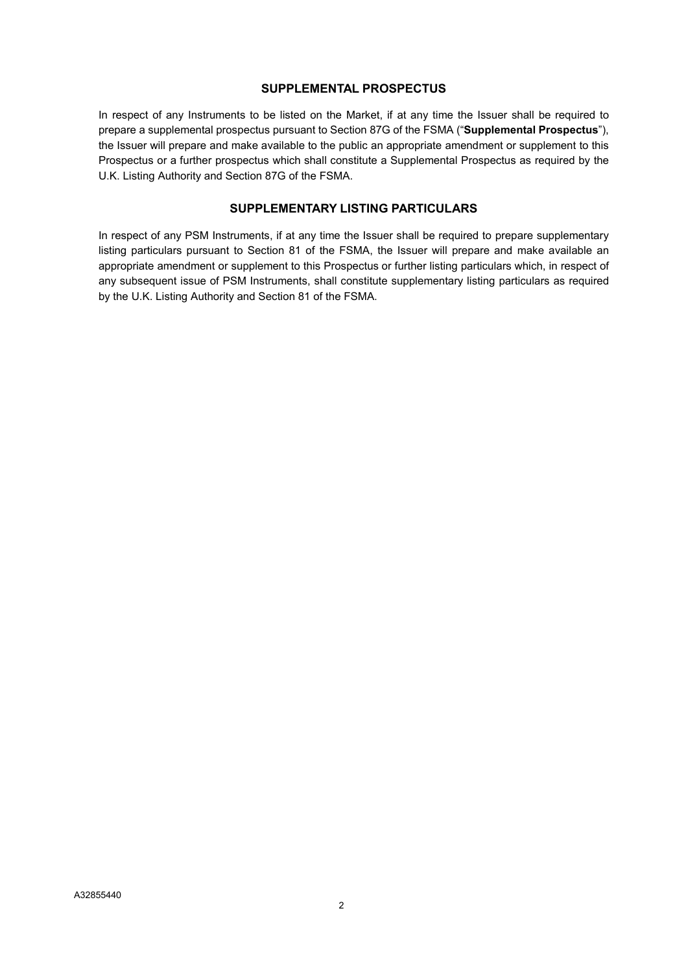# SUPPLEMENTAL PROSPECTUS

In respect of any Instruments to be listed on the Market, if at any time the Issuer shall be required to prepare a supplemental prospectus pursuant to Section 87G of the FSMA ("Supplemental Prospectus"), the Issuer will prepare and make available to the public an appropriate amendment or supplement to this Prospectus or a further prospectus which shall constitute a Supplemental Prospectus as required by the U.K. Listing Authority and Section 87G of the FSMA.

# SUPPLEMENTARY LISTING PARTICULARS

In respect of any PSM Instruments, if at any time the Issuer shall be required to prepare supplementary listing particulars pursuant to Section 81 of the FSMA, the Issuer will prepare and make available an appropriate amendment or supplement to this Prospectus or further listing particulars which, in respect of any subsequent issue of PSM Instruments, shall constitute supplementary listing particulars as required by the U.K. Listing Authority and Section 81 of the FSMA.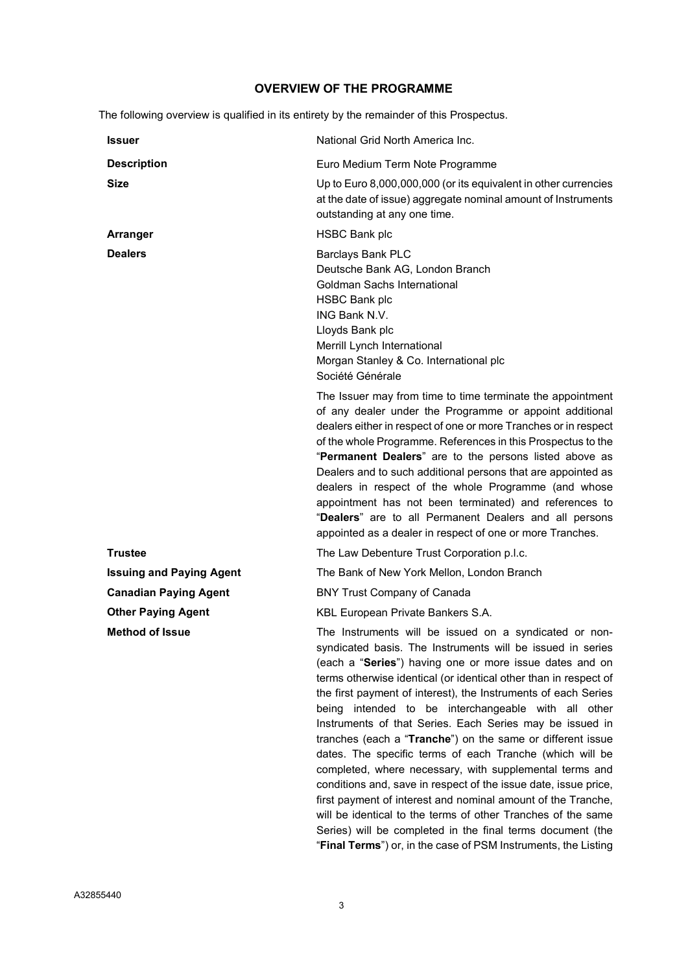# OVERVIEW OF THE PROGRAMME

The following overview is qualified in its entirety by the remainder of this Prospectus.

| Issuer                          | National Grid North America Inc.                                                                                                                                                                                                                                                                                                                                                                                                                                                                                                                                                                                                                                                                                                                                                                                                                                                                                                                                    |
|---------------------------------|---------------------------------------------------------------------------------------------------------------------------------------------------------------------------------------------------------------------------------------------------------------------------------------------------------------------------------------------------------------------------------------------------------------------------------------------------------------------------------------------------------------------------------------------------------------------------------------------------------------------------------------------------------------------------------------------------------------------------------------------------------------------------------------------------------------------------------------------------------------------------------------------------------------------------------------------------------------------|
| <b>Description</b>              | Euro Medium Term Note Programme                                                                                                                                                                                                                                                                                                                                                                                                                                                                                                                                                                                                                                                                                                                                                                                                                                                                                                                                     |
| <b>Size</b>                     | Up to Euro 8,000,000,000 (or its equivalent in other currencies<br>at the date of issue) aggregate nominal amount of Instruments<br>outstanding at any one time.                                                                                                                                                                                                                                                                                                                                                                                                                                                                                                                                                                                                                                                                                                                                                                                                    |
| Arranger                        | <b>HSBC Bank plc</b>                                                                                                                                                                                                                                                                                                                                                                                                                                                                                                                                                                                                                                                                                                                                                                                                                                                                                                                                                |
| <b>Dealers</b>                  | <b>Barclays Bank PLC</b><br>Deutsche Bank AG, London Branch<br>Goldman Sachs International<br><b>HSBC Bank plc</b><br>ING Bank N.V.<br>Lloyds Bank plc<br>Merrill Lynch International<br>Morgan Stanley & Co. International plc<br>Société Générale                                                                                                                                                                                                                                                                                                                                                                                                                                                                                                                                                                                                                                                                                                                 |
|                                 | The Issuer may from time to time terminate the appointment<br>of any dealer under the Programme or appoint additional<br>dealers either in respect of one or more Tranches or in respect<br>of the whole Programme. References in this Prospectus to the<br>"Permanent Dealers" are to the persons listed above as<br>Dealers and to such additional persons that are appointed as<br>dealers in respect of the whole Programme (and whose<br>appointment has not been terminated) and references to<br>"Dealers" are to all Permanent Dealers and all persons<br>appointed as a dealer in respect of one or more Tranches.                                                                                                                                                                                                                                                                                                                                         |
| <b>Trustee</b>                  | The Law Debenture Trust Corporation p.l.c.                                                                                                                                                                                                                                                                                                                                                                                                                                                                                                                                                                                                                                                                                                                                                                                                                                                                                                                          |
| <b>Issuing and Paying Agent</b> | The Bank of New York Mellon, London Branch                                                                                                                                                                                                                                                                                                                                                                                                                                                                                                                                                                                                                                                                                                                                                                                                                                                                                                                          |
| <b>Canadian Paying Agent</b>    | <b>BNY Trust Company of Canada</b>                                                                                                                                                                                                                                                                                                                                                                                                                                                                                                                                                                                                                                                                                                                                                                                                                                                                                                                                  |
| <b>Other Paying Agent</b>       | KBL European Private Bankers S.A.                                                                                                                                                                                                                                                                                                                                                                                                                                                                                                                                                                                                                                                                                                                                                                                                                                                                                                                                   |
| <b>Method of Issue</b>          | The Instruments will be issued on a syndicated or non-<br>syndicated basis. The Instruments will be issued in series<br>(each a "Series") having one or more issue dates and on<br>terms otherwise identical (or identical other than in respect of<br>the first payment of interest), the Instruments of each Series<br>intended to be interchangeable with all other<br>being<br>Instruments of that Series. Each Series may be issued in<br>tranches (each a "Tranche") on the same or different issue<br>dates. The specific terms of each Tranche (which will be<br>completed, where necessary, with supplemental terms and<br>conditions and, save in respect of the issue date, issue price,<br>first payment of interest and nominal amount of the Tranche,<br>will be identical to the terms of other Tranches of the same<br>Series) will be completed in the final terms document (the<br>"Final Terms") or, in the case of PSM Instruments, the Listing |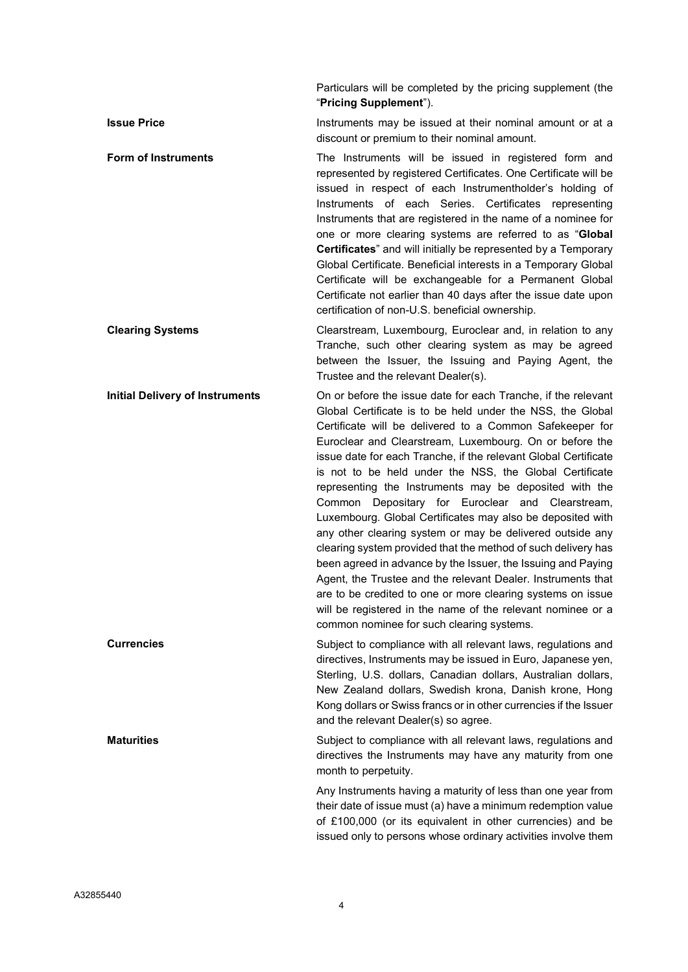Particulars will be completed by the pricing supplement (the "Pricing Supplement").

**Issue Price Instruments may be issued at their nominal amount or at a** discount or premium to their nominal amount.

Form of Instruments The Instruments will be issued in registered form and represented by registered Certificates. One Certificate will be issued in respect of each Instrumentholder's holding of Instruments of each Series. Certificates representing Instruments that are registered in the name of a nominee for one or more clearing systems are referred to as "Global Certificates" and will initially be represented by a Temporary Global Certificate. Beneficial interests in a Temporary Global Certificate will be exchangeable for a Permanent Global Certificate not earlier than 40 days after the issue date upon certification of non-U.S. beneficial ownership.

# Clearing Systems Clearstream, Luxembourg, Euroclear and, in relation to any Tranche, such other clearing system as may be agreed between the Issuer, the Issuing and Paying Agent, the Trustee and the relevant Dealer(s).

Initial Delivery of Instruments On or before the issue date for each Tranche, if the relevant Global Certificate is to be held under the NSS, the Global Certificate will be delivered to a Common Safekeeper for Euroclear and Clearstream, Luxembourg. On or before the issue date for each Tranche, if the relevant Global Certificate is not to be held under the NSS, the Global Certificate representing the Instruments may be deposited with the Common Depositary for Euroclear and Clearstream, Luxembourg. Global Certificates may also be deposited with any other clearing system or may be delivered outside any clearing system provided that the method of such delivery has been agreed in advance by the Issuer, the Issuing and Paying Agent, the Trustee and the relevant Dealer. Instruments that are to be credited to one or more clearing systems on issue will be registered in the name of the relevant nominee or a common nominee for such clearing systems.

**Currencies** Subject to compliance with all relevant laws, regulations and directives, Instruments may be issued in Euro, Japanese yen, Sterling, U.S. dollars, Canadian dollars, Australian dollars, New Zealand dollars, Swedish krona, Danish krone, Hong Kong dollars or Swiss francs or in other currencies if the Issuer and the relevant Dealer(s) so agree.

Maturities **Subject to compliance with all relevant laws**, regulations and directives the Instruments may have any maturity from one month to perpetuity.

> Any Instruments having a maturity of less than one year from their date of issue must (a) have a minimum redemption value of £100,000 (or its equivalent in other currencies) and be issued only to persons whose ordinary activities involve them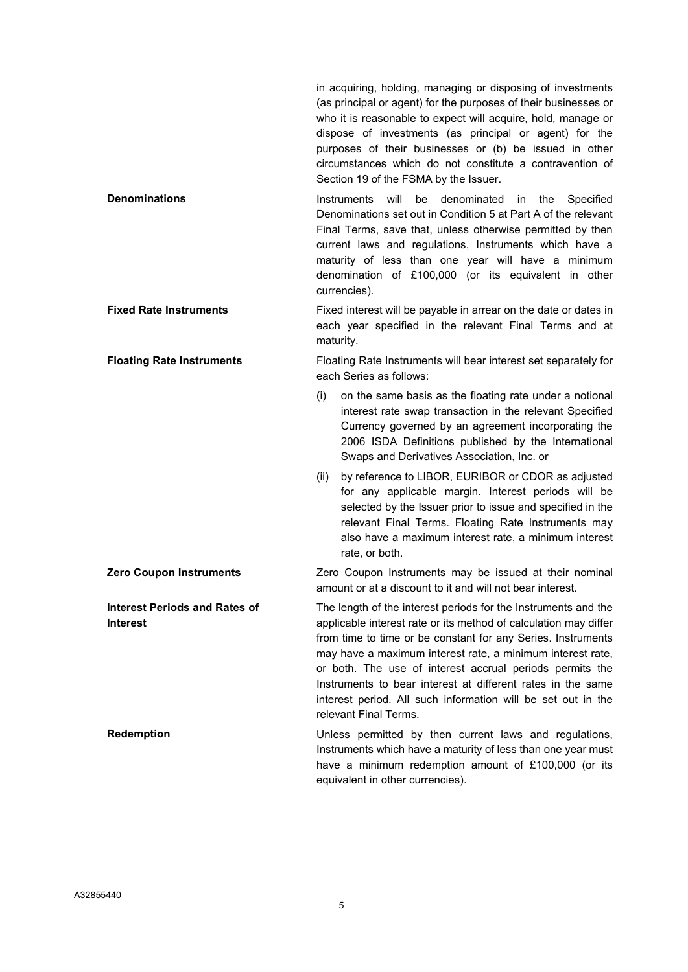in acquiring, holding, managing or disposing of investments (as principal or agent) for the purposes of their businesses or who it is reasonable to expect will acquire, hold, manage or dispose of investments (as principal or agent) for the purposes of their businesses or (b) be issued in other circumstances which do not constitute a contravention of Section 19 of the FSMA by the Issuer.

Denominations **Instruments** will be denominated in the Specified Denominations set out in Condition 5 at Part A of the relevant Final Terms, save that, unless otherwise permitted by then current laws and regulations, Instruments which have a maturity of less than one year will have a minimum denomination of £100,000 (or its equivalent in other currencies).

Fixed Rate Instruments Fixed interest will be payable in arrear on the date or dates in each year specified in the relevant Final Terms and at maturity.

Floating Rate Instruments Floating Rate Instruments will bear interest set separately for each Series as follows:

- (i) on the same basis as the floating rate under a notional interest rate swap transaction in the relevant Specified Currency governed by an agreement incorporating the 2006 ISDA Definitions published by the International Swaps and Derivatives Association, Inc. or
- (ii) by reference to LIBOR, EURIBOR or CDOR as adjusted for any applicable margin. Interest periods will be selected by the Issuer prior to issue and specified in the relevant Final Terms. Floating Rate Instruments may also have a maximum interest rate, a minimum interest rate, or both.

**Zero Coupon Instruments Zero Coupon Instruments may be issued at their nominal** amount or at a discount to it and will not bear interest.

> The length of the interest periods for the Instruments and the applicable interest rate or its method of calculation may differ from time to time or be constant for any Series. Instruments may have a maximum interest rate, a minimum interest rate, or both. The use of interest accrual periods permits the Instruments to bear interest at different rates in the same interest period. All such information will be set out in the relevant Final Terms.

Redemption **Number 20 Telemon** Unless permitted by then current laws and regulations, Instruments which have a maturity of less than one year must have a minimum redemption amount of £100,000 (or its equivalent in other currencies).

Interest Periods and Rates of

Interest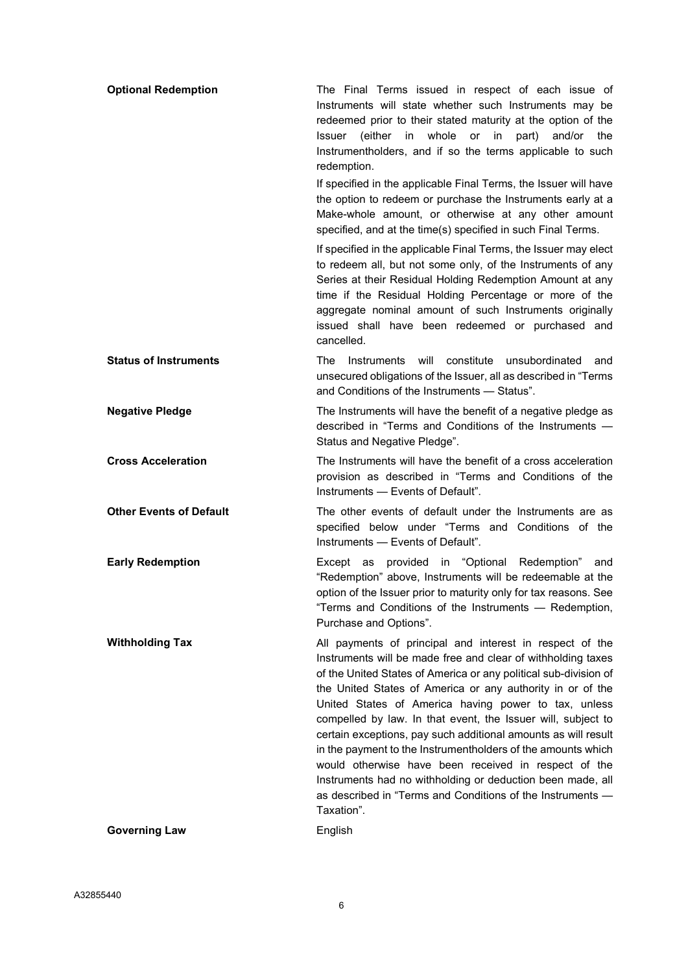| <b>Optional Redemption</b>     | The Final Terms issued in respect of each issue of<br>Instruments will state whether such Instruments may be<br>redeemed prior to their stated maturity at the option of the<br>(either in whole or in<br>Issuer<br>part)<br>and/or<br>the<br>Instrumentholders, and if so the terms applicable to such<br>redemption.                                                                                                                                                                                                                                                                                                                                                                                                 |
|--------------------------------|------------------------------------------------------------------------------------------------------------------------------------------------------------------------------------------------------------------------------------------------------------------------------------------------------------------------------------------------------------------------------------------------------------------------------------------------------------------------------------------------------------------------------------------------------------------------------------------------------------------------------------------------------------------------------------------------------------------------|
|                                | If specified in the applicable Final Terms, the Issuer will have<br>the option to redeem or purchase the Instruments early at a<br>Make-whole amount, or otherwise at any other amount<br>specified, and at the time(s) specified in such Final Terms.                                                                                                                                                                                                                                                                                                                                                                                                                                                                 |
|                                | If specified in the applicable Final Terms, the Issuer may elect<br>to redeem all, but not some only, of the Instruments of any<br>Series at their Residual Holding Redemption Amount at any<br>time if the Residual Holding Percentage or more of the<br>aggregate nominal amount of such Instruments originally<br>issued shall have been redeemed or purchased and<br>cancelled.                                                                                                                                                                                                                                                                                                                                    |
| <b>Status of Instruments</b>   | Instruments will<br>constitute<br>unsubordinated<br>The<br>and<br>unsecured obligations of the Issuer, all as described in "Terms<br>and Conditions of the Instruments - Status".                                                                                                                                                                                                                                                                                                                                                                                                                                                                                                                                      |
| <b>Negative Pledge</b>         | The Instruments will have the benefit of a negative pledge as<br>described in "Terms and Conditions of the Instruments -<br>Status and Negative Pledge".                                                                                                                                                                                                                                                                                                                                                                                                                                                                                                                                                               |
| <b>Cross Acceleration</b>      | The Instruments will have the benefit of a cross acceleration<br>provision as described in "Terms and Conditions of the<br>Instruments - Events of Default".                                                                                                                                                                                                                                                                                                                                                                                                                                                                                                                                                           |
| <b>Other Events of Default</b> | The other events of default under the Instruments are as<br>specified below under "Terms and Conditions of the<br>Instruments - Events of Default".                                                                                                                                                                                                                                                                                                                                                                                                                                                                                                                                                                    |
| <b>Early Redemption</b>        | Except as provided in "Optional Redemption"<br>and<br>"Redemption" above, Instruments will be redeemable at the<br>option of the Issuer prior to maturity only for tax reasons. See<br>"Terms and Conditions of the Instruments - Redemption,<br>Purchase and Options".                                                                                                                                                                                                                                                                                                                                                                                                                                                |
| <b>Withholding Tax</b>         | All payments of principal and interest in respect of the<br>Instruments will be made free and clear of withholding taxes<br>of the United States of America or any political sub-division of<br>the United States of America or any authority in or of the<br>United States of America having power to tax, unless<br>compelled by law. In that event, the Issuer will, subject to<br>certain exceptions, pay such additional amounts as will result<br>in the payment to the Instrumentholders of the amounts which<br>would otherwise have been received in respect of the<br>Instruments had no withholding or deduction been made, all<br>as described in "Terms and Conditions of the Instruments -<br>Taxation". |
| <b>Governing Law</b>           | English                                                                                                                                                                                                                                                                                                                                                                                                                                                                                                                                                                                                                                                                                                                |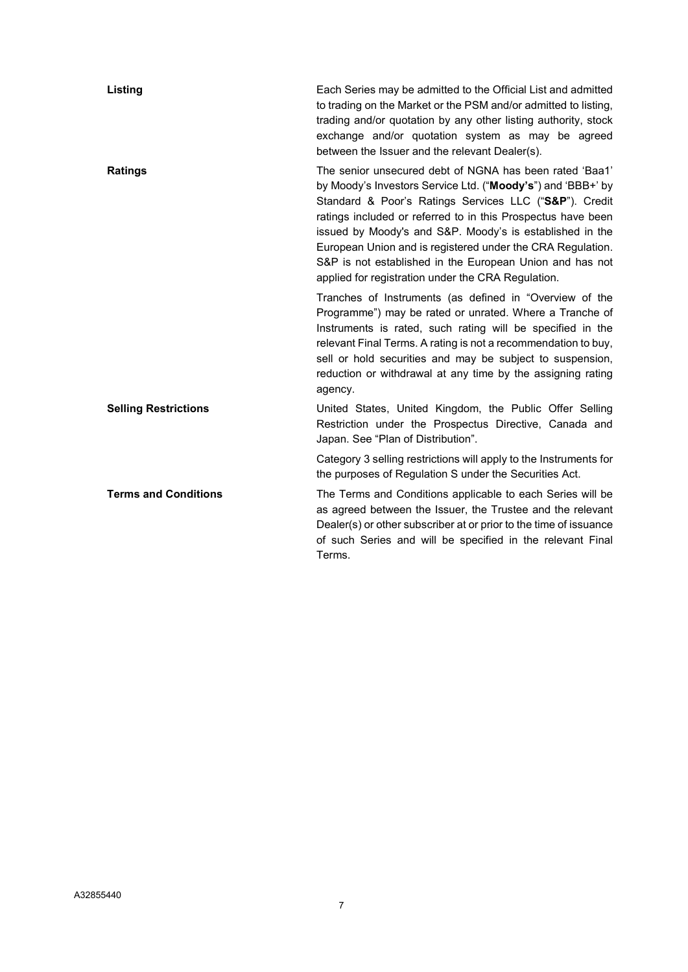| Listing                     | Each Series may be admitted to the Official List and admitted<br>to trading on the Market or the PSM and/or admitted to listing,<br>trading and/or quotation by any other listing authority, stock<br>exchange and/or quotation system as may be agreed<br>between the Issuer and the relevant Dealer(s).                                                                                                                                                                                    |
|-----------------------------|----------------------------------------------------------------------------------------------------------------------------------------------------------------------------------------------------------------------------------------------------------------------------------------------------------------------------------------------------------------------------------------------------------------------------------------------------------------------------------------------|
| <b>Ratings</b>              | The senior unsecured debt of NGNA has been rated 'Baa1'<br>by Moody's Investors Service Ltd. ("Moody's") and 'BBB+' by<br>Standard & Poor's Ratings Services LLC ("S&P"). Credit<br>ratings included or referred to in this Prospectus have been<br>issued by Moody's and S&P. Moody's is established in the<br>European Union and is registered under the CRA Regulation.<br>S&P is not established in the European Union and has not<br>applied for registration under the CRA Regulation. |
|                             | Tranches of Instruments (as defined in "Overview of the<br>Programme") may be rated or unrated. Where a Tranche of<br>Instruments is rated, such rating will be specified in the<br>relevant Final Terms. A rating is not a recommendation to buy,<br>sell or hold securities and may be subject to suspension,<br>reduction or withdrawal at any time by the assigning rating<br>agency.                                                                                                    |
| <b>Selling Restrictions</b> | United States, United Kingdom, the Public Offer Selling<br>Restriction under the Prospectus Directive, Canada and<br>Japan. See "Plan of Distribution".                                                                                                                                                                                                                                                                                                                                      |
|                             | Category 3 selling restrictions will apply to the Instruments for<br>the purposes of Regulation S under the Securities Act.                                                                                                                                                                                                                                                                                                                                                                  |
| <b>Terms and Conditions</b> | The Terms and Conditions applicable to each Series will be<br>as agreed between the Issuer, the Trustee and the relevant<br>Dealer(s) or other subscriber at or prior to the time of issuance<br>of such Series and will be specified in the relevant Final<br>Terms.                                                                                                                                                                                                                        |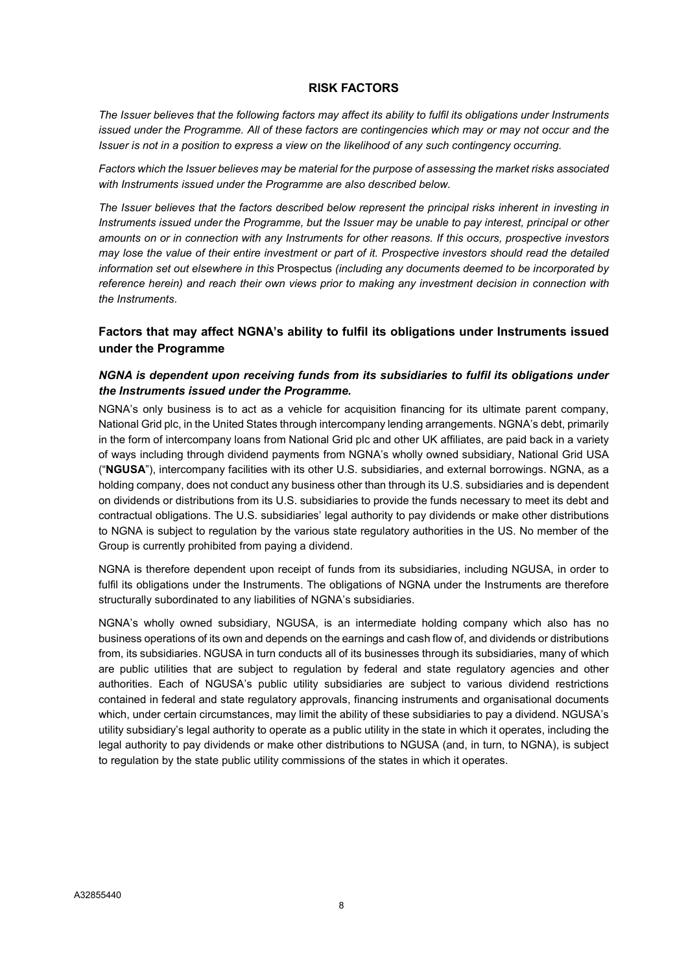# RISK FACTORS

The Issuer believes that the following factors may affect its ability to fulfil its obligations under Instruments issued under the Programme. All of these factors are contingencies which may or may not occur and the Issuer is not in a position to express a view on the likelihood of any such contingency occurring.

Factors which the Issuer believes may be material for the purpose of assessing the market risks associated with Instruments issued under the Programme are also described below.

The Issuer believes that the factors described below represent the principal risks inherent in investing in Instruments issued under the Programme, but the Issuer may be unable to pay interest, principal or other amounts on or in connection with any Instruments for other reasons. If this occurs, prospective investors may lose the value of their entire investment or part of it. Prospective investors should read the detailed information set out elsewhere in this Prospectus (including any documents deemed to be incorporated by reference herein) and reach their own views prior to making any investment decision in connection with the Instruments.

# Factors that may affect NGNA's ability to fulfil its obligations under Instruments issued under the Programme

# NGNA is dependent upon receiving funds from its subsidiaries to fulfil its obligations under the Instruments issued under the Programme.

NGNA's only business is to act as a vehicle for acquisition financing for its ultimate parent company, National Grid plc, in the United States through intercompany lending arrangements. NGNA's debt, primarily in the form of intercompany loans from National Grid plc and other UK affiliates, are paid back in a variety of ways including through dividend payments from NGNA's wholly owned subsidiary, National Grid USA ("NGUSA"), intercompany facilities with its other U.S. subsidiaries, and external borrowings. NGNA, as a holding company, does not conduct any business other than through its U.S. subsidiaries and is dependent on dividends or distributions from its U.S. subsidiaries to provide the funds necessary to meet its debt and contractual obligations. The U.S. subsidiaries' legal authority to pay dividends or make other distributions to NGNA is subject to regulation by the various state regulatory authorities in the US. No member of the Group is currently prohibited from paying a dividend.

NGNA is therefore dependent upon receipt of funds from its subsidiaries, including NGUSA, in order to fulfil its obligations under the Instruments. The obligations of NGNA under the Instruments are therefore structurally subordinated to any liabilities of NGNA's subsidiaries.

NGNA's wholly owned subsidiary, NGUSA, is an intermediate holding company which also has no business operations of its own and depends on the earnings and cash flow of, and dividends or distributions from, its subsidiaries. NGUSA in turn conducts all of its businesses through its subsidiaries, many of which are public utilities that are subject to regulation by federal and state regulatory agencies and other authorities. Each of NGUSA's public utility subsidiaries are subject to various dividend restrictions contained in federal and state regulatory approvals, financing instruments and organisational documents which, under certain circumstances, may limit the ability of these subsidiaries to pay a dividend. NGUSA's utility subsidiary's legal authority to operate as a public utility in the state in which it operates, including the legal authority to pay dividends or make other distributions to NGUSA (and, in turn, to NGNA), is subject to regulation by the state public utility commissions of the states in which it operates.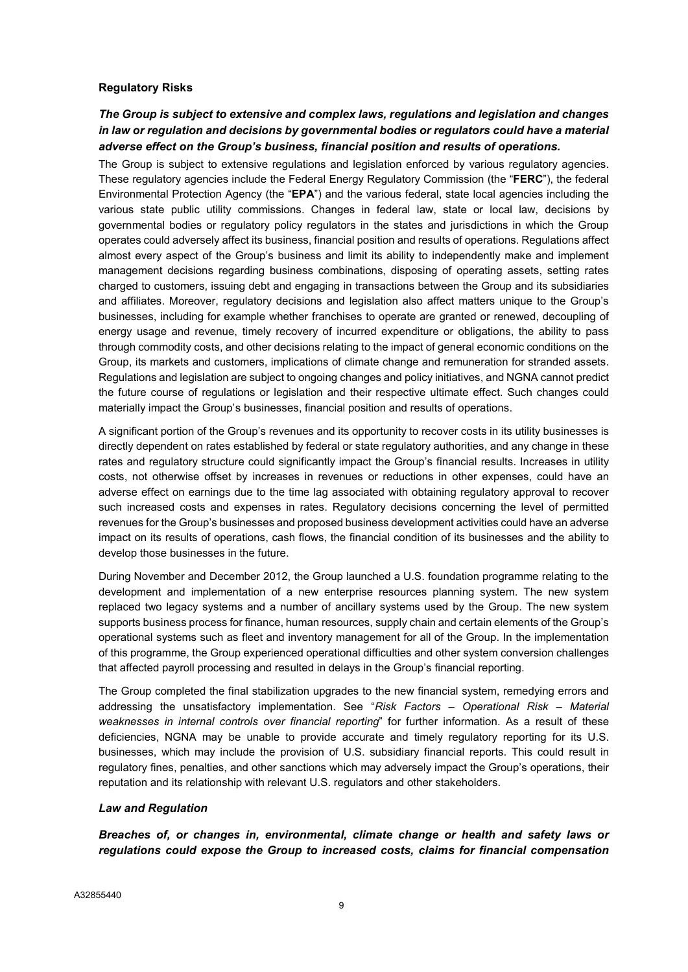# Regulatory Risks

# The Group is subject to extensive and complex laws, regulations and legislation and changes in law or regulation and decisions by governmental bodies or regulators could have a material adverse effect on the Group's business, financial position and results of operations.

The Group is subject to extensive regulations and legislation enforced by various regulatory agencies. These regulatory agencies include the Federal Energy Regulatory Commission (the "FERC"), the federal Environmental Protection Agency (the "EPA") and the various federal, state local agencies including the various state public utility commissions. Changes in federal law, state or local law, decisions by governmental bodies or regulatory policy regulators in the states and jurisdictions in which the Group operates could adversely affect its business, financial position and results of operations. Regulations affect almost every aspect of the Group's business and limit its ability to independently make and implement management decisions regarding business combinations, disposing of operating assets, setting rates charged to customers, issuing debt and engaging in transactions between the Group and its subsidiaries and affiliates. Moreover, regulatory decisions and legislation also affect matters unique to the Group's businesses, including for example whether franchises to operate are granted or renewed, decoupling of energy usage and revenue, timely recovery of incurred expenditure or obligations, the ability to pass through commodity costs, and other decisions relating to the impact of general economic conditions on the Group, its markets and customers, implications of climate change and remuneration for stranded assets. Regulations and legislation are subject to ongoing changes and policy initiatives, and NGNA cannot predict the future course of regulations or legislation and their respective ultimate effect. Such changes could materially impact the Group's businesses, financial position and results of operations.

A significant portion of the Group's revenues and its opportunity to recover costs in its utility businesses is directly dependent on rates established by federal or state regulatory authorities, and any change in these rates and regulatory structure could significantly impact the Group's financial results. Increases in utility costs, not otherwise offset by increases in revenues or reductions in other expenses, could have an adverse effect on earnings due to the time lag associated with obtaining regulatory approval to recover such increased costs and expenses in rates. Regulatory decisions concerning the level of permitted revenues for the Group's businesses and proposed business development activities could have an adverse impact on its results of operations, cash flows, the financial condition of its businesses and the ability to develop those businesses in the future.

During November and December 2012, the Group launched a U.S. foundation programme relating to the development and implementation of a new enterprise resources planning system. The new system replaced two legacy systems and a number of ancillary systems used by the Group. The new system supports business process for finance, human resources, supply chain and certain elements of the Group's operational systems such as fleet and inventory management for all of the Group. In the implementation of this programme, the Group experienced operational difficulties and other system conversion challenges that affected payroll processing and resulted in delays in the Group's financial reporting.

The Group completed the final stabilization upgrades to the new financial system, remedying errors and addressing the unsatisfactory implementation. See "Risk Factors - Operational Risk - Material weaknesses in internal controls over financial reporting" for further information. As a result of these deficiencies, NGNA may be unable to provide accurate and timely regulatory reporting for its U.S. businesses, which may include the provision of U.S. subsidiary financial reports. This could result in regulatory fines, penalties, and other sanctions which may adversely impact the Group's operations, their reputation and its relationship with relevant U.S. regulators and other stakeholders.

# Law and Regulation

Breaches of, or changes in, environmental, climate change or health and safety laws or regulations could expose the Group to increased costs, claims for financial compensation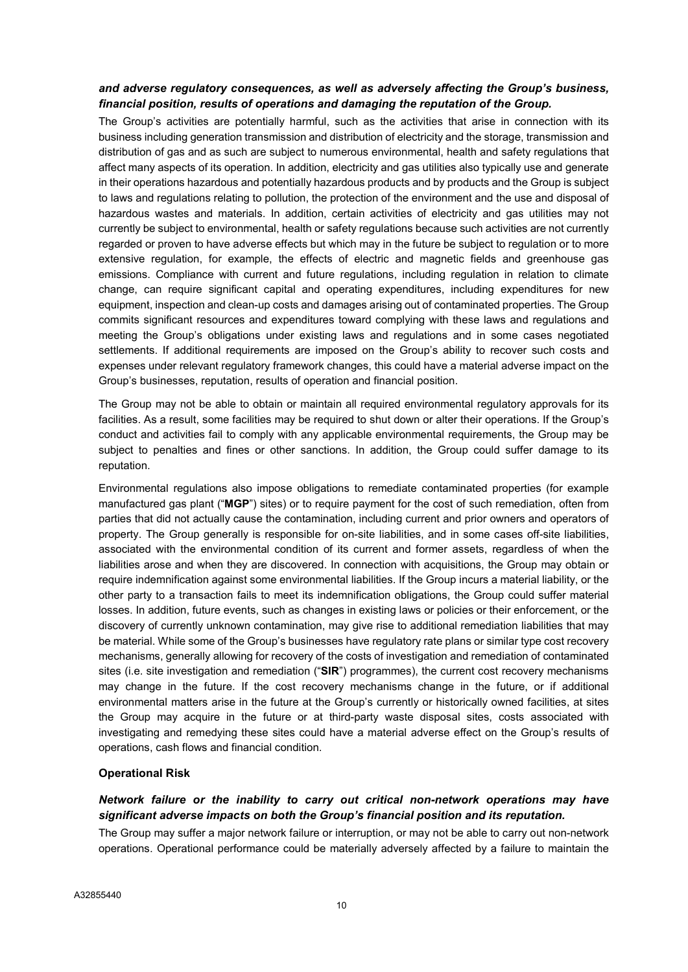# and adverse regulatory consequences, as well as adversely affecting the Group's business, financial position, results of operations and damaging the reputation of the Group.

The Group's activities are potentially harmful, such as the activities that arise in connection with its business including generation transmission and distribution of electricity and the storage, transmission and distribution of gas and as such are subject to numerous environmental, health and safety regulations that affect many aspects of its operation. In addition, electricity and gas utilities also typically use and generate in their operations hazardous and potentially hazardous products and by products and the Group is subject to laws and regulations relating to pollution, the protection of the environment and the use and disposal of hazardous wastes and materials. In addition, certain activities of electricity and gas utilities may not currently be subject to environmental, health or safety regulations because such activities are not currently regarded or proven to have adverse effects but which may in the future be subject to regulation or to more extensive regulation, for example, the effects of electric and magnetic fields and greenhouse gas emissions. Compliance with current and future regulations, including regulation in relation to climate change, can require significant capital and operating expenditures, including expenditures for new equipment, inspection and clean-up costs and damages arising out of contaminated properties. The Group commits significant resources and expenditures toward complying with these laws and regulations and meeting the Group's obligations under existing laws and regulations and in some cases negotiated settlements. If additional requirements are imposed on the Group's ability to recover such costs and expenses under relevant regulatory framework changes, this could have a material adverse impact on the Group's businesses, reputation, results of operation and financial position.

The Group may not be able to obtain or maintain all required environmental regulatory approvals for its facilities. As a result, some facilities may be required to shut down or alter their operations. If the Group's conduct and activities fail to comply with any applicable environmental requirements, the Group may be subject to penalties and fines or other sanctions. In addition, the Group could suffer damage to its reputation.

Environmental regulations also impose obligations to remediate contaminated properties (for example manufactured gas plant ("MGP") sites) or to require payment for the cost of such remediation, often from parties that did not actually cause the contamination, including current and prior owners and operators of property. The Group generally is responsible for on-site liabilities, and in some cases off-site liabilities, associated with the environmental condition of its current and former assets, regardless of when the liabilities arose and when they are discovered. In connection with acquisitions, the Group may obtain or require indemnification against some environmental liabilities. If the Group incurs a material liability, or the other party to a transaction fails to meet its indemnification obligations, the Group could suffer material losses. In addition, future events, such as changes in existing laws or policies or their enforcement, or the discovery of currently unknown contamination, may give rise to additional remediation liabilities that may be material. While some of the Group's businesses have regulatory rate plans or similar type cost recovery mechanisms, generally allowing for recovery of the costs of investigation and remediation of contaminated sites (i.e. site investigation and remediation (" $SIR$ ") programmes), the current cost recovery mechanisms may change in the future. If the cost recovery mechanisms change in the future, or if additional environmental matters arise in the future at the Group's currently or historically owned facilities, at sites the Group may acquire in the future or at third-party waste disposal sites, costs associated with investigating and remedying these sites could have a material adverse effect on the Group's results of operations, cash flows and financial condition.

#### Operational Risk

# Network failure or the inability to carry out critical non-network operations may have significant adverse impacts on both the Group's financial position and its reputation.

The Group may suffer a major network failure or interruption, or may not be able to carry out non-network operations. Operational performance could be materially adversely affected by a failure to maintain the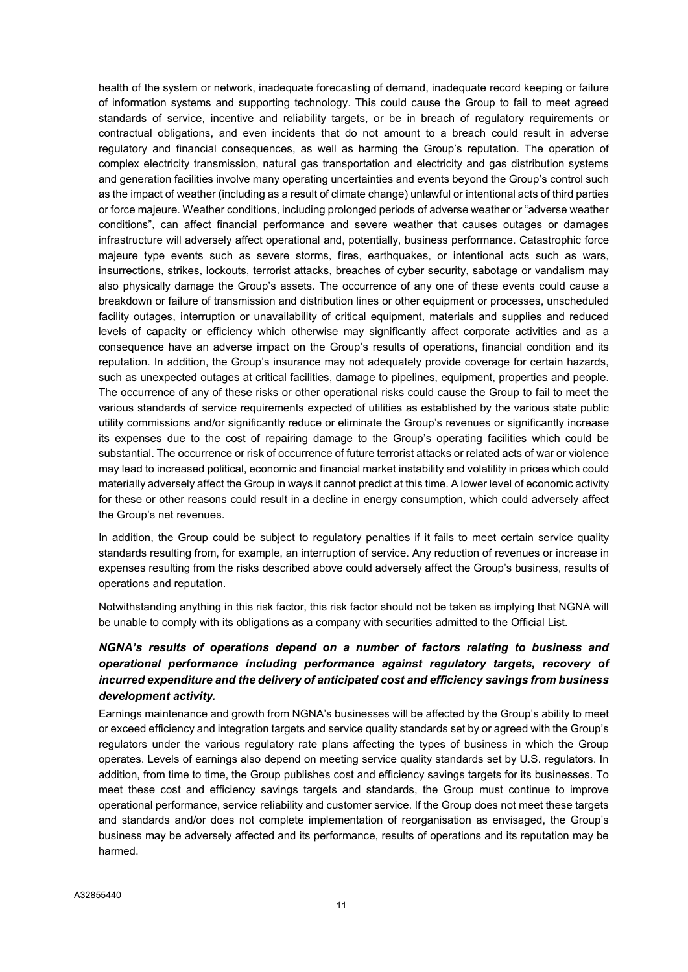health of the system or network, inadequate forecasting of demand, inadequate record keeping or failure of information systems and supporting technology. This could cause the Group to fail to meet agreed standards of service, incentive and reliability targets, or be in breach of regulatory requirements or contractual obligations, and even incidents that do not amount to a breach could result in adverse regulatory and financial consequences, as well as harming the Group's reputation. The operation of complex electricity transmission, natural gas transportation and electricity and gas distribution systems and generation facilities involve many operating uncertainties and events beyond the Group's control such as the impact of weather (including as a result of climate change) unlawful or intentional acts of third parties or force majeure. Weather conditions, including prolonged periods of adverse weather or "adverse weather conditions", can affect financial performance and severe weather that causes outages or damages infrastructure will adversely affect operational and, potentially, business performance. Catastrophic force majeure type events such as severe storms, fires, earthquakes, or intentional acts such as wars, insurrections, strikes, lockouts, terrorist attacks, breaches of cyber security, sabotage or vandalism may also physically damage the Group's assets. The occurrence of any one of these events could cause a breakdown or failure of transmission and distribution lines or other equipment or processes, unscheduled facility outages, interruption or unavailability of critical equipment, materials and supplies and reduced levels of capacity or efficiency which otherwise may significantly affect corporate activities and as a consequence have an adverse impact on the Group's results of operations, financial condition and its reputation. In addition, the Group's insurance may not adequately provide coverage for certain hazards, such as unexpected outages at critical facilities, damage to pipelines, equipment, properties and people. The occurrence of any of these risks or other operational risks could cause the Group to fail to meet the various standards of service requirements expected of utilities as established by the various state public utility commissions and/or significantly reduce or eliminate the Group's revenues or significantly increase its expenses due to the cost of repairing damage to the Group's operating facilities which could be substantial. The occurrence or risk of occurrence of future terrorist attacks or related acts of war or violence may lead to increased political, economic and financial market instability and volatility in prices which could materially adversely affect the Group in ways it cannot predict at this time. A lower level of economic activity for these or other reasons could result in a decline in energy consumption, which could adversely affect the Group's net revenues.

In addition, the Group could be subject to regulatory penalties if it fails to meet certain service quality standards resulting from, for example, an interruption of service. Any reduction of revenues or increase in expenses resulting from the risks described above could adversely affect the Group's business, results of operations and reputation.

Notwithstanding anything in this risk factor, this risk factor should not be taken as implying that NGNA will be unable to comply with its obligations as a company with securities admitted to the Official List.

# NGNA's results of operations depend on a number of factors relating to business and operational performance including performance against regulatory targets, recovery of incurred expenditure and the delivery of anticipated cost and efficiency savings from business development activity.

Earnings maintenance and growth from NGNA's businesses will be affected by the Group's ability to meet or exceed efficiency and integration targets and service quality standards set by or agreed with the Group's regulators under the various regulatory rate plans affecting the types of business in which the Group operates. Levels of earnings also depend on meeting service quality standards set by U.S. regulators. In addition, from time to time, the Group publishes cost and efficiency savings targets for its businesses. To meet these cost and efficiency savings targets and standards, the Group must continue to improve operational performance, service reliability and customer service. If the Group does not meet these targets and standards and/or does not complete implementation of reorganisation as envisaged, the Group's business may be adversely affected and its performance, results of operations and its reputation may be harmed.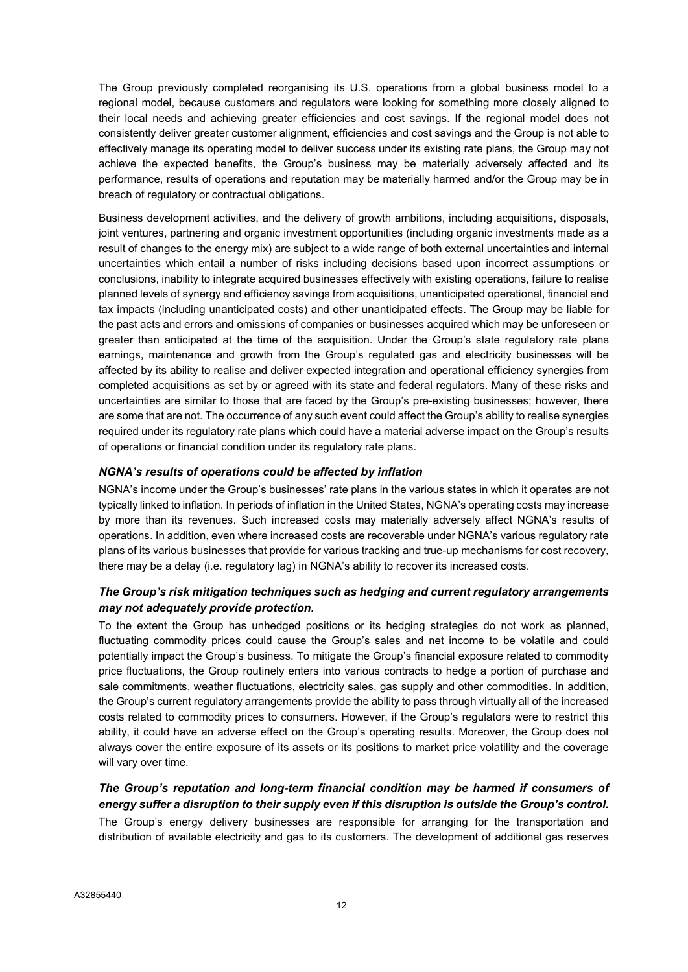The Group previously completed reorganising its U.S. operations from a global business model to a regional model, because customers and regulators were looking for something more closely aligned to their local needs and achieving greater efficiencies and cost savings. If the regional model does not consistently deliver greater customer alignment, efficiencies and cost savings and the Group is not able to effectively manage its operating model to deliver success under its existing rate plans, the Group may not achieve the expected benefits, the Group's business may be materially adversely affected and its performance, results of operations and reputation may be materially harmed and/or the Group may be in breach of regulatory or contractual obligations.

Business development activities, and the delivery of growth ambitions, including acquisitions, disposals, joint ventures, partnering and organic investment opportunities (including organic investments made as a result of changes to the energy mix) are subject to a wide range of both external uncertainties and internal uncertainties which entail a number of risks including decisions based upon incorrect assumptions or conclusions, inability to integrate acquired businesses effectively with existing operations, failure to realise planned levels of synergy and efficiency savings from acquisitions, unanticipated operational, financial and tax impacts (including unanticipated costs) and other unanticipated effects. The Group may be liable for the past acts and errors and omissions of companies or businesses acquired which may be unforeseen or greater than anticipated at the time of the acquisition. Under the Group's state regulatory rate plans earnings, maintenance and growth from the Group's regulated gas and electricity businesses will be affected by its ability to realise and deliver expected integration and operational efficiency synergies from completed acquisitions as set by or agreed with its state and federal regulators. Many of these risks and uncertainties are similar to those that are faced by the Group's pre-existing businesses; however, there are some that are not. The occurrence of any such event could affect the Group's ability to realise synergies required under its regulatory rate plans which could have a material adverse impact on the Group's results of operations or financial condition under its regulatory rate plans.

# NGNA's results of operations could be affected by inflation

NGNA's income under the Group's businesses' rate plans in the various states in which it operates are not typically linked to inflation. In periods of inflation in the United States, NGNA's operating costs may increase by more than its revenues. Such increased costs may materially adversely affect NGNA's results of operations. In addition, even where increased costs are recoverable under NGNA's various regulatory rate plans of its various businesses that provide for various tracking and true-up mechanisms for cost recovery, there may be a delay (i.e. regulatory lag) in NGNA's ability to recover its increased costs.

# The Group's risk mitigation techniques such as hedging and current regulatory arrangements may not adequately provide protection.

To the extent the Group has unhedged positions or its hedging strategies do not work as planned, fluctuating commodity prices could cause the Group's sales and net income to be volatile and could potentially impact the Group's business. To mitigate the Group's financial exposure related to commodity price fluctuations, the Group routinely enters into various contracts to hedge a portion of purchase and sale commitments, weather fluctuations, electricity sales, gas supply and other commodities. In addition, the Group's current regulatory arrangements provide the ability to pass through virtually all of the increased costs related to commodity prices to consumers. However, if the Group's regulators were to restrict this ability, it could have an adverse effect on the Group's operating results. Moreover, the Group does not always cover the entire exposure of its assets or its positions to market price volatility and the coverage will vary over time.

# The Group's reputation and long-term financial condition may be harmed if consumers of energy suffer a disruption to their supply even if this disruption is outside the Group's control.

The Group's energy delivery businesses are responsible for arranging for the transportation and distribution of available electricity and gas to its customers. The development of additional gas reserves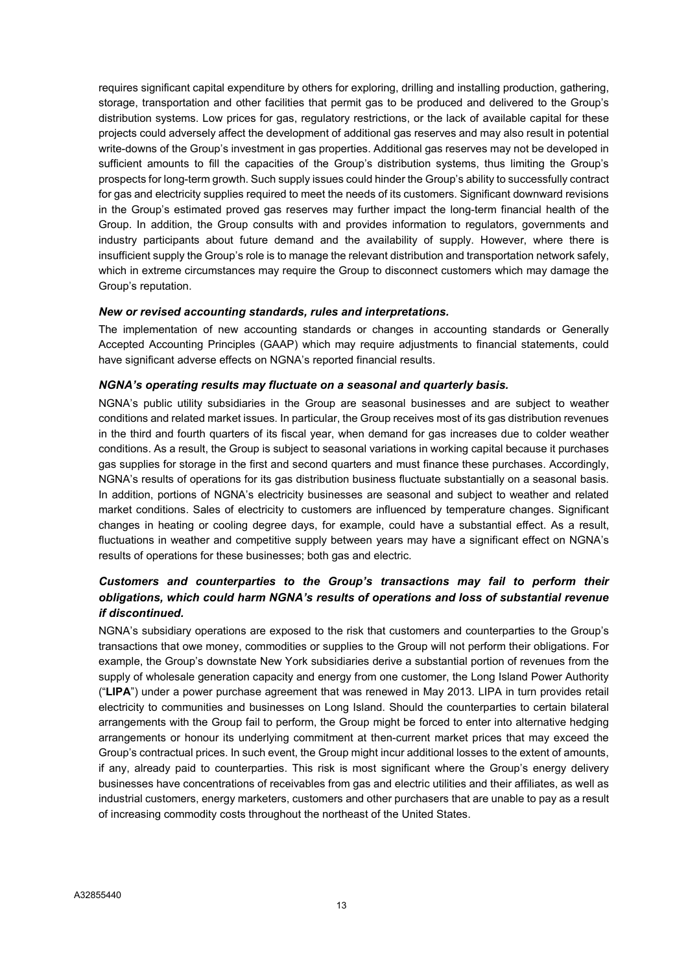requires significant capital expenditure by others for exploring, drilling and installing production, gathering, storage, transportation and other facilities that permit gas to be produced and delivered to the Group's distribution systems. Low prices for gas, regulatory restrictions, or the lack of available capital for these projects could adversely affect the development of additional gas reserves and may also result in potential write-downs of the Group's investment in gas properties. Additional gas reserves may not be developed in sufficient amounts to fill the capacities of the Group's distribution systems, thus limiting the Group's prospects for long-term growth. Such supply issues could hinder the Group's ability to successfully contract for gas and electricity supplies required to meet the needs of its customers. Significant downward revisions in the Group's estimated proved gas reserves may further impact the long-term financial health of the Group. In addition, the Group consults with and provides information to regulators, governments and industry participants about future demand and the availability of supply. However, where there is insufficient supply the Group's role is to manage the relevant distribution and transportation network safely, which in extreme circumstances may require the Group to disconnect customers which may damage the Group's reputation.

# New or revised accounting standards, rules and interpretations.

The implementation of new accounting standards or changes in accounting standards or Generally Accepted Accounting Principles (GAAP) which may require adjustments to financial statements, could have significant adverse effects on NGNA's reported financial results.

# NGNA's operating results may fluctuate on a seasonal and quarterly basis.

NGNA's public utility subsidiaries in the Group are seasonal businesses and are subject to weather conditions and related market issues. In particular, the Group receives most of its gas distribution revenues in the third and fourth quarters of its fiscal year, when demand for gas increases due to colder weather conditions. As a result, the Group is subject to seasonal variations in working capital because it purchases gas supplies for storage in the first and second quarters and must finance these purchases. Accordingly, NGNA's results of operations for its gas distribution business fluctuate substantially on a seasonal basis. In addition, portions of NGNA's electricity businesses are seasonal and subject to weather and related market conditions. Sales of electricity to customers are influenced by temperature changes. Significant changes in heating or cooling degree days, for example, could have a substantial effect. As a result, fluctuations in weather and competitive supply between years may have a significant effect on NGNA's results of operations for these businesses; both gas and electric.

# Customers and counterparties to the Group's transactions may fail to perform their obligations, which could harm NGNA's results of operations and loss of substantial revenue if discontinued.

NGNA's subsidiary operations are exposed to the risk that customers and counterparties to the Group's transactions that owe money, commodities or supplies to the Group will not perform their obligations. For example, the Group's downstate New York subsidiaries derive a substantial portion of revenues from the supply of wholesale generation capacity and energy from one customer, the Long Island Power Authority ("LIPA") under a power purchase agreement that was renewed in May 2013. LIPA in turn provides retail electricity to communities and businesses on Long Island. Should the counterparties to certain bilateral arrangements with the Group fail to perform, the Group might be forced to enter into alternative hedging arrangements or honour its underlying commitment at then-current market prices that may exceed the Group's contractual prices. In such event, the Group might incur additional losses to the extent of amounts, if any, already paid to counterparties. This risk is most significant where the Group's energy delivery businesses have concentrations of receivables from gas and electric utilities and their affiliates, as well as industrial customers, energy marketers, customers and other purchasers that are unable to pay as a result of increasing commodity costs throughout the northeast of the United States.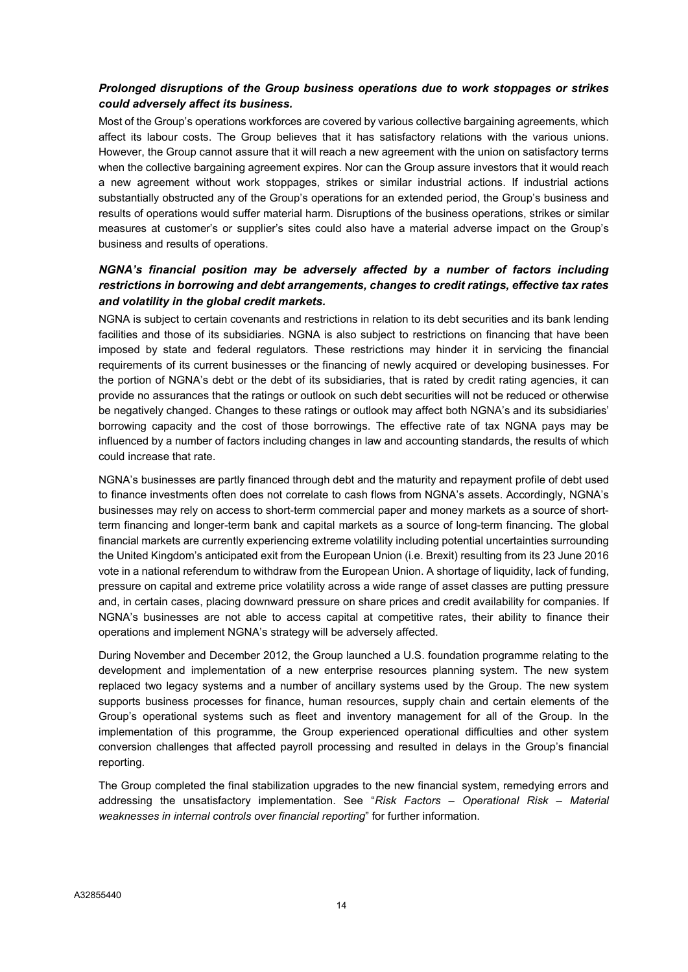# Prolonged disruptions of the Group business operations due to work stoppages or strikes could adversely affect its business.

Most of the Group's operations workforces are covered by various collective bargaining agreements, which affect its labour costs. The Group believes that it has satisfactory relations with the various unions. However, the Group cannot assure that it will reach a new agreement with the union on satisfactory terms when the collective bargaining agreement expires. Nor can the Group assure investors that it would reach a new agreement without work stoppages, strikes or similar industrial actions. If industrial actions substantially obstructed any of the Group's operations for an extended period, the Group's business and results of operations would suffer material harm. Disruptions of the business operations, strikes or similar measures at customer's or supplier's sites could also have a material adverse impact on the Group's business and results of operations.

# NGNA's financial position may be adversely affected by a number of factors including restrictions in borrowing and debt arrangements, changes to credit ratings, effective tax rates and volatility in the global credit markets.

NGNA is subject to certain covenants and restrictions in relation to its debt securities and its bank lending facilities and those of its subsidiaries. NGNA is also subject to restrictions on financing that have been imposed by state and federal regulators. These restrictions may hinder it in servicing the financial requirements of its current businesses or the financing of newly acquired or developing businesses. For the portion of NGNA's debt or the debt of its subsidiaries, that is rated by credit rating agencies, it can provide no assurances that the ratings or outlook on such debt securities will not be reduced or otherwise be negatively changed. Changes to these ratings or outlook may affect both NGNA's and its subsidiaries' borrowing capacity and the cost of those borrowings. The effective rate of tax NGNA pays may be influenced by a number of factors including changes in law and accounting standards, the results of which could increase that rate.

NGNA's businesses are partly financed through debt and the maturity and repayment profile of debt used to finance investments often does not correlate to cash flows from NGNA's assets. Accordingly, NGNA's businesses may rely on access to short-term commercial paper and money markets as a source of shortterm financing and longer-term bank and capital markets as a source of long-term financing. The global financial markets are currently experiencing extreme volatility including potential uncertainties surrounding the United Kingdom's anticipated exit from the European Union (i.e. Brexit) resulting from its 23 June 2016 vote in a national referendum to withdraw from the European Union. A shortage of liquidity, lack of funding, pressure on capital and extreme price volatility across a wide range of asset classes are putting pressure and, in certain cases, placing downward pressure on share prices and credit availability for companies. If NGNA's businesses are not able to access capital at competitive rates, their ability to finance their operations and implement NGNA's strategy will be adversely affected.

During November and December 2012, the Group launched a U.S. foundation programme relating to the development and implementation of a new enterprise resources planning system. The new system replaced two legacy systems and a number of ancillary systems used by the Group. The new system supports business processes for finance, human resources, supply chain and certain elements of the Group's operational systems such as fleet and inventory management for all of the Group. In the implementation of this programme, the Group experienced operational difficulties and other system conversion challenges that affected payroll processing and resulted in delays in the Group's financial reporting.

The Group completed the final stabilization upgrades to the new financial system, remedying errors and addressing the unsatisfactory implementation. See "Risk Factors - Operational Risk - Material weaknesses in internal controls over financial reporting" for further information.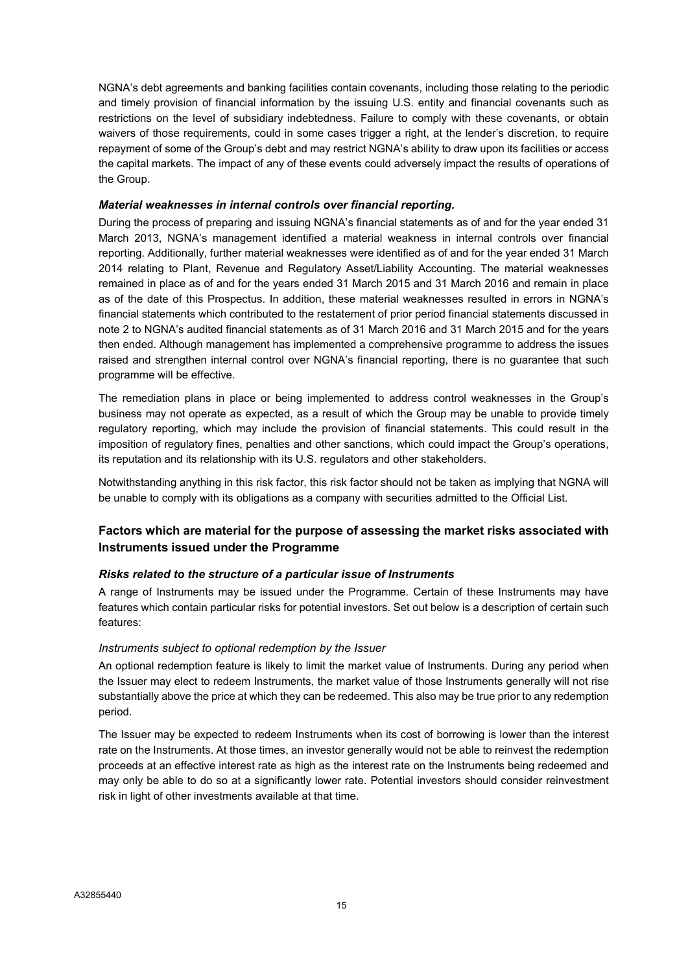NGNA's debt agreements and banking facilities contain covenants, including those relating to the periodic and timely provision of financial information by the issuing U.S. entity and financial covenants such as restrictions on the level of subsidiary indebtedness. Failure to comply with these covenants, or obtain waivers of those requirements, could in some cases trigger a right, at the lender's discretion, to require repayment of some of the Group's debt and may restrict NGNA's ability to draw upon its facilities or access the capital markets. The impact of any of these events could adversely impact the results of operations of the Group.

# Material weaknesses in internal controls over financial reporting.

During the process of preparing and issuing NGNA's financial statements as of and for the year ended 31 March 2013, NGNA's management identified a material weakness in internal controls over financial reporting. Additionally, further material weaknesses were identified as of and for the year ended 31 March 2014 relating to Plant, Revenue and Regulatory Asset/Liability Accounting. The material weaknesses remained in place as of and for the years ended 31 March 2015 and 31 March 2016 and remain in place as of the date of this Prospectus. In addition, these material weaknesses resulted in errors in NGNA's financial statements which contributed to the restatement of prior period financial statements discussed in note 2 to NGNA's audited financial statements as of 31 March 2016 and 31 March 2015 and for the years then ended. Although management has implemented a comprehensive programme to address the issues raised and strengthen internal control over NGNA's financial reporting, there is no guarantee that such programme will be effective.

The remediation plans in place or being implemented to address control weaknesses in the Group's business may not operate as expected, as a result of which the Group may be unable to provide timely regulatory reporting, which may include the provision of financial statements. This could result in the imposition of regulatory fines, penalties and other sanctions, which could impact the Group's operations, its reputation and its relationship with its U.S. regulators and other stakeholders.

Notwithstanding anything in this risk factor, this risk factor should not be taken as implying that NGNA will be unable to comply with its obligations as a company with securities admitted to the Official List.

# Factors which are material for the purpose of assessing the market risks associated with Instruments issued under the Programme

# Risks related to the structure of a particular issue of Instruments

A range of Instruments may be issued under the Programme. Certain of these Instruments may have features which contain particular risks for potential investors. Set out below is a description of certain such features:

#### Instruments subject to optional redemption by the Issuer

An optional redemption feature is likely to limit the market value of Instruments. During any period when the Issuer may elect to redeem Instruments, the market value of those Instruments generally will not rise substantially above the price at which they can be redeemed. This also may be true prior to any redemption period.

The Issuer may be expected to redeem Instruments when its cost of borrowing is lower than the interest rate on the Instruments. At those times, an investor generally would not be able to reinvest the redemption proceeds at an effective interest rate as high as the interest rate on the Instruments being redeemed and may only be able to do so at a significantly lower rate. Potential investors should consider reinvestment risk in light of other investments available at that time.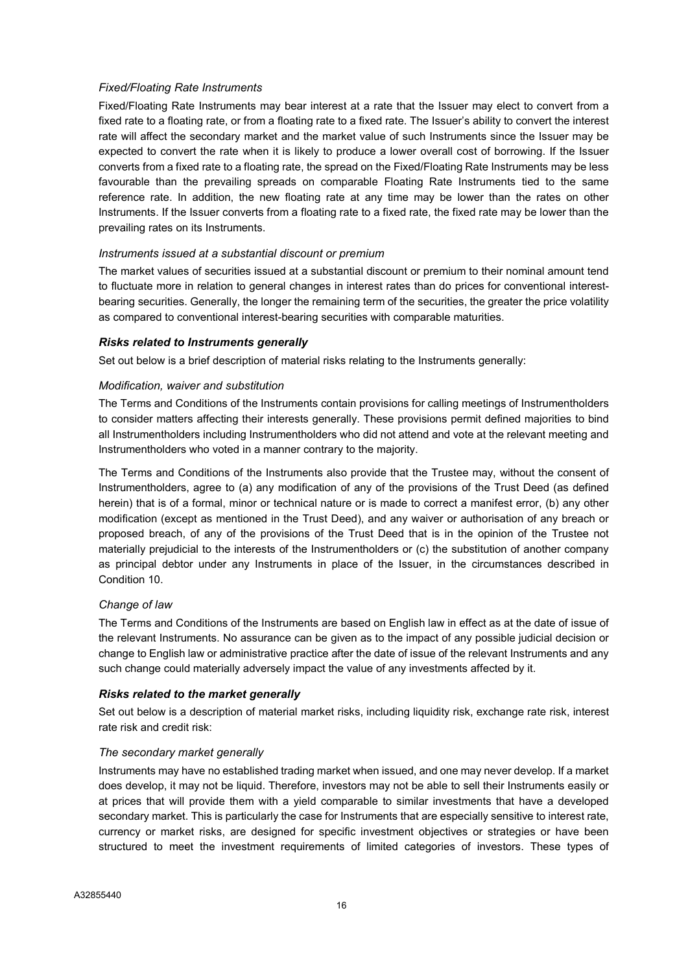# Fixed/Floating Rate Instruments

Fixed/Floating Rate Instruments may bear interest at a rate that the Issuer may elect to convert from a fixed rate to a floating rate, or from a floating rate to a fixed rate. The Issuer's ability to convert the interest rate will affect the secondary market and the market value of such Instruments since the Issuer may be expected to convert the rate when it is likely to produce a lower overall cost of borrowing. If the Issuer converts from a fixed rate to a floating rate, the spread on the Fixed/Floating Rate Instruments may be less favourable than the prevailing spreads on comparable Floating Rate Instruments tied to the same reference rate. In addition, the new floating rate at any time may be lower than the rates on other Instruments. If the Issuer converts from a floating rate to a fixed rate, the fixed rate may be lower than the prevailing rates on its Instruments.

# Instruments issued at a substantial discount or premium

The market values of securities issued at a substantial discount or premium to their nominal amount tend to fluctuate more in relation to general changes in interest rates than do prices for conventional interestbearing securities. Generally, the longer the remaining term of the securities, the greater the price volatility as compared to conventional interest-bearing securities with comparable maturities.

# Risks related to Instruments generally

Set out below is a brief description of material risks relating to the Instruments generally:

# Modification, waiver and substitution

The Terms and Conditions of the Instruments contain provisions for calling meetings of Instrumentholders to consider matters affecting their interests generally. These provisions permit defined majorities to bind all Instrumentholders including Instrumentholders who did not attend and vote at the relevant meeting and Instrumentholders who voted in a manner contrary to the majority.

The Terms and Conditions of the Instruments also provide that the Trustee may, without the consent of Instrumentholders, agree to (a) any modification of any of the provisions of the Trust Deed (as defined herein) that is of a formal, minor or technical nature or is made to correct a manifest error, (b) any other modification (except as mentioned in the Trust Deed), and any waiver or authorisation of any breach or proposed breach, of any of the provisions of the Trust Deed that is in the opinion of the Trustee not materially prejudicial to the interests of the Instrumentholders or (c) the substitution of another company as principal debtor under any Instruments in place of the Issuer, in the circumstances described in Condition 10.

# Change of law

The Terms and Conditions of the Instruments are based on English law in effect as at the date of issue of the relevant Instruments. No assurance can be given as to the impact of any possible judicial decision or change to English law or administrative practice after the date of issue of the relevant Instruments and any such change could materially adversely impact the value of any investments affected by it.

#### Risks related to the market generally

Set out below is a description of material market risks, including liquidity risk, exchange rate risk, interest rate risk and credit risk:

# The secondary market generally

Instruments may have no established trading market when issued, and one may never develop. If a market does develop, it may not be liquid. Therefore, investors may not be able to sell their Instruments easily or at prices that will provide them with a yield comparable to similar investments that have a developed secondary market. This is particularly the case for Instruments that are especially sensitive to interest rate, currency or market risks, are designed for specific investment objectives or strategies or have been structured to meet the investment requirements of limited categories of investors. These types of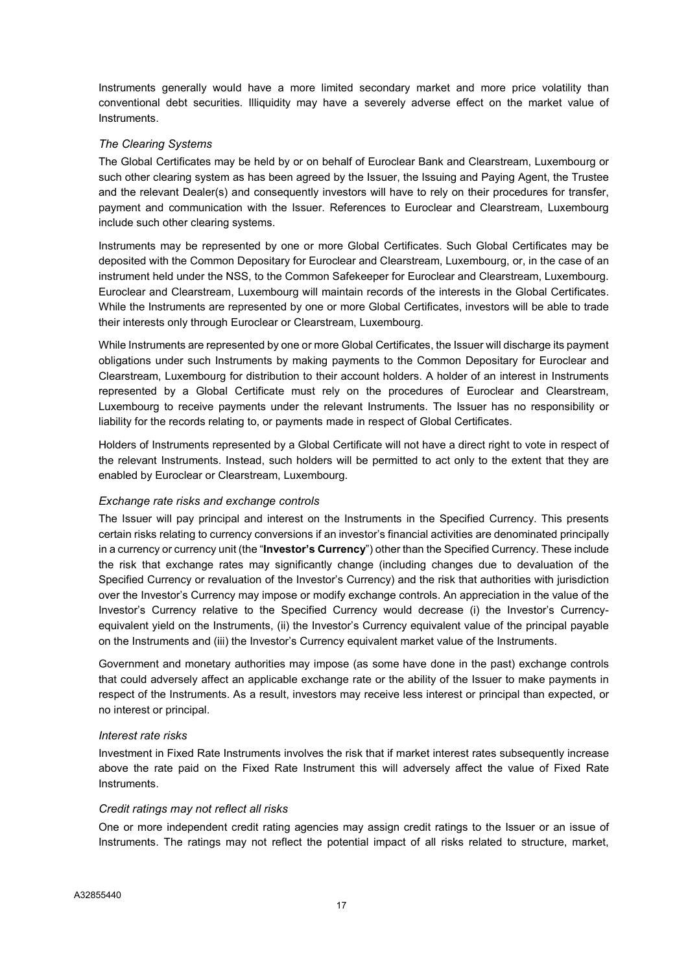Instruments generally would have a more limited secondary market and more price volatility than conventional debt securities. Illiquidity may have a severely adverse effect on the market value of Instruments.

# The Clearing Systems

The Global Certificates may be held by or on behalf of Euroclear Bank and Clearstream, Luxembourg or such other clearing system as has been agreed by the Issuer, the Issuing and Paying Agent, the Trustee and the relevant Dealer(s) and consequently investors will have to rely on their procedures for transfer, payment and communication with the Issuer. References to Euroclear and Clearstream, Luxembourg include such other clearing systems.

Instruments may be represented by one or more Global Certificates. Such Global Certificates may be deposited with the Common Depositary for Euroclear and Clearstream, Luxembourg, or, in the case of an instrument held under the NSS, to the Common Safekeeper for Euroclear and Clearstream, Luxembourg. Euroclear and Clearstream, Luxembourg will maintain records of the interests in the Global Certificates. While the Instruments are represented by one or more Global Certificates, investors will be able to trade their interests only through Euroclear or Clearstream, Luxembourg.

While Instruments are represented by one or more Global Certificates, the Issuer will discharge its payment obligations under such Instruments by making payments to the Common Depositary for Euroclear and Clearstream, Luxembourg for distribution to their account holders. A holder of an interest in Instruments represented by a Global Certificate must rely on the procedures of Euroclear and Clearstream, Luxembourg to receive payments under the relevant Instruments. The Issuer has no responsibility or liability for the records relating to, or payments made in respect of Global Certificates.

Holders of Instruments represented by a Global Certificate will not have a direct right to vote in respect of the relevant Instruments. Instead, such holders will be permitted to act only to the extent that they are enabled by Euroclear or Clearstream, Luxembourg.

#### Exchange rate risks and exchange controls

The Issuer will pay principal and interest on the Instruments in the Specified Currency. This presents certain risks relating to currency conversions if an investor's financial activities are denominated principally in a currency or currency unit (the "Investor's Currency") other than the Specified Currency. These include the risk that exchange rates may significantly change (including changes due to devaluation of the Specified Currency or revaluation of the Investor's Currency) and the risk that authorities with jurisdiction over the Investor's Currency may impose or modify exchange controls. An appreciation in the value of the Investor's Currency relative to the Specified Currency would decrease (i) the Investor's Currencyequivalent yield on the Instruments, (ii) the Investor's Currency equivalent value of the principal payable on the Instruments and (iii) the Investor's Currency equivalent market value of the Instruments.

Government and monetary authorities may impose (as some have done in the past) exchange controls that could adversely affect an applicable exchange rate or the ability of the Issuer to make payments in respect of the Instruments. As a result, investors may receive less interest or principal than expected, or no interest or principal.

#### Interest rate risks

Investment in Fixed Rate Instruments involves the risk that if market interest rates subsequently increase above the rate paid on the Fixed Rate Instrument this will adversely affect the value of Fixed Rate Instruments.

#### Credit ratings may not reflect all risks

One or more independent credit rating agencies may assign credit ratings to the Issuer or an issue of Instruments. The ratings may not reflect the potential impact of all risks related to structure, market,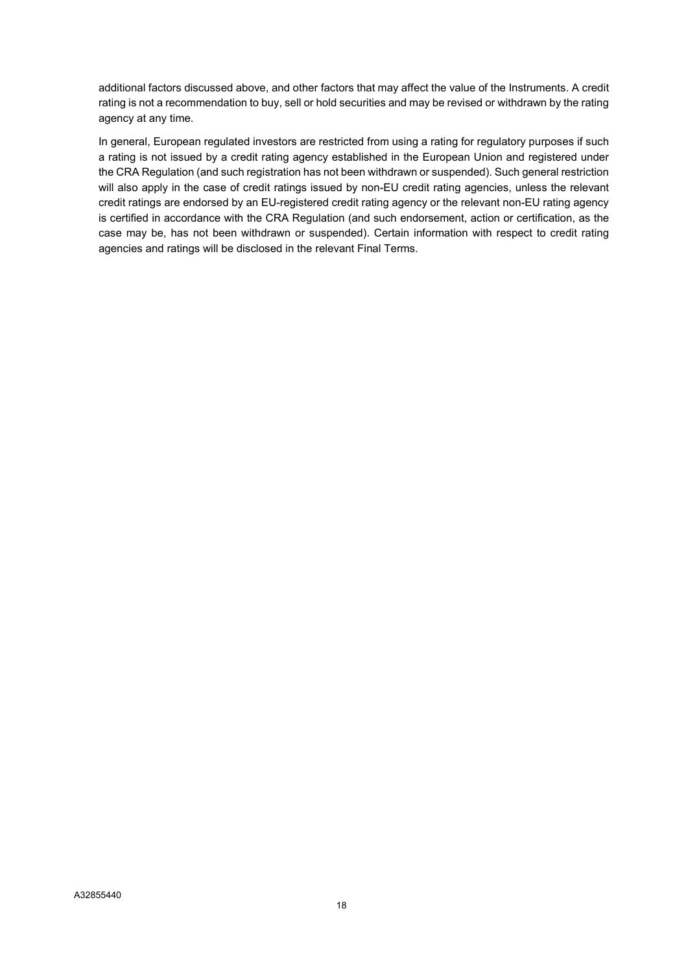additional factors discussed above, and other factors that may affect the value of the Instruments. A credit rating is not a recommendation to buy, sell or hold securities and may be revised or withdrawn by the rating agency at any time.

In general, European regulated investors are restricted from using a rating for regulatory purposes if such a rating is not issued by a credit rating agency established in the European Union and registered under the CRA Regulation (and such registration has not been withdrawn or suspended). Such general restriction will also apply in the case of credit ratings issued by non-EU credit rating agencies, unless the relevant credit ratings are endorsed by an EU-registered credit rating agency or the relevant non-EU rating agency is certified in accordance with the CRA Regulation (and such endorsement, action or certification, as the case may be, has not been withdrawn or suspended). Certain information with respect to credit rating agencies and ratings will be disclosed in the relevant Final Terms.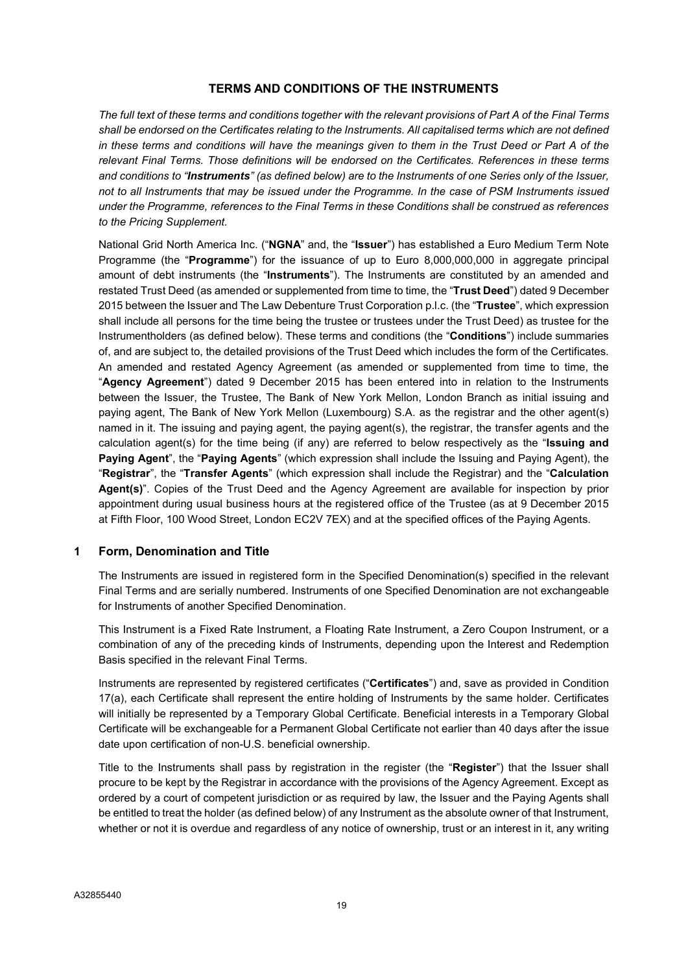# TERMS AND CONDITIONS OF THE INSTRUMENTS

The full text of these terms and conditions together with the relevant provisions of Part A of the Final Terms shall be endorsed on the Certificates relating to the Instruments. All capitalised terms which are not defined in these terms and conditions will have the meanings given to them in the Trust Deed or Part A of the relevant Final Terms. Those definitions will be endorsed on the Certificates. References in these terms and conditions to "Instruments" (as defined below) are to the Instruments of one Series only of the Issuer, not to all Instruments that may be issued under the Programme. In the case of PSM Instruments issued under the Programme, references to the Final Terms in these Conditions shall be construed as references to the Pricing Supplement.

National Grid North America Inc. ("NGNA" and, the "Issuer") has established a Euro Medium Term Note Programme (the "Programme") for the issuance of up to Euro 8,000,000,000 in aggregate principal amount of debt instruments (the "**Instruments**"). The Instruments are constituted by an amended and restated Trust Deed (as amended or supplemented from time to time, the "Trust Deed") dated 9 December 2015 between the Issuer and The Law Debenture Trust Corporation p.l.c. (the "Trustee", which expression shall include all persons for the time being the trustee or trustees under the Trust Deed) as trustee for the Instrumentholders (as defined below). These terms and conditions (the "Conditions") include summaries of, and are subject to, the detailed provisions of the Trust Deed which includes the form of the Certificates. An amended and restated Agency Agreement (as amended or supplemented from time to time, the "Agency Agreement") dated 9 December 2015 has been entered into in relation to the Instruments between the Issuer, the Trustee, The Bank of New York Mellon, London Branch as initial issuing and paying agent, The Bank of New York Mellon (Luxembourg) S.A. as the registrar and the other agent(s) named in it. The issuing and paying agent, the paying agent(s), the registrar, the transfer agents and the calculation agent(s) for the time being (if any) are referred to below respectively as the "Issuing and Paying Agent", the "Paying Agents" (which expression shall include the Issuing and Paying Agent), the "Registrar", the "Transfer Agents" (which expression shall include the Registrar) and the "Calculation Agent(s)". Copies of the Trust Deed and the Agency Agreement are available for inspection by prior appointment during usual business hours at the registered office of the Trustee (as at 9 December 2015 at Fifth Floor, 100 Wood Street, London EC2V 7EX) and at the specified offices of the Paying Agents.

#### 1 Form, Denomination and Title

The Instruments are issued in registered form in the Specified Denomination(s) specified in the relevant Final Terms and are serially numbered. Instruments of one Specified Denomination are not exchangeable for Instruments of another Specified Denomination.

This Instrument is a Fixed Rate Instrument, a Floating Rate Instrument, a Zero Coupon Instrument, or a combination of any of the preceding kinds of Instruments, depending upon the Interest and Redemption Basis specified in the relevant Final Terms.

Instruments are represented by registered certificates ("Certificates") and, save as provided in Condition 17(a), each Certificate shall represent the entire holding of Instruments by the same holder. Certificates will initially be represented by a Temporary Global Certificate. Beneficial interests in a Temporary Global Certificate will be exchangeable for a Permanent Global Certificate not earlier than 40 days after the issue date upon certification of non-U.S. beneficial ownership.

Title to the Instruments shall pass by registration in the register (the "Register") that the Issuer shall procure to be kept by the Registrar in accordance with the provisions of the Agency Agreement. Except as ordered by a court of competent jurisdiction or as required by law, the Issuer and the Paying Agents shall be entitled to treat the holder (as defined below) of any Instrument as the absolute owner of that Instrument, whether or not it is overdue and regardless of any notice of ownership, trust or an interest in it, any writing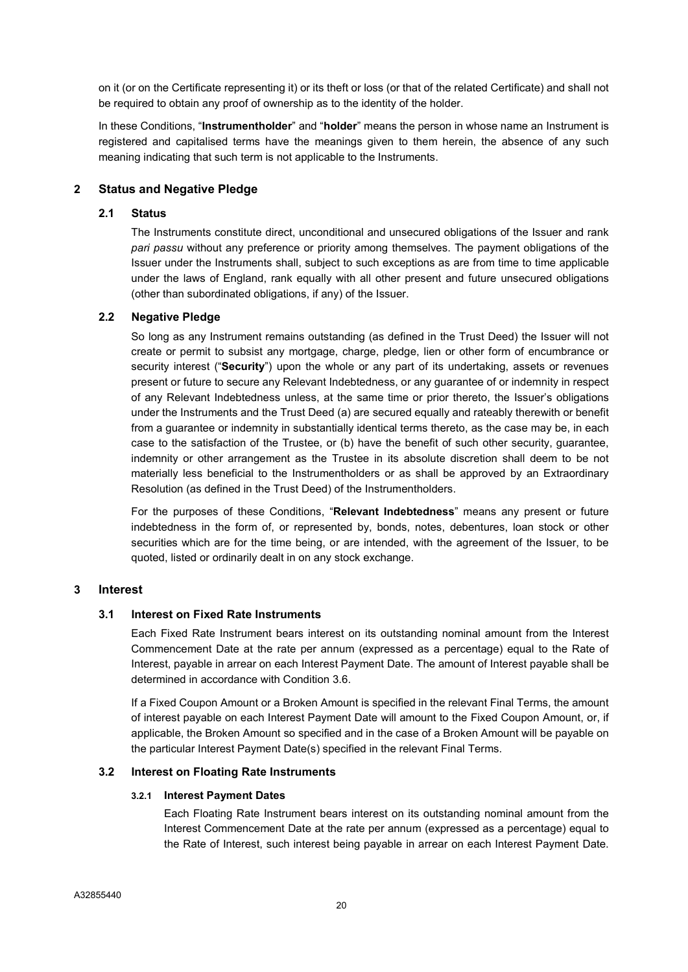on it (or on the Certificate representing it) or its theft or loss (or that of the related Certificate) and shall not be required to obtain any proof of ownership as to the identity of the holder.

In these Conditions, "**Instrumentholder**" and "**holder**" means the person in whose name an Instrument is registered and capitalised terms have the meanings given to them herein, the absence of any such meaning indicating that such term is not applicable to the Instruments.

# 2 Status and Negative Pledge

# 2.1 Status

The Instruments constitute direct, unconditional and unsecured obligations of the Issuer and rank pari passu without any preference or priority among themselves. The payment obligations of the Issuer under the Instruments shall, subject to such exceptions as are from time to time applicable under the laws of England, rank equally with all other present and future unsecured obligations (other than subordinated obligations, if any) of the Issuer.

# 2.2 Negative Pledge

So long as any Instrument remains outstanding (as defined in the Trust Deed) the Issuer will not create or permit to subsist any mortgage, charge, pledge, lien or other form of encumbrance or security interest ("Security") upon the whole or any part of its undertaking, assets or revenues present or future to secure any Relevant Indebtedness, or any guarantee of or indemnity in respect of any Relevant Indebtedness unless, at the same time or prior thereto, the Issuer's obligations under the Instruments and the Trust Deed (a) are secured equally and rateably therewith or benefit from a guarantee or indemnity in substantially identical terms thereto, as the case may be, in each case to the satisfaction of the Trustee, or (b) have the benefit of such other security, guarantee, indemnity or other arrangement as the Trustee in its absolute discretion shall deem to be not materially less beneficial to the Instrumentholders or as shall be approved by an Extraordinary Resolution (as defined in the Trust Deed) of the Instrumentholders.

For the purposes of these Conditions, "Relevant Indebtedness" means any present or future indebtedness in the form of, or represented by, bonds, notes, debentures, loan stock or other securities which are for the time being, or are intended, with the agreement of the Issuer, to be quoted, listed or ordinarily dealt in on any stock exchange.

# 3 Interest

#### 3.1 Interest on Fixed Rate Instruments

Each Fixed Rate Instrument bears interest on its outstanding nominal amount from the Interest Commencement Date at the rate per annum (expressed as a percentage) equal to the Rate of Interest, payable in arrear on each Interest Payment Date. The amount of Interest payable shall be determined in accordance with Condition 3.6.

If a Fixed Coupon Amount or a Broken Amount is specified in the relevant Final Terms, the amount of interest payable on each Interest Payment Date will amount to the Fixed Coupon Amount, or, if applicable, the Broken Amount so specified and in the case of a Broken Amount will be payable on the particular Interest Payment Date(s) specified in the relevant Final Terms.

#### 3.2 Interest on Floating Rate Instruments

#### 3.2.1 Interest Payment Dates

Each Floating Rate Instrument bears interest on its outstanding nominal amount from the Interest Commencement Date at the rate per annum (expressed as a percentage) equal to the Rate of Interest, such interest being payable in arrear on each Interest Payment Date.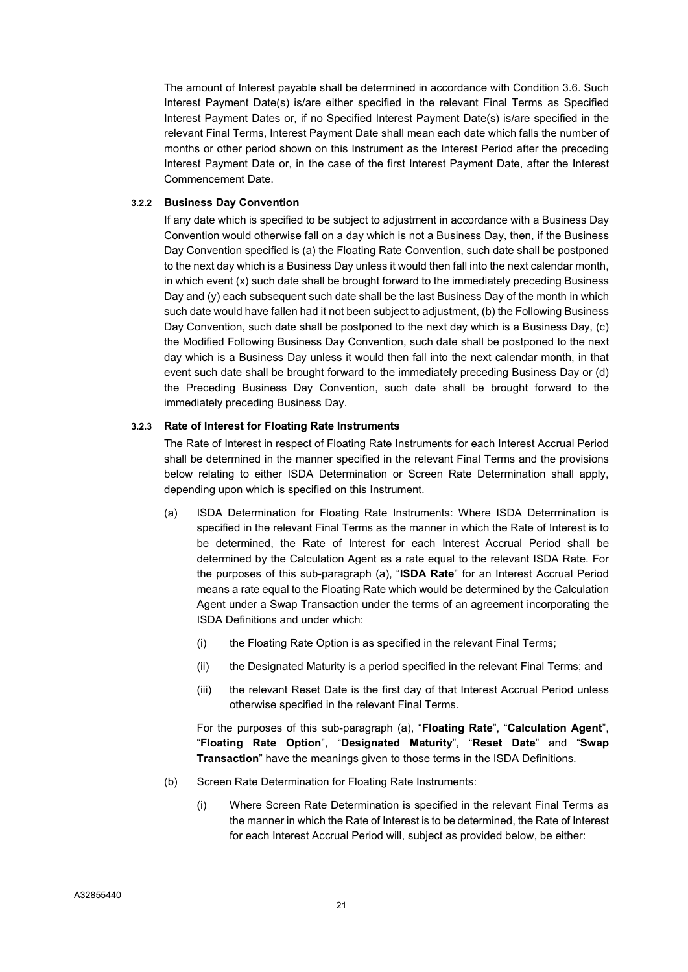The amount of Interest payable shall be determined in accordance with Condition 3.6. Such Interest Payment Date(s) is/are either specified in the relevant Final Terms as Specified Interest Payment Dates or, if no Specified Interest Payment Date(s) is/are specified in the relevant Final Terms, Interest Payment Date shall mean each date which falls the number of months or other period shown on this Instrument as the Interest Period after the preceding Interest Payment Date or, in the case of the first Interest Payment Date, after the Interest Commencement Date.

#### 3.2.2 Business Day Convention

If any date which is specified to be subject to adjustment in accordance with a Business Day Convention would otherwise fall on a day which is not a Business Day, then, if the Business Day Convention specified is (a) the Floating Rate Convention, such date shall be postponed to the next day which is a Business Day unless it would then fall into the next calendar month, in which event (x) such date shall be brought forward to the immediately preceding Business Day and (y) each subsequent such date shall be the last Business Day of the month in which such date would have fallen had it not been subject to adjustment, (b) the Following Business Day Convention, such date shall be postponed to the next day which is a Business Day, (c) the Modified Following Business Day Convention, such date shall be postponed to the next day which is a Business Day unless it would then fall into the next calendar month, in that event such date shall be brought forward to the immediately preceding Business Day or (d) the Preceding Business Day Convention, such date shall be brought forward to the immediately preceding Business Day.

#### 3.2.3 Rate of Interest for Floating Rate Instruments

The Rate of Interest in respect of Floating Rate Instruments for each Interest Accrual Period shall be determined in the manner specified in the relevant Final Terms and the provisions below relating to either ISDA Determination or Screen Rate Determination shall apply, depending upon which is specified on this Instrument.

- (a) ISDA Determination for Floating Rate Instruments: Where ISDA Determination is specified in the relevant Final Terms as the manner in which the Rate of Interest is to be determined, the Rate of Interest for each Interest Accrual Period shall be determined by the Calculation Agent as a rate equal to the relevant ISDA Rate. For the purposes of this sub-paragraph (a), "ISDA Rate" for an Interest Accrual Period means a rate equal to the Floating Rate which would be determined by the Calculation Agent under a Swap Transaction under the terms of an agreement incorporating the ISDA Definitions and under which:
	- (i) the Floating Rate Option is as specified in the relevant Final Terms;
	- (ii) the Designated Maturity is a period specified in the relevant Final Terms; and
	- (iii) the relevant Reset Date is the first day of that Interest Accrual Period unless otherwise specified in the relevant Final Terms.

For the purposes of this sub-paragraph (a), "Floating Rate", "Calculation Agent", "Floating Rate Option", "Designated Maturity", "Reset Date" and "Swap Transaction" have the meanings given to those terms in the ISDA Definitions.

- (b) Screen Rate Determination for Floating Rate Instruments:
	- (i) Where Screen Rate Determination is specified in the relevant Final Terms as the manner in which the Rate of Interest is to be determined, the Rate of Interest for each Interest Accrual Period will, subject as provided below, be either: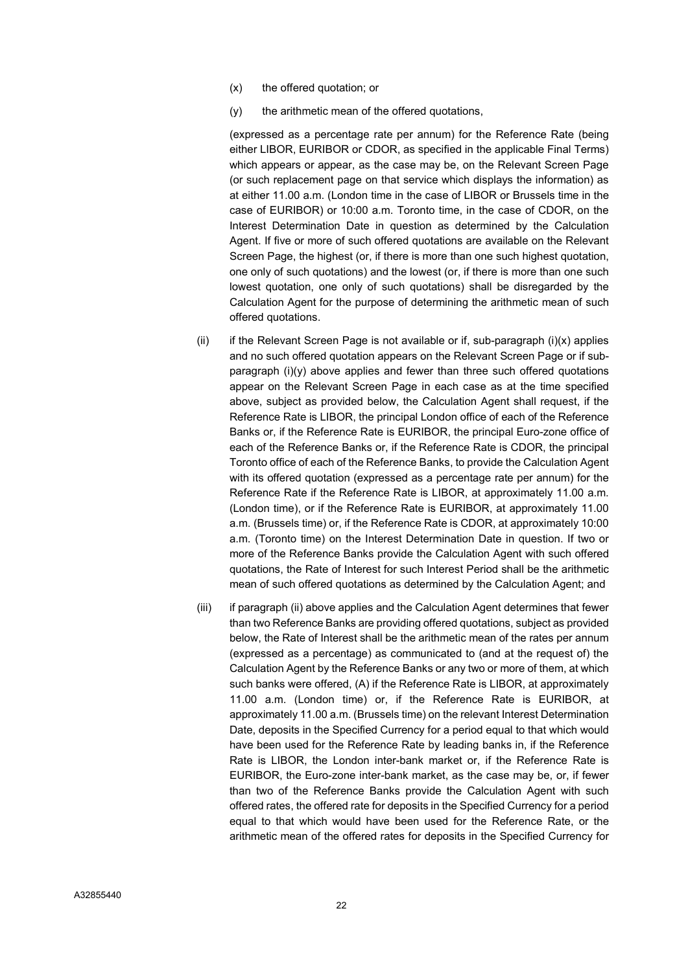- (x) the offered quotation; or
- (y) the arithmetic mean of the offered quotations,

(expressed as a percentage rate per annum) for the Reference Rate (being either LIBOR, EURIBOR or CDOR, as specified in the applicable Final Terms) which appears or appear, as the case may be, on the Relevant Screen Page (or such replacement page on that service which displays the information) as at either 11.00 a.m. (London time in the case of LIBOR or Brussels time in the case of EURIBOR) or 10:00 a.m. Toronto time, in the case of CDOR, on the Interest Determination Date in question as determined by the Calculation Agent. If five or more of such offered quotations are available on the Relevant Screen Page, the highest (or, if there is more than one such highest quotation, one only of such quotations) and the lowest (or, if there is more than one such lowest quotation, one only of such quotations) shall be disregarded by the Calculation Agent for the purpose of determining the arithmetic mean of such offered quotations.

- (ii) if the Relevant Screen Page is not available or if, sub-paragraph  $(i)(x)$  applies and no such offered quotation appears on the Relevant Screen Page or if subparagraph (i)(y) above applies and fewer than three such offered quotations appear on the Relevant Screen Page in each case as at the time specified above, subject as provided below, the Calculation Agent shall request, if the Reference Rate is LIBOR, the principal London office of each of the Reference Banks or, if the Reference Rate is EURIBOR, the principal Euro-zone office of each of the Reference Banks or, if the Reference Rate is CDOR, the principal Toronto office of each of the Reference Banks, to provide the Calculation Agent with its offered quotation (expressed as a percentage rate per annum) for the Reference Rate if the Reference Rate is LIBOR, at approximately 11.00 a.m. (London time), or if the Reference Rate is EURIBOR, at approximately 11.00 a.m. (Brussels time) or, if the Reference Rate is CDOR, at approximately 10:00 a.m. (Toronto time) on the Interest Determination Date in question. If two or more of the Reference Banks provide the Calculation Agent with such offered quotations, the Rate of Interest for such Interest Period shall be the arithmetic mean of such offered quotations as determined by the Calculation Agent; and
- (iii) if paragraph (ii) above applies and the Calculation Agent determines that fewer than two Reference Banks are providing offered quotations, subject as provided below, the Rate of Interest shall be the arithmetic mean of the rates per annum (expressed as a percentage) as communicated to (and at the request of) the Calculation Agent by the Reference Banks or any two or more of them, at which such banks were offered, (A) if the Reference Rate is LIBOR, at approximately 11.00 a.m. (London time) or, if the Reference Rate is EURIBOR, at approximately 11.00 a.m. (Brussels time) on the relevant Interest Determination Date, deposits in the Specified Currency for a period equal to that which would have been used for the Reference Rate by leading banks in, if the Reference Rate is LIBOR, the London inter-bank market or, if the Reference Rate is EURIBOR, the Euro-zone inter-bank market, as the case may be, or, if fewer than two of the Reference Banks provide the Calculation Agent with such offered rates, the offered rate for deposits in the Specified Currency for a period equal to that which would have been used for the Reference Rate, or the arithmetic mean of the offered rates for deposits in the Specified Currency for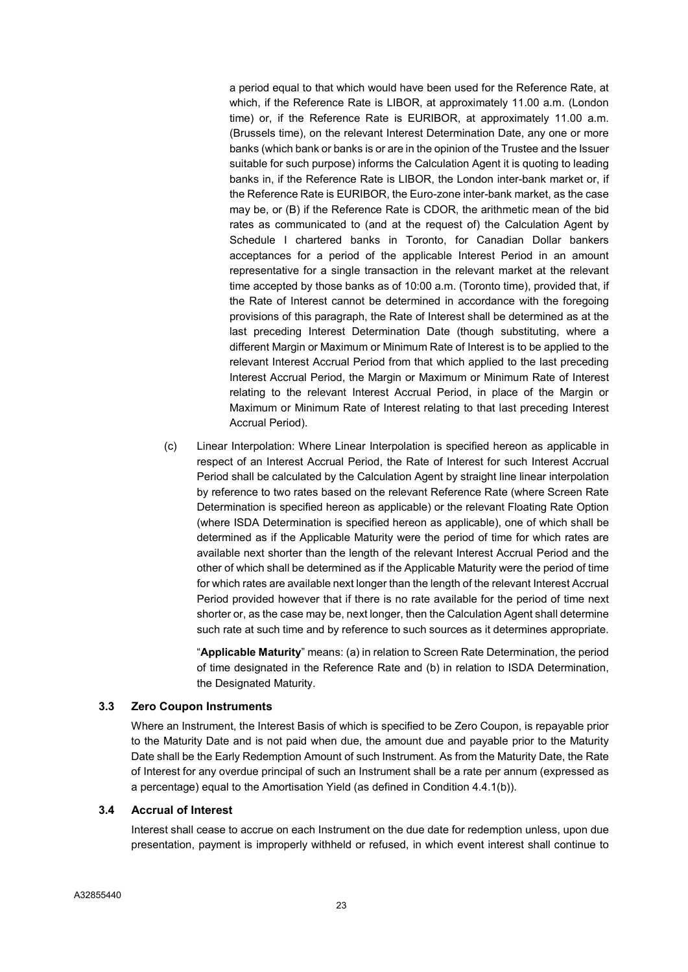a period equal to that which would have been used for the Reference Rate, at which, if the Reference Rate is LIBOR, at approximately 11.00 a.m. (London time) or, if the Reference Rate is EURIBOR, at approximately 11.00 a.m. (Brussels time), on the relevant Interest Determination Date, any one or more banks (which bank or banks is or are in the opinion of the Trustee and the Issuer suitable for such purpose) informs the Calculation Agent it is quoting to leading banks in, if the Reference Rate is LIBOR, the London inter-bank market or, if the Reference Rate is EURIBOR, the Euro-zone inter-bank market, as the case may be, or (B) if the Reference Rate is CDOR, the arithmetic mean of the bid rates as communicated to (and at the request of) the Calculation Agent by Schedule I chartered banks in Toronto, for Canadian Dollar bankers acceptances for a period of the applicable Interest Period in an amount representative for a single transaction in the relevant market at the relevant time accepted by those banks as of 10:00 a.m. (Toronto time), provided that, if the Rate of Interest cannot be determined in accordance with the foregoing provisions of this paragraph, the Rate of Interest shall be determined as at the last preceding Interest Determination Date (though substituting, where a different Margin or Maximum or Minimum Rate of Interest is to be applied to the relevant Interest Accrual Period from that which applied to the last preceding Interest Accrual Period, the Margin or Maximum or Minimum Rate of Interest relating to the relevant Interest Accrual Period, in place of the Margin or Maximum or Minimum Rate of Interest relating to that last preceding Interest Accrual Period).

(c) Linear Interpolation: Where Linear Interpolation is specified hereon as applicable in respect of an Interest Accrual Period, the Rate of Interest for such Interest Accrual Period shall be calculated by the Calculation Agent by straight line linear interpolation by reference to two rates based on the relevant Reference Rate (where Screen Rate Determination is specified hereon as applicable) or the relevant Floating Rate Option (where ISDA Determination is specified hereon as applicable), one of which shall be determined as if the Applicable Maturity were the period of time for which rates are available next shorter than the length of the relevant Interest Accrual Period and the other of which shall be determined as if the Applicable Maturity were the period of time for which rates are available next longer than the length of the relevant Interest Accrual Period provided however that if there is no rate available for the period of time next shorter or, as the case may be, next longer, then the Calculation Agent shall determine such rate at such time and by reference to such sources as it determines appropriate.

"Applicable Maturity" means: (a) in relation to Screen Rate Determination, the period of time designated in the Reference Rate and (b) in relation to ISDA Determination, the Designated Maturity.

#### 3.3 Zero Coupon Instruments

Where an Instrument, the Interest Basis of which is specified to be Zero Coupon, is repayable prior to the Maturity Date and is not paid when due, the amount due and payable prior to the Maturity Date shall be the Early Redemption Amount of such Instrument. As from the Maturity Date, the Rate of Interest for any overdue principal of such an Instrument shall be a rate per annum (expressed as a percentage) equal to the Amortisation Yield (as defined in Condition 4.4.1(b)).

#### 3.4 Accrual of Interest

Interest shall cease to accrue on each Instrument on the due date for redemption unless, upon due presentation, payment is improperly withheld or refused, in which event interest shall continue to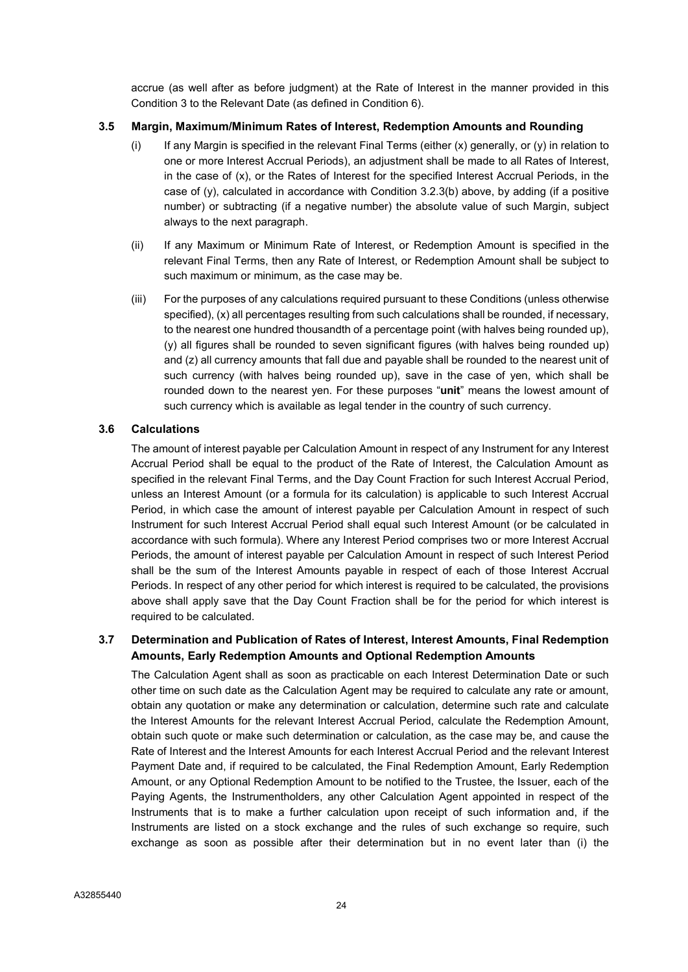accrue (as well after as before judgment) at the Rate of Interest in the manner provided in this Condition 3 to the Relevant Date (as defined in Condition 6).

# 3.5 Margin, Maximum/Minimum Rates of Interest, Redemption Amounts and Rounding

- (i) If any Margin is specified in the relevant Final Terms (either  $(x)$  generally, or  $(y)$  in relation to one or more Interest Accrual Periods), an adjustment shall be made to all Rates of Interest, in the case of (x), or the Rates of Interest for the specified Interest Accrual Periods, in the case of (y), calculated in accordance with Condition 3.2.3(b) above, by adding (if a positive number) or subtracting (if a negative number) the absolute value of such Margin, subject always to the next paragraph.
- (ii) If any Maximum or Minimum Rate of Interest, or Redemption Amount is specified in the relevant Final Terms, then any Rate of Interest, or Redemption Amount shall be subject to such maximum or minimum, as the case may be.
- (iii) For the purposes of any calculations required pursuant to these Conditions (unless otherwise specified), (x) all percentages resulting from such calculations shall be rounded, if necessary, to the nearest one hundred thousandth of a percentage point (with halves being rounded up), (y) all figures shall be rounded to seven significant figures (with halves being rounded up) and (z) all currency amounts that fall due and payable shall be rounded to the nearest unit of such currency (with halves being rounded up), save in the case of yen, which shall be rounded down to the nearest yen. For these purposes "unit" means the lowest amount of such currency which is available as legal tender in the country of such currency.

# 3.6 Calculations

The amount of interest payable per Calculation Amount in respect of any Instrument for any Interest Accrual Period shall be equal to the product of the Rate of Interest, the Calculation Amount as specified in the relevant Final Terms, and the Day Count Fraction for such Interest Accrual Period, unless an Interest Amount (or a formula for its calculation) is applicable to such Interest Accrual Period, in which case the amount of interest payable per Calculation Amount in respect of such Instrument for such Interest Accrual Period shall equal such Interest Amount (or be calculated in accordance with such formula). Where any Interest Period comprises two or more Interest Accrual Periods, the amount of interest payable per Calculation Amount in respect of such Interest Period shall be the sum of the Interest Amounts payable in respect of each of those Interest Accrual Periods. In respect of any other period for which interest is required to be calculated, the provisions above shall apply save that the Day Count Fraction shall be for the period for which interest is required to be calculated.

# 3.7 Determination and Publication of Rates of Interest, Interest Amounts, Final Redemption Amounts, Early Redemption Amounts and Optional Redemption Amounts

The Calculation Agent shall as soon as practicable on each Interest Determination Date or such other time on such date as the Calculation Agent may be required to calculate any rate or amount, obtain any quotation or make any determination or calculation, determine such rate and calculate the Interest Amounts for the relevant Interest Accrual Period, calculate the Redemption Amount, obtain such quote or make such determination or calculation, as the case may be, and cause the Rate of Interest and the Interest Amounts for each Interest Accrual Period and the relevant Interest Payment Date and, if required to be calculated, the Final Redemption Amount, Early Redemption Amount, or any Optional Redemption Amount to be notified to the Trustee, the Issuer, each of the Paying Agents, the Instrumentholders, any other Calculation Agent appointed in respect of the Instruments that is to make a further calculation upon receipt of such information and, if the Instruments are listed on a stock exchange and the rules of such exchange so require, such exchange as soon as possible after their determination but in no event later than (i) the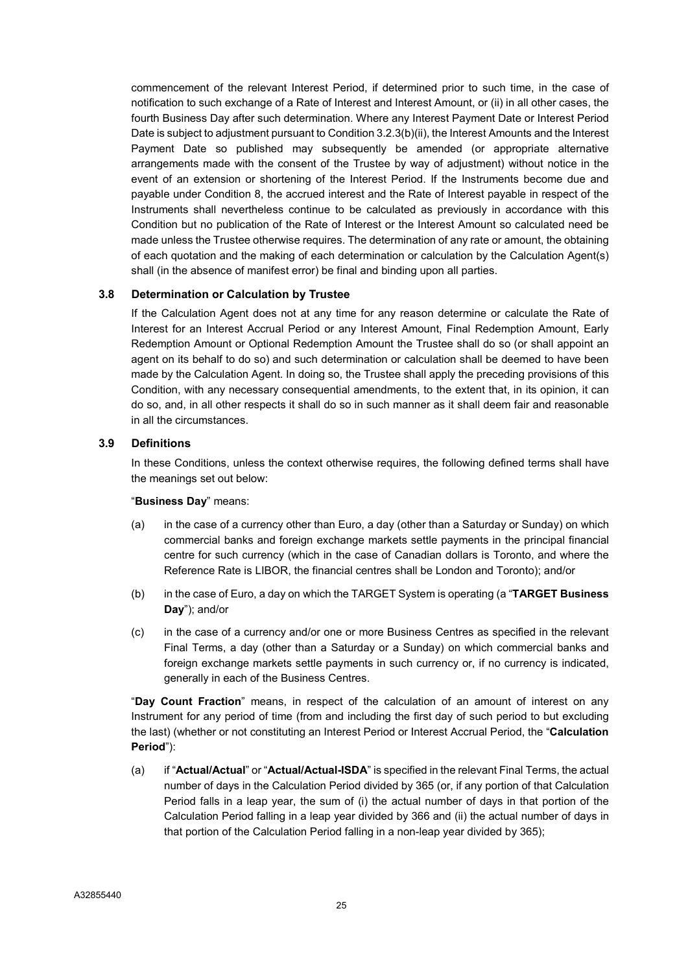commencement of the relevant Interest Period, if determined prior to such time, in the case of notification to such exchange of a Rate of Interest and Interest Amount, or (ii) in all other cases, the fourth Business Day after such determination. Where any Interest Payment Date or Interest Period Date is subject to adjustment pursuant to Condition 3.2.3(b)(ii), the Interest Amounts and the Interest Payment Date so published may subsequently be amended (or appropriate alternative arrangements made with the consent of the Trustee by way of adjustment) without notice in the event of an extension or shortening of the Interest Period. If the Instruments become due and payable under Condition 8, the accrued interest and the Rate of Interest payable in respect of the Instruments shall nevertheless continue to be calculated as previously in accordance with this Condition but no publication of the Rate of Interest or the Interest Amount so calculated need be made unless the Trustee otherwise requires. The determination of any rate or amount, the obtaining of each quotation and the making of each determination or calculation by the Calculation Agent(s) shall (in the absence of manifest error) be final and binding upon all parties.

# 3.8 Determination or Calculation by Trustee

If the Calculation Agent does not at any time for any reason determine or calculate the Rate of Interest for an Interest Accrual Period or any Interest Amount, Final Redemption Amount, Early Redemption Amount or Optional Redemption Amount the Trustee shall do so (or shall appoint an agent on its behalf to do so) and such determination or calculation shall be deemed to have been made by the Calculation Agent. In doing so, the Trustee shall apply the preceding provisions of this Condition, with any necessary consequential amendments, to the extent that, in its opinion, it can do so, and, in all other respects it shall do so in such manner as it shall deem fair and reasonable in all the circumstances.

#### 3.9 Definitions

In these Conditions, unless the context otherwise requires, the following defined terms shall have the meanings set out below:

#### "Business Day" means:

- (a) in the case of a currency other than Euro, a day (other than a Saturday or Sunday) on which commercial banks and foreign exchange markets settle payments in the principal financial centre for such currency (which in the case of Canadian dollars is Toronto, and where the Reference Rate is LIBOR, the financial centres shall be London and Toronto); and/or
- (b) in the case of Euro, a day on which the TARGET System is operating (a "TARGET Business Day"); and/or
- (c) in the case of a currency and/or one or more Business Centres as specified in the relevant Final Terms, a day (other than a Saturday or a Sunday) on which commercial banks and foreign exchange markets settle payments in such currency or, if no currency is indicated, generally in each of the Business Centres.

"Day Count Fraction" means, in respect of the calculation of an amount of interest on any Instrument for any period of time (from and including the first day of such period to but excluding the last) (whether or not constituting an Interest Period or Interest Accrual Period, the "Calculation Period"):

(a) if "Actual/Actual" or "Actual/Actual-ISDA" is specified in the relevant Final Terms, the actual number of days in the Calculation Period divided by 365 (or, if any portion of that Calculation Period falls in a leap year, the sum of (i) the actual number of days in that portion of the Calculation Period falling in a leap year divided by 366 and (ii) the actual number of days in that portion of the Calculation Period falling in a non-leap year divided by 365);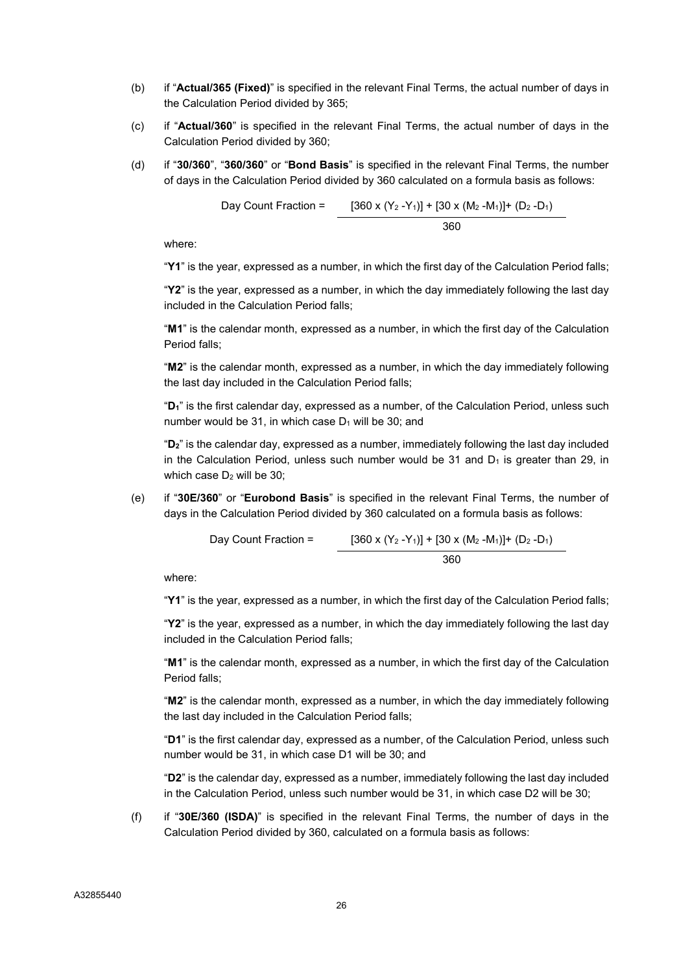- (b) if "Actual/365 (Fixed)" is specified in the relevant Final Terms, the actual number of days in the Calculation Period divided by 365;
- $(c)$  if "Actual/360" is specified in the relevant Final Terms, the actual number of days in the Calculation Period divided by 360;
- (d) if "30/360", "360/360" or "Bond Basis" is specified in the relevant Final Terms, the number of days in the Calculation Period divided by 360 calculated on a formula basis as follows:

Day Count Fraction = 
$$
\frac{[360 \times (Y_2 - Y_1)] + [30 \times (M_2 - M_1)] + (D_2 - D_1)}{360}
$$

where:

"Y1" is the year, expressed as a number, in which the first day of the Calculation Period falls;

"Y2" is the year, expressed as a number, in which the day immediately following the last day included in the Calculation Period falls;

"M1" is the calendar month, expressed as a number, in which the first day of the Calculation Period falls;

"M2" is the calendar month, expressed as a number, in which the day immediately following the last day included in the Calculation Period falls;

"D<sub>1</sub>" is the first calendar day, expressed as a number, of the Calculation Period, unless such number would be 31, in which case  $D_1$  will be 30; and

"D2" is the calendar day, expressed as a number, immediately following the last day included in the Calculation Period, unless such number would be  $31$  and  $D_1$  is greater than 29, in which case  $D_2$  will be 30:

(e) if "30E/360" or "Eurobond Basis" is specified in the relevant Final Terms, the number of days in the Calculation Period divided by 360 calculated on a formula basis as follows:

Day Count Fraction = 
$$
[360 \times (Y_2 - Y_1)] + [30 \times (M_2 - M_1)] + (D_2 - D_1)
$$

$$
360
$$

where:

"Y1" is the year, expressed as a number, in which the first day of the Calculation Period falls;

"Y2" is the year, expressed as a number, in which the day immediately following the last day included in the Calculation Period falls;

"M1" is the calendar month, expressed as a number, in which the first day of the Calculation Period falls;

"M2" is the calendar month, expressed as a number, in which the day immediately following the last day included in the Calculation Period falls;

"D1" is the first calendar day, expressed as a number, of the Calculation Period, unless such number would be 31, in which case D1 will be 30; and

"D2" is the calendar day, expressed as a number, immediately following the last day included in the Calculation Period, unless such number would be 31, in which case D2 will be 30;

(f) if "30E/360 (ISDA)" is specified in the relevant Final Terms, the number of days in the Calculation Period divided by 360, calculated on a formula basis as follows: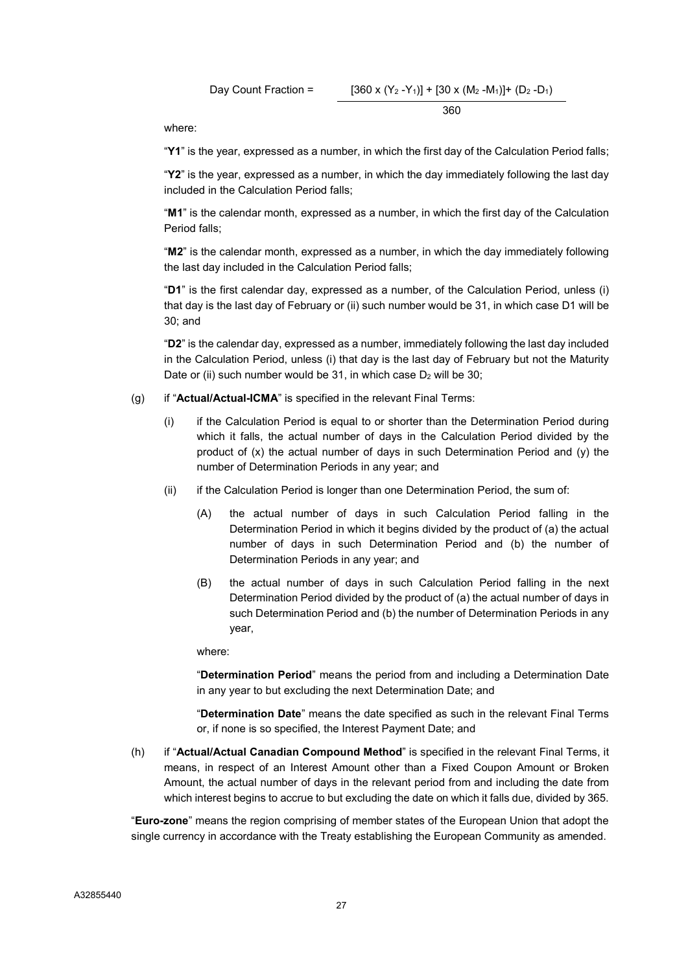Day Count Fraction = 
$$
[360 \times (Y_2 - Y_1)] + [30 \times (M_2 - M_1)] + (D_2 - D_1)
$$

$$
360
$$

where:

"Y1" is the year, expressed as a number, in which the first day of the Calculation Period falls;

"Y2" is the year, expressed as a number, in which the day immediately following the last day included in the Calculation Period falls;

"M1" is the calendar month, expressed as a number, in which the first day of the Calculation Period falls;

"M2" is the calendar month, expressed as a number, in which the day immediately following the last day included in the Calculation Period falls;

"D1" is the first calendar day, expressed as a number, of the Calculation Period, unless (i) that day is the last day of February or (ii) such number would be 31, in which case D1 will be 30; and

"D2" is the calendar day, expressed as a number, immediately following the last day included in the Calculation Period, unless (i) that day is the last day of February but not the Maturity Date or (ii) such number would be 31, in which case  $D_2$  will be 30;

- (g) if "Actual/Actual-ICMA" is specified in the relevant Final Terms:
	- (i) if the Calculation Period is equal to or shorter than the Determination Period during which it falls, the actual number of days in the Calculation Period divided by the product of (x) the actual number of days in such Determination Period and (y) the number of Determination Periods in any year; and
	- (ii) if the Calculation Period is longer than one Determination Period, the sum of:
		- (A) the actual number of days in such Calculation Period falling in the Determination Period in which it begins divided by the product of (a) the actual number of days in such Determination Period and (b) the number of Determination Periods in any year; and
		- (B) the actual number of days in such Calculation Period falling in the next Determination Period divided by the product of (a) the actual number of days in such Determination Period and (b) the number of Determination Periods in any year,

where:

"Determination Period" means the period from and including a Determination Date in any year to but excluding the next Determination Date; and

"Determination Date" means the date specified as such in the relevant Final Terms or, if none is so specified, the Interest Payment Date; and

(h) if "Actual/Actual Canadian Compound Method" is specified in the relevant Final Terms, it means, in respect of an Interest Amount other than a Fixed Coupon Amount or Broken Amount, the actual number of days in the relevant period from and including the date from which interest begins to accrue to but excluding the date on which it falls due, divided by 365.

"Euro-zone" means the region comprising of member states of the European Union that adopt the single currency in accordance with the Treaty establishing the European Community as amended.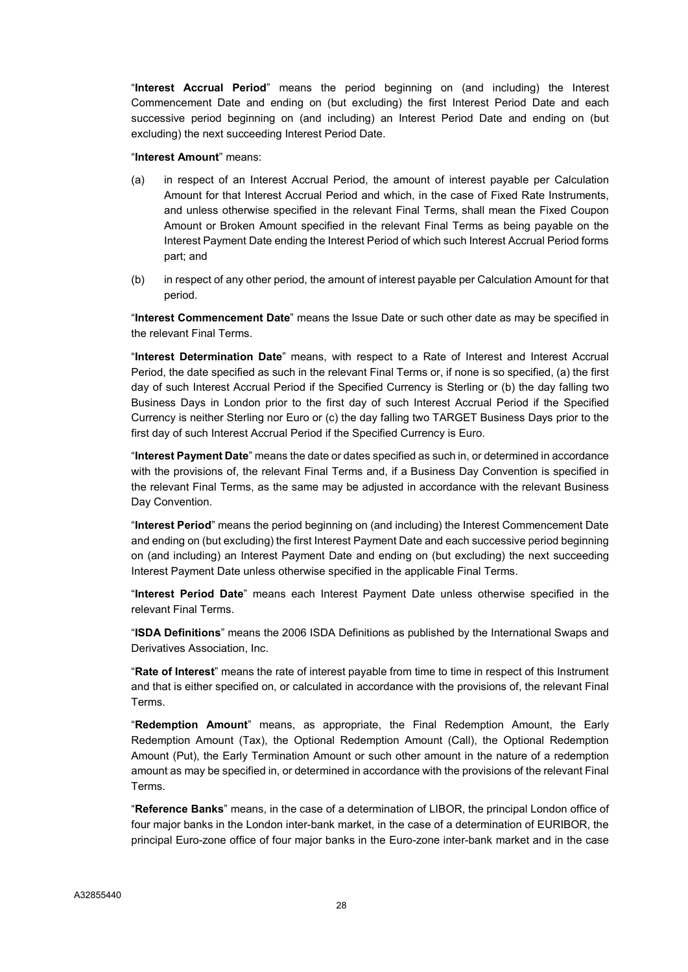"Interest Accrual Period" means the period beginning on (and including) the Interest Commencement Date and ending on (but excluding) the first Interest Period Date and each successive period beginning on (and including) an Interest Period Date and ending on (but excluding) the next succeeding Interest Period Date.

#### "Interest Amount" means:

- (a) in respect of an Interest Accrual Period, the amount of interest payable per Calculation Amount for that Interest Accrual Period and which, in the case of Fixed Rate Instruments, and unless otherwise specified in the relevant Final Terms, shall mean the Fixed Coupon Amount or Broken Amount specified in the relevant Final Terms as being payable on the Interest Payment Date ending the Interest Period of which such Interest Accrual Period forms part; and
- (b) in respect of any other period, the amount of interest payable per Calculation Amount for that period.

"Interest Commencement Date" means the Issue Date or such other date as may be specified in the relevant Final Terms.

"Interest Determination Date" means, with respect to a Rate of Interest and Interest Accrual Period, the date specified as such in the relevant Final Terms or, if none is so specified, (a) the first day of such Interest Accrual Period if the Specified Currency is Sterling or (b) the day falling two Business Days in London prior to the first day of such Interest Accrual Period if the Specified Currency is neither Sterling nor Euro or (c) the day falling two TARGET Business Days prior to the first day of such Interest Accrual Period if the Specified Currency is Euro.

"Interest Payment Date" means the date or dates specified as such in, or determined in accordance with the provisions of, the relevant Final Terms and, if a Business Day Convention is specified in the relevant Final Terms, as the same may be adjusted in accordance with the relevant Business Day Convention.

"Interest Period" means the period beginning on (and including) the Interest Commencement Date and ending on (but excluding) the first Interest Payment Date and each successive period beginning on (and including) an Interest Payment Date and ending on (but excluding) the next succeeding Interest Payment Date unless otherwise specified in the applicable Final Terms.

"Interest Period Date" means each Interest Payment Date unless otherwise specified in the relevant Final Terms.

"ISDA Definitions" means the 2006 ISDA Definitions as published by the International Swaps and Derivatives Association, Inc.

"Rate of Interest" means the rate of interest payable from time to time in respect of this Instrument and that is either specified on, or calculated in accordance with the provisions of, the relevant Final Terms.

"Redemption Amount" means, as appropriate, the Final Redemption Amount, the Early Redemption Amount (Tax), the Optional Redemption Amount (Call), the Optional Redemption Amount (Put), the Early Termination Amount or such other amount in the nature of a redemption amount as may be specified in, or determined in accordance with the provisions of the relevant Final Terms.

"Reference Banks" means, in the case of a determination of LIBOR, the principal London office of four major banks in the London inter-bank market, in the case of a determination of EURIBOR, the principal Euro-zone office of four major banks in the Euro-zone inter-bank market and in the case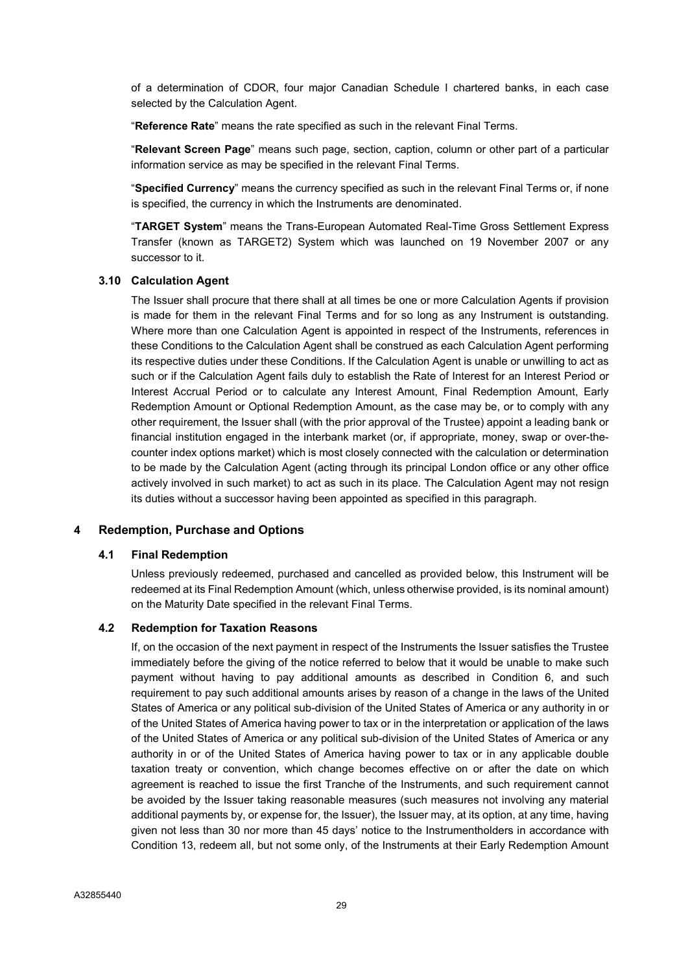of a determination of CDOR, four major Canadian Schedule I chartered banks, in each case selected by the Calculation Agent.

"Reference Rate" means the rate specified as such in the relevant Final Terms.

"Relevant Screen Page" means such page, section, caption, column or other part of a particular information service as may be specified in the relevant Final Terms.

"Specified Currency" means the currency specified as such in the relevant Final Terms or, if none is specified, the currency in which the Instruments are denominated.

"TARGET System" means the Trans-European Automated Real-Time Gross Settlement Express Transfer (known as TARGET2) System which was launched on 19 November 2007 or any successor to it.

#### 3.10 Calculation Agent

The Issuer shall procure that there shall at all times be one or more Calculation Agents if provision is made for them in the relevant Final Terms and for so long as any Instrument is outstanding. Where more than one Calculation Agent is appointed in respect of the Instruments, references in these Conditions to the Calculation Agent shall be construed as each Calculation Agent performing its respective duties under these Conditions. If the Calculation Agent is unable or unwilling to act as such or if the Calculation Agent fails duly to establish the Rate of Interest for an Interest Period or Interest Accrual Period or to calculate any Interest Amount, Final Redemption Amount, Early Redemption Amount or Optional Redemption Amount, as the case may be, or to comply with any other requirement, the Issuer shall (with the prior approval of the Trustee) appoint a leading bank or financial institution engaged in the interbank market (or, if appropriate, money, swap or over-thecounter index options market) which is most closely connected with the calculation or determination to be made by the Calculation Agent (acting through its principal London office or any other office actively involved in such market) to act as such in its place. The Calculation Agent may not resign its duties without a successor having been appointed as specified in this paragraph.

#### 4 Redemption, Purchase and Options

#### 4.1 Final Redemption

Unless previously redeemed, purchased and cancelled as provided below, this Instrument will be redeemed at its Final Redemption Amount (which, unless otherwise provided, is its nominal amount) on the Maturity Date specified in the relevant Final Terms.

#### 4.2 Redemption for Taxation Reasons

If, on the occasion of the next payment in respect of the Instruments the Issuer satisfies the Trustee immediately before the giving of the notice referred to below that it would be unable to make such payment without having to pay additional amounts as described in Condition 6, and such requirement to pay such additional amounts arises by reason of a change in the laws of the United States of America or any political sub-division of the United States of America or any authority in or of the United States of America having power to tax or in the interpretation or application of the laws of the United States of America or any political sub-division of the United States of America or any authority in or of the United States of America having power to tax or in any applicable double taxation treaty or convention, which change becomes effective on or after the date on which agreement is reached to issue the first Tranche of the Instruments, and such requirement cannot be avoided by the Issuer taking reasonable measures (such measures not involving any material additional payments by, or expense for, the Issuer), the Issuer may, at its option, at any time, having given not less than 30 nor more than 45 days' notice to the Instrumentholders in accordance with Condition 13, redeem all, but not some only, of the Instruments at their Early Redemption Amount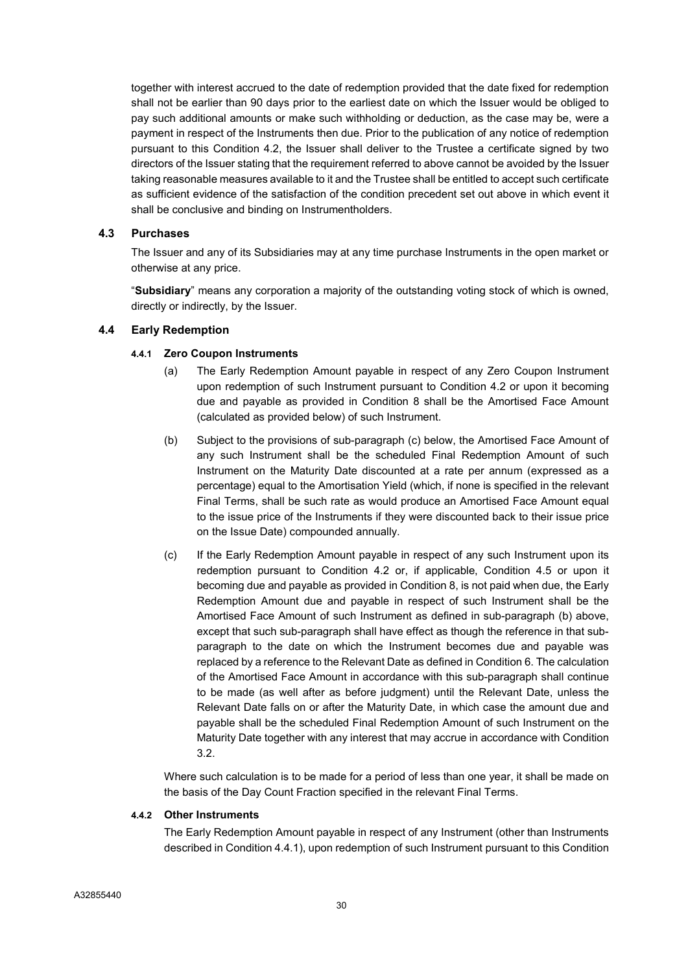together with interest accrued to the date of redemption provided that the date fixed for redemption shall not be earlier than 90 days prior to the earliest date on which the Issuer would be obliged to pay such additional amounts or make such withholding or deduction, as the case may be, were a payment in respect of the Instruments then due. Prior to the publication of any notice of redemption pursuant to this Condition 4.2, the Issuer shall deliver to the Trustee a certificate signed by two directors of the Issuer stating that the requirement referred to above cannot be avoided by the Issuer taking reasonable measures available to it and the Trustee shall be entitled to accept such certificate as sufficient evidence of the satisfaction of the condition precedent set out above in which event it shall be conclusive and binding on Instrumentholders.

# 4.3 Purchases

The Issuer and any of its Subsidiaries may at any time purchase Instruments in the open market or otherwise at any price.

"Subsidiary" means any corporation a majority of the outstanding voting stock of which is owned, directly or indirectly, by the Issuer.

# 4.4 Early Redemption

# 4.4.1 Zero Coupon Instruments

- (a) The Early Redemption Amount payable in respect of any Zero Coupon Instrument upon redemption of such Instrument pursuant to Condition 4.2 or upon it becoming due and payable as provided in Condition 8 shall be the Amortised Face Amount (calculated as provided below) of such Instrument.
- (b) Subject to the provisions of sub-paragraph (c) below, the Amortised Face Amount of any such Instrument shall be the scheduled Final Redemption Amount of such Instrument on the Maturity Date discounted at a rate per annum (expressed as a percentage) equal to the Amortisation Yield (which, if none is specified in the relevant Final Terms, shall be such rate as would produce an Amortised Face Amount equal to the issue price of the Instruments if they were discounted back to their issue price on the Issue Date) compounded annually.
- (c) If the Early Redemption Amount payable in respect of any such Instrument upon its redemption pursuant to Condition 4.2 or, if applicable, Condition 4.5 or upon it becoming due and payable as provided in Condition 8, is not paid when due, the Early Redemption Amount due and payable in respect of such Instrument shall be the Amortised Face Amount of such Instrument as defined in sub-paragraph (b) above, except that such sub-paragraph shall have effect as though the reference in that subparagraph to the date on which the Instrument becomes due and payable was replaced by a reference to the Relevant Date as defined in Condition 6. The calculation of the Amortised Face Amount in accordance with this sub-paragraph shall continue to be made (as well after as before judgment) until the Relevant Date, unless the Relevant Date falls on or after the Maturity Date, in which case the amount due and payable shall be the scheduled Final Redemption Amount of such Instrument on the Maturity Date together with any interest that may accrue in accordance with Condition 3.2.

Where such calculation is to be made for a period of less than one year, it shall be made on the basis of the Day Count Fraction specified in the relevant Final Terms.

# 4.4.2 Other Instruments

The Early Redemption Amount payable in respect of any Instrument (other than Instruments described in Condition 4.4.1), upon redemption of such Instrument pursuant to this Condition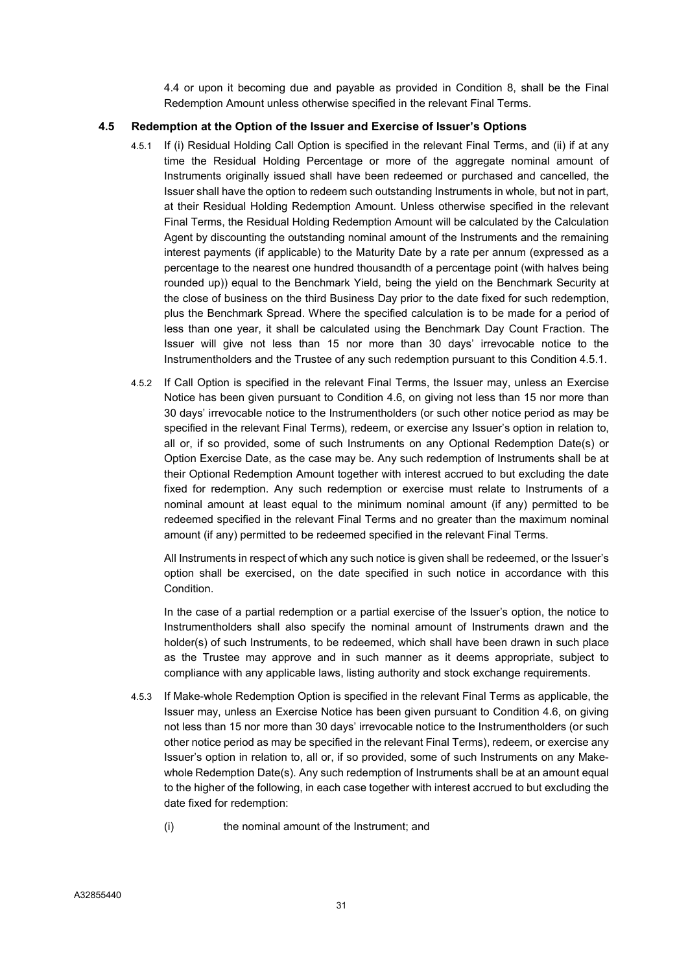4.4 or upon it becoming due and payable as provided in Condition 8, shall be the Final Redemption Amount unless otherwise specified in the relevant Final Terms.

### 4.5 Redemption at the Option of the Issuer and Exercise of Issuer's Options

- 4.5.1 If (i) Residual Holding Call Option is specified in the relevant Final Terms, and (ii) if at any time the Residual Holding Percentage or more of the aggregate nominal amount of Instruments originally issued shall have been redeemed or purchased and cancelled, the Issuer shall have the option to redeem such outstanding Instruments in whole, but not in part, at their Residual Holding Redemption Amount. Unless otherwise specified in the relevant Final Terms, the Residual Holding Redemption Amount will be calculated by the Calculation Agent by discounting the outstanding nominal amount of the Instruments and the remaining interest payments (if applicable) to the Maturity Date by a rate per annum (expressed as a percentage to the nearest one hundred thousandth of a percentage point (with halves being rounded up)) equal to the Benchmark Yield, being the yield on the Benchmark Security at the close of business on the third Business Day prior to the date fixed for such redemption, plus the Benchmark Spread. Where the specified calculation is to be made for a period of less than one year, it shall be calculated using the Benchmark Day Count Fraction. The Issuer will give not less than 15 nor more than 30 days' irrevocable notice to the Instrumentholders and the Trustee of any such redemption pursuant to this Condition 4.5.1.
- 4.5.2 If Call Option is specified in the relevant Final Terms, the Issuer may, unless an Exercise Notice has been given pursuant to Condition 4.6, on giving not less than 15 nor more than 30 days' irrevocable notice to the Instrumentholders (or such other notice period as may be specified in the relevant Final Terms), redeem, or exercise any Issuer's option in relation to, all or, if so provided, some of such Instruments on any Optional Redemption Date(s) or Option Exercise Date, as the case may be. Any such redemption of Instruments shall be at their Optional Redemption Amount together with interest accrued to but excluding the date fixed for redemption. Any such redemption or exercise must relate to Instruments of a nominal amount at least equal to the minimum nominal amount (if any) permitted to be redeemed specified in the relevant Final Terms and no greater than the maximum nominal amount (if any) permitted to be redeemed specified in the relevant Final Terms.

All Instruments in respect of which any such notice is given shall be redeemed, or the Issuer's option shall be exercised, on the date specified in such notice in accordance with this Condition.

In the case of a partial redemption or a partial exercise of the Issuer's option, the notice to Instrumentholders shall also specify the nominal amount of Instruments drawn and the holder(s) of such Instruments, to be redeemed, which shall have been drawn in such place as the Trustee may approve and in such manner as it deems appropriate, subject to compliance with any applicable laws, listing authority and stock exchange requirements.

- 4.5.3 If Make-whole Redemption Option is specified in the relevant Final Terms as applicable, the Issuer may, unless an Exercise Notice has been given pursuant to Condition 4.6, on giving not less than 15 nor more than 30 days' irrevocable notice to the Instrumentholders (or such other notice period as may be specified in the relevant Final Terms), redeem, or exercise any Issuer's option in relation to, all or, if so provided, some of such Instruments on any Makewhole Redemption Date(s). Any such redemption of Instruments shall be at an amount equal to the higher of the following, in each case together with interest accrued to but excluding the date fixed for redemption:
	- (i) the nominal amount of the Instrument; and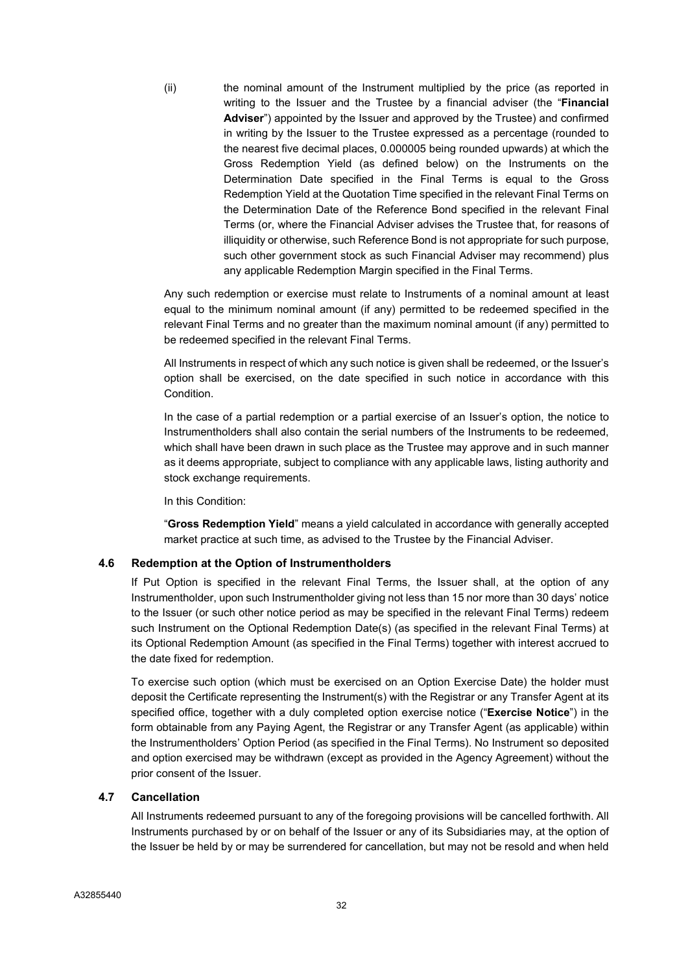(ii) the nominal amount of the Instrument multiplied by the price (as reported in writing to the Issuer and the Trustee by a financial adviser (the "Financial Adviser") appointed by the Issuer and approved by the Trustee) and confirmed in writing by the Issuer to the Trustee expressed as a percentage (rounded to the nearest five decimal places, 0.000005 being rounded upwards) at which the Gross Redemption Yield (as defined below) on the Instruments on the Determination Date specified in the Final Terms is equal to the Gross Redemption Yield at the Quotation Time specified in the relevant Final Terms on the Determination Date of the Reference Bond specified in the relevant Final Terms (or, where the Financial Adviser advises the Trustee that, for reasons of illiquidity or otherwise, such Reference Bond is not appropriate for such purpose, such other government stock as such Financial Adviser may recommend) plus any applicable Redemption Margin specified in the Final Terms.

Any such redemption or exercise must relate to Instruments of a nominal amount at least equal to the minimum nominal amount (if any) permitted to be redeemed specified in the relevant Final Terms and no greater than the maximum nominal amount (if any) permitted to be redeemed specified in the relevant Final Terms.

All Instruments in respect of which any such notice is given shall be redeemed, or the Issuer's option shall be exercised, on the date specified in such notice in accordance with this Condition.

In the case of a partial redemption or a partial exercise of an Issuer's option, the notice to Instrumentholders shall also contain the serial numbers of the Instruments to be redeemed, which shall have been drawn in such place as the Trustee may approve and in such manner as it deems appropriate, subject to compliance with any applicable laws, listing authority and stock exchange requirements.

In this Condition:

"Gross Redemption Yield" means a yield calculated in accordance with generally accepted market practice at such time, as advised to the Trustee by the Financial Adviser.

### 4.6 Redemption at the Option of Instrumentholders

If Put Option is specified in the relevant Final Terms, the Issuer shall, at the option of any Instrumentholder, upon such Instrumentholder giving not less than 15 nor more than 30 days' notice to the Issuer (or such other notice period as may be specified in the relevant Final Terms) redeem such Instrument on the Optional Redemption Date(s) (as specified in the relevant Final Terms) at its Optional Redemption Amount (as specified in the Final Terms) together with interest accrued to the date fixed for redemption.

To exercise such option (which must be exercised on an Option Exercise Date) the holder must deposit the Certificate representing the Instrument(s) with the Registrar or any Transfer Agent at its specified office, together with a duly completed option exercise notice ("Exercise Notice") in the form obtainable from any Paying Agent, the Registrar or any Transfer Agent (as applicable) within the Instrumentholders' Option Period (as specified in the Final Terms). No Instrument so deposited and option exercised may be withdrawn (except as provided in the Agency Agreement) without the prior consent of the Issuer.

### 4.7 Cancellation

All Instruments redeemed pursuant to any of the foregoing provisions will be cancelled forthwith. All Instruments purchased by or on behalf of the Issuer or any of its Subsidiaries may, at the option of the Issuer be held by or may be surrendered for cancellation, but may not be resold and when held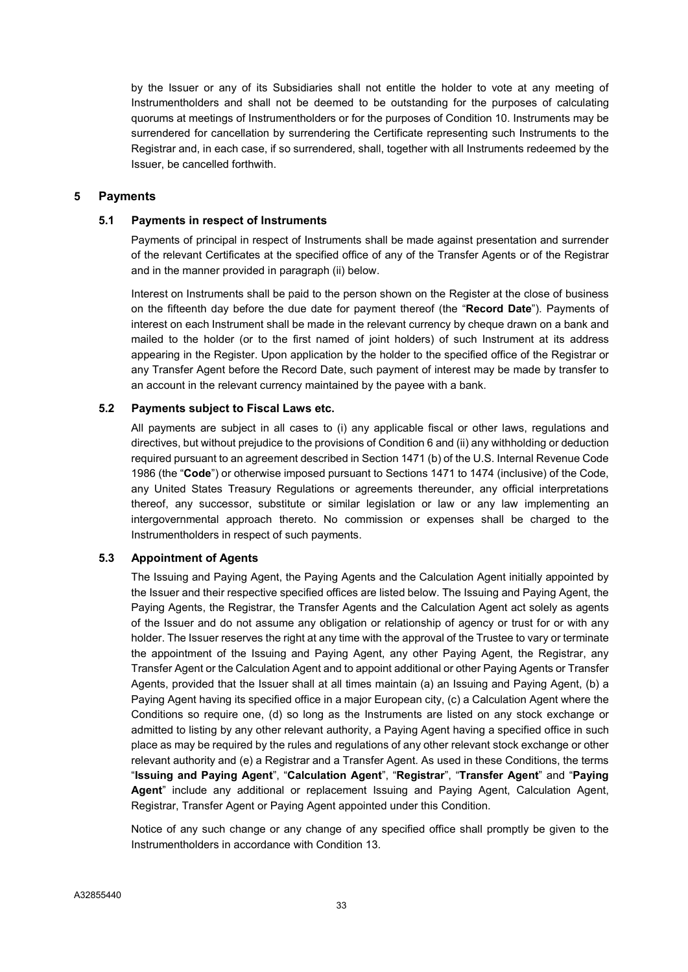by the Issuer or any of its Subsidiaries shall not entitle the holder to vote at any meeting of Instrumentholders and shall not be deemed to be outstanding for the purposes of calculating quorums at meetings of Instrumentholders or for the purposes of Condition 10. Instruments may be surrendered for cancellation by surrendering the Certificate representing such Instruments to the Registrar and, in each case, if so surrendered, shall, together with all Instruments redeemed by the Issuer, be cancelled forthwith.

### 5 Payments

### 5.1 Payments in respect of Instruments

Payments of principal in respect of Instruments shall be made against presentation and surrender of the relevant Certificates at the specified office of any of the Transfer Agents or of the Registrar and in the manner provided in paragraph (ii) below.

Interest on Instruments shall be paid to the person shown on the Register at the close of business on the fifteenth day before the due date for payment thereof (the "Record Date"). Payments of interest on each Instrument shall be made in the relevant currency by cheque drawn on a bank and mailed to the holder (or to the first named of joint holders) of such Instrument at its address appearing in the Register. Upon application by the holder to the specified office of the Registrar or any Transfer Agent before the Record Date, such payment of interest may be made by transfer to an account in the relevant currency maintained by the payee with a bank.

### 5.2 Payments subject to Fiscal Laws etc.

All payments are subject in all cases to (i) any applicable fiscal or other laws, regulations and directives, but without prejudice to the provisions of Condition 6 and (ii) any withholding or deduction required pursuant to an agreement described in Section 1471 (b) of the U.S. Internal Revenue Code 1986 (the "Code") or otherwise imposed pursuant to Sections 1471 to 1474 (inclusive) of the Code, any United States Treasury Regulations or agreements thereunder, any official interpretations thereof, any successor, substitute or similar legislation or law or any law implementing an intergovernmental approach thereto. No commission or expenses shall be charged to the Instrumentholders in respect of such payments.

# 5.3 Appointment of Agents

The Issuing and Paying Agent, the Paying Agents and the Calculation Agent initially appointed by the Issuer and their respective specified offices are listed below. The Issuing and Paying Agent, the Paying Agents, the Registrar, the Transfer Agents and the Calculation Agent act solely as agents of the Issuer and do not assume any obligation or relationship of agency or trust for or with any holder. The Issuer reserves the right at any time with the approval of the Trustee to vary or terminate the appointment of the Issuing and Paying Agent, any other Paying Agent, the Registrar, any Transfer Agent or the Calculation Agent and to appoint additional or other Paying Agents or Transfer Agents, provided that the Issuer shall at all times maintain (a) an Issuing and Paying Agent, (b) a Paying Agent having its specified office in a major European city, (c) a Calculation Agent where the Conditions so require one, (d) so long as the Instruments are listed on any stock exchange or admitted to listing by any other relevant authority, a Paying Agent having a specified office in such place as may be required by the rules and regulations of any other relevant stock exchange or other relevant authority and (e) a Registrar and a Transfer Agent. As used in these Conditions, the terms "Issuing and Paying Agent", "Calculation Agent", "Registrar", "Transfer Agent" and "Paying Agent" include any additional or replacement Issuing and Paying Agent, Calculation Agent, Registrar, Transfer Agent or Paying Agent appointed under this Condition.

Notice of any such change or any change of any specified office shall promptly be given to the Instrumentholders in accordance with Condition 13.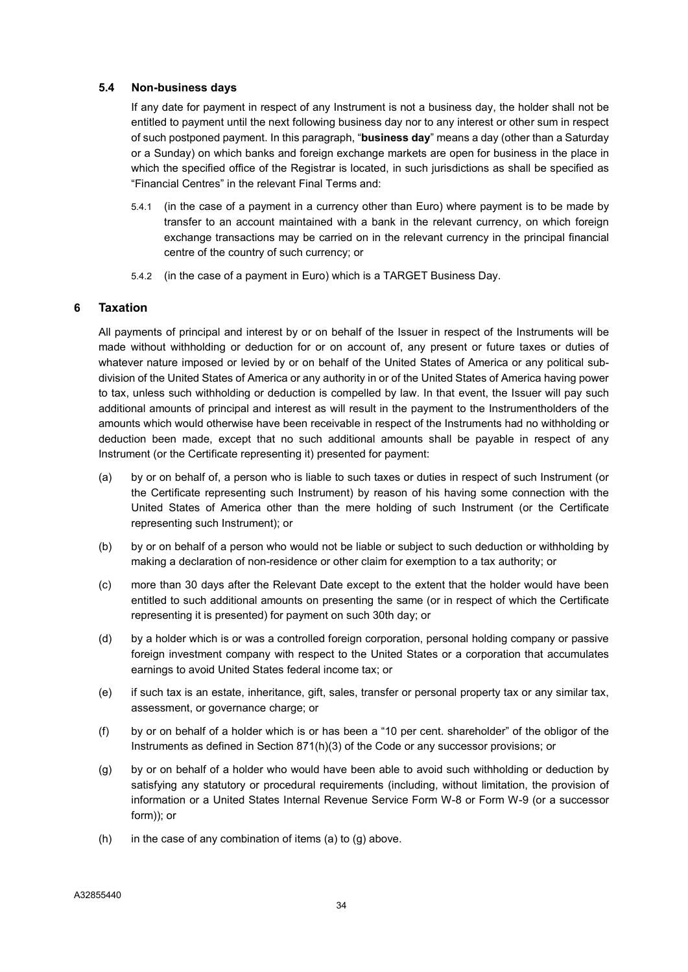### 5.4 Non-business days

If any date for payment in respect of any Instrument is not a business day, the holder shall not be entitled to payment until the next following business day nor to any interest or other sum in respect of such postponed payment. In this paragraph, "**business day**" means a day (other than a Saturday or a Sunday) on which banks and foreign exchange markets are open for business in the place in which the specified office of the Registrar is located, in such jurisdictions as shall be specified as "Financial Centres" in the relevant Final Terms and:

- 5.4.1 (in the case of a payment in a currency other than Euro) where payment is to be made by transfer to an account maintained with a bank in the relevant currency, on which foreign exchange transactions may be carried on in the relevant currency in the principal financial centre of the country of such currency; or
- 5.4.2 (in the case of a payment in Euro) which is a TARGET Business Day.

### 6 Taxation

All payments of principal and interest by or on behalf of the Issuer in respect of the Instruments will be made without withholding or deduction for or on account of, any present or future taxes or duties of whatever nature imposed or levied by or on behalf of the United States of America or any political subdivision of the United States of America or any authority in or of the United States of America having power to tax, unless such withholding or deduction is compelled by law. In that event, the Issuer will pay such additional amounts of principal and interest as will result in the payment to the Instrumentholders of the amounts which would otherwise have been receivable in respect of the Instruments had no withholding or deduction been made, except that no such additional amounts shall be payable in respect of any Instrument (or the Certificate representing it) presented for payment:

- (a) by or on behalf of, a person who is liable to such taxes or duties in respect of such Instrument (or the Certificate representing such Instrument) by reason of his having some connection with the United States of America other than the mere holding of such Instrument (or the Certificate representing such Instrument); or
- (b) by or on behalf of a person who would not be liable or subject to such deduction or withholding by making a declaration of non-residence or other claim for exemption to a tax authority; or
- (c) more than 30 days after the Relevant Date except to the extent that the holder would have been entitled to such additional amounts on presenting the same (or in respect of which the Certificate representing it is presented) for payment on such 30th day; or
- (d) by a holder which is or was a controlled foreign corporation, personal holding company or passive foreign investment company with respect to the United States or a corporation that accumulates earnings to avoid United States federal income tax; or
- (e) if such tax is an estate, inheritance, gift, sales, transfer or personal property tax or any similar tax, assessment, or governance charge; or
- (f) by or on behalf of a holder which is or has been a "10 per cent. shareholder" of the obligor of the Instruments as defined in Section 871(h)(3) of the Code or any successor provisions; or
- (g) by or on behalf of a holder who would have been able to avoid such withholding or deduction by satisfying any statutory or procedural requirements (including, without limitation, the provision of information or a United States Internal Revenue Service Form W-8 or Form W-9 (or a successor form)); or
- $(h)$  in the case of any combination of items  $(a)$  to  $(g)$  above.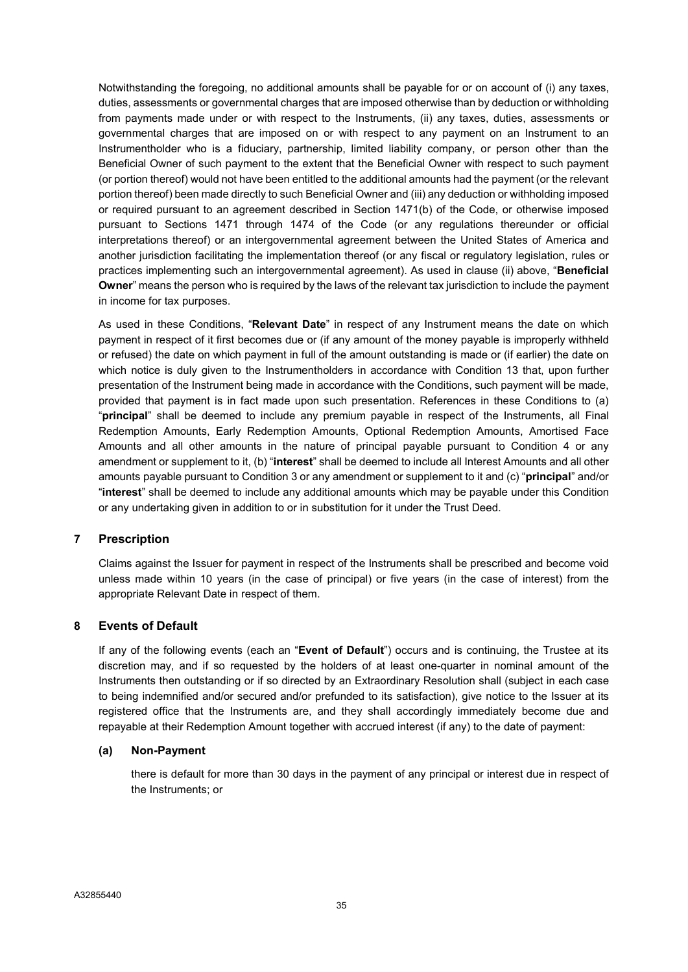Notwithstanding the foregoing, no additional amounts shall be payable for or on account of (i) any taxes, duties, assessments or governmental charges that are imposed otherwise than by deduction or withholding from payments made under or with respect to the Instruments, (ii) any taxes, duties, assessments or governmental charges that are imposed on or with respect to any payment on an Instrument to an Instrumentholder who is a fiduciary, partnership, limited liability company, or person other than the Beneficial Owner of such payment to the extent that the Beneficial Owner with respect to such payment (or portion thereof) would not have been entitled to the additional amounts had the payment (or the relevant portion thereof) been made directly to such Beneficial Owner and (iii) any deduction or withholding imposed or required pursuant to an agreement described in Section 1471(b) of the Code, or otherwise imposed pursuant to Sections 1471 through 1474 of the Code (or any regulations thereunder or official interpretations thereof) or an intergovernmental agreement between the United States of America and another jurisdiction facilitating the implementation thereof (or any fiscal or regulatory legislation, rules or practices implementing such an intergovernmental agreement). As used in clause (ii) above, "Beneficial Owner" means the person who is required by the laws of the relevant tax jurisdiction to include the payment in income for tax purposes.

As used in these Conditions, "Relevant Date" in respect of any Instrument means the date on which payment in respect of it first becomes due or (if any amount of the money payable is improperly withheld or refused) the date on which payment in full of the amount outstanding is made or (if earlier) the date on which notice is duly given to the Instrumentholders in accordance with Condition 13 that, upon further presentation of the Instrument being made in accordance with the Conditions, such payment will be made, provided that payment is in fact made upon such presentation. References in these Conditions to (a) "principal" shall be deemed to include any premium payable in respect of the Instruments, all Final Redemption Amounts, Early Redemption Amounts, Optional Redemption Amounts, Amortised Face Amounts and all other amounts in the nature of principal payable pursuant to Condition 4 or any amendment or supplement to it, (b) "interest" shall be deemed to include all Interest Amounts and all other amounts payable pursuant to Condition 3 or any amendment or supplement to it and (c) "principal" and/or "interest" shall be deemed to include any additional amounts which may be payable under this Condition or any undertaking given in addition to or in substitution for it under the Trust Deed.

### 7 Prescription

Claims against the Issuer for payment in respect of the Instruments shall be prescribed and become void unless made within 10 years (in the case of principal) or five years (in the case of interest) from the appropriate Relevant Date in respect of them.

### 8 Events of Default

If any of the following events (each an "Event of Default") occurs and is continuing, the Trustee at its discretion may, and if so requested by the holders of at least one-quarter in nominal amount of the Instruments then outstanding or if so directed by an Extraordinary Resolution shall (subject in each case to being indemnified and/or secured and/or prefunded to its satisfaction), give notice to the Issuer at its registered office that the Instruments are, and they shall accordingly immediately become due and repayable at their Redemption Amount together with accrued interest (if any) to the date of payment:

### (a) Non-Payment

there is default for more than 30 days in the payment of any principal or interest due in respect of the Instruments; or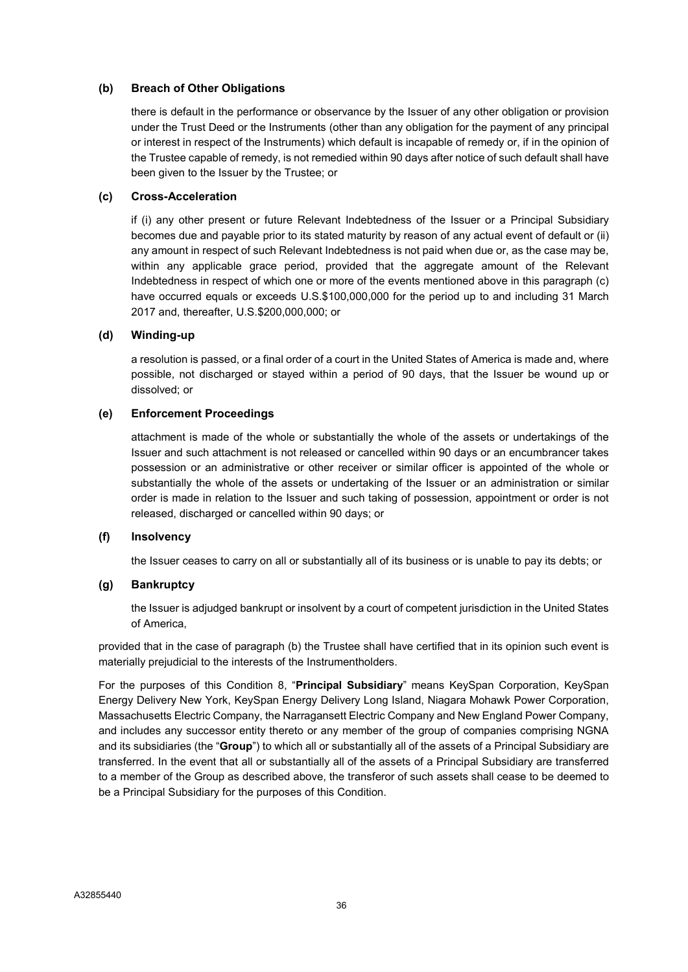### (b) Breach of Other Obligations

there is default in the performance or observance by the Issuer of any other obligation or provision under the Trust Deed or the Instruments (other than any obligation for the payment of any principal or interest in respect of the Instruments) which default is incapable of remedy or, if in the opinion of the Trustee capable of remedy, is not remedied within 90 days after notice of such default shall have been given to the Issuer by the Trustee; or

### (c) Cross-Acceleration

if (i) any other present or future Relevant Indebtedness of the Issuer or a Principal Subsidiary becomes due and payable prior to its stated maturity by reason of any actual event of default or (ii) any amount in respect of such Relevant Indebtedness is not paid when due or, as the case may be, within any applicable grace period, provided that the aggregate amount of the Relevant Indebtedness in respect of which one or more of the events mentioned above in this paragraph (c) have occurred equals or exceeds U.S.\$100,000,000 for the period up to and including 31 March 2017 and, thereafter, U.S.\$200,000,000; or

### (d) Winding-up

a resolution is passed, or a final order of a court in the United States of America is made and, where possible, not discharged or stayed within a period of 90 days, that the Issuer be wound up or dissolved; or

### (e) Enforcement Proceedings

attachment is made of the whole or substantially the whole of the assets or undertakings of the Issuer and such attachment is not released or cancelled within 90 days or an encumbrancer takes possession or an administrative or other receiver or similar officer is appointed of the whole or substantially the whole of the assets or undertaking of the Issuer or an administration or similar order is made in relation to the Issuer and such taking of possession, appointment or order is not released, discharged or cancelled within 90 days; or

### (f) Insolvency

the Issuer ceases to carry on all or substantially all of its business or is unable to pay its debts; or

### (g) Bankruptcy

the Issuer is adjudged bankrupt or insolvent by a court of competent jurisdiction in the United States of America,

provided that in the case of paragraph (b) the Trustee shall have certified that in its opinion such event is materially prejudicial to the interests of the Instrumentholders.

For the purposes of this Condition 8, "Principal Subsidiary" means KeySpan Corporation, KeySpan Energy Delivery New York, KeySpan Energy Delivery Long Island, Niagara Mohawk Power Corporation, Massachusetts Electric Company, the Narragansett Electric Company and New England Power Company, and includes any successor entity thereto or any member of the group of companies comprising NGNA and its subsidiaries (the "Group") to which all or substantially all of the assets of a Principal Subsidiary are transferred. In the event that all or substantially all of the assets of a Principal Subsidiary are transferred to a member of the Group as described above, the transferor of such assets shall cease to be deemed to be a Principal Subsidiary for the purposes of this Condition.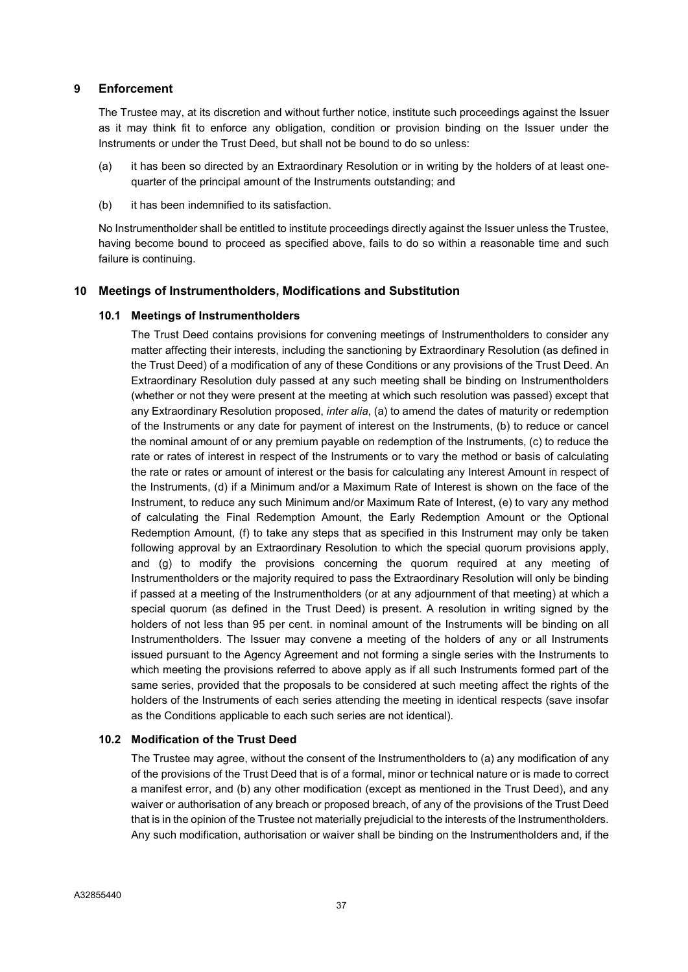### 9 Enforcement

The Trustee may, at its discretion and without further notice, institute such proceedings against the Issuer as it may think fit to enforce any obligation, condition or provision binding on the Issuer under the Instruments or under the Trust Deed, but shall not be bound to do so unless:

- (a) it has been so directed by an Extraordinary Resolution or in writing by the holders of at least onequarter of the principal amount of the Instruments outstanding; and
- (b) it has been indemnified to its satisfaction.

No Instrumentholder shall be entitled to institute proceedings directly against the Issuer unless the Trustee, having become bound to proceed as specified above, fails to do so within a reasonable time and such failure is continuing.

# 10 Meetings of Instrumentholders, Modifications and Substitution

### 10.1 Meetings of Instrumentholders

The Trust Deed contains provisions for convening meetings of Instrumentholders to consider any matter affecting their interests, including the sanctioning by Extraordinary Resolution (as defined in the Trust Deed) of a modification of any of these Conditions or any provisions of the Trust Deed. An Extraordinary Resolution duly passed at any such meeting shall be binding on Instrumentholders (whether or not they were present at the meeting at which such resolution was passed) except that any Extraordinary Resolution proposed, inter alia, (a) to amend the dates of maturity or redemption of the Instruments or any date for payment of interest on the Instruments, (b) to reduce or cancel the nominal amount of or any premium payable on redemption of the Instruments, (c) to reduce the rate or rates of interest in respect of the Instruments or to vary the method or basis of calculating the rate or rates or amount of interest or the basis for calculating any Interest Amount in respect of the Instruments, (d) if a Minimum and/or a Maximum Rate of Interest is shown on the face of the Instrument, to reduce any such Minimum and/or Maximum Rate of Interest, (e) to vary any method of calculating the Final Redemption Amount, the Early Redemption Amount or the Optional Redemption Amount, (f) to take any steps that as specified in this Instrument may only be taken following approval by an Extraordinary Resolution to which the special quorum provisions apply, and (g) to modify the provisions concerning the quorum required at any meeting of Instrumentholders or the majority required to pass the Extraordinary Resolution will only be binding if passed at a meeting of the Instrumentholders (or at any adjournment of that meeting) at which a special quorum (as defined in the Trust Deed) is present. A resolution in writing signed by the holders of not less than 95 per cent. in nominal amount of the Instruments will be binding on all Instrumentholders. The Issuer may convene a meeting of the holders of any or all Instruments issued pursuant to the Agency Agreement and not forming a single series with the Instruments to which meeting the provisions referred to above apply as if all such Instruments formed part of the same series, provided that the proposals to be considered at such meeting affect the rights of the holders of the Instruments of each series attending the meeting in identical respects (save insofar as the Conditions applicable to each such series are not identical).

### 10.2 Modification of the Trust Deed

The Trustee may agree, without the consent of the Instrumentholders to (a) any modification of any of the provisions of the Trust Deed that is of a formal, minor or technical nature or is made to correct a manifest error, and (b) any other modification (except as mentioned in the Trust Deed), and any waiver or authorisation of any breach or proposed breach, of any of the provisions of the Trust Deed that is in the opinion of the Trustee not materially prejudicial to the interests of the Instrumentholders. Any such modification, authorisation or waiver shall be binding on the Instrumentholders and, if the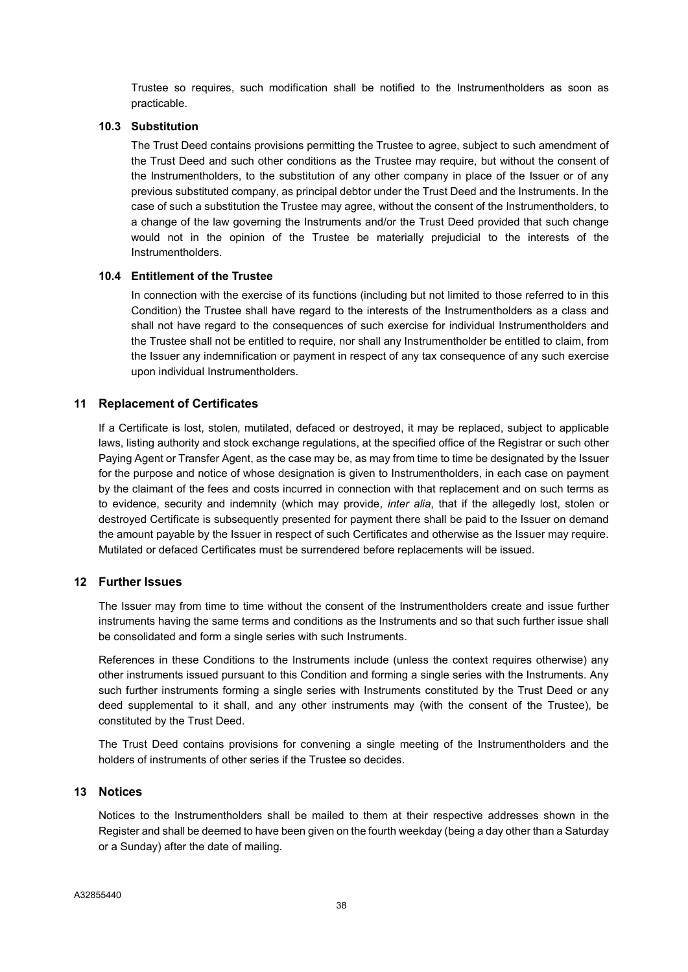Trustee so requires, such modification shall be notified to the Instrumentholders as soon as practicable.

### 10.3 Substitution

The Trust Deed contains provisions permitting the Trustee to agree, subject to such amendment of the Trust Deed and such other conditions as the Trustee may require, but without the consent of the Instrumentholders, to the substitution of any other company in place of the Issuer or of any previous substituted company, as principal debtor under the Trust Deed and the Instruments. In the case of such a substitution the Trustee may agree, without the consent of the Instrumentholders, to a change of the law governing the Instruments and/or the Trust Deed provided that such change would not in the opinion of the Trustee be materially prejudicial to the interests of the Instrumentholders.

### 10.4 Entitlement of the Trustee

In connection with the exercise of its functions (including but not limited to those referred to in this Condition) the Trustee shall have regard to the interests of the Instrumentholders as a class and shall not have regard to the consequences of such exercise for individual Instrumentholders and the Trustee shall not be entitled to require, nor shall any Instrumentholder be entitled to claim, from the Issuer any indemnification or payment in respect of any tax consequence of any such exercise upon individual Instrumentholders.

### 11 Replacement of Certificates

If a Certificate is lost, stolen, mutilated, defaced or destroyed, it may be replaced, subject to applicable laws, listing authority and stock exchange regulations, at the specified office of the Registrar or such other Paying Agent or Transfer Agent, as the case may be, as may from time to time be designated by the Issuer for the purpose and notice of whose designation is given to Instrumentholders, in each case on payment by the claimant of the fees and costs incurred in connection with that replacement and on such terms as to evidence, security and indemnity (which may provide, *inter alia*, that if the allegedly lost, stolen or destroyed Certificate is subsequently presented for payment there shall be paid to the Issuer on demand the amount payable by the Issuer in respect of such Certificates and otherwise as the Issuer may require. Mutilated or defaced Certificates must be surrendered before replacements will be issued.

### 12 Further Issues

The Issuer may from time to time without the consent of the Instrumentholders create and issue further instruments having the same terms and conditions as the Instruments and so that such further issue shall be consolidated and form a single series with such Instruments.

References in these Conditions to the Instruments include (unless the context requires otherwise) any other instruments issued pursuant to this Condition and forming a single series with the Instruments. Any such further instruments forming a single series with Instruments constituted by the Trust Deed or any deed supplemental to it shall, and any other instruments may (with the consent of the Trustee), be constituted by the Trust Deed.

The Trust Deed contains provisions for convening a single meeting of the Instrumentholders and the holders of instruments of other series if the Trustee so decides.

### 13 Notices

Notices to the Instrumentholders shall be mailed to them at their respective addresses shown in the Register and shall be deemed to have been given on the fourth weekday (being a day other than a Saturday or a Sunday) after the date of mailing.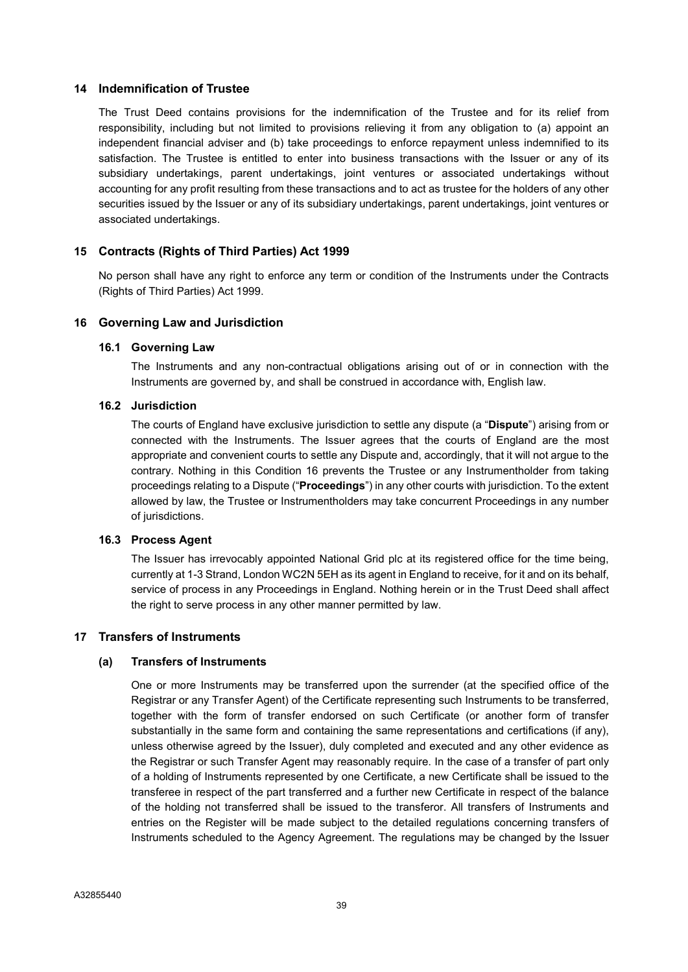### 14 Indemnification of Trustee

The Trust Deed contains provisions for the indemnification of the Trustee and for its relief from responsibility, including but not limited to provisions relieving it from any obligation to (a) appoint an independent financial adviser and (b) take proceedings to enforce repayment unless indemnified to its satisfaction. The Trustee is entitled to enter into business transactions with the Issuer or any of its subsidiary undertakings, parent undertakings, joint ventures or associated undertakings without accounting for any profit resulting from these transactions and to act as trustee for the holders of any other securities issued by the Issuer or any of its subsidiary undertakings, parent undertakings, joint ventures or associated undertakings.

# 15 Contracts (Rights of Third Parties) Act 1999

No person shall have any right to enforce any term or condition of the Instruments under the Contracts (Rights of Third Parties) Act 1999.

### 16 Governing Law and Jurisdiction

### 16.1 Governing Law

The Instruments and any non-contractual obligations arising out of or in connection with the Instruments are governed by, and shall be construed in accordance with, English law.

### 16.2 Jurisdiction

The courts of England have exclusive jurisdiction to settle any dispute (a "Dispute") arising from or connected with the Instruments. The Issuer agrees that the courts of England are the most appropriate and convenient courts to settle any Dispute and, accordingly, that it will not argue to the contrary. Nothing in this Condition 16 prevents the Trustee or any Instrumentholder from taking proceedings relating to a Dispute ("Proceedings") in any other courts with jurisdiction. To the extent allowed by law, the Trustee or Instrumentholders may take concurrent Proceedings in any number of jurisdictions.

# 16.3 Process Agent

The Issuer has irrevocably appointed National Grid plc at its registered office for the time being, currently at 1-3 Strand, London WC2N 5EH as its agent in England to receive, for it and on its behalf, service of process in any Proceedings in England. Nothing herein or in the Trust Deed shall affect the right to serve process in any other manner permitted by law.

# 17 Transfers of Instruments

# (a) Transfers of Instruments

One or more Instruments may be transferred upon the surrender (at the specified office of the Registrar or any Transfer Agent) of the Certificate representing such Instruments to be transferred, together with the form of transfer endorsed on such Certificate (or another form of transfer substantially in the same form and containing the same representations and certifications (if any), unless otherwise agreed by the Issuer), duly completed and executed and any other evidence as the Registrar or such Transfer Agent may reasonably require. In the case of a transfer of part only of a holding of Instruments represented by one Certificate, a new Certificate shall be issued to the transferee in respect of the part transferred and a further new Certificate in respect of the balance of the holding not transferred shall be issued to the transferor. All transfers of Instruments and entries on the Register will be made subject to the detailed regulations concerning transfers of Instruments scheduled to the Agency Agreement. The regulations may be changed by the Issuer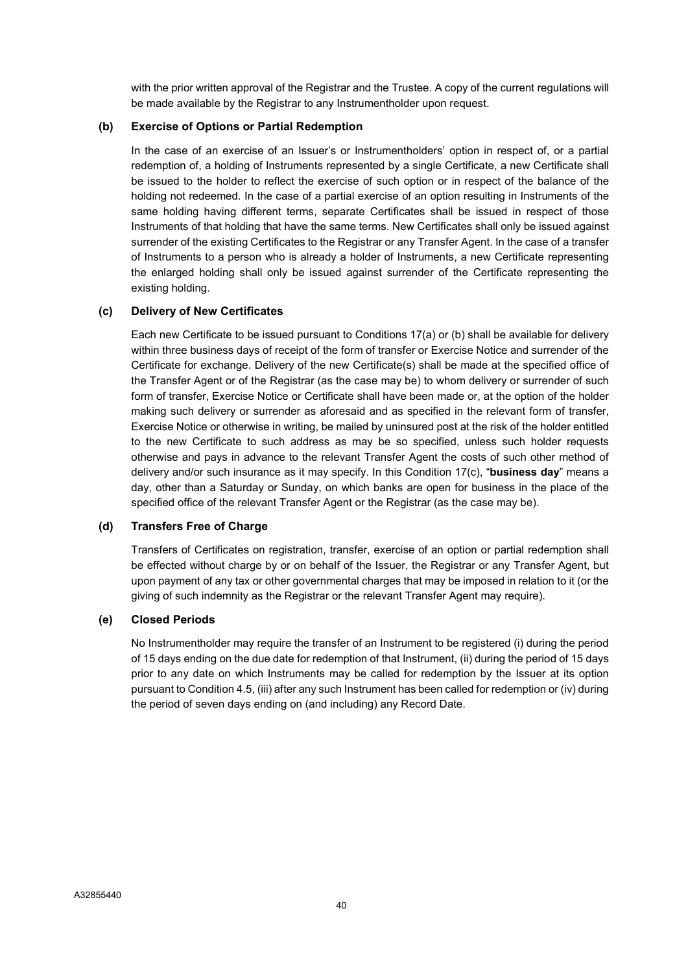with the prior written approval of the Registrar and the Trustee. A copy of the current regulations will be made available by the Registrar to any Instrumentholder upon request.

### (b) Exercise of Options or Partial Redemption

In the case of an exercise of an Issuer's or Instrumentholders' option in respect of, or a partial redemption of, a holding of Instruments represented by a single Certificate, a new Certificate shall be issued to the holder to reflect the exercise of such option or in respect of the balance of the holding not redeemed. In the case of a partial exercise of an option resulting in Instruments of the same holding having different terms, separate Certificates shall be issued in respect of those Instruments of that holding that have the same terms. New Certificates shall only be issued against surrender of the existing Certificates to the Registrar or any Transfer Agent. In the case of a transfer of Instruments to a person who is already a holder of Instruments, a new Certificate representing the enlarged holding shall only be issued against surrender of the Certificate representing the existing holding.

# (c) Delivery of New Certificates

Each new Certificate to be issued pursuant to Conditions 17(a) or (b) shall be available for delivery within three business days of receipt of the form of transfer or Exercise Notice and surrender of the Certificate for exchange. Delivery of the new Certificate(s) shall be made at the specified office of the Transfer Agent or of the Registrar (as the case may be) to whom delivery or surrender of such form of transfer, Exercise Notice or Certificate shall have been made or, at the option of the holder making such delivery or surrender as aforesaid and as specified in the relevant form of transfer, Exercise Notice or otherwise in writing, be mailed by uninsured post at the risk of the holder entitled to the new Certificate to such address as may be so specified, unless such holder requests otherwise and pays in advance to the relevant Transfer Agent the costs of such other method of delivery and/or such insurance as it may specify. In this Condition  $17(c)$ , "business day" means a day, other than a Saturday or Sunday, on which banks are open for business in the place of the specified office of the relevant Transfer Agent or the Registrar (as the case may be).

### (d) Transfers Free of Charge

Transfers of Certificates on registration, transfer, exercise of an option or partial redemption shall be effected without charge by or on behalf of the Issuer, the Registrar or any Transfer Agent, but upon payment of any tax or other governmental charges that may be imposed in relation to it (or the giving of such indemnity as the Registrar or the relevant Transfer Agent may require).

# (e) Closed Periods

No Instrumentholder may require the transfer of an Instrument to be registered (i) during the period of 15 days ending on the due date for redemption of that Instrument, (ii) during the period of 15 days prior to any date on which Instruments may be called for redemption by the Issuer at its option pursuant to Condition 4.5, (iii) after any such Instrument has been called for redemption or (iv) during the period of seven days ending on (and including) any Record Date.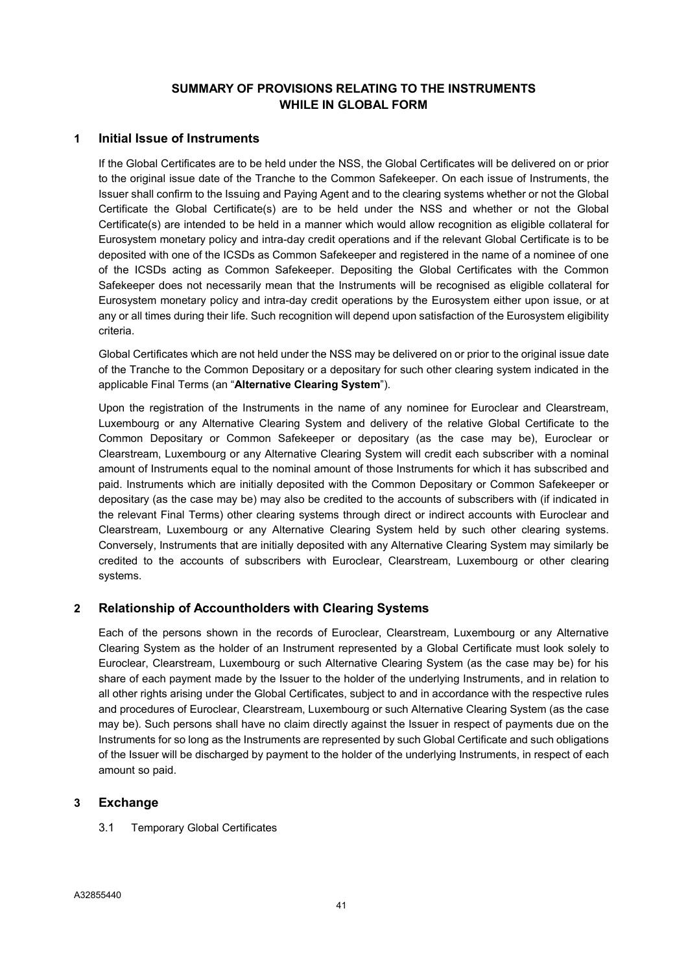# SUMMARY OF PROVISIONS RELATING TO THE INSTRUMENTS WHILE IN GLOBAL FORM

# 1 Initial Issue of Instruments

If the Global Certificates are to be held under the NSS, the Global Certificates will be delivered on or prior to the original issue date of the Tranche to the Common Safekeeper. On each issue of Instruments, the Issuer shall confirm to the Issuing and Paying Agent and to the clearing systems whether or not the Global Certificate the Global Certificate(s) are to be held under the NSS and whether or not the Global Certificate(s) are intended to be held in a manner which would allow recognition as eligible collateral for Eurosystem monetary policy and intra-day credit operations and if the relevant Global Certificate is to be deposited with one of the ICSDs as Common Safekeeper and registered in the name of a nominee of one of the ICSDs acting as Common Safekeeper. Depositing the Global Certificates with the Common Safekeeper does not necessarily mean that the Instruments will be recognised as eligible collateral for Eurosystem monetary policy and intra-day credit operations by the Eurosystem either upon issue, or at any or all times during their life. Such recognition will depend upon satisfaction of the Eurosystem eligibility criteria.

Global Certificates which are not held under the NSS may be delivered on or prior to the original issue date of the Tranche to the Common Depositary or a depositary for such other clearing system indicated in the applicable Final Terms (an "Alternative Clearing System").

Upon the registration of the Instruments in the name of any nominee for Euroclear and Clearstream, Luxembourg or any Alternative Clearing System and delivery of the relative Global Certificate to the Common Depositary or Common Safekeeper or depositary (as the case may be), Euroclear or Clearstream, Luxembourg or any Alternative Clearing System will credit each subscriber with a nominal amount of Instruments equal to the nominal amount of those Instruments for which it has subscribed and paid. Instruments which are initially deposited with the Common Depositary or Common Safekeeper or depositary (as the case may be) may also be credited to the accounts of subscribers with (if indicated in the relevant Final Terms) other clearing systems through direct or indirect accounts with Euroclear and Clearstream, Luxembourg or any Alternative Clearing System held by such other clearing systems. Conversely, Instruments that are initially deposited with any Alternative Clearing System may similarly be credited to the accounts of subscribers with Euroclear, Clearstream, Luxembourg or other clearing systems.

# 2 Relationship of Accountholders with Clearing Systems

Each of the persons shown in the records of Euroclear, Clearstream, Luxembourg or any Alternative Clearing System as the holder of an Instrument represented by a Global Certificate must look solely to Euroclear, Clearstream, Luxembourg or such Alternative Clearing System (as the case may be) for his share of each payment made by the Issuer to the holder of the underlying Instruments, and in relation to all other rights arising under the Global Certificates, subject to and in accordance with the respective rules and procedures of Euroclear, Clearstream, Luxembourg or such Alternative Clearing System (as the case may be). Such persons shall have no claim directly against the Issuer in respect of payments due on the Instruments for so long as the Instruments are represented by such Global Certificate and such obligations of the Issuer will be discharged by payment to the holder of the underlying Instruments, in respect of each amount so paid.

# 3 Exchange

3.1 Temporary Global Certificates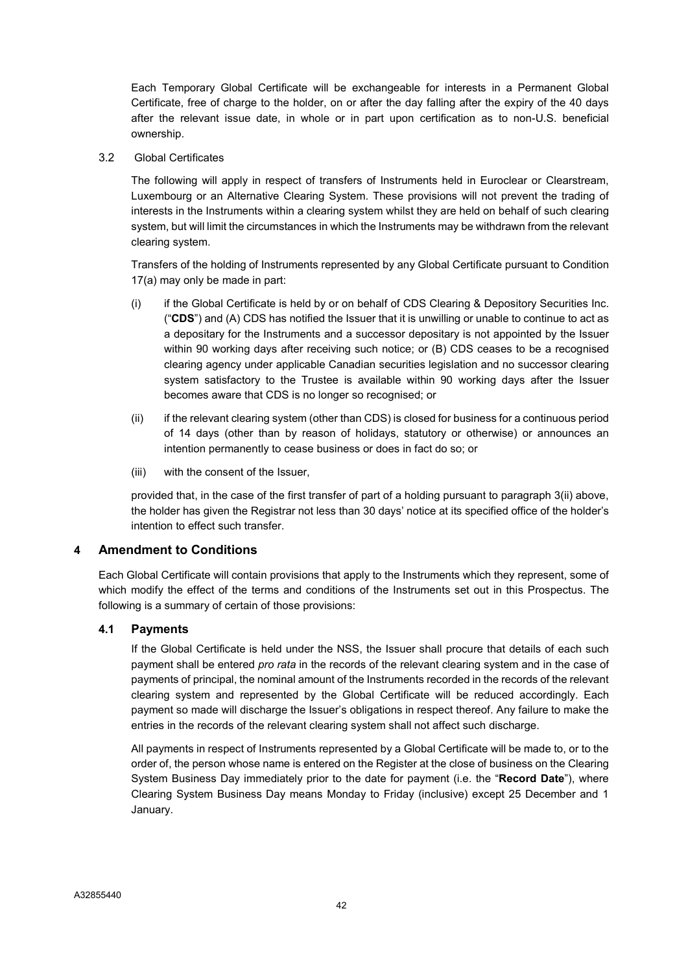Each Temporary Global Certificate will be exchangeable for interests in a Permanent Global Certificate, free of charge to the holder, on or after the day falling after the expiry of the 40 days after the relevant issue date, in whole or in part upon certification as to non-U.S. beneficial ownership.

3.2 Global Certificates

The following will apply in respect of transfers of Instruments held in Euroclear or Clearstream, Luxembourg or an Alternative Clearing System. These provisions will not prevent the trading of interests in the Instruments within a clearing system whilst they are held on behalf of such clearing system, but will limit the circumstances in which the Instruments may be withdrawn from the relevant clearing system.

Transfers of the holding of Instruments represented by any Global Certificate pursuant to Condition 17(a) may only be made in part:

- (i) if the Global Certificate is held by or on behalf of CDS Clearing & Depository Securities Inc. ("CDS") and (A) CDS has notified the Issuer that it is unwilling or unable to continue to act as a depositary for the Instruments and a successor depositary is not appointed by the Issuer within 90 working days after receiving such notice; or (B) CDS ceases to be a recognised clearing agency under applicable Canadian securities legislation and no successor clearing system satisfactory to the Trustee is available within 90 working days after the Issuer becomes aware that CDS is no longer so recognised; or
- (ii) if the relevant clearing system (other than CDS) is closed for business for a continuous period of 14 days (other than by reason of holidays, statutory or otherwise) or announces an intention permanently to cease business or does in fact do so; or
- (iii) with the consent of the Issuer,

provided that, in the case of the first transfer of part of a holding pursuant to paragraph 3(ii) above, the holder has given the Registrar not less than 30 days' notice at its specified office of the holder's intention to effect such transfer.

# 4 Amendment to Conditions

Each Global Certificate will contain provisions that apply to the Instruments which they represent, some of which modify the effect of the terms and conditions of the Instruments set out in this Prospectus. The following is a summary of certain of those provisions:

# 4.1 Payments

If the Global Certificate is held under the NSS, the Issuer shall procure that details of each such payment shall be entered *pro rata* in the records of the relevant clearing system and in the case of payments of principal, the nominal amount of the Instruments recorded in the records of the relevant clearing system and represented by the Global Certificate will be reduced accordingly. Each payment so made will discharge the Issuer's obligations in respect thereof. Any failure to make the entries in the records of the relevant clearing system shall not affect such discharge.

All payments in respect of Instruments represented by a Global Certificate will be made to, or to the order of, the person whose name is entered on the Register at the close of business on the Clearing System Business Day immediately prior to the date for payment (i.e. the "Record Date"), where Clearing System Business Day means Monday to Friday (inclusive) except 25 December and 1 January.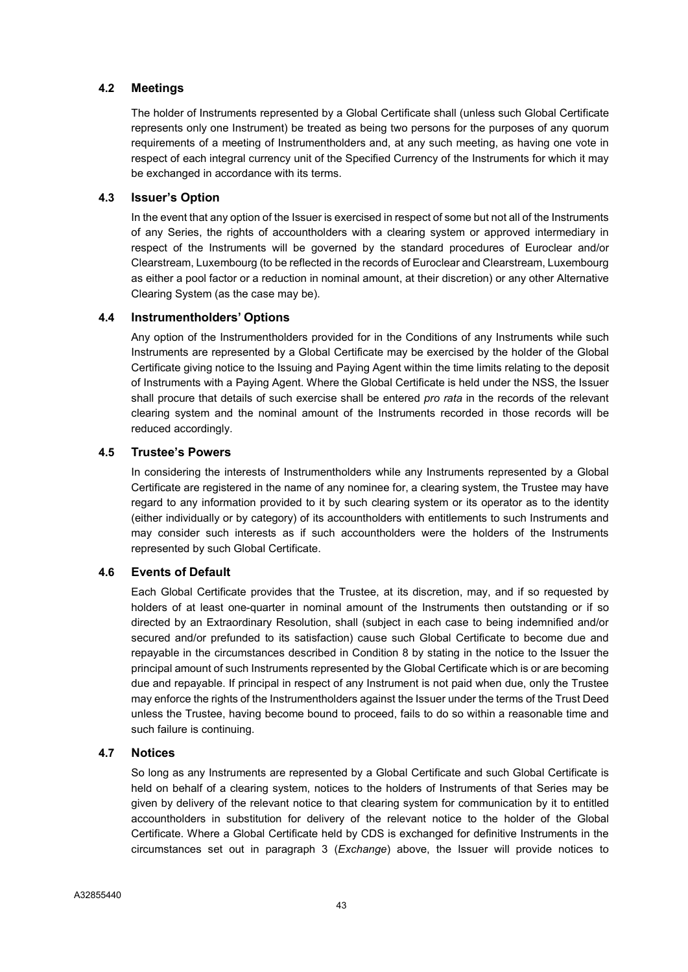# 4.2 Meetings

The holder of Instruments represented by a Global Certificate shall (unless such Global Certificate represents only one Instrument) be treated as being two persons for the purposes of any quorum requirements of a meeting of Instrumentholders and, at any such meeting, as having one vote in respect of each integral currency unit of the Specified Currency of the Instruments for which it may be exchanged in accordance with its terms.

### 4.3 Issuer's Option

In the event that any option of the Issuer is exercised in respect of some but not all of the Instruments of any Series, the rights of accountholders with a clearing system or approved intermediary in respect of the Instruments will be governed by the standard procedures of Euroclear and/or Clearstream, Luxembourg (to be reflected in the records of Euroclear and Clearstream, Luxembourg as either a pool factor or a reduction in nominal amount, at their discretion) or any other Alternative Clearing System (as the case may be).

### 4.4 Instrumentholders' Options

Any option of the Instrumentholders provided for in the Conditions of any Instruments while such Instruments are represented by a Global Certificate may be exercised by the holder of the Global Certificate giving notice to the Issuing and Paying Agent within the time limits relating to the deposit of Instruments with a Paying Agent. Where the Global Certificate is held under the NSS, the Issuer shall procure that details of such exercise shall be entered pro rata in the records of the relevant clearing system and the nominal amount of the Instruments recorded in those records will be reduced accordingly.

### 4.5 Trustee's Powers

In considering the interests of Instrumentholders while any Instruments represented by a Global Certificate are registered in the name of any nominee for, a clearing system, the Trustee may have regard to any information provided to it by such clearing system or its operator as to the identity (either individually or by category) of its accountholders with entitlements to such Instruments and may consider such interests as if such accountholders were the holders of the Instruments represented by such Global Certificate.

# 4.6 Events of Default

Each Global Certificate provides that the Trustee, at its discretion, may, and if so requested by holders of at least one-quarter in nominal amount of the Instruments then outstanding or if so directed by an Extraordinary Resolution, shall (subject in each case to being indemnified and/or secured and/or prefunded to its satisfaction) cause such Global Certificate to become due and repayable in the circumstances described in Condition 8 by stating in the notice to the Issuer the principal amount of such Instruments represented by the Global Certificate which is or are becoming due and repayable. If principal in respect of any Instrument is not paid when due, only the Trustee may enforce the rights of the Instrumentholders against the Issuer under the terms of the Trust Deed unless the Trustee, having become bound to proceed, fails to do so within a reasonable time and such failure is continuing.

### 4.7 Notices

So long as any Instruments are represented by a Global Certificate and such Global Certificate is held on behalf of a clearing system, notices to the holders of Instruments of that Series may be given by delivery of the relevant notice to that clearing system for communication by it to entitled accountholders in substitution for delivery of the relevant notice to the holder of the Global Certificate. Where a Global Certificate held by CDS is exchanged for definitive Instruments in the circumstances set out in paragraph 3 (Exchange) above, the Issuer will provide notices to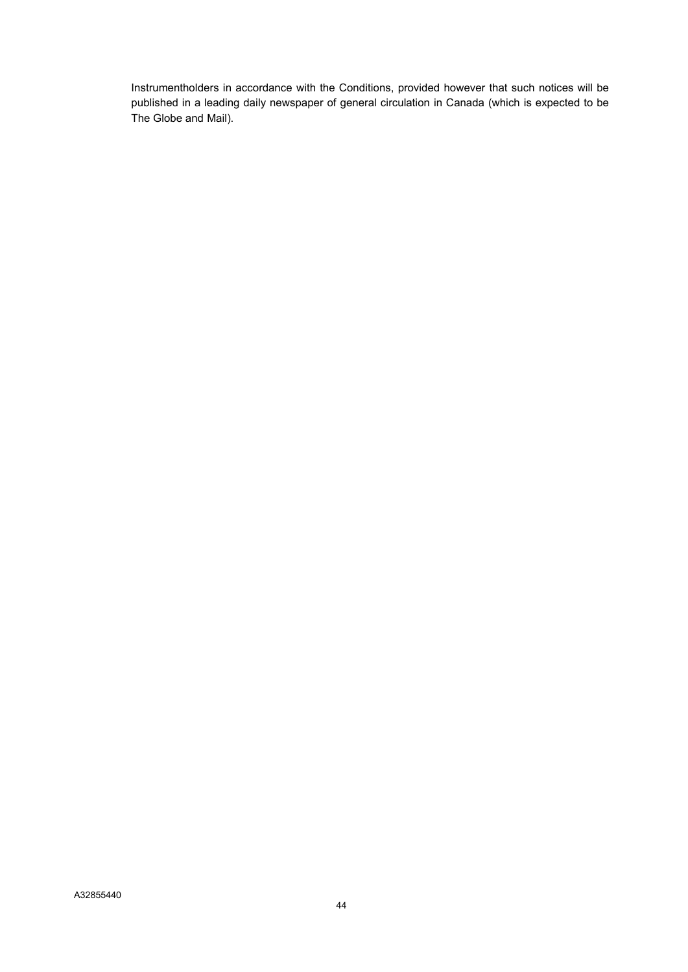Instrumentholders in accordance with the Conditions, provided however that such notices will be published in a leading daily newspaper of general circulation in Canada (which is expected to be The Globe and Mail).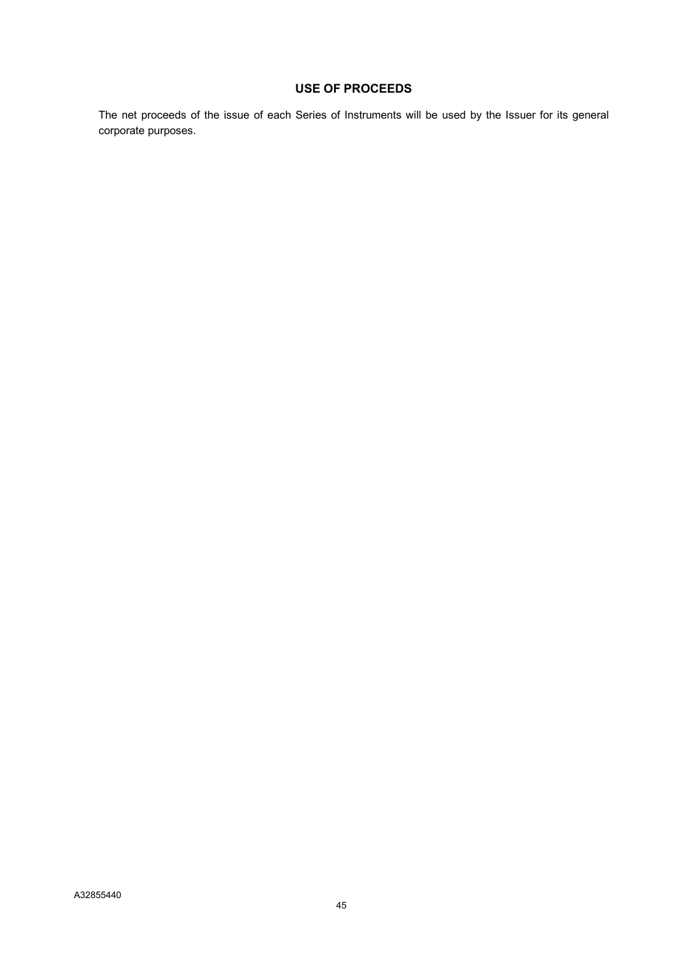# USE OF PROCEEDS

The net proceeds of the issue of each Series of Instruments will be used by the Issuer for its general corporate purposes.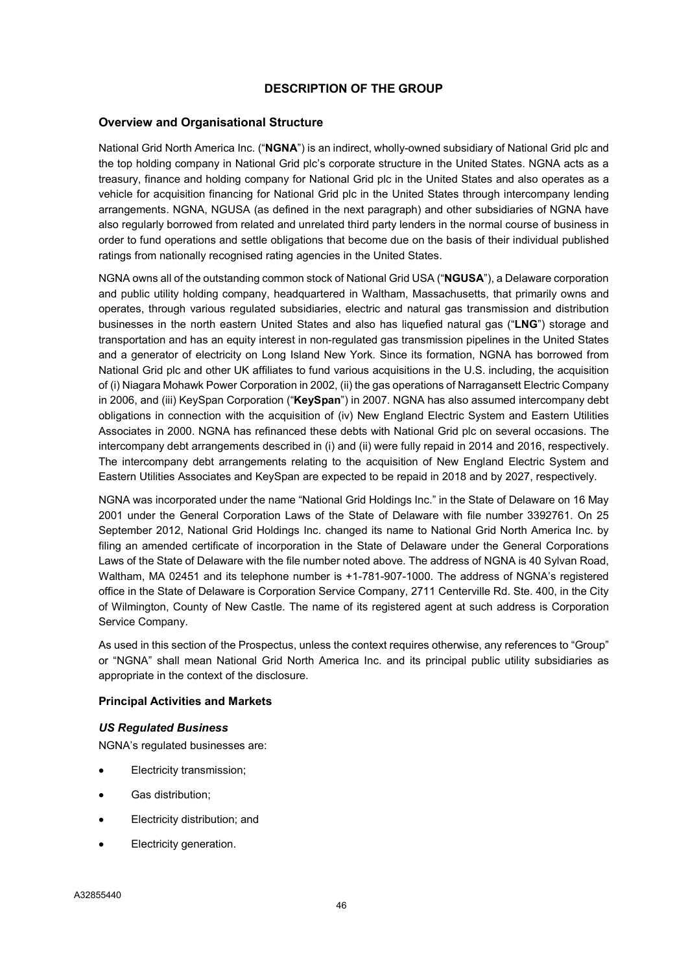# DESCRIPTION OF THE GROUP

### Overview and Organisational Structure

National Grid North America Inc. ("NGNA") is an indirect, wholly-owned subsidiary of National Grid plc and the top holding company in National Grid plc's corporate structure in the United States. NGNA acts as a treasury, finance and holding company for National Grid plc in the United States and also operates as a vehicle for acquisition financing for National Grid plc in the United States through intercompany lending arrangements. NGNA, NGUSA (as defined in the next paragraph) and other subsidiaries of NGNA have also regularly borrowed from related and unrelated third party lenders in the normal course of business in order to fund operations and settle obligations that become due on the basis of their individual published ratings from nationally recognised rating agencies in the United States.

NGNA owns all of the outstanding common stock of National Grid USA ("NGUSA"), a Delaware corporation and public utility holding company, headquartered in Waltham, Massachusetts, that primarily owns and operates, through various regulated subsidiaries, electric and natural gas transmission and distribution businesses in the north eastern United States and also has liquefied natural gas ("LNG") storage and transportation and has an equity interest in non-regulated gas transmission pipelines in the United States and a generator of electricity on Long Island New York. Since its formation, NGNA has borrowed from National Grid plc and other UK affiliates to fund various acquisitions in the U.S. including, the acquisition of (i) Niagara Mohawk Power Corporation in 2002, (ii) the gas operations of Narragansett Electric Company in 2006, and (iii) KeySpan Corporation ("KeySpan") in 2007. NGNA has also assumed intercompany debt obligations in connection with the acquisition of (iv) New England Electric System and Eastern Utilities Associates in 2000. NGNA has refinanced these debts with National Grid plc on several occasions. The intercompany debt arrangements described in (i) and (ii) were fully repaid in 2014 and 2016, respectively. The intercompany debt arrangements relating to the acquisition of New England Electric System and Eastern Utilities Associates and KeySpan are expected to be repaid in 2018 and by 2027, respectively.

NGNA was incorporated under the name "National Grid Holdings Inc." in the State of Delaware on 16 May 2001 under the General Corporation Laws of the State of Delaware with file number 3392761. On 25 September 2012, National Grid Holdings Inc. changed its name to National Grid North America Inc. by filing an amended certificate of incorporation in the State of Delaware under the General Corporations Laws of the State of Delaware with the file number noted above. The address of NGNA is 40 Sylvan Road, Waltham, MA 02451 and its telephone number is +1-781-907-1000. The address of NGNA's registered office in the State of Delaware is Corporation Service Company, 2711 Centerville Rd. Ste. 400, in the City of Wilmington, County of New Castle. The name of its registered agent at such address is Corporation Service Company.

As used in this section of the Prospectus, unless the context requires otherwise, any references to "Group" or "NGNA" shall mean National Grid North America Inc. and its principal public utility subsidiaries as appropriate in the context of the disclosure.

### Principal Activities and Markets

#### US Regulated Business

NGNA's regulated businesses are:

- Electricity transmission;
- Gas distribution;
- Electricity distribution; and
- Electricity generation.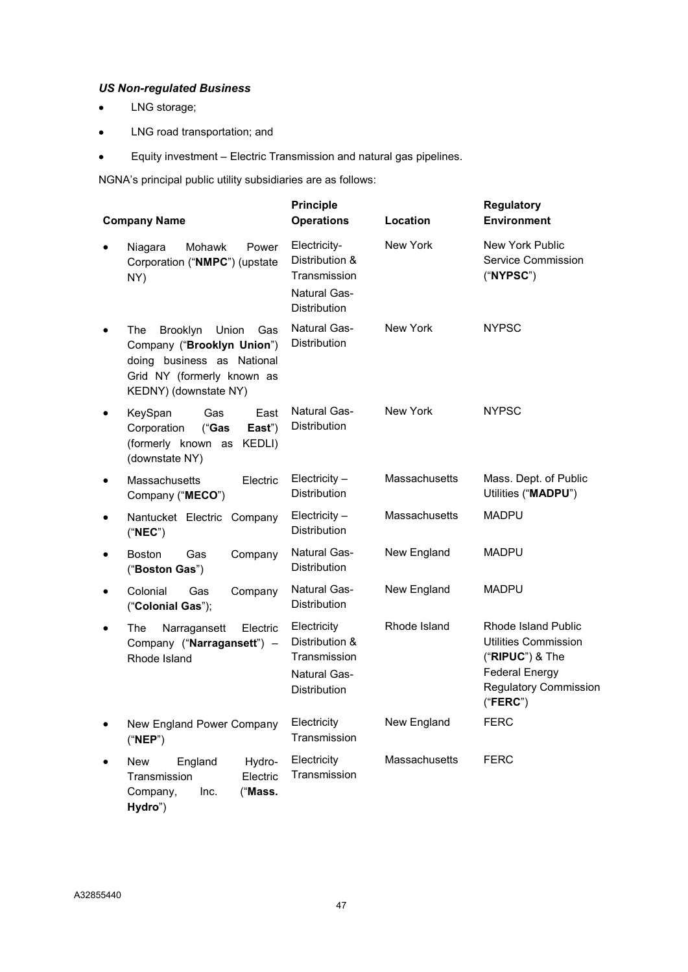# US Non-regulated Business

- LNG storage;
- LNG road transportation; and
- Equity investment Electric Transmission and natural gas pipelines.

NGNA's principal public utility subsidiaries are as follows:

| <b>Company Name</b>                                                                                                                                             | <b>Principle</b><br><b>Operations</b>                                                 | Location      | <b>Regulatory</b><br><b>Environment</b>                                                                                                      |  |  |  |
|-----------------------------------------------------------------------------------------------------------------------------------------------------------------|---------------------------------------------------------------------------------------|---------------|----------------------------------------------------------------------------------------------------------------------------------------------|--|--|--|
| Mohawk<br>Power<br>Niagara<br>$\bullet$<br>Corporation ("NMPC") (upstate<br>NY)                                                                                 | Electricity-<br>Distribution &<br>Transmission<br>Natural Gas-<br><b>Distribution</b> | New York      | New York Public<br>Service Commission<br>("NYPSC")                                                                                           |  |  |  |
| The<br>Brooklyn<br>Union<br>Gas<br>$\bullet$<br>Company ("Brooklyn Union")<br>doing business as National<br>Grid NY (formerly known as<br>KEDNY) (downstate NY) | <b>Natural Gas-</b><br><b>Distribution</b>                                            | New York      | <b>NYPSC</b>                                                                                                                                 |  |  |  |
| Gas<br>KeySpan<br>East<br>$\bullet$<br>Corporation<br>East")<br>("Gas<br>(formerly known as KEDLI)<br>(downstate NY)                                            | Natural Gas-<br><b>Distribution</b>                                                   | New York      | <b>NYPSC</b>                                                                                                                                 |  |  |  |
| Massachusetts<br>Electric<br>$\bullet$<br>Company ("MECO")                                                                                                      | $Electicity -$<br><b>Distribution</b>                                                 | Massachusetts | Mass. Dept. of Public<br>Utilities ("MADPU")                                                                                                 |  |  |  |
| Nantucket Electric Company<br>٠<br>("NEC")                                                                                                                      | $Electicity -$<br><b>Distribution</b>                                                 | Massachusetts | <b>MADPU</b>                                                                                                                                 |  |  |  |
| <b>Boston</b><br>Gas<br>Company<br>$\bullet$<br>("Boston Gas")                                                                                                  | <b>Natural Gas-</b><br><b>Distribution</b>                                            | New England   | <b>MADPU</b>                                                                                                                                 |  |  |  |
| Colonial<br>Gas<br>Company<br>$\bullet$<br>("Colonial Gas");                                                                                                    | Natural Gas-<br><b>Distribution</b>                                                   | New England   | <b>MADPU</b>                                                                                                                                 |  |  |  |
| The<br>Narragansett<br>Electric<br>$\bullet$<br>Company ("Narragansett") -<br>Rhode Island                                                                      | Electricity<br>Distribution &<br>Transmission<br>Natural Gas-<br><b>Distribution</b>  | Rhode Island  | Rhode Island Public<br><b>Utilities Commission</b><br>$("RIPUC")$ & The<br><b>Federal Energy</b><br><b>Regulatory Commission</b><br>("FERC") |  |  |  |
| New England Power Company<br>٠<br>("NEP")                                                                                                                       | Electricity<br>Transmission                                                           | New England   | <b>FERC</b>                                                                                                                                  |  |  |  |
| Hydro-<br>New<br>England<br>$\bullet$<br>Transmission<br>Electric<br>Inc.<br>Company,<br>("Mass.<br>Hydro")                                                     | Electricity<br>Transmission                                                           | Massachusetts | <b>FERC</b>                                                                                                                                  |  |  |  |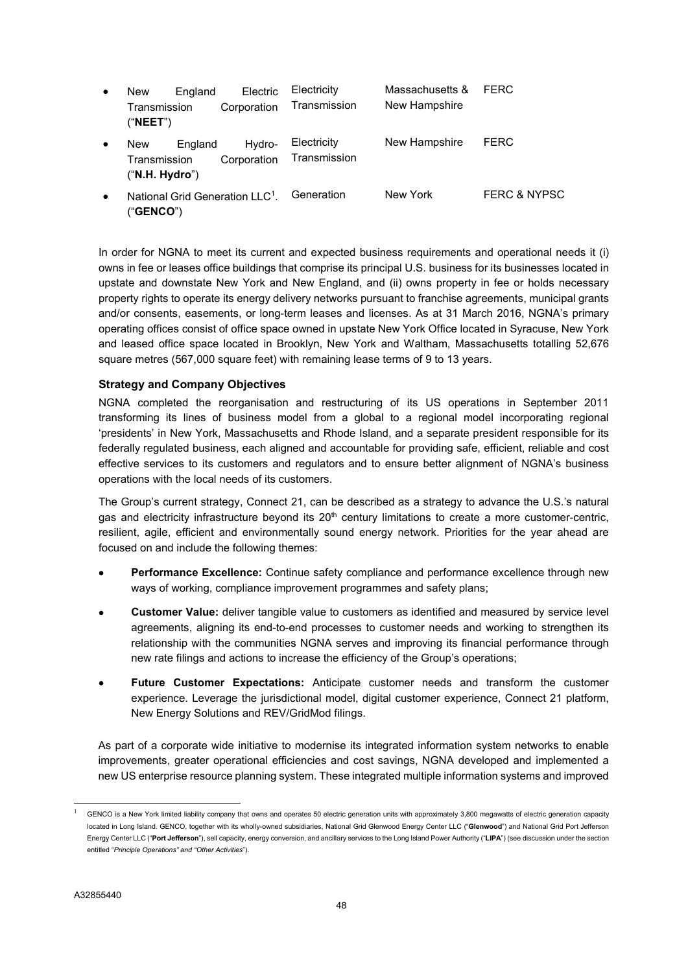| $\bullet$ | <b>New</b><br>Transmission<br>("NEET")       | England | Electric<br>Corporation | Electricity<br>Transmission | Massachusetts &<br>New Hampshire | <b>FERC</b> |
|-----------|----------------------------------------------|---------|-------------------------|-----------------------------|----------------------------------|-------------|
| $\bullet$ | <b>New</b><br>Transmission<br>("N.H. Hydro") | England | Hydro-<br>Corporation   | Electricity<br>Transmission | New Hampshire                    | <b>FERC</b> |
|           |                                              |         |                         |                             | $N = 1$ $N = 1$ .                | FFDQ 0 N    |

• National Grid Generation LLC<sup>1</sup>. ("GENCO") New York FERC & NYPSC

In order for NGNA to meet its current and expected business requirements and operational needs it (i) owns in fee or leases office buildings that comprise its principal U.S. business for its businesses located in upstate and downstate New York and New England, and (ii) owns property in fee or holds necessary property rights to operate its energy delivery networks pursuant to franchise agreements, municipal grants and/or consents, easements, or long-term leases and licenses. As at 31 March 2016, NGNA's primary operating offices consist of office space owned in upstate New York Office located in Syracuse, New York and leased office space located in Brooklyn, New York and Waltham, Massachusetts totalling 52,676 square metres (567,000 square feet) with remaining lease terms of 9 to 13 years.

### Strategy and Company Objectives

NGNA completed the reorganisation and restructuring of its US operations in September 2011 transforming its lines of business model from a global to a regional model incorporating regional 'presidents' in New York, Massachusetts and Rhode Island, and a separate president responsible for its federally regulated business, each aligned and accountable for providing safe, efficient, reliable and cost effective services to its customers and regulators and to ensure better alignment of NGNA's business operations with the local needs of its customers.

The Group's current strategy, Connect 21, can be described as a strategy to advance the U.S.'s natural gas and electricity infrastructure beyond its 20<sup>th</sup> century limitations to create a more customer-centric, resilient, agile, efficient and environmentally sound energy network. Priorities for the year ahead are focused on and include the following themes:

- Performance Excellence: Continue safety compliance and performance excellence through new ways of working, compliance improvement programmes and safety plans;
- Customer Value: deliver tangible value to customers as identified and measured by service level agreements, aligning its end-to-end processes to customer needs and working to strengthen its relationship with the communities NGNA serves and improving its financial performance through new rate filings and actions to increase the efficiency of the Group's operations;
- Future Customer Expectations: Anticipate customer needs and transform the customer experience. Leverage the jurisdictional model, digital customer experience, Connect 21 platform, New Energy Solutions and REV/GridMod filings.

As part of a corporate wide initiative to modernise its integrated information system networks to enable improvements, greater operational efficiencies and cost savings, NGNA developed and implemented a new US enterprise resource planning system. These integrated multiple information systems and improved

 $\overline{a}$ 

<sup>1</sup> GENCO is a New York limited liability company that owns and operates 50 electric generation units with approximately 3,800 megawatts of electric generation capacity located in Long Island. GENCO, together with its wholly-owned subsidiaries, National Grid Glenwood Energy Center LLC ("Glenwood") and National Grid Port Jefferson Energy Center LLC ("Port Jefferson"), sell capacity, energy conversion, and ancillary services to the Long Island Power Authority ("LIPA") (see discussion under the section entitled "Principle Operations" and "Other Activities").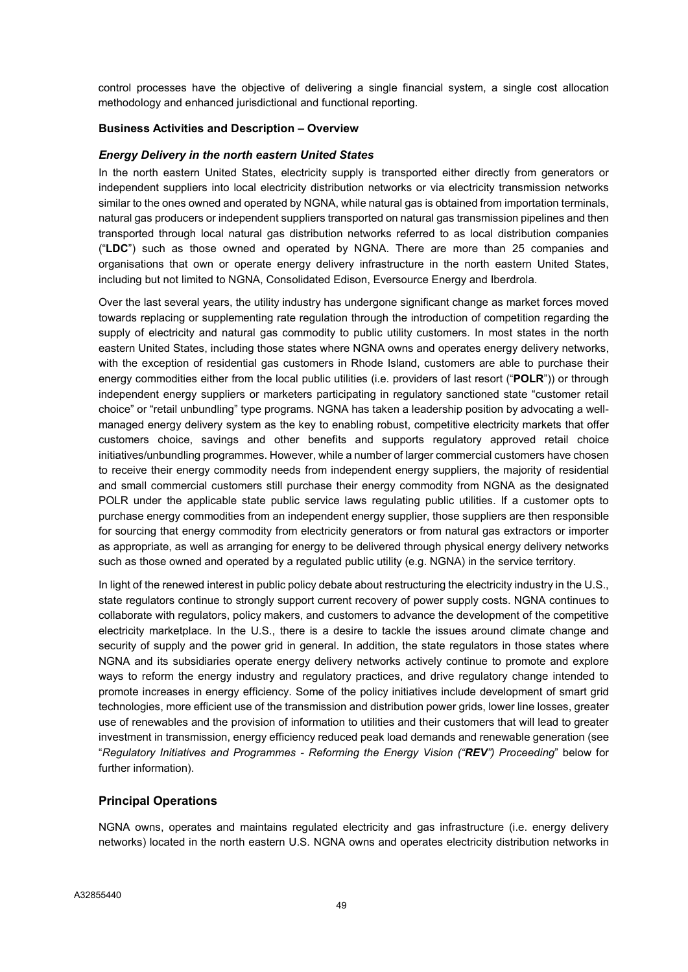control processes have the objective of delivering a single financial system, a single cost allocation methodology and enhanced jurisdictional and functional reporting.

### Business Activities and Description – Overview

### Energy Delivery in the north eastern United States

In the north eastern United States, electricity supply is transported either directly from generators or independent suppliers into local electricity distribution networks or via electricity transmission networks similar to the ones owned and operated by NGNA, while natural gas is obtained from importation terminals, natural gas producers or independent suppliers transported on natural gas transmission pipelines and then transported through local natural gas distribution networks referred to as local distribution companies ("LDC") such as those owned and operated by NGNA. There are more than 25 companies and organisations that own or operate energy delivery infrastructure in the north eastern United States, including but not limited to NGNA, Consolidated Edison, Eversource Energy and Iberdrola.

Over the last several years, the utility industry has undergone significant change as market forces moved towards replacing or supplementing rate regulation through the introduction of competition regarding the supply of electricity and natural gas commodity to public utility customers. In most states in the north eastern United States, including those states where NGNA owns and operates energy delivery networks, with the exception of residential gas customers in Rhode Island, customers are able to purchase their energy commodities either from the local public utilities (i.e. providers of last resort ("POLR")) or through independent energy suppliers or marketers participating in regulatory sanctioned state "customer retail choice" or "retail unbundling" type programs. NGNA has taken a leadership position by advocating a wellmanaged energy delivery system as the key to enabling robust, competitive electricity markets that offer customers choice, savings and other benefits and supports regulatory approved retail choice initiatives/unbundling programmes. However, while a number of larger commercial customers have chosen to receive their energy commodity needs from independent energy suppliers, the majority of residential and small commercial customers still purchase their energy commodity from NGNA as the designated POLR under the applicable state public service laws regulating public utilities. If a customer opts to purchase energy commodities from an independent energy supplier, those suppliers are then responsible for sourcing that energy commodity from electricity generators or from natural gas extractors or importer as appropriate, as well as arranging for energy to be delivered through physical energy delivery networks such as those owned and operated by a regulated public utility (e.g. NGNA) in the service territory.

In light of the renewed interest in public policy debate about restructuring the electricity industry in the U.S., state regulators continue to strongly support current recovery of power supply costs. NGNA continues to collaborate with regulators, policy makers, and customers to advance the development of the competitive electricity marketplace. In the U.S., there is a desire to tackle the issues around climate change and security of supply and the power grid in general. In addition, the state regulators in those states where NGNA and its subsidiaries operate energy delivery networks actively continue to promote and explore ways to reform the energy industry and regulatory practices, and drive regulatory change intended to promote increases in energy efficiency. Some of the policy initiatives include development of smart grid technologies, more efficient use of the transmission and distribution power grids, lower line losses, greater use of renewables and the provision of information to utilities and their customers that will lead to greater investment in transmission, energy efficiency reduced peak load demands and renewable generation (see "Regulatory Initiatives and Programmes - Reforming the Energy Vision ("REV") Proceeding" below for further information).

# Principal Operations

NGNA owns, operates and maintains regulated electricity and gas infrastructure (i.e. energy delivery networks) located in the north eastern U.S. NGNA owns and operates electricity distribution networks in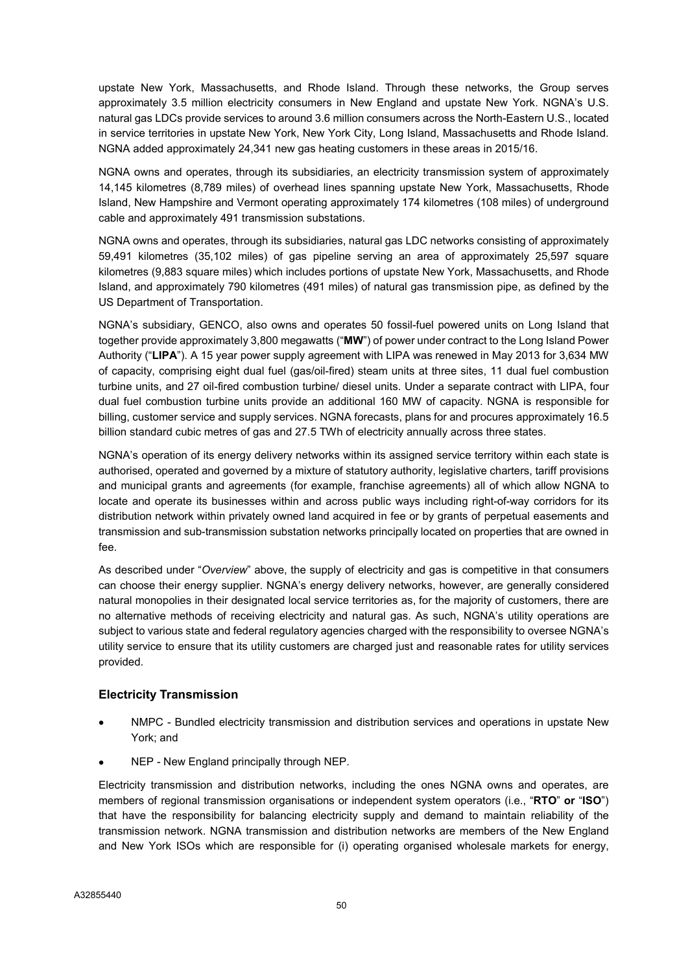upstate New York, Massachusetts, and Rhode Island. Through these networks, the Group serves approximately 3.5 million electricity consumers in New England and upstate New York. NGNA's U.S. natural gas LDCs provide services to around 3.6 million consumers across the North-Eastern U.S., located in service territories in upstate New York, New York City, Long Island, Massachusetts and Rhode Island. NGNA added approximately 24,341 new gas heating customers in these areas in 2015/16.

NGNA owns and operates, through its subsidiaries, an electricity transmission system of approximately 14,145 kilometres (8,789 miles) of overhead lines spanning upstate New York, Massachusetts, Rhode Island, New Hampshire and Vermont operating approximately 174 kilometres (108 miles) of underground cable and approximately 491 transmission substations.

NGNA owns and operates, through its subsidiaries, natural gas LDC networks consisting of approximately 59,491 kilometres (35,102 miles) of gas pipeline serving an area of approximately 25,597 square kilometres (9,883 square miles) which includes portions of upstate New York, Massachusetts, and Rhode Island, and approximately 790 kilometres (491 miles) of natural gas transmission pipe, as defined by the US Department of Transportation.

NGNA's subsidiary, GENCO, also owns and operates 50 fossil-fuel powered units on Long Island that together provide approximately 3,800 megawatts ("MW") of power under contract to the Long Island Power Authority ("LIPA"). A 15 year power supply agreement with LIPA was renewed in May 2013 for 3,634 MW of capacity, comprising eight dual fuel (gas/oil-fired) steam units at three sites, 11 dual fuel combustion turbine units, and 27 oil-fired combustion turbine/ diesel units. Under a separate contract with LIPA, four dual fuel combustion turbine units provide an additional 160 MW of capacity. NGNA is responsible for billing, customer service and supply services. NGNA forecasts, plans for and procures approximately 16.5 billion standard cubic metres of gas and 27.5 TWh of electricity annually across three states.

NGNA's operation of its energy delivery networks within its assigned service territory within each state is authorised, operated and governed by a mixture of statutory authority, legislative charters, tariff provisions and municipal grants and agreements (for example, franchise agreements) all of which allow NGNA to locate and operate its businesses within and across public ways including right-of-way corridors for its distribution network within privately owned land acquired in fee or by grants of perpetual easements and transmission and sub-transmission substation networks principally located on properties that are owned in fee.

As described under "Overview" above, the supply of electricity and gas is competitive in that consumers can choose their energy supplier. NGNA's energy delivery networks, however, are generally considered natural monopolies in their designated local service territories as, for the majority of customers, there are no alternative methods of receiving electricity and natural gas. As such, NGNA's utility operations are subject to various state and federal regulatory agencies charged with the responsibility to oversee NGNA's utility service to ensure that its utility customers are charged just and reasonable rates for utility services provided.

# Electricity Transmission

- NMPC Bundled electricity transmission and distribution services and operations in upstate New York; and
- NEP New England principally through NEP.

Electricity transmission and distribution networks, including the ones NGNA owns and operates, are members of regional transmission organisations or independent system operators (i.e., "RTO" or "ISO") that have the responsibility for balancing electricity supply and demand to maintain reliability of the transmission network. NGNA transmission and distribution networks are members of the New England and New York ISOs which are responsible for (i) operating organised wholesale markets for energy,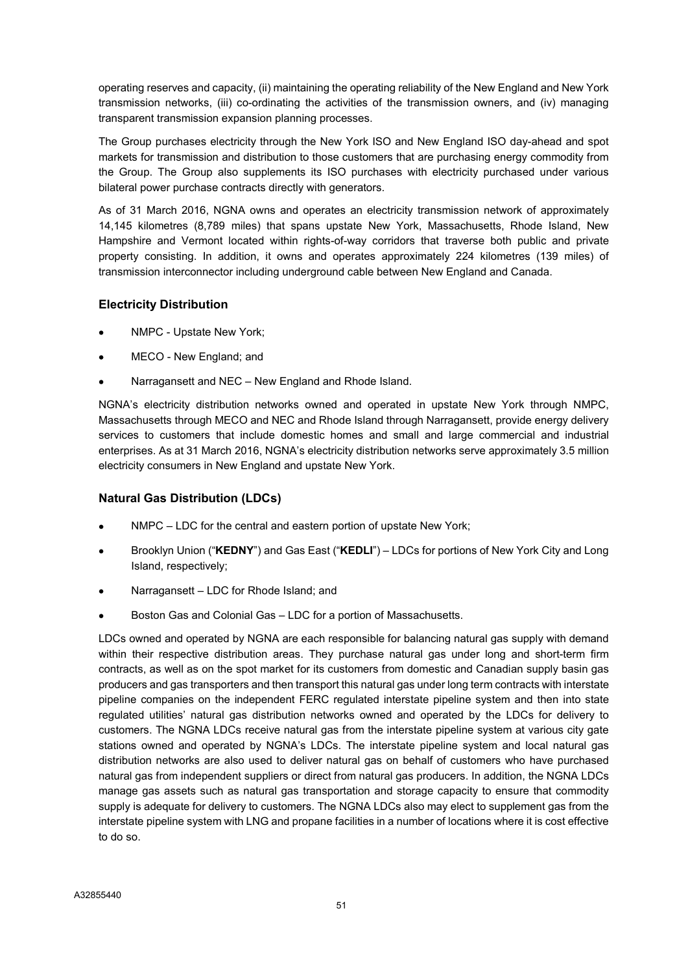operating reserves and capacity, (ii) maintaining the operating reliability of the New England and New York transmission networks, (iii) co-ordinating the activities of the transmission owners, and (iv) managing transparent transmission expansion planning processes.

The Group purchases electricity through the New York ISO and New England ISO day-ahead and spot markets for transmission and distribution to those customers that are purchasing energy commodity from the Group. The Group also supplements its ISO purchases with electricity purchased under various bilateral power purchase contracts directly with generators.

As of 31 March 2016, NGNA owns and operates an electricity transmission network of approximately 14,145 kilometres (8,789 miles) that spans upstate New York, Massachusetts, Rhode Island, New Hampshire and Vermont located within rights-of-way corridors that traverse both public and private property consisting. In addition, it owns and operates approximately 224 kilometres (139 miles) of transmission interconnector including underground cable between New England and Canada.

# Electricity Distribution

- NMPC Upstate New York;
- MECO New England; and
- Narragansett and NEC New England and Rhode Island.

NGNA's electricity distribution networks owned and operated in upstate New York through NMPC, Massachusetts through MECO and NEC and Rhode Island through Narragansett, provide energy delivery services to customers that include domestic homes and small and large commercial and industrial enterprises. As at 31 March 2016, NGNA's electricity distribution networks serve approximately 3.5 million electricity consumers in New England and upstate New York.

# Natural Gas Distribution (LDCs)

- NMPC LDC for the central and eastern portion of upstate New York;
- Brooklyn Union ("KEDNY") and Gas East ("KEDLI") LDCs for portions of New York City and Long Island, respectively;
- Narragansett LDC for Rhode Island; and
- Boston Gas and Colonial Gas LDC for a portion of Massachusetts.

LDCs owned and operated by NGNA are each responsible for balancing natural gas supply with demand within their respective distribution areas. They purchase natural gas under long and short-term firm contracts, as well as on the spot market for its customers from domestic and Canadian supply basin gas producers and gas transporters and then transport this natural gas under long term contracts with interstate pipeline companies on the independent FERC regulated interstate pipeline system and then into state regulated utilities' natural gas distribution networks owned and operated by the LDCs for delivery to customers. The NGNA LDCs receive natural gas from the interstate pipeline system at various city gate stations owned and operated by NGNA's LDCs. The interstate pipeline system and local natural gas distribution networks are also used to deliver natural gas on behalf of customers who have purchased natural gas from independent suppliers or direct from natural gas producers. In addition, the NGNA LDCs manage gas assets such as natural gas transportation and storage capacity to ensure that commodity supply is adequate for delivery to customers. The NGNA LDCs also may elect to supplement gas from the interstate pipeline system with LNG and propane facilities in a number of locations where it is cost effective to do so.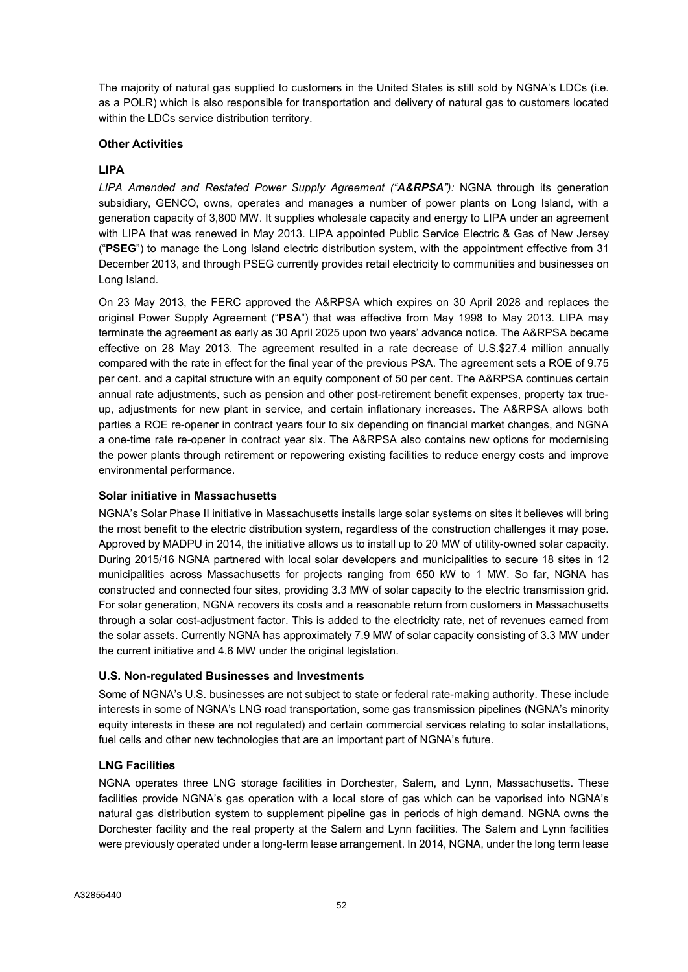The majority of natural gas supplied to customers in the United States is still sold by NGNA's LDCs (i.e. as a POLR) which is also responsible for transportation and delivery of natural gas to customers located within the LDCs service distribution territory.

### Other Activities

### LIPA

LIPA Amended and Restated Power Supply Agreement ("A&RPSA"): NGNA through its generation subsidiary, GENCO, owns, operates and manages a number of power plants on Long Island, with a generation capacity of 3,800 MW. It supplies wholesale capacity and energy to LIPA under an agreement with LIPA that was renewed in May 2013. LIPA appointed Public Service Electric & Gas of New Jersey ("PSEG") to manage the Long Island electric distribution system, with the appointment effective from 31 December 2013, and through PSEG currently provides retail electricity to communities and businesses on Long Island.

On 23 May 2013, the FERC approved the A&RPSA which expires on 30 April 2028 and replaces the original Power Supply Agreement ("PSA") that was effective from May 1998 to May 2013. LIPA may terminate the agreement as early as 30 April 2025 upon two years' advance notice. The A&RPSA became effective on 28 May 2013. The agreement resulted in a rate decrease of U.S.\$27.4 million annually compared with the rate in effect for the final year of the previous PSA. The agreement sets a ROE of 9.75 per cent. and a capital structure with an equity component of 50 per cent. The A&RPSA continues certain annual rate adjustments, such as pension and other post-retirement benefit expenses, property tax trueup, adjustments for new plant in service, and certain inflationary increases. The A&RPSA allows both parties a ROE re-opener in contract years four to six depending on financial market changes, and NGNA a one-time rate re-opener in contract year six. The A&RPSA also contains new options for modernising the power plants through retirement or repowering existing facilities to reduce energy costs and improve environmental performance.

# Solar initiative in Massachusetts

NGNA's Solar Phase II initiative in Massachusetts installs large solar systems on sites it believes will bring the most benefit to the electric distribution system, regardless of the construction challenges it may pose. Approved by MADPU in 2014, the initiative allows us to install up to 20 MW of utility-owned solar capacity. During 2015/16 NGNA partnered with local solar developers and municipalities to secure 18 sites in 12 municipalities across Massachusetts for projects ranging from 650 kW to 1 MW. So far, NGNA has constructed and connected four sites, providing 3.3 MW of solar capacity to the electric transmission grid. For solar generation, NGNA recovers its costs and a reasonable return from customers in Massachusetts through a solar cost-adjustment factor. This is added to the electricity rate, net of revenues earned from the solar assets. Currently NGNA has approximately 7.9 MW of solar capacity consisting of 3.3 MW under the current initiative and 4.6 MW under the original legislation.

# U.S. Non-regulated Businesses and Investments

Some of NGNA's U.S. businesses are not subject to state or federal rate-making authority. These include interests in some of NGNA's LNG road transportation, some gas transmission pipelines (NGNA's minority equity interests in these are not regulated) and certain commercial services relating to solar installations, fuel cells and other new technologies that are an important part of NGNA's future.

# LNG Facilities

NGNA operates three LNG storage facilities in Dorchester, Salem, and Lynn, Massachusetts. These facilities provide NGNA's gas operation with a local store of gas which can be vaporised into NGNA's natural gas distribution system to supplement pipeline gas in periods of high demand. NGNA owns the Dorchester facility and the real property at the Salem and Lynn facilities. The Salem and Lynn facilities were previously operated under a long-term lease arrangement. In 2014, NGNA, under the long term lease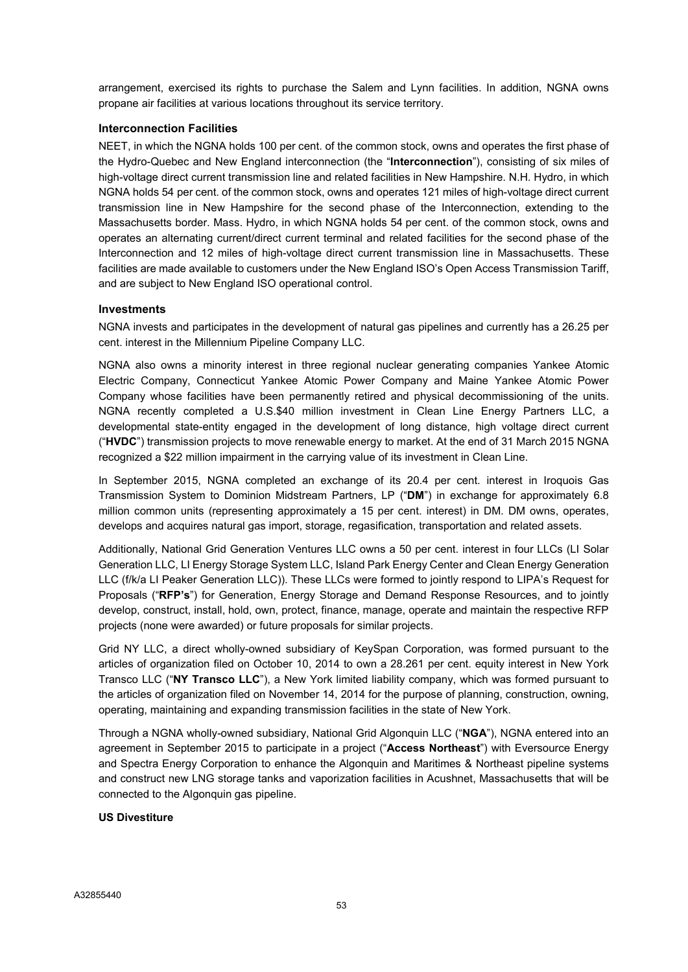arrangement, exercised its rights to purchase the Salem and Lynn facilities. In addition, NGNA owns propane air facilities at various locations throughout its service territory.

### Interconnection Facilities

NEET, in which the NGNA holds 100 per cent. of the common stock, owns and operates the first phase of the Hydro-Quebec and New England interconnection (the "Interconnection"), consisting of six miles of high-voltage direct current transmission line and related facilities in New Hampshire. N.H. Hydro, in which NGNA holds 54 per cent. of the common stock, owns and operates 121 miles of high-voltage direct current transmission line in New Hampshire for the second phase of the Interconnection, extending to the Massachusetts border. Mass. Hydro, in which NGNA holds 54 per cent. of the common stock, owns and operates an alternating current/direct current terminal and related facilities for the second phase of the Interconnection and 12 miles of high-voltage direct current transmission line in Massachusetts. These facilities are made available to customers under the New England ISO's Open Access Transmission Tariff, and are subject to New England ISO operational control.

### Investments

NGNA invests and participates in the development of natural gas pipelines and currently has a 26.25 per cent. interest in the Millennium Pipeline Company LLC.

NGNA also owns a minority interest in three regional nuclear generating companies Yankee Atomic Electric Company, Connecticut Yankee Atomic Power Company and Maine Yankee Atomic Power Company whose facilities have been permanently retired and physical decommissioning of the units. NGNA recently completed a U.S.\$40 million investment in Clean Line Energy Partners LLC, a developmental state-entity engaged in the development of long distance, high voltage direct current ("HVDC") transmission projects to move renewable energy to market. At the end of 31 March 2015 NGNA recognized a \$22 million impairment in the carrying value of its investment in Clean Line.

In September 2015, NGNA completed an exchange of its 20.4 per cent. interest in Iroquois Gas Transmission System to Dominion Midstream Partners, LP ("DM") in exchange for approximately 6.8 million common units (representing approximately a 15 per cent. interest) in DM. DM owns, operates, develops and acquires natural gas import, storage, regasification, transportation and related assets.

Additionally, National Grid Generation Ventures LLC owns a 50 per cent. interest in four LLCs (LI Solar Generation LLC, LI Energy Storage System LLC, Island Park Energy Center and Clean Energy Generation LLC (f/k/a LI Peaker Generation LLC)). These LLCs were formed to jointly respond to LIPA's Request for Proposals ("RFP's") for Generation, Energy Storage and Demand Response Resources, and to jointly develop, construct, install, hold, own, protect, finance, manage, operate and maintain the respective RFP projects (none were awarded) or future proposals for similar projects.

Grid NY LLC, a direct wholly-owned subsidiary of KeySpan Corporation, was formed pursuant to the articles of organization filed on October 10, 2014 to own a 28.261 per cent. equity interest in New York Transco LLC ("NY Transco LLC"), a New York limited liability company, which was formed pursuant to the articles of organization filed on November 14, 2014 for the purpose of planning, construction, owning, operating, maintaining and expanding transmission facilities in the state of New York.

Through a NGNA wholly-owned subsidiary, National Grid Algonquin LLC ("NGA"), NGNA entered into an agreement in September 2015 to participate in a project ("Access Northeast") with Eversource Energy and Spectra Energy Corporation to enhance the Algonquin and Maritimes & Northeast pipeline systems and construct new LNG storage tanks and vaporization facilities in Acushnet, Massachusetts that will be connected to the Algonquin gas pipeline.

### US Divestiture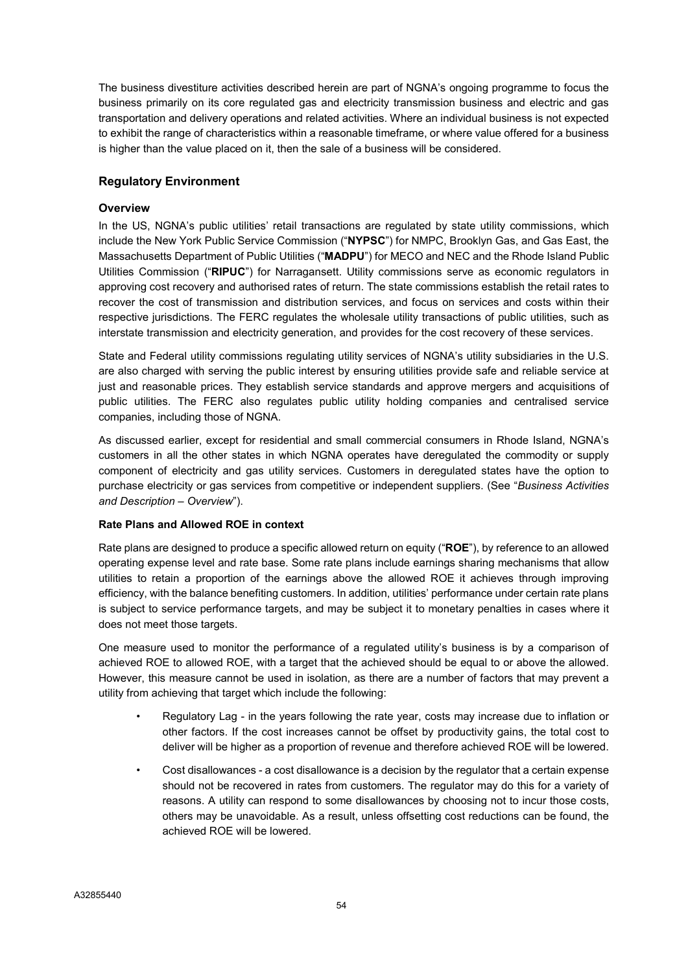The business divestiture activities described herein are part of NGNA's ongoing programme to focus the business primarily on its core regulated gas and electricity transmission business and electric and gas transportation and delivery operations and related activities. Where an individual business is not expected to exhibit the range of characteristics within a reasonable timeframe, or where value offered for a business is higher than the value placed on it, then the sale of a business will be considered.

# Regulatory Environment

### **Overview**

In the US, NGNA's public utilities' retail transactions are regulated by state utility commissions, which include the New York Public Service Commission ("NYPSC") for NMPC, Brooklyn Gas, and Gas East, the Massachusetts Department of Public Utilities ("MADPU") for MECO and NEC and the Rhode Island Public Utilities Commission ("RIPUC") for Narragansett. Utility commissions serve as economic regulators in approving cost recovery and authorised rates of return. The state commissions establish the retail rates to recover the cost of transmission and distribution services, and focus on services and costs within their respective jurisdictions. The FERC regulates the wholesale utility transactions of public utilities, such as interstate transmission and electricity generation, and provides for the cost recovery of these services.

State and Federal utility commissions regulating utility services of NGNA's utility subsidiaries in the U.S. are also charged with serving the public interest by ensuring utilities provide safe and reliable service at just and reasonable prices. They establish service standards and approve mergers and acquisitions of public utilities. The FERC also regulates public utility holding companies and centralised service companies, including those of NGNA.

As discussed earlier, except for residential and small commercial consumers in Rhode Island, NGNA's customers in all the other states in which NGNA operates have deregulated the commodity or supply component of electricity and gas utility services. Customers in deregulated states have the option to purchase electricity or gas services from competitive or independent suppliers. (See "Business Activities" and Description – Overview").

### Rate Plans and Allowed ROE in context

Rate plans are designed to produce a specific allowed return on equity ("ROE"), by reference to an allowed operating expense level and rate base. Some rate plans include earnings sharing mechanisms that allow utilities to retain a proportion of the earnings above the allowed ROE it achieves through improving efficiency, with the balance benefiting customers. In addition, utilities' performance under certain rate plans is subject to service performance targets, and may be subject it to monetary penalties in cases where it does not meet those targets.

One measure used to monitor the performance of a regulated utility's business is by a comparison of achieved ROE to allowed ROE, with a target that the achieved should be equal to or above the allowed. However, this measure cannot be used in isolation, as there are a number of factors that may prevent a utility from achieving that target which include the following:

- Regulatory Lag in the years following the rate year, costs may increase due to inflation or other factors. If the cost increases cannot be offset by productivity gains, the total cost to deliver will be higher as a proportion of revenue and therefore achieved ROE will be lowered.
- Cost disallowances a cost disallowance is a decision by the regulator that a certain expense should not be recovered in rates from customers. The regulator may do this for a variety of reasons. A utility can respond to some disallowances by choosing not to incur those costs, others may be unavoidable. As a result, unless offsetting cost reductions can be found, the achieved ROE will be lowered.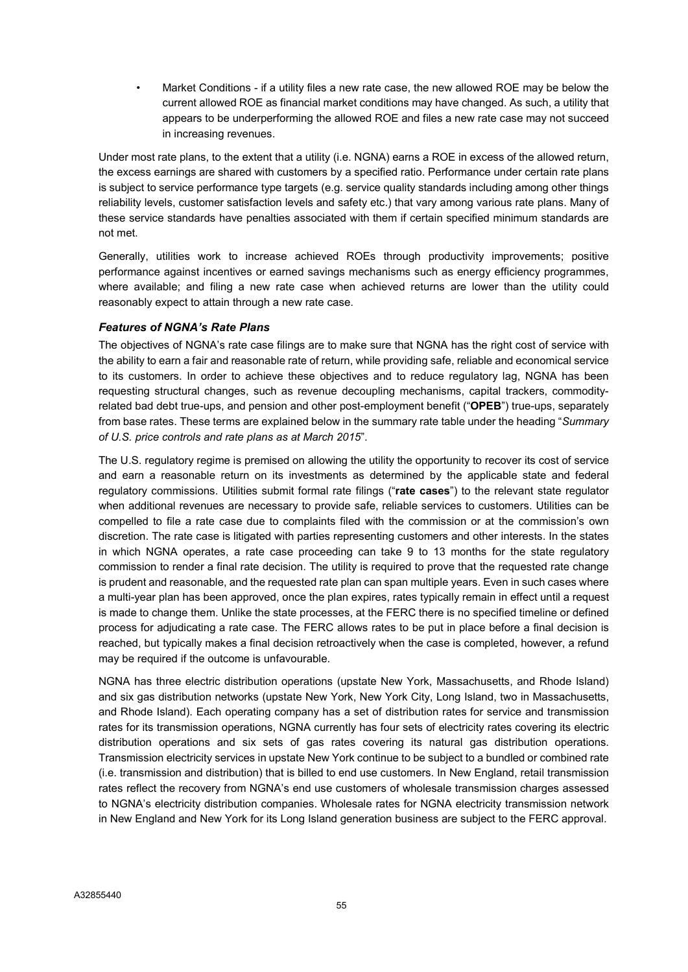• Market Conditions - if a utility files a new rate case, the new allowed ROE may be below the current allowed ROE as financial market conditions may have changed. As such, a utility that appears to be underperforming the allowed ROE and files a new rate case may not succeed in increasing revenues.

Under most rate plans, to the extent that a utility (i.e. NGNA) earns a ROE in excess of the allowed return, the excess earnings are shared with customers by a specified ratio. Performance under certain rate plans is subject to service performance type targets (e.g. service quality standards including among other things reliability levels, customer satisfaction levels and safety etc.) that vary among various rate plans. Many of these service standards have penalties associated with them if certain specified minimum standards are not met.

Generally, utilities work to increase achieved ROEs through productivity improvements; positive performance against incentives or earned savings mechanisms such as energy efficiency programmes, where available; and filing a new rate case when achieved returns are lower than the utility could reasonably expect to attain through a new rate case.

# Features of NGNA's Rate Plans

The objectives of NGNA's rate case filings are to make sure that NGNA has the right cost of service with the ability to earn a fair and reasonable rate of return, while providing safe, reliable and economical service to its customers. In order to achieve these objectives and to reduce regulatory lag, NGNA has been requesting structural changes, such as revenue decoupling mechanisms, capital trackers, commodityrelated bad debt true-ups, and pension and other post-employment benefit ("OPEB") true-ups, separately from base rates. These terms are explained below in the summary rate table under the heading "Summary of U.S. price controls and rate plans as at March 2015".

The U.S. regulatory regime is premised on allowing the utility the opportunity to recover its cost of service and earn a reasonable return on its investments as determined by the applicable state and federal regulatory commissions. Utilities submit formal rate filings ("rate cases") to the relevant state regulator when additional revenues are necessary to provide safe, reliable services to customers. Utilities can be compelled to file a rate case due to complaints filed with the commission or at the commission's own discretion. The rate case is litigated with parties representing customers and other interests. In the states in which NGNA operates, a rate case proceeding can take 9 to 13 months for the state regulatory commission to render a final rate decision. The utility is required to prove that the requested rate change is prudent and reasonable, and the requested rate plan can span multiple years. Even in such cases where a multi-year plan has been approved, once the plan expires, rates typically remain in effect until a request is made to change them. Unlike the state processes, at the FERC there is no specified timeline or defined process for adjudicating a rate case. The FERC allows rates to be put in place before a final decision is reached, but typically makes a final decision retroactively when the case is completed, however, a refund may be required if the outcome is unfavourable.

NGNA has three electric distribution operations (upstate New York, Massachusetts, and Rhode Island) and six gas distribution networks (upstate New York, New York City, Long Island, two in Massachusetts, and Rhode Island). Each operating company has a set of distribution rates for service and transmission rates for its transmission operations, NGNA currently has four sets of electricity rates covering its electric distribution operations and six sets of gas rates covering its natural gas distribution operations. Transmission electricity services in upstate New York continue to be subject to a bundled or combined rate (i.e. transmission and distribution) that is billed to end use customers. In New England, retail transmission rates reflect the recovery from NGNA's end use customers of wholesale transmission charges assessed to NGNA's electricity distribution companies. Wholesale rates for NGNA electricity transmission network in New England and New York for its Long Island generation business are subject to the FERC approval.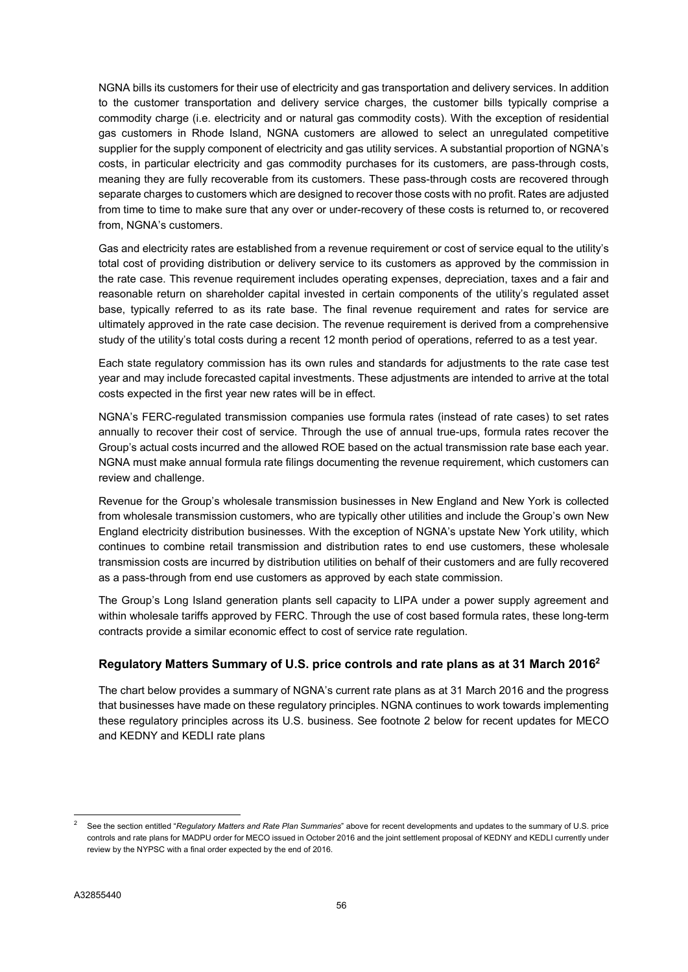NGNA bills its customers for their use of electricity and gas transportation and delivery services. In addition to the customer transportation and delivery service charges, the customer bills typically comprise a commodity charge (i.e. electricity and or natural gas commodity costs). With the exception of residential gas customers in Rhode Island, NGNA customers are allowed to select an unregulated competitive supplier for the supply component of electricity and gas utility services. A substantial proportion of NGNA's costs, in particular electricity and gas commodity purchases for its customers, are pass-through costs, meaning they are fully recoverable from its customers. These pass-through costs are recovered through separate charges to customers which are designed to recover those costs with no profit. Rates are adjusted from time to time to make sure that any over or under-recovery of these costs is returned to, or recovered from, NGNA's customers.

Gas and electricity rates are established from a revenue requirement or cost of service equal to the utility's total cost of providing distribution or delivery service to its customers as approved by the commission in the rate case. This revenue requirement includes operating expenses, depreciation, taxes and a fair and reasonable return on shareholder capital invested in certain components of the utility's regulated asset base, typically referred to as its rate base. The final revenue requirement and rates for service are ultimately approved in the rate case decision. The revenue requirement is derived from a comprehensive study of the utility's total costs during a recent 12 month period of operations, referred to as a test year.

Each state regulatory commission has its own rules and standards for adjustments to the rate case test year and may include forecasted capital investments. These adjustments are intended to arrive at the total costs expected in the first year new rates will be in effect.

NGNA's FERC-regulated transmission companies use formula rates (instead of rate cases) to set rates annually to recover their cost of service. Through the use of annual true-ups, formula rates recover the Group's actual costs incurred and the allowed ROE based on the actual transmission rate base each year. NGNA must make annual formula rate filings documenting the revenue requirement, which customers can review and challenge.

Revenue for the Group's wholesale transmission businesses in New England and New York is collected from wholesale transmission customers, who are typically other utilities and include the Group's own New England electricity distribution businesses. With the exception of NGNA's upstate New York utility, which continues to combine retail transmission and distribution rates to end use customers, these wholesale transmission costs are incurred by distribution utilities on behalf of their customers and are fully recovered as a pass-through from end use customers as approved by each state commission.

The Group's Long Island generation plants sell capacity to LIPA under a power supply agreement and within wholesale tariffs approved by FERC. Through the use of cost based formula rates, these long-term contracts provide a similar economic effect to cost of service rate regulation.

# Regulatory Matters Summary of U.S. price controls and rate plans as at 31 March 2016<sup>2</sup>

The chart below provides a summary of NGNA's current rate plans as at 31 March 2016 and the progress that businesses have made on these regulatory principles. NGNA continues to work towards implementing these regulatory principles across its U.S. business. See footnote 2 below for recent updates for MECO and KEDNY and KEDLI rate plans

See the section entitled "Regulatory Matters and Rate Plan Summaries" above for recent developments and updates to the summary of U.S. price controls and rate plans for MADPU order for MECO issued in October 2016 and the joint settlement proposal of KEDNY and KEDLI currently under review by the NYPSC with a final order expected by the end of 2016.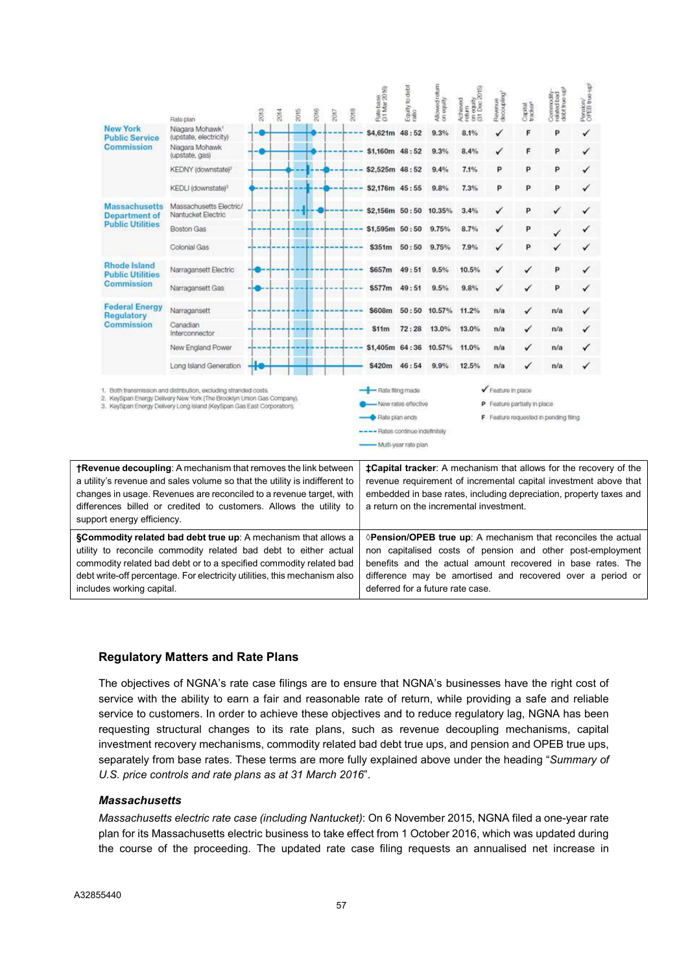|                                                                                                                                                                                                                                                                                                                                                                                                  | Rato plan                                                                                                                                                                                                           | 2013 | 2014 | 2015 | 2016 | 2017 | 2018 | Rate base<br>(31 Mar 2016)                                               | Equity to debt<br>ratio                       | Allowed return | Achieved<br>return<br>cin equity<br>cit Dec 2015) | Revenue<br>decoupling? | Capital<br>tracker <sup>e</sup> | Commodity-<br>related bad<br>debt true up! | Persion/<br>OPEB true-up |                                                                                                                                                                                                                                                                                             |
|--------------------------------------------------------------------------------------------------------------------------------------------------------------------------------------------------------------------------------------------------------------------------------------------------------------------------------------------------------------------------------------------------|---------------------------------------------------------------------------------------------------------------------------------------------------------------------------------------------------------------------|------|------|------|------|------|------|--------------------------------------------------------------------------|-----------------------------------------------|----------------|---------------------------------------------------|------------------------|---------------------------------|--------------------------------------------|--------------------------|---------------------------------------------------------------------------------------------------------------------------------------------------------------------------------------------------------------------------------------------------------------------------------------------|
| <b>New York</b><br><b>Public Service</b>                                                                                                                                                                                                                                                                                                                                                         | Niagara Mohawk <sup>+</sup><br>(upstate, electricity)                                                                                                                                                               |      |      |      |      |      |      | \$4,621m 48:52                                                           |                                               | 9.3%           | 8.1%                                              |                        | F                               | p                                          | ✓                        |                                                                                                                                                                                                                                                                                             |
| Commission                                                                                                                                                                                                                                                                                                                                                                                       | Niagara Mohawk<br>(upstate, gas)                                                                                                                                                                                    |      |      |      |      |      |      | \$1,160m 48:52                                                           |                                               | 9.3%           | 8.4%                                              |                        | F                               | P                                          |                          |                                                                                                                                                                                                                                                                                             |
|                                                                                                                                                                                                                                                                                                                                                                                                  | KEDNY (downstate)?                                                                                                                                                                                                  |      |      |      |      |      |      | \$2,525m 48:52                                                           |                                               | 9.4%           | 7.1%                                              | p                      | P                               | P                                          |                          |                                                                                                                                                                                                                                                                                             |
|                                                                                                                                                                                                                                                                                                                                                                                                  | KEDLI (downstate) <sup>®</sup>                                                                                                                                                                                      |      |      |      |      |      |      | \$2,176m 45:55                                                           |                                               | 9.8%           | 7.3%                                              | P                      | P                               | P                                          |                          |                                                                                                                                                                                                                                                                                             |
| <b>Massachusetts</b><br>Department of                                                                                                                                                                                                                                                                                                                                                            | Massachusetts Electric/<br>Nantucket Electric                                                                                                                                                                       |      |      |      |      |      |      | \$2,156m 50:50                                                           |                                               | 10.35%         | 3.4%                                              | ✓                      | P                               |                                            |                          |                                                                                                                                                                                                                                                                                             |
| <b>Public Utilities</b>                                                                                                                                                                                                                                                                                                                                                                          | Boston Gas                                                                                                                                                                                                          |      |      |      |      |      |      | \$1,595m 50:50                                                           |                                               | 9.75%          | 8.7%                                              | ✓                      | P                               |                                            |                          |                                                                                                                                                                                                                                                                                             |
|                                                                                                                                                                                                                                                                                                                                                                                                  | Colonial Gas                                                                                                                                                                                                        |      |      |      |      |      |      | \$351m                                                                   | 50:50                                         | 9.75%          | 7.9%                                              | ✓                      | p                               |                                            |                          |                                                                                                                                                                                                                                                                                             |
| Rhode Island<br><b>Public Utilities</b>                                                                                                                                                                                                                                                                                                                                                          | Narragansett Electric                                                                                                                                                                                               |      |      |      |      |      |      | \$657m                                                                   | 49:51                                         | 9.5%           | 10.5%                                             |                        |                                 | p                                          |                          |                                                                                                                                                                                                                                                                                             |
| Commission                                                                                                                                                                                                                                                                                                                                                                                       | Narragansett Gas                                                                                                                                                                                                    |      |      |      |      |      |      | \$577m                                                                   | 49:51                                         | 9.5%           | 9.8%                                              |                        |                                 | P                                          |                          |                                                                                                                                                                                                                                                                                             |
| <b>Federal Energy</b><br>Regulatory                                                                                                                                                                                                                                                                                                                                                              | Narragansett                                                                                                                                                                                                        |      |      |      |      |      |      | \$608m                                                                   | 50:50                                         | 10.57%         | 11.2%                                             | n/a                    | ✓                               | n/a                                        |                          |                                                                                                                                                                                                                                                                                             |
| Commission                                                                                                                                                                                                                                                                                                                                                                                       | Canadian<br>Interconnector                                                                                                                                                                                          |      |      |      |      |      |      | \$11m                                                                    | 72:28                                         | 13.0%          | 13.0%                                             | n/a                    |                                 | n/a                                        |                          |                                                                                                                                                                                                                                                                                             |
|                                                                                                                                                                                                                                                                                                                                                                                                  | New England Power                                                                                                                                                                                                   |      |      |      |      |      |      | \$1,405m                                                                 | 64:36                                         | 10.57%         | 11.0%                                             | n/a                    |                                 | n/a                                        |                          |                                                                                                                                                                                                                                                                                             |
|                                                                                                                                                                                                                                                                                                                                                                                                  | Long Island Generation                                                                                                                                                                                              |      |      |      |      |      |      | \$420m                                                                   | 46:54                                         | 9.9%           | 12.5%                                             | n/a                    |                                 | n/a                                        |                          |                                                                                                                                                                                                                                                                                             |
|                                                                                                                                                                                                                                                                                                                                                                                                  | 1. Both transmission and distribution, excluding stranded costs.<br>2. KeySpan Energy Delivery New York (The Brooklyn Union Gas Company).<br>3. KeySpan Energy Delivery Long Island (KeySpan Gas East Corporation). |      |      |      |      |      |      | - Rate filing made<br>Rate plan ends<br>---- Rates continue indefinitely | New rates effective<br>- Multi-year rate plan |                |                                                   | ✔ Feature in place     | P Feature partially in place    | F Feature requested in pending filing      |                          |                                                                                                                                                                                                                                                                                             |
| <b>†Revenue decoupling:</b> A mechanism that removes the link between<br>a utility's revenue and sales volume so that the utility is indifferent to<br>changes in usage. Revenues are reconciled to a revenue target, with<br>differences billed or credited to customers. Allows the utility to<br>support energy efficiency.<br>§Commodity related bad debt true up: A mechanism that allows a |                                                                                                                                                                                                                     |      |      |      |      |      |      |                                                                          |                                               |                | a return on the incremental investment.           |                        |                                 |                                            |                          | <b>‡Capital tracker:</b> A mechanism that allows for the recovery of the<br>revenue requirement of incremental capital investment above that<br>embedded in base rates, including depreciation, property taxes and<br><b> ◆Pension/OPEB true up:</b> A mechanism that reconciles the actual |
| utility to reconcile commodity related bad debt to either actual<br>commodity related bad debt or to a specified commodity related bad                                                                                                                                                                                                                                                           | debt write-off percentage. For electricity utilities, this mechanism also                                                                                                                                           |      |      |      |      |      |      |                                                                          |                                               |                |                                                   |                        |                                 |                                            |                          | non capitalised costs of pension and other post-employment<br>benefits and the actual amount recovered in base rates. The<br>difference may be amortised and recovered over a period or                                                                                                     |

# Regulatory Matters and Rate Plans

The objectives of NGNA's rate case filings are to ensure that NGNA's businesses have the right cost of service with the ability to earn a fair and reasonable rate of return, while providing a safe and reliable service to customers. In order to achieve these objectives and to reduce regulatory lag, NGNA has been requesting structural changes to its rate plans, such as revenue decoupling mechanisms, capital investment recovery mechanisms, commodity related bad debt true ups, and pension and OPEB true ups, separately from base rates. These terms are more fully explained above under the heading "Summary of U.S. price controls and rate plans as at 31 March 2016".

deferred for a future rate case.

### **Massachusetts**

includes working capital.

Massachusetts electric rate case (including Nantucket): On 6 November 2015, NGNA filed a one-year rate plan for its Massachusetts electric business to take effect from 1 October 2016, which was updated during the course of the proceeding. The updated rate case filing requests an annualised net increase in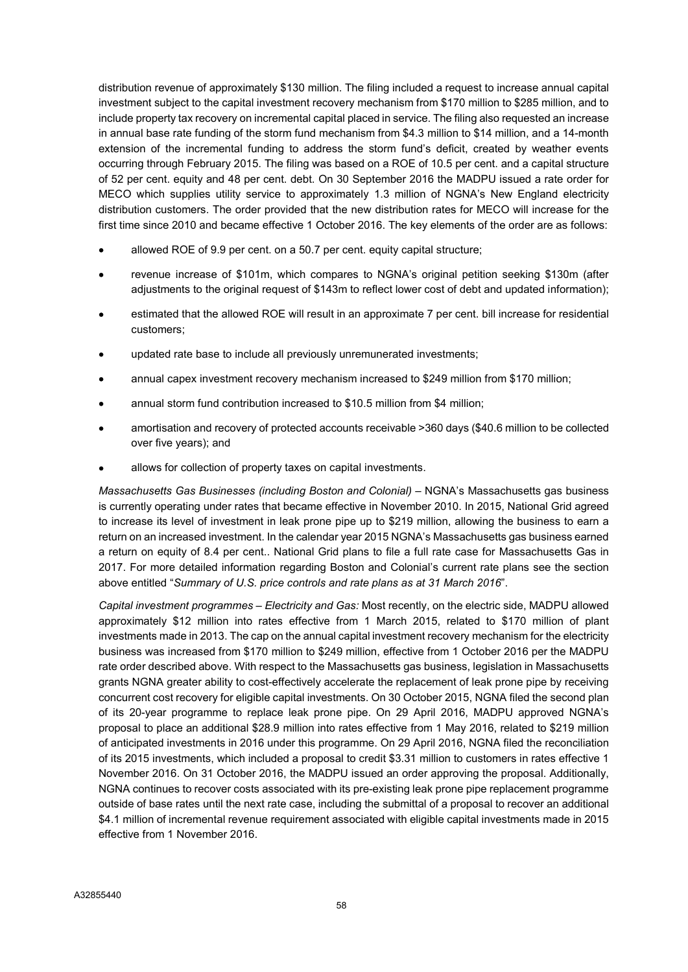distribution revenue of approximately \$130 million. The filing included a request to increase annual capital investment subject to the capital investment recovery mechanism from \$170 million to \$285 million, and to include property tax recovery on incremental capital placed in service. The filing also requested an increase in annual base rate funding of the storm fund mechanism from \$4.3 million to \$14 million, and a 14-month extension of the incremental funding to address the storm fund's deficit, created by weather events occurring through February 2015. The filing was based on a ROE of 10.5 per cent. and a capital structure of 52 per cent. equity and 48 per cent. debt. On 30 September 2016 the MADPU issued a rate order for MECO which supplies utility service to approximately 1.3 million of NGNA's New England electricity distribution customers. The order provided that the new distribution rates for MECO will increase for the first time since 2010 and became effective 1 October 2016. The key elements of the order are as follows:

- allowed ROE of 9.9 per cent. on a 50.7 per cent. equity capital structure;
- revenue increase of \$101m, which compares to NGNA's original petition seeking \$130m (after adjustments to the original request of \$143m to reflect lower cost of debt and updated information);
- estimated that the allowed ROE will result in an approximate 7 per cent. bill increase for residential customers;
- updated rate base to include all previously unremunerated investments;
- annual capex investment recovery mechanism increased to \$249 million from \$170 million;
- annual storm fund contribution increased to \$10.5 million from \$4 million:
- amortisation and recovery of protected accounts receivable >360 days (\$40.6 million to be collected over five years); and
- allows for collection of property taxes on capital investments.

Massachusetts Gas Businesses (including Boston and Colonial) – NGNA's Massachusetts gas business is currently operating under rates that became effective in November 2010. In 2015, National Grid agreed to increase its level of investment in leak prone pipe up to \$219 million, allowing the business to earn a return on an increased investment. In the calendar year 2015 NGNA's Massachusetts gas business earned a return on equity of 8.4 per cent.. National Grid plans to file a full rate case for Massachusetts Gas in 2017. For more detailed information regarding Boston and Colonial's current rate plans see the section above entitled "Summary of U.S. price controls and rate plans as at 31 March 2016".

Capital investment programmes – Electricity and Gas: Most recently, on the electric side, MADPU allowed approximately \$12 million into rates effective from 1 March 2015, related to \$170 million of plant investments made in 2013. The cap on the annual capital investment recovery mechanism for the electricity business was increased from \$170 million to \$249 million, effective from 1 October 2016 per the MADPU rate order described above. With respect to the Massachusetts gas business, legislation in Massachusetts grants NGNA greater ability to cost-effectively accelerate the replacement of leak prone pipe by receiving concurrent cost recovery for eligible capital investments. On 30 October 2015, NGNA filed the second plan of its 20-year programme to replace leak prone pipe. On 29 April 2016, MADPU approved NGNA's proposal to place an additional \$28.9 million into rates effective from 1 May 2016, related to \$219 million of anticipated investments in 2016 under this programme. On 29 April 2016, NGNA filed the reconciliation of its 2015 investments, which included a proposal to credit \$3.31 million to customers in rates effective 1 November 2016. On 31 October 2016, the MADPU issued an order approving the proposal. Additionally, NGNA continues to recover costs associated with its pre-existing leak prone pipe replacement programme outside of base rates until the next rate case, including the submittal of a proposal to recover an additional \$4.1 million of incremental revenue requirement associated with eligible capital investments made in 2015 effective from 1 November 2016.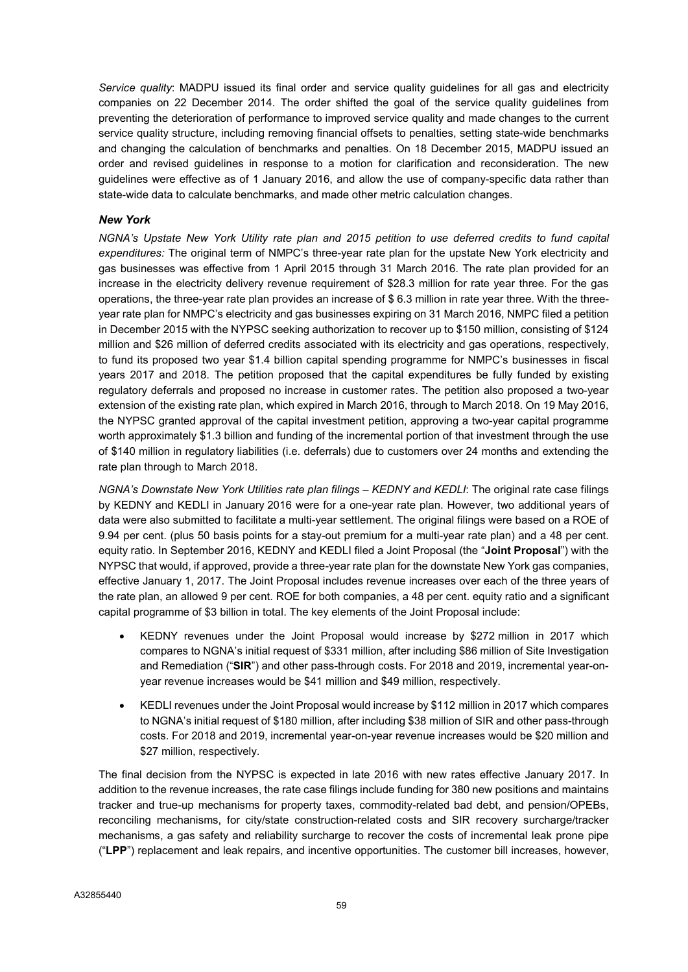Service quality: MADPU issued its final order and service quality quidelines for all gas and electricity companies on 22 December 2014. The order shifted the goal of the service quality guidelines from preventing the deterioration of performance to improved service quality and made changes to the current service quality structure, including removing financial offsets to penalties, setting state-wide benchmarks and changing the calculation of benchmarks and penalties. On 18 December 2015, MADPU issued an order and revised guidelines in response to a motion for clarification and reconsideration. The new guidelines were effective as of 1 January 2016, and allow the use of company-specific data rather than state-wide data to calculate benchmarks, and made other metric calculation changes.

### New York

NGNA's Upstate New York Utility rate plan and 2015 petition to use deferred credits to fund capital expenditures: The original term of NMPC's three-year rate plan for the upstate New York electricity and gas businesses was effective from 1 April 2015 through 31 March 2016. The rate plan provided for an increase in the electricity delivery revenue requirement of \$28.3 million for rate year three. For the gas operations, the three-year rate plan provides an increase of \$ 6.3 million in rate year three. With the threeyear rate plan for NMPC's electricity and gas businesses expiring on 31 March 2016, NMPC filed a petition in December 2015 with the NYPSC seeking authorization to recover up to \$150 million, consisting of \$124 million and \$26 million of deferred credits associated with its electricity and gas operations, respectively, to fund its proposed two year \$1.4 billion capital spending programme for NMPC's businesses in fiscal years 2017 and 2018. The petition proposed that the capital expenditures be fully funded by existing regulatory deferrals and proposed no increase in customer rates. The petition also proposed a two-year extension of the existing rate plan, which expired in March 2016, through to March 2018. On 19 May 2016, the NYPSC granted approval of the capital investment petition, approving a two-year capital programme worth approximately \$1.3 billion and funding of the incremental portion of that investment through the use of \$140 million in regulatory liabilities (i.e. deferrals) due to customers over 24 months and extending the rate plan through to March 2018.

NGNA's Downstate New York Utilities rate plan filings – KEDNY and KEDLI: The original rate case filings by KEDNY and KEDLI in January 2016 were for a one-year rate plan. However, two additional years of data were also submitted to facilitate a multi-year settlement. The original filings were based on a ROE of 9.94 per cent. (plus 50 basis points for a stay-out premium for a multi-year rate plan) and a 48 per cent. equity ratio. In September 2016, KEDNY and KEDLI filed a Joint Proposal (the "Joint Proposal") with the NYPSC that would, if approved, provide a three-year rate plan for the downstate New York gas companies, effective January 1, 2017. The Joint Proposal includes revenue increases over each of the three years of the rate plan, an allowed 9 per cent. ROE for both companies, a 48 per cent. equity ratio and a significant capital programme of \$3 billion in total. The key elements of the Joint Proposal include:

- KEDNY revenues under the Joint Proposal would increase by \$272 million in 2017 which compares to NGNA's initial request of \$331 million, after including \$86 million of Site Investigation and Remediation ("SIR") and other pass-through costs. For 2018 and 2019, incremental year-onyear revenue increases would be \$41 million and \$49 million, respectively.
- KEDLI revenues under the Joint Proposal would increase by \$112 million in 2017 which compares to NGNA's initial request of \$180 million, after including \$38 million of SIR and other pass-through costs. For 2018 and 2019, incremental year-on-year revenue increases would be \$20 million and \$27 million, respectively.

The final decision from the NYPSC is expected in late 2016 with new rates effective January 2017. In addition to the revenue increases, the rate case filings include funding for 380 new positions and maintains tracker and true-up mechanisms for property taxes, commodity-related bad debt, and pension/OPEBs, reconciling mechanisms, for city/state construction-related costs and SIR recovery surcharge/tracker mechanisms, a gas safety and reliability surcharge to recover the costs of incremental leak prone pipe ("LPP") replacement and leak repairs, and incentive opportunities. The customer bill increases, however,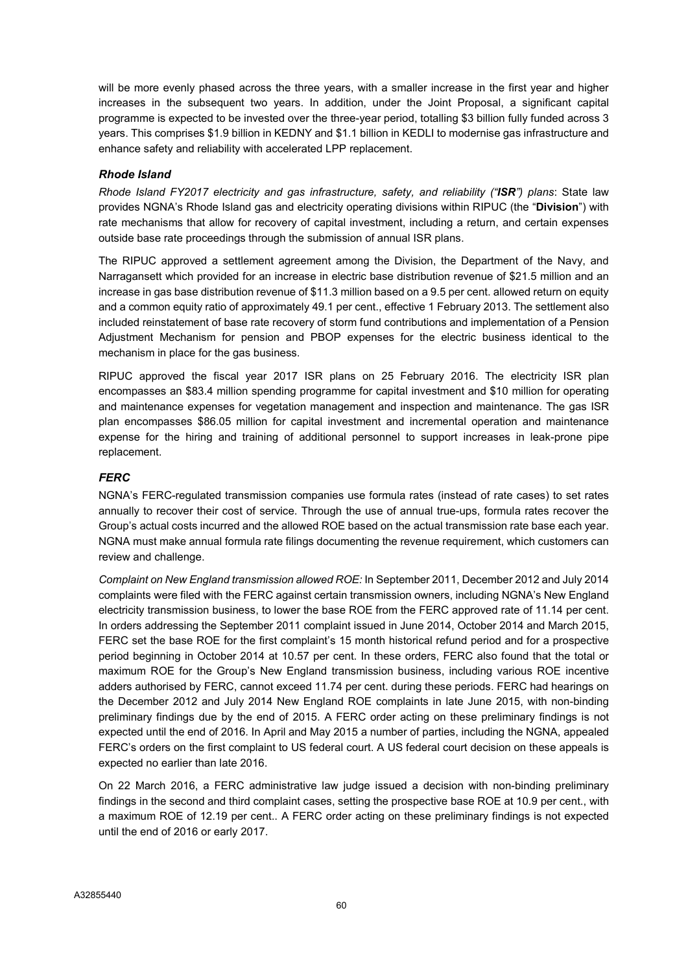will be more evenly phased across the three years, with a smaller increase in the first year and higher increases in the subsequent two years. In addition, under the Joint Proposal, a significant capital programme is expected to be invested over the three-year period, totalling \$3 billion fully funded across 3 years. This comprises \$1.9 billion in KEDNY and \$1.1 billion in KEDLI to modernise gas infrastructure and enhance safety and reliability with accelerated LPP replacement.

# Rhode Island

Rhode Island FY2017 electricity and gas infrastructure, safety, and reliability ("ISR") plans: State law provides NGNA's Rhode Island gas and electricity operating divisions within RIPUC (the "Division") with rate mechanisms that allow for recovery of capital investment, including a return, and certain expenses outside base rate proceedings through the submission of annual ISR plans.

The RIPUC approved a settlement agreement among the Division, the Department of the Navy, and Narragansett which provided for an increase in electric base distribution revenue of \$21.5 million and an increase in gas base distribution revenue of \$11.3 million based on a 9.5 per cent. allowed return on equity and a common equity ratio of approximately 49.1 per cent., effective 1 February 2013. The settlement also included reinstatement of base rate recovery of storm fund contributions and implementation of a Pension Adjustment Mechanism for pension and PBOP expenses for the electric business identical to the mechanism in place for the gas business.

RIPUC approved the fiscal year 2017 ISR plans on 25 February 2016. The electricity ISR plan encompasses an \$83.4 million spending programme for capital investment and \$10 million for operating and maintenance expenses for vegetation management and inspection and maintenance. The gas ISR plan encompasses \$86.05 million for capital investment and incremental operation and maintenance expense for the hiring and training of additional personnel to support increases in leak-prone pipe replacement.

### **FERC**

NGNA's FERC-regulated transmission companies use formula rates (instead of rate cases) to set rates annually to recover their cost of service. Through the use of annual true-ups, formula rates recover the Group's actual costs incurred and the allowed ROE based on the actual transmission rate base each year. NGNA must make annual formula rate filings documenting the revenue requirement, which customers can review and challenge.

Complaint on New England transmission allowed ROE: In September 2011, December 2012 and July 2014 complaints were filed with the FERC against certain transmission owners, including NGNA's New England electricity transmission business, to lower the base ROE from the FERC approved rate of 11.14 per cent. In orders addressing the September 2011 complaint issued in June 2014, October 2014 and March 2015, FERC set the base ROE for the first complaint's 15 month historical refund period and for a prospective period beginning in October 2014 at 10.57 per cent. In these orders, FERC also found that the total or maximum ROE for the Group's New England transmission business, including various ROE incentive adders authorised by FERC, cannot exceed 11.74 per cent. during these periods. FERC had hearings on the December 2012 and July 2014 New England ROE complaints in late June 2015, with non-binding preliminary findings due by the end of 2015. A FERC order acting on these preliminary findings is not expected until the end of 2016. In April and May 2015 a number of parties, including the NGNA, appealed FERC's orders on the first complaint to US federal court. A US federal court decision on these appeals is expected no earlier than late 2016.

On 22 March 2016, a FERC administrative law judge issued a decision with non-binding preliminary findings in the second and third complaint cases, setting the prospective base ROE at 10.9 per cent., with a maximum ROE of 12.19 per cent.. A FERC order acting on these preliminary findings is not expected until the end of 2016 or early 2017.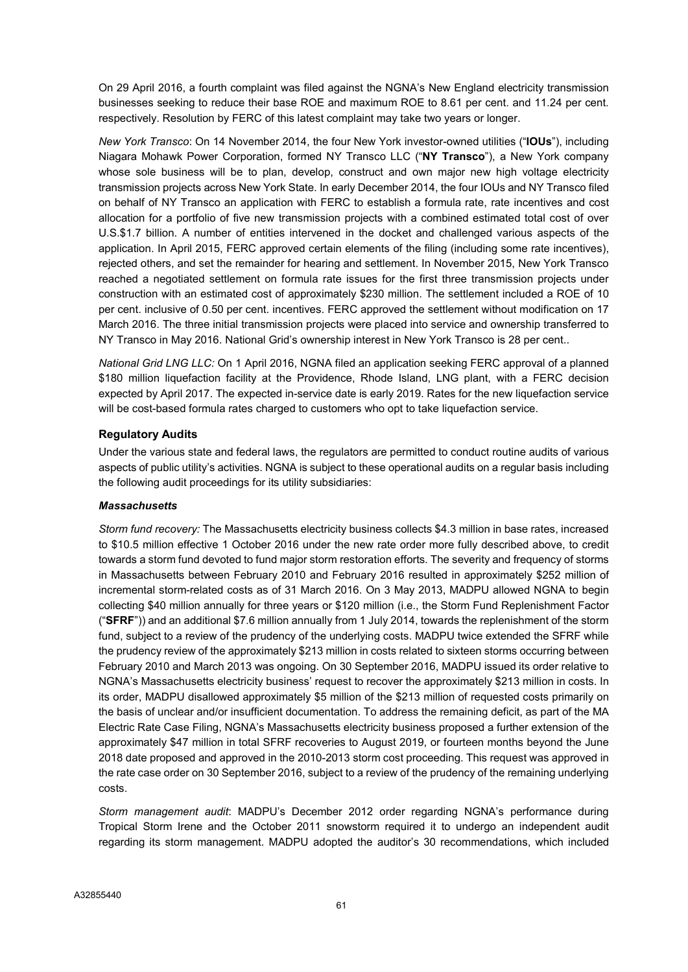On 29 April 2016, a fourth complaint was filed against the NGNA's New England electricity transmission businesses seeking to reduce their base ROE and maximum ROE to 8.61 per cent. and 11.24 per cent. respectively. Resolution by FERC of this latest complaint may take two years or longer.

New York Transco: On 14 November 2014, the four New York investor-owned utilities ("IOUs"), including Niagara Mohawk Power Corporation, formed NY Transco LLC ("NY Transco"), a New York company whose sole business will be to plan, develop, construct and own major new high voltage electricity transmission projects across New York State. In early December 2014, the four IOUs and NY Transco filed on behalf of NY Transco an application with FERC to establish a formula rate, rate incentives and cost allocation for a portfolio of five new transmission projects with a combined estimated total cost of over U.S.\$1.7 billion. A number of entities intervened in the docket and challenged various aspects of the application. In April 2015, FERC approved certain elements of the filing (including some rate incentives), rejected others, and set the remainder for hearing and settlement. In November 2015, New York Transco reached a negotiated settlement on formula rate issues for the first three transmission projects under construction with an estimated cost of approximately \$230 million. The settlement included a ROE of 10 per cent. inclusive of 0.50 per cent. incentives. FERC approved the settlement without modification on 17 March 2016. The three initial transmission projects were placed into service and ownership transferred to NY Transco in May 2016. National Grid's ownership interest in New York Transco is 28 per cent..

National Grid LNG LLC: On 1 April 2016, NGNA filed an application seeking FERC approval of a planned \$180 million liquefaction facility at the Providence, Rhode Island, LNG plant, with a FERC decision expected by April 2017. The expected in-service date is early 2019. Rates for the new liquefaction service will be cost-based formula rates charged to customers who opt to take liquefaction service.

# Regulatory Audits

Under the various state and federal laws, the regulators are permitted to conduct routine audits of various aspects of public utility's activities. NGNA is subject to these operational audits on a regular basis including the following audit proceedings for its utility subsidiaries:

# **Massachusetts**

Storm fund recovery: The Massachusetts electricity business collects \$4.3 million in base rates, increased to \$10.5 million effective 1 October 2016 under the new rate order more fully described above, to credit towards a storm fund devoted to fund major storm restoration efforts. The severity and frequency of storms in Massachusetts between February 2010 and February 2016 resulted in approximately \$252 million of incremental storm-related costs as of 31 March 2016. On 3 May 2013, MADPU allowed NGNA to begin collecting \$40 million annually for three years or \$120 million (i.e., the Storm Fund Replenishment Factor ("SFRF")) and an additional \$7.6 million annually from 1 July 2014, towards the replenishment of the storm fund, subject to a review of the prudency of the underlying costs. MADPU twice extended the SFRF while the prudency review of the approximately \$213 million in costs related to sixteen storms occurring between February 2010 and March 2013 was ongoing. On 30 September 2016, MADPU issued its order relative to NGNA's Massachusetts electricity business' request to recover the approximately \$213 million in costs. In its order, MADPU disallowed approximately \$5 million of the \$213 million of requested costs primarily on the basis of unclear and/or insufficient documentation. To address the remaining deficit, as part of the MA Electric Rate Case Filing, NGNA's Massachusetts electricity business proposed a further extension of the approximately \$47 million in total SFRF recoveries to August 2019, or fourteen months beyond the June 2018 date proposed and approved in the 2010-2013 storm cost proceeding. This request was approved in the rate case order on 30 September 2016, subject to a review of the prudency of the remaining underlying costs.

Storm management audit: MADPU's December 2012 order regarding NGNA's performance during Tropical Storm Irene and the October 2011 snowstorm required it to undergo an independent audit regarding its storm management. MADPU adopted the auditor's 30 recommendations, which included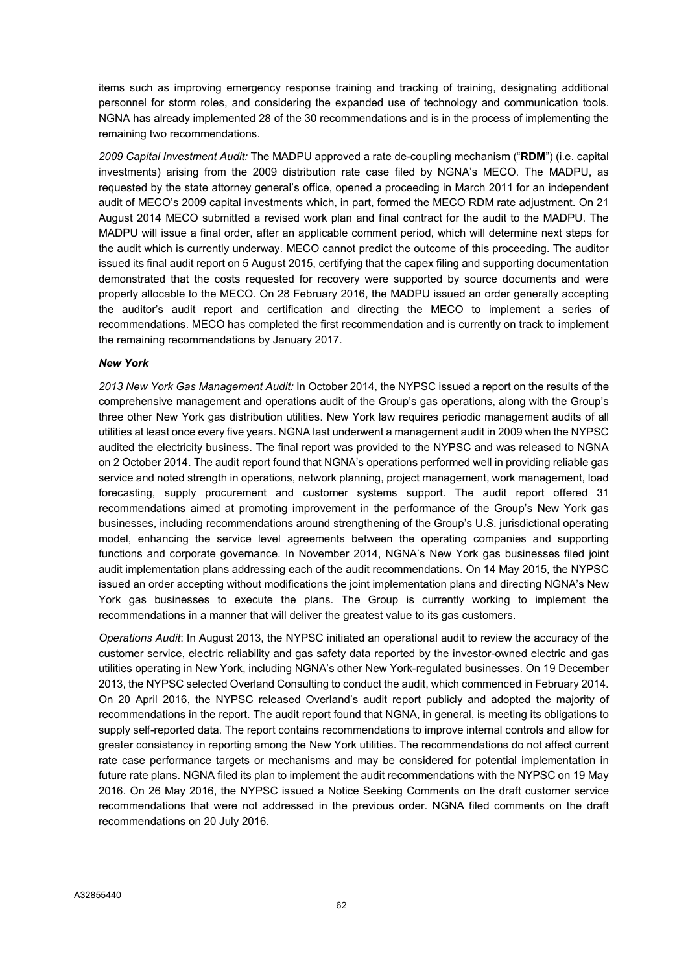items such as improving emergency response training and tracking of training, designating additional personnel for storm roles, and considering the expanded use of technology and communication tools. NGNA has already implemented 28 of the 30 recommendations and is in the process of implementing the remaining two recommendations.

2009 Capital Investment Audit: The MADPU approved a rate de-coupling mechanism ("RDM") (i.e. capital investments) arising from the 2009 distribution rate case filed by NGNA's MECO. The MADPU, as requested by the state attorney general's office, opened a proceeding in March 2011 for an independent audit of MECO's 2009 capital investments which, in part, formed the MECO RDM rate adjustment. On 21 August 2014 MECO submitted a revised work plan and final contract for the audit to the MADPU. The MADPU will issue a final order, after an applicable comment period, which will determine next steps for the audit which is currently underway. MECO cannot predict the outcome of this proceeding. The auditor issued its final audit report on 5 August 2015, certifying that the capex filing and supporting documentation demonstrated that the costs requested for recovery were supported by source documents and were properly allocable to the MECO. On 28 February 2016, the MADPU issued an order generally accepting the auditor's audit report and certification and directing the MECO to implement a series of recommendations. MECO has completed the first recommendation and is currently on track to implement the remaining recommendations by January 2017.

### New York

2013 New York Gas Management Audit: In October 2014, the NYPSC issued a report on the results of the comprehensive management and operations audit of the Group's gas operations, along with the Group's three other New York gas distribution utilities. New York law requires periodic management audits of all utilities at least once every five years. NGNA last underwent a management audit in 2009 when the NYPSC audited the electricity business. The final report was provided to the NYPSC and was released to NGNA on 2 October 2014. The audit report found that NGNA's operations performed well in providing reliable gas service and noted strength in operations, network planning, project management, work management, load forecasting, supply procurement and customer systems support. The audit report offered 31 recommendations aimed at promoting improvement in the performance of the Group's New York gas businesses, including recommendations around strengthening of the Group's U.S. jurisdictional operating model, enhancing the service level agreements between the operating companies and supporting functions and corporate governance. In November 2014, NGNA's New York gas businesses filed joint audit implementation plans addressing each of the audit recommendations. On 14 May 2015, the NYPSC issued an order accepting without modifications the joint implementation plans and directing NGNA's New York gas businesses to execute the plans. The Group is currently working to implement the recommendations in a manner that will deliver the greatest value to its gas customers.

Operations Audit: In August 2013, the NYPSC initiated an operational audit to review the accuracy of the customer service, electric reliability and gas safety data reported by the investor-owned electric and gas utilities operating in New York, including NGNA's other New York-regulated businesses. On 19 December 2013, the NYPSC selected Overland Consulting to conduct the audit, which commenced in February 2014. On 20 April 2016, the NYPSC released Overland's audit report publicly and adopted the majority of recommendations in the report. The audit report found that NGNA, in general, is meeting its obligations to supply self-reported data. The report contains recommendations to improve internal controls and allow for greater consistency in reporting among the New York utilities. The recommendations do not affect current rate case performance targets or mechanisms and may be considered for potential implementation in future rate plans. NGNA filed its plan to implement the audit recommendations with the NYPSC on 19 May 2016. On 26 May 2016, the NYPSC issued a Notice Seeking Comments on the draft customer service recommendations that were not addressed in the previous order. NGNA filed comments on the draft recommendations on 20 July 2016.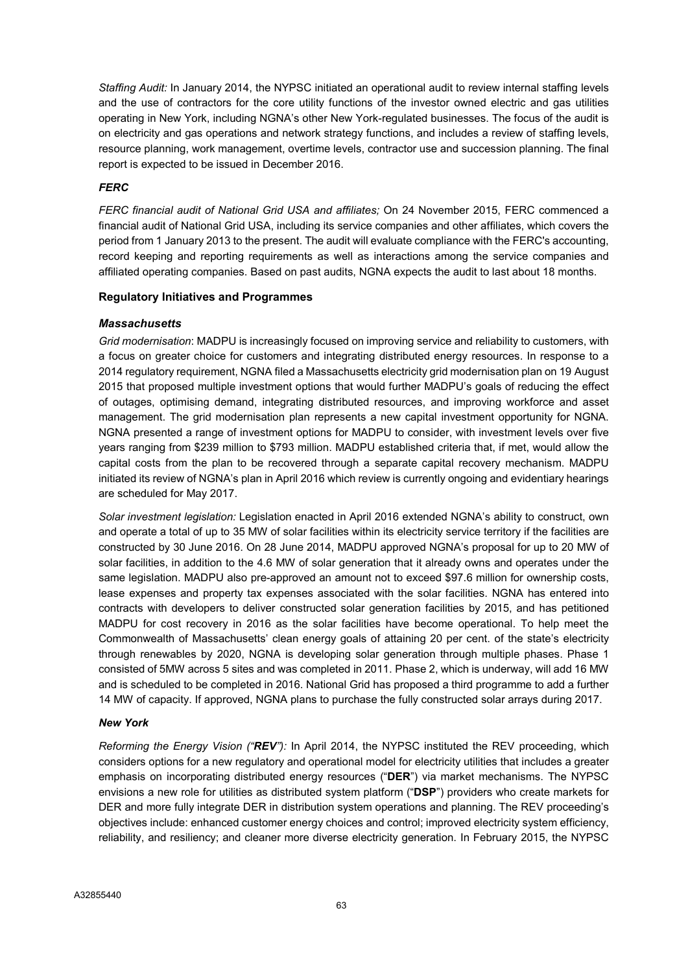Staffing Audit: In January 2014, the NYPSC initiated an operational audit to review internal staffing levels and the use of contractors for the core utility functions of the investor owned electric and gas utilities operating in New York, including NGNA's other New York-regulated businesses. The focus of the audit is on electricity and gas operations and network strategy functions, and includes a review of staffing levels, resource planning, work management, overtime levels, contractor use and succession planning. The final report is expected to be issued in December 2016.

### **FERC**

FERC financial audit of National Grid USA and affiliates; On 24 November 2015, FERC commenced a financial audit of National Grid USA, including its service companies and other affiliates, which covers the period from 1 January 2013 to the present. The audit will evaluate compliance with the FERC's accounting, record keeping and reporting requirements as well as interactions among the service companies and affiliated operating companies. Based on past audits, NGNA expects the audit to last about 18 months.

### Regulatory Initiatives and Programmes

### **Massachusetts**

Grid modernisation: MADPU is increasingly focused on improving service and reliability to customers, with a focus on greater choice for customers and integrating distributed energy resources. In response to a 2014 regulatory requirement, NGNA filed a Massachusetts electricity grid modernisation plan on 19 August 2015 that proposed multiple investment options that would further MADPU's goals of reducing the effect of outages, optimising demand, integrating distributed resources, and improving workforce and asset management. The grid modernisation plan represents a new capital investment opportunity for NGNA. NGNA presented a range of investment options for MADPU to consider, with investment levels over five years ranging from \$239 million to \$793 million. MADPU established criteria that, if met, would allow the capital costs from the plan to be recovered through a separate capital recovery mechanism. MADPU initiated its review of NGNA's plan in April 2016 which review is currently ongoing and evidentiary hearings are scheduled for May 2017.

Solar investment legislation: Legislation enacted in April 2016 extended NGNA's ability to construct, own and operate a total of up to 35 MW of solar facilities within its electricity service territory if the facilities are constructed by 30 June 2016. On 28 June 2014, MADPU approved NGNA's proposal for up to 20 MW of solar facilities, in addition to the 4.6 MW of solar generation that it already owns and operates under the same legislation. MADPU also pre-approved an amount not to exceed \$97.6 million for ownership costs, lease expenses and property tax expenses associated with the solar facilities. NGNA has entered into contracts with developers to deliver constructed solar generation facilities by 2015, and has petitioned MADPU for cost recovery in 2016 as the solar facilities have become operational. To help meet the Commonwealth of Massachusetts' clean energy goals of attaining 20 per cent. of the state's electricity through renewables by 2020, NGNA is developing solar generation through multiple phases. Phase 1 consisted of 5MW across 5 sites and was completed in 2011. Phase 2, which is underway, will add 16 MW and is scheduled to be completed in 2016. National Grid has proposed a third programme to add a further 14 MW of capacity. If approved, NGNA plans to purchase the fully constructed solar arrays during 2017.

### New York

Reforming the Energy Vision (" $REV$ "): In April 2014, the NYPSC instituted the REV proceeding, which considers options for a new regulatory and operational model for electricity utilities that includes a greater emphasis on incorporating distributed energy resources ("DER") via market mechanisms. The NYPSC envisions a new role for utilities as distributed system platform ("DSP") providers who create markets for DER and more fully integrate DER in distribution system operations and planning. The REV proceeding's objectives include: enhanced customer energy choices and control; improved electricity system efficiency, reliability, and resiliency; and cleaner more diverse electricity generation. In February 2015, the NYPSC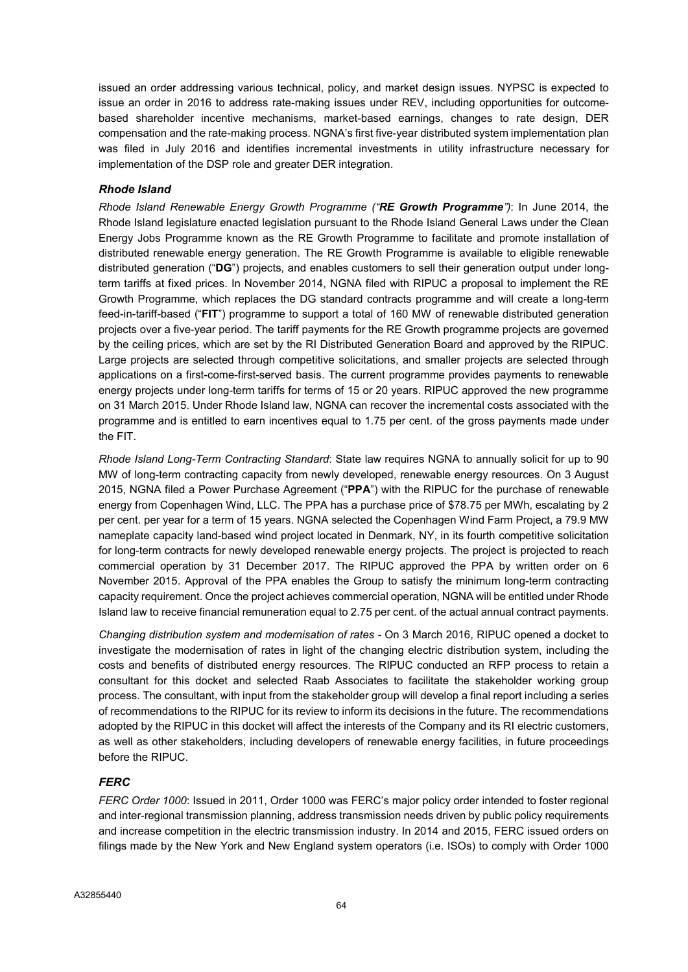issued an order addressing various technical, policy, and market design issues. NYPSC is expected to issue an order in 2016 to address rate-making issues under REV, including opportunities for outcomebased shareholder incentive mechanisms, market-based earnings, changes to rate design, DER compensation and the rate-making process. NGNA's first five-year distributed system implementation plan was filed in July 2016 and identifies incremental investments in utility infrastructure necessary for implementation of the DSP role and greater DER integration.

# Rhode Island

Rhode Island Renewable Energy Growth Programme ("RE Growth Programme"): In June 2014, the Rhode Island legislature enacted legislation pursuant to the Rhode Island General Laws under the Clean Energy Jobs Programme known as the RE Growth Programme to facilitate and promote installation of distributed renewable energy generation. The RE Growth Programme is available to eligible renewable distributed generation ("DG") projects, and enables customers to sell their generation output under longterm tariffs at fixed prices. In November 2014, NGNA filed with RIPUC a proposal to implement the RE Growth Programme, which replaces the DG standard contracts programme and will create a long-term feed-in-tariff-based ("FIT") programme to support a total of 160 MW of renewable distributed generation projects over a five-year period. The tariff payments for the RE Growth programme projects are governed by the ceiling prices, which are set by the RI Distributed Generation Board and approved by the RIPUC. Large projects are selected through competitive solicitations, and smaller projects are selected through applications on a first-come-first-served basis. The current programme provides payments to renewable energy projects under long-term tariffs for terms of 15 or 20 years. RIPUC approved the new programme on 31 March 2015. Under Rhode Island law, NGNA can recover the incremental costs associated with the programme and is entitled to earn incentives equal to 1.75 per cent. of the gross payments made under the FIT.

Rhode Island Long-Term Contracting Standard: State law requires NGNA to annually solicit for up to 90 MW of long-term contracting capacity from newly developed, renewable energy resources. On 3 August 2015, NGNA filed a Power Purchase Agreement ("PPA") with the RIPUC for the purchase of renewable energy from Copenhagen Wind, LLC. The PPA has a purchase price of \$78.75 per MWh, escalating by 2 per cent. per year for a term of 15 years. NGNA selected the Copenhagen Wind Farm Project, a 79.9 MW nameplate capacity land-based wind project located in Denmark, NY, in its fourth competitive solicitation for long-term contracts for newly developed renewable energy projects. The project is projected to reach commercial operation by 31 December 2017. The RIPUC approved the PPA by written order on 6 November 2015. Approval of the PPA enables the Group to satisfy the minimum long-term contracting capacity requirement. Once the project achieves commercial operation, NGNA will be entitled under Rhode Island law to receive financial remuneration equal to 2.75 per cent. of the actual annual contract payments.

Changing distribution system and modernisation of rates - On 3 March 2016, RIPUC opened a docket to investigate the modernisation of rates in light of the changing electric distribution system, including the costs and benefits of distributed energy resources. The RIPUC conducted an RFP process to retain a consultant for this docket and selected Raab Associates to facilitate the stakeholder working group process. The consultant, with input from the stakeholder group will develop a final report including a series of recommendations to the RIPUC for its review to inform its decisions in the future. The recommendations adopted by the RIPUC in this docket will affect the interests of the Company and its RI electric customers, as well as other stakeholders, including developers of renewable energy facilities, in future proceedings before the RIPUC.

# **FERC**

FERC Order 1000: Issued in 2011, Order 1000 was FERC's major policy order intended to foster regional and inter-regional transmission planning, address transmission needs driven by public policy requirements and increase competition in the electric transmission industry. In 2014 and 2015, FERC issued orders on filings made by the New York and New England system operators (i.e. ISOs) to comply with Order 1000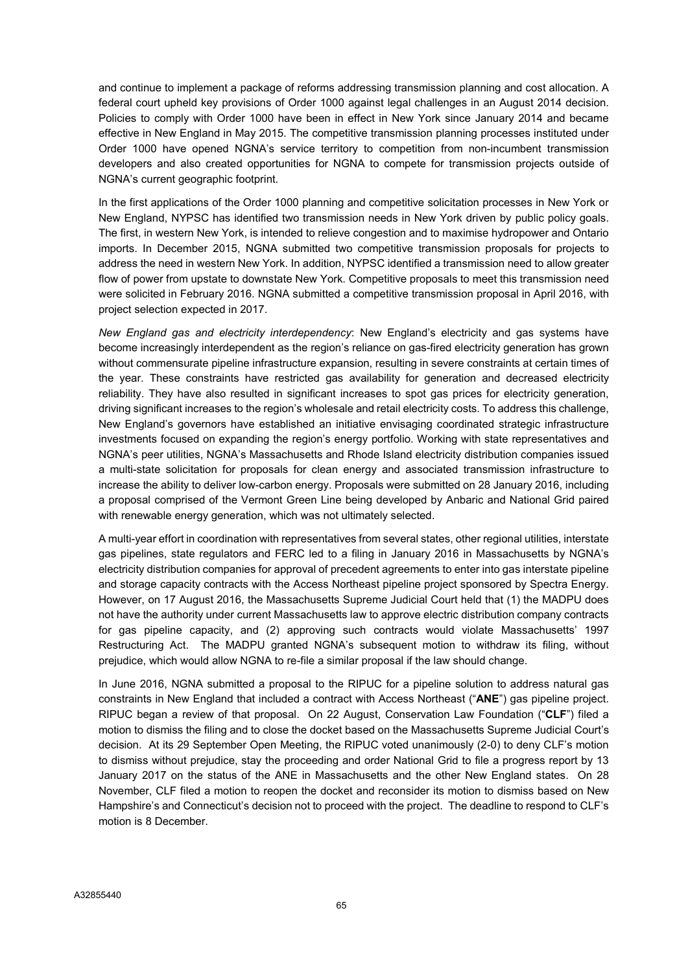and continue to implement a package of reforms addressing transmission planning and cost allocation. A federal court upheld key provisions of Order 1000 against legal challenges in an August 2014 decision. Policies to comply with Order 1000 have been in effect in New York since January 2014 and became effective in New England in May 2015. The competitive transmission planning processes instituted under Order 1000 have opened NGNA's service territory to competition from non-incumbent transmission developers and also created opportunities for NGNA to compete for transmission projects outside of NGNA's current geographic footprint.

In the first applications of the Order 1000 planning and competitive solicitation processes in New York or New England, NYPSC has identified two transmission needs in New York driven by public policy goals. The first, in western New York, is intended to relieve congestion and to maximise hydropower and Ontario imports. In December 2015, NGNA submitted two competitive transmission proposals for projects to address the need in western New York. In addition, NYPSC identified a transmission need to allow greater flow of power from upstate to downstate New York. Competitive proposals to meet this transmission need were solicited in February 2016. NGNA submitted a competitive transmission proposal in April 2016, with project selection expected in 2017.

New England gas and electricity interdependency: New England's electricity and gas systems have become increasingly interdependent as the region's reliance on gas-fired electricity generation has grown without commensurate pipeline infrastructure expansion, resulting in severe constraints at certain times of the year. These constraints have restricted gas availability for generation and decreased electricity reliability. They have also resulted in significant increases to spot gas prices for electricity generation, driving significant increases to the region's wholesale and retail electricity costs. To address this challenge, New England's governors have established an initiative envisaging coordinated strategic infrastructure investments focused on expanding the region's energy portfolio. Working with state representatives and NGNA's peer utilities, NGNA's Massachusetts and Rhode Island electricity distribution companies issued a multi-state solicitation for proposals for clean energy and associated transmission infrastructure to increase the ability to deliver low-carbon energy. Proposals were submitted on 28 January 2016, including a proposal comprised of the Vermont Green Line being developed by Anbaric and National Grid paired with renewable energy generation, which was not ultimately selected.

A multi-year effort in coordination with representatives from several states, other regional utilities, interstate gas pipelines, state regulators and FERC led to a filing in January 2016 in Massachusetts by NGNA's electricity distribution companies for approval of precedent agreements to enter into gas interstate pipeline and storage capacity contracts with the Access Northeast pipeline project sponsored by Spectra Energy. However, on 17 August 2016, the Massachusetts Supreme Judicial Court held that (1) the MADPU does not have the authority under current Massachusetts law to approve electric distribution company contracts for gas pipeline capacity, and (2) approving such contracts would violate Massachusetts' 1997 Restructuring Act. The MADPU granted NGNA's subsequent motion to withdraw its filing, without prejudice, which would allow NGNA to re-file a similar proposal if the law should change.

In June 2016, NGNA submitted a proposal to the RIPUC for a pipeline solution to address natural gas constraints in New England that included a contract with Access Northeast ("ANE") gas pipeline project. RIPUC began a review of that proposal. On 22 August, Conservation Law Foundation ("CLF") filed a motion to dismiss the filing and to close the docket based on the Massachusetts Supreme Judicial Court's decision. At its 29 September Open Meeting, the RIPUC voted unanimously (2-0) to deny CLF's motion to dismiss without prejudice, stay the proceeding and order National Grid to file a progress report by 13 January 2017 on the status of the ANE in Massachusetts and the other New England states. On 28 November, CLF filed a motion to reopen the docket and reconsider its motion to dismiss based on New Hampshire's and Connecticut's decision not to proceed with the project. The deadline to respond to CLF's motion is 8 December.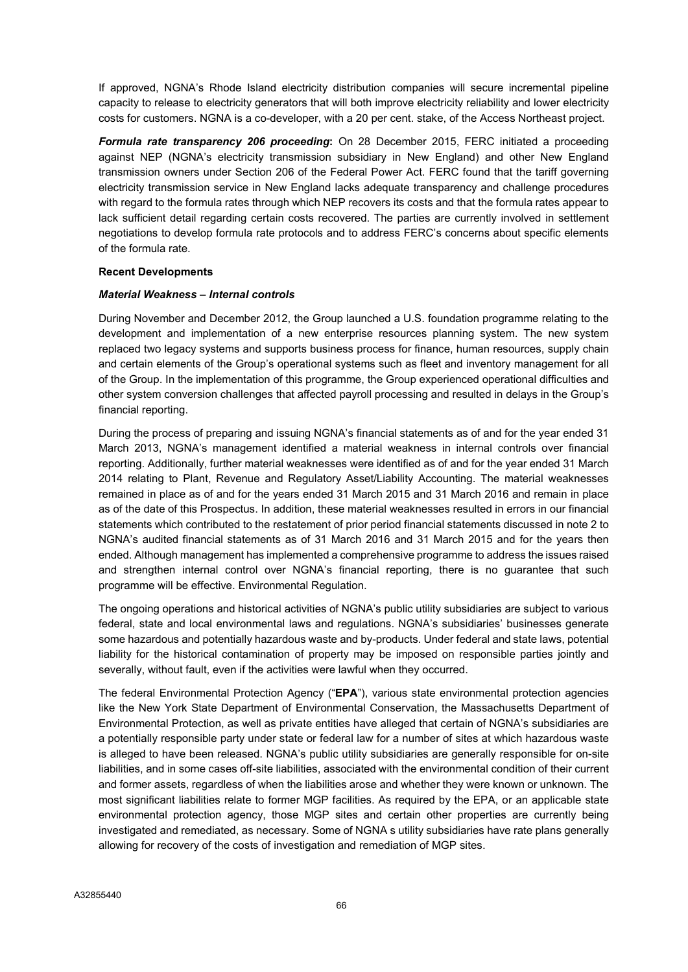If approved, NGNA's Rhode Island electricity distribution companies will secure incremental pipeline capacity to release to electricity generators that will both improve electricity reliability and lower electricity costs for customers. NGNA is a co-developer, with a 20 per cent. stake, of the Access Northeast project.

Formula rate transparency 206 proceeding: On 28 December 2015, FERC initiated a proceeding against NEP (NGNA's electricity transmission subsidiary in New England) and other New England transmission owners under Section 206 of the Federal Power Act. FERC found that the tariff governing electricity transmission service in New England lacks adequate transparency and challenge procedures with regard to the formula rates through which NEP recovers its costs and that the formula rates appear to lack sufficient detail regarding certain costs recovered. The parties are currently involved in settlement negotiations to develop formula rate protocols and to address FERC's concerns about specific elements of the formula rate.

### Recent Developments

### Material Weakness – Internal controls

During November and December 2012, the Group launched a U.S. foundation programme relating to the development and implementation of a new enterprise resources planning system. The new system replaced two legacy systems and supports business process for finance, human resources, supply chain and certain elements of the Group's operational systems such as fleet and inventory management for all of the Group. In the implementation of this programme, the Group experienced operational difficulties and other system conversion challenges that affected payroll processing and resulted in delays in the Group's financial reporting.

During the process of preparing and issuing NGNA's financial statements as of and for the year ended 31 March 2013, NGNA's management identified a material weakness in internal controls over financial reporting. Additionally, further material weaknesses were identified as of and for the year ended 31 March 2014 relating to Plant, Revenue and Regulatory Asset/Liability Accounting. The material weaknesses remained in place as of and for the years ended 31 March 2015 and 31 March 2016 and remain in place as of the date of this Prospectus. In addition, these material weaknesses resulted in errors in our financial statements which contributed to the restatement of prior period financial statements discussed in note 2 to NGNA's audited financial statements as of 31 March 2016 and 31 March 2015 and for the years then ended. Although management has implemented a comprehensive programme to address the issues raised and strengthen internal control over NGNA's financial reporting, there is no guarantee that such programme will be effective. Environmental Regulation.

The ongoing operations and historical activities of NGNA's public utility subsidiaries are subject to various federal, state and local environmental laws and regulations. NGNA's subsidiaries' businesses generate some hazardous and potentially hazardous waste and by-products. Under federal and state laws, potential liability for the historical contamination of property may be imposed on responsible parties jointly and severally, without fault, even if the activities were lawful when they occurred.

The federal Environmental Protection Agency ("EPA"), various state environmental protection agencies like the New York State Department of Environmental Conservation, the Massachusetts Department of Environmental Protection, as well as private entities have alleged that certain of NGNA's subsidiaries are a potentially responsible party under state or federal law for a number of sites at which hazardous waste is alleged to have been released. NGNA's public utility subsidiaries are generally responsible for on-site liabilities, and in some cases off-site liabilities, associated with the environmental condition of their current and former assets, regardless of when the liabilities arose and whether they were known or unknown. The most significant liabilities relate to former MGP facilities. As required by the EPA, or an applicable state environmental protection agency, those MGP sites and certain other properties are currently being investigated and remediated, as necessary. Some of NGNA s utility subsidiaries have rate plans generally allowing for recovery of the costs of investigation and remediation of MGP sites.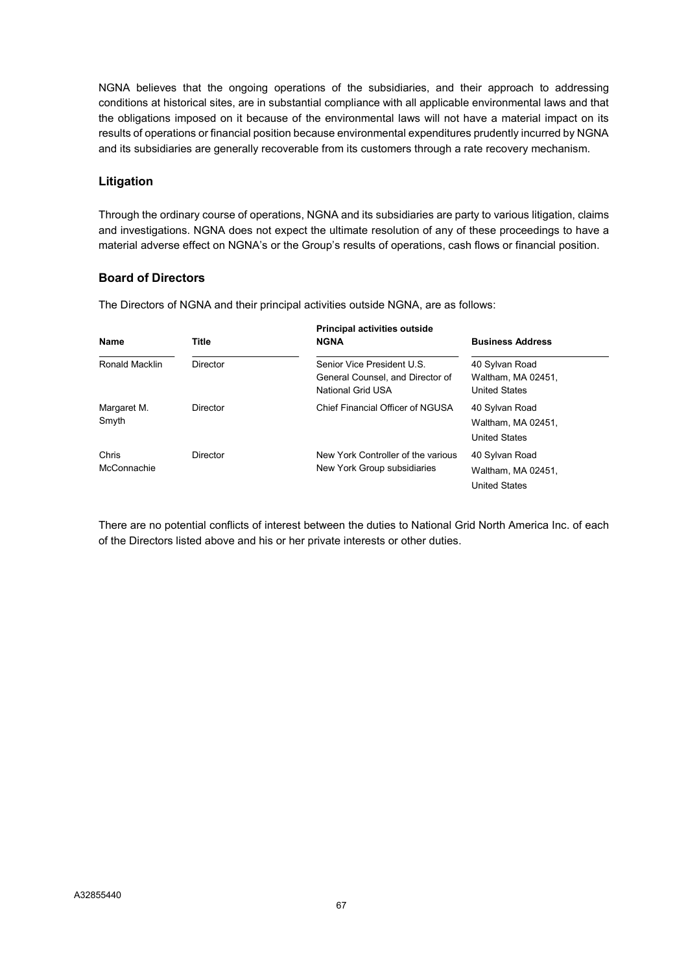NGNA believes that the ongoing operations of the subsidiaries, and their approach to addressing conditions at historical sites, are in substantial compliance with all applicable environmental laws and that the obligations imposed on it because of the environmental laws will not have a material impact on its results of operations or financial position because environmental expenditures prudently incurred by NGNA and its subsidiaries are generally recoverable from its customers through a rate recovery mechanism.

## Litigation

Through the ordinary course of operations, NGNA and its subsidiaries are party to various litigation, claims and investigations. NGNA does not expect the ultimate resolution of any of these proceedings to have a material adverse effect on NGNA's or the Group's results of operations, cash flows or financial position.

# Board of Directors

The Directors of NGNA and their principal activities outside NGNA, are as follows:

| Name                 | Title           | <b>Principal activities outside</b><br><b>NGNA</b>                                  | <b>Business Address</b>                                      |
|----------------------|-----------------|-------------------------------------------------------------------------------------|--------------------------------------------------------------|
| Ronald Macklin       | <b>Director</b> | Senior Vice President U.S.<br>General Counsel, and Director of<br>National Grid USA | 40 Sylvan Road<br>Waltham, MA 02451,<br><b>United States</b> |
| Margaret M.<br>Smyth | Director        | Chief Financial Officer of NGUSA                                                    | 40 Sylvan Road<br>Waltham, MA 02451,<br><b>United States</b> |
| Chris<br>McConnachie | Director        | New York Controller of the various<br>New York Group subsidiaries                   | 40 Sylvan Road<br>Waltham, MA 02451.<br><b>United States</b> |

There are no potential conflicts of interest between the duties to National Grid North America Inc. of each of the Directors listed above and his or her private interests or other duties.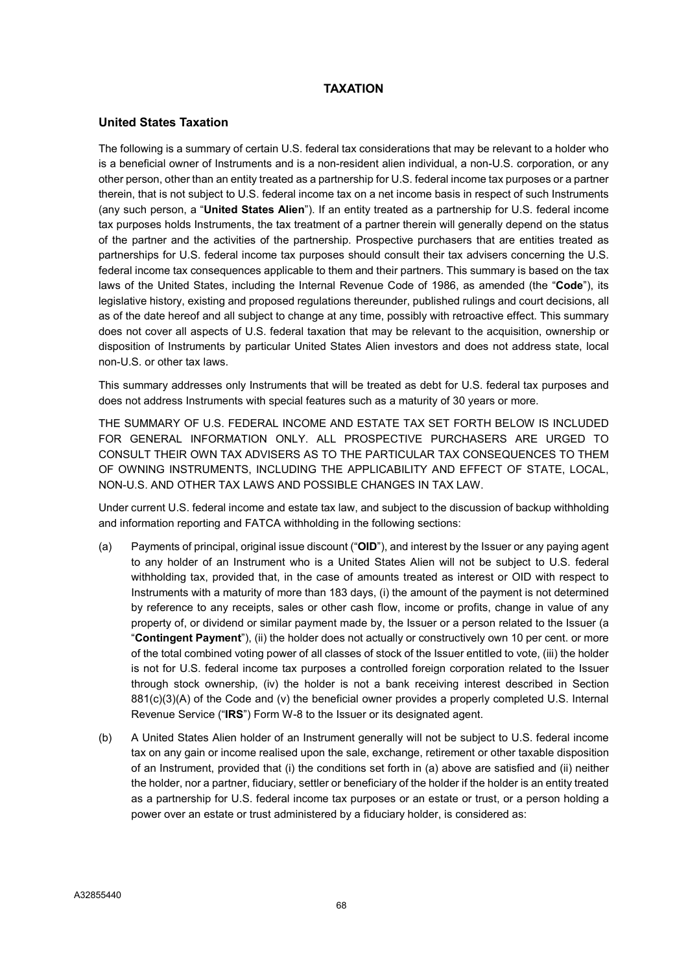## TAXATION

#### United States Taxation

The following is a summary of certain U.S. federal tax considerations that may be relevant to a holder who is a beneficial owner of Instruments and is a non-resident alien individual, a non-U.S. corporation, or any other person, other than an entity treated as a partnership for U.S. federal income tax purposes or a partner therein, that is not subject to U.S. federal income tax on a net income basis in respect of such Instruments (any such person, a "United States Alien"). If an entity treated as a partnership for U.S. federal income tax purposes holds Instruments, the tax treatment of a partner therein will generally depend on the status of the partner and the activities of the partnership. Prospective purchasers that are entities treated as partnerships for U.S. federal income tax purposes should consult their tax advisers concerning the U.S. federal income tax consequences applicable to them and their partners. This summary is based on the tax laws of the United States, including the Internal Revenue Code of 1986, as amended (the "Code"), its legislative history, existing and proposed regulations thereunder, published rulings and court decisions, all as of the date hereof and all subject to change at any time, possibly with retroactive effect. This summary does not cover all aspects of U.S. federal taxation that may be relevant to the acquisition, ownership or disposition of Instruments by particular United States Alien investors and does not address state, local non-U.S. or other tax laws.

This summary addresses only Instruments that will be treated as debt for U.S. federal tax purposes and does not address Instruments with special features such as a maturity of 30 years or more.

THE SUMMARY OF U.S. FEDERAL INCOME AND ESTATE TAX SET FORTH BELOW IS INCLUDED FOR GENERAL INFORMATION ONLY. ALL PROSPECTIVE PURCHASERS ARE URGED TO CONSULT THEIR OWN TAX ADVISERS AS TO THE PARTICULAR TAX CONSEQUENCES TO THEM OF OWNING INSTRUMENTS, INCLUDING THE APPLICABILITY AND EFFECT OF STATE, LOCAL, NON-U.S. AND OTHER TAX LAWS AND POSSIBLE CHANGES IN TAX LAW.

Under current U.S. federal income and estate tax law, and subject to the discussion of backup withholding and information reporting and FATCA withholding in the following sections:

- (a) Payments of principal, original issue discount ("OID"), and interest by the Issuer or any paying agent to any holder of an Instrument who is a United States Alien will not be subject to U.S. federal withholding tax, provided that, in the case of amounts treated as interest or OID with respect to Instruments with a maturity of more than 183 days, (i) the amount of the payment is not determined by reference to any receipts, sales or other cash flow, income or profits, change in value of any property of, or dividend or similar payment made by, the Issuer or a person related to the Issuer (a "Contingent Payment"), (ii) the holder does not actually or constructively own 10 per cent. or more of the total combined voting power of all classes of stock of the Issuer entitled to vote, (iii) the holder is not for U.S. federal income tax purposes a controlled foreign corporation related to the Issuer through stock ownership, (iv) the holder is not a bank receiving interest described in Section 881(c)(3)(A) of the Code and (v) the beneficial owner provides a properly completed U.S. Internal Revenue Service ("IRS") Form W-8 to the Issuer or its designated agent.
- (b) A United States Alien holder of an Instrument generally will not be subject to U.S. federal income tax on any gain or income realised upon the sale, exchange, retirement or other taxable disposition of an Instrument, provided that (i) the conditions set forth in (a) above are satisfied and (ii) neither the holder, nor a partner, fiduciary, settler or beneficiary of the holder if the holder is an entity treated as a partnership for U.S. federal income tax purposes or an estate or trust, or a person holding a power over an estate or trust administered by a fiduciary holder, is considered as: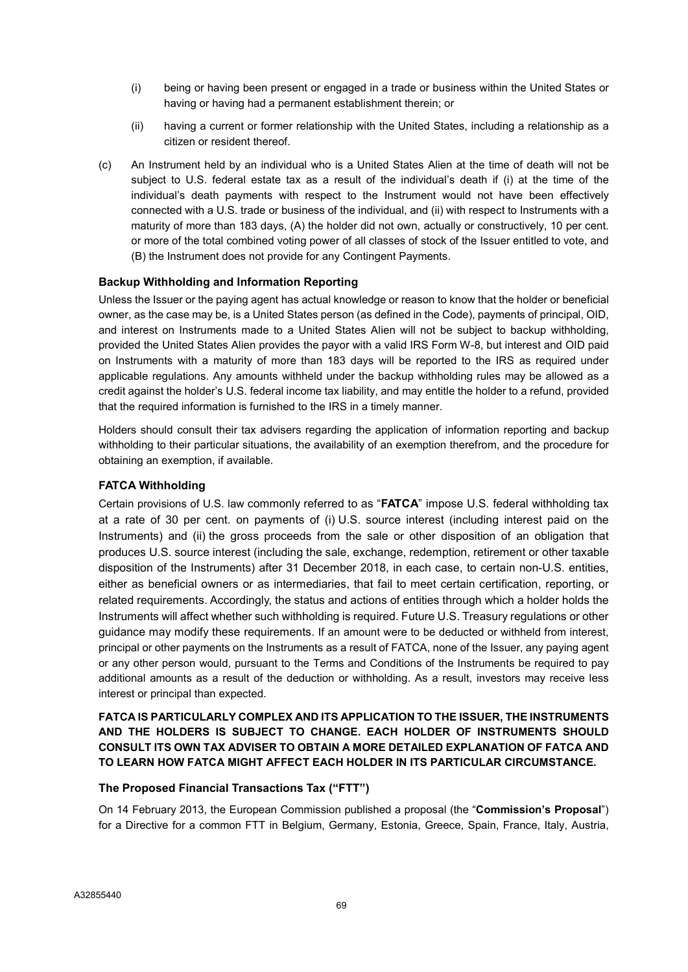- (i) being or having been present or engaged in a trade or business within the United States or having or having had a permanent establishment therein; or
- (ii) having a current or former relationship with the United States, including a relationship as a citizen or resident thereof.
- (c) An Instrument held by an individual who is a United States Alien at the time of death will not be subject to U.S. federal estate tax as a result of the individual's death if (i) at the time of the individual's death payments with respect to the Instrument would not have been effectively connected with a U.S. trade or business of the individual, and (ii) with respect to Instruments with a maturity of more than 183 days, (A) the holder did not own, actually or constructively, 10 per cent. or more of the total combined voting power of all classes of stock of the Issuer entitled to vote, and (B) the Instrument does not provide for any Contingent Payments.

#### Backup Withholding and Information Reporting

Unless the Issuer or the paying agent has actual knowledge or reason to know that the holder or beneficial owner, as the case may be, is a United States person (as defined in the Code), payments of principal, OID, and interest on Instruments made to a United States Alien will not be subject to backup withholding, provided the United States Alien provides the payor with a valid IRS Form W-8, but interest and OID paid on Instruments with a maturity of more than 183 days will be reported to the IRS as required under applicable regulations. Any amounts withheld under the backup withholding rules may be allowed as a credit against the holder's U.S. federal income tax liability, and may entitle the holder to a refund, provided that the required information is furnished to the IRS in a timely manner.

Holders should consult their tax advisers regarding the application of information reporting and backup withholding to their particular situations, the availability of an exemption therefrom, and the procedure for obtaining an exemption, if available.

#### FATCA Withholding

Certain provisions of U.S. law commonly referred to as "FATCA" impose U.S. federal withholding tax at a rate of 30 per cent. on payments of (i) U.S. source interest (including interest paid on the Instruments) and (ii) the gross proceeds from the sale or other disposition of an obligation that produces U.S. source interest (including the sale, exchange, redemption, retirement or other taxable disposition of the Instruments) after 31 December 2018, in each case, to certain non-U.S. entities, either as beneficial owners or as intermediaries, that fail to meet certain certification, reporting, or related requirements. Accordingly, the status and actions of entities through which a holder holds the Instruments will affect whether such withholding is required. Future U.S. Treasury regulations or other guidance may modify these requirements. If an amount were to be deducted or withheld from interest, principal or other payments on the Instruments as a result of FATCA, none of the Issuer, any paying agent or any other person would, pursuant to the Terms and Conditions of the Instruments be required to pay additional amounts as a result of the deduction or withholding. As a result, investors may receive less interest or principal than expected.

# FATCA IS PARTICULARLY COMPLEX AND ITS APPLICATION TO THE ISSUER, THE INSTRUMENTS AND THE HOLDERS IS SUBJECT TO CHANGE. EACH HOLDER OF INSTRUMENTS SHOULD CONSULT ITS OWN TAX ADVISER TO OBTAIN A MORE DETAILED EXPLANATION OF FATCA AND TO LEARN HOW FATCA MIGHT AFFECT EACH HOLDER IN ITS PARTICULAR CIRCUMSTANCE.

#### The Proposed Financial Transactions Tax ("FTT")

On 14 February 2013, the European Commission published a proposal (the "Commission's Proposal") for a Directive for a common FTT in Belgium, Germany, Estonia, Greece, Spain, France, Italy, Austria,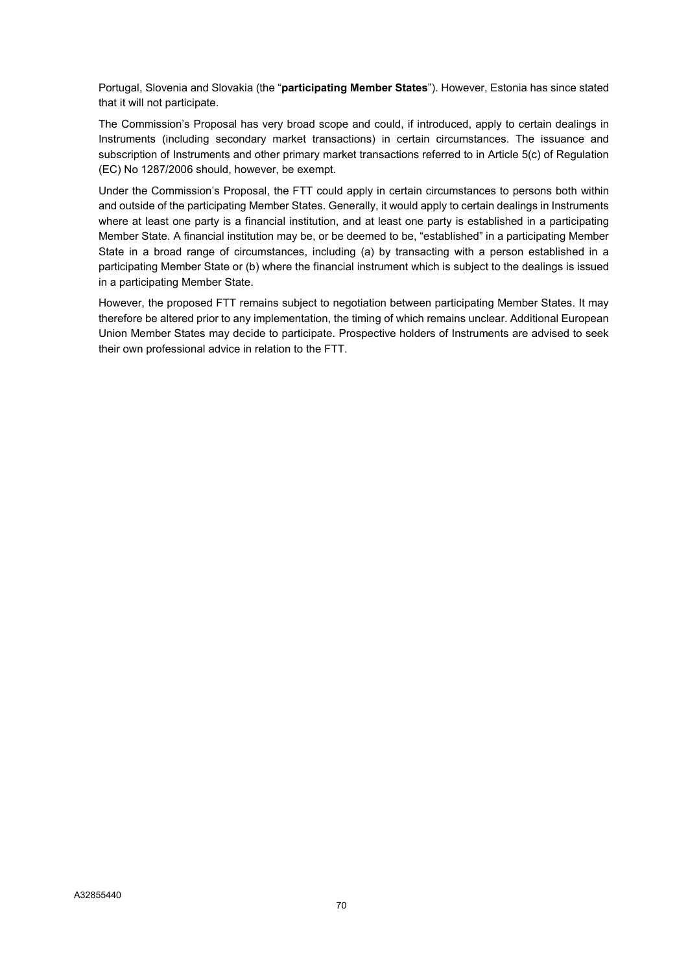Portugal, Slovenia and Slovakia (the "participating Member States"). However, Estonia has since stated that it will not participate.

The Commission's Proposal has very broad scope and could, if introduced, apply to certain dealings in Instruments (including secondary market transactions) in certain circumstances. The issuance and subscription of Instruments and other primary market transactions referred to in Article 5(c) of Regulation (EC) No 1287/2006 should, however, be exempt.

Under the Commission's Proposal, the FTT could apply in certain circumstances to persons both within and outside of the participating Member States. Generally, it would apply to certain dealings in Instruments where at least one party is a financial institution, and at least one party is established in a participating Member State. A financial institution may be, or be deemed to be, "established" in a participating Member State in a broad range of circumstances, including (a) by transacting with a person established in a participating Member State or (b) where the financial instrument which is subject to the dealings is issued in a participating Member State.

However, the proposed FTT remains subject to negotiation between participating Member States. It may therefore be altered prior to any implementation, the timing of which remains unclear. Additional European Union Member States may decide to participate. Prospective holders of Instruments are advised to seek their own professional advice in relation to the FTT.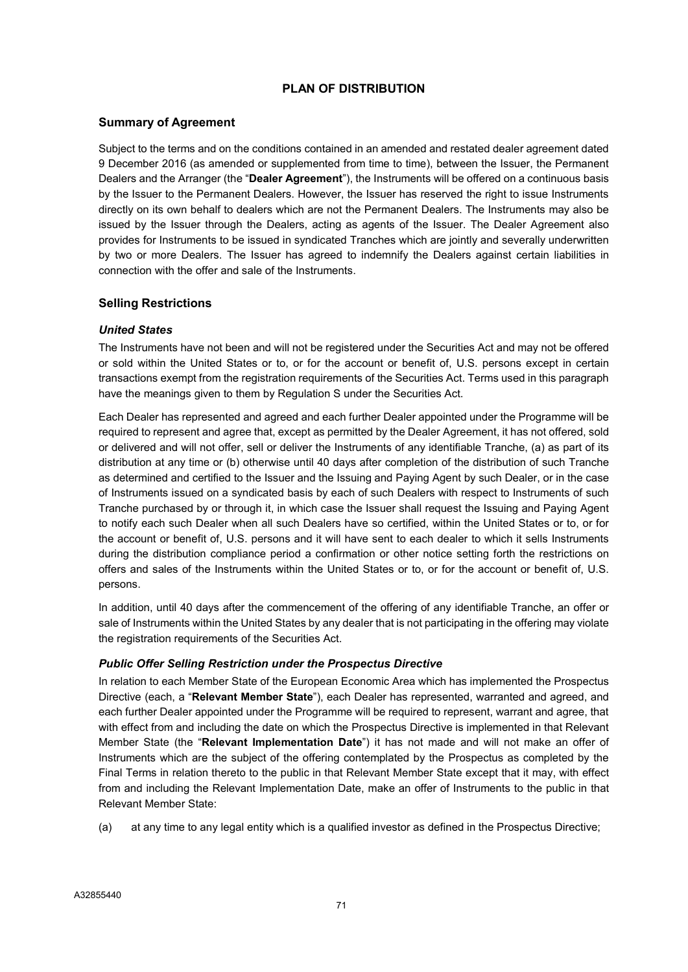# PLAN OF DISTRIBUTION

## Summary of Agreement

Subject to the terms and on the conditions contained in an amended and restated dealer agreement dated 9 December 2016 (as amended or supplemented from time to time), between the Issuer, the Permanent Dealers and the Arranger (the "Dealer Agreement"), the Instruments will be offered on a continuous basis by the Issuer to the Permanent Dealers. However, the Issuer has reserved the right to issue Instruments directly on its own behalf to dealers which are not the Permanent Dealers. The Instruments may also be issued by the Issuer through the Dealers, acting as agents of the Issuer. The Dealer Agreement also provides for Instruments to be issued in syndicated Tranches which are jointly and severally underwritten by two or more Dealers. The Issuer has agreed to indemnify the Dealers against certain liabilities in connection with the offer and sale of the Instruments.

#### Selling Restrictions

#### United States

The Instruments have not been and will not be registered under the Securities Act and may not be offered or sold within the United States or to, or for the account or benefit of, U.S. persons except in certain transactions exempt from the registration requirements of the Securities Act. Terms used in this paragraph have the meanings given to them by Regulation S under the Securities Act.

Each Dealer has represented and agreed and each further Dealer appointed under the Programme will be required to represent and agree that, except as permitted by the Dealer Agreement, it has not offered, sold or delivered and will not offer, sell or deliver the Instruments of any identifiable Tranche, (a) as part of its distribution at any time or (b) otherwise until 40 days after completion of the distribution of such Tranche as determined and certified to the Issuer and the Issuing and Paying Agent by such Dealer, or in the case of Instruments issued on a syndicated basis by each of such Dealers with respect to Instruments of such Tranche purchased by or through it, in which case the Issuer shall request the Issuing and Paying Agent to notify each such Dealer when all such Dealers have so certified, within the United States or to, or for the account or benefit of, U.S. persons and it will have sent to each dealer to which it sells Instruments during the distribution compliance period a confirmation or other notice setting forth the restrictions on offers and sales of the Instruments within the United States or to, or for the account or benefit of, U.S. persons.

In addition, until 40 days after the commencement of the offering of any identifiable Tranche, an offer or sale of Instruments within the United States by any dealer that is not participating in the offering may violate the registration requirements of the Securities Act.

#### Public Offer Selling Restriction under the Prospectus Directive

In relation to each Member State of the European Economic Area which has implemented the Prospectus Directive (each, a "Relevant Member State"), each Dealer has represented, warranted and agreed, and each further Dealer appointed under the Programme will be required to represent, warrant and agree, that with effect from and including the date on which the Prospectus Directive is implemented in that Relevant Member State (the "Relevant Implementation Date") it has not made and will not make an offer of Instruments which are the subject of the offering contemplated by the Prospectus as completed by the Final Terms in relation thereto to the public in that Relevant Member State except that it may, with effect from and including the Relevant Implementation Date, make an offer of Instruments to the public in that Relevant Member State:

(a) at any time to any legal entity which is a qualified investor as defined in the Prospectus Directive;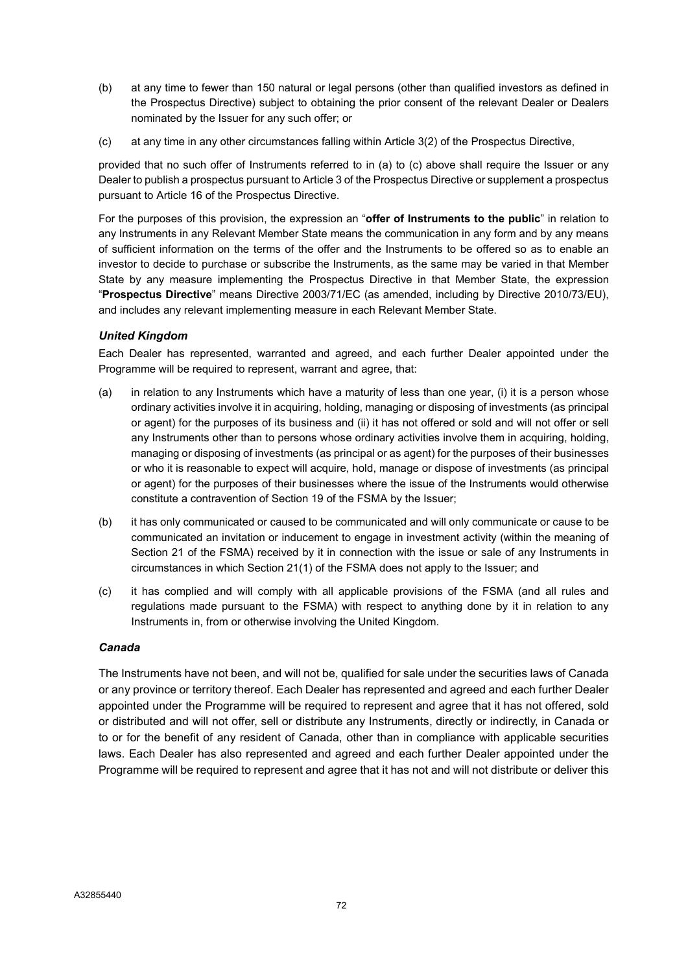- (b) at any time to fewer than 150 natural or legal persons (other than qualified investors as defined in the Prospectus Directive) subject to obtaining the prior consent of the relevant Dealer or Dealers nominated by the Issuer for any such offer; or
- (c) at any time in any other circumstances falling within Article 3(2) of the Prospectus Directive,

provided that no such offer of Instruments referred to in (a) to (c) above shall require the Issuer or any Dealer to publish a prospectus pursuant to Article 3 of the Prospectus Directive or supplement a prospectus pursuant to Article 16 of the Prospectus Directive.

For the purposes of this provision, the expression an "offer of Instruments to the public" in relation to any Instruments in any Relevant Member State means the communication in any form and by any means of sufficient information on the terms of the offer and the Instruments to be offered so as to enable an investor to decide to purchase or subscribe the Instruments, as the same may be varied in that Member State by any measure implementing the Prospectus Directive in that Member State, the expression "Prospectus Directive" means Directive 2003/71/EC (as amended, including by Directive 2010/73/EU), and includes any relevant implementing measure in each Relevant Member State.

#### United Kingdom

Each Dealer has represented, warranted and agreed, and each further Dealer appointed under the Programme will be required to represent, warrant and agree, that:

- (a) in relation to any Instruments which have a maturity of less than one year, (i) it is a person whose ordinary activities involve it in acquiring, holding, managing or disposing of investments (as principal or agent) for the purposes of its business and (ii) it has not offered or sold and will not offer or sell any Instruments other than to persons whose ordinary activities involve them in acquiring, holding, managing or disposing of investments (as principal or as agent) for the purposes of their businesses or who it is reasonable to expect will acquire, hold, manage or dispose of investments (as principal or agent) for the purposes of their businesses where the issue of the Instruments would otherwise constitute a contravention of Section 19 of the FSMA by the Issuer;
- (b) it has only communicated or caused to be communicated and will only communicate or cause to be communicated an invitation or inducement to engage in investment activity (within the meaning of Section 21 of the FSMA) received by it in connection with the issue or sale of any Instruments in circumstances in which Section 21(1) of the FSMA does not apply to the Issuer; and
- (c) it has complied and will comply with all applicable provisions of the FSMA (and all rules and regulations made pursuant to the FSMA) with respect to anything done by it in relation to any Instruments in, from or otherwise involving the United Kingdom.

#### Canada

The Instruments have not been, and will not be, qualified for sale under the securities laws of Canada or any province or territory thereof. Each Dealer has represented and agreed and each further Dealer appointed under the Programme will be required to represent and agree that it has not offered, sold or distributed and will not offer, sell or distribute any Instruments, directly or indirectly, in Canada or to or for the benefit of any resident of Canada, other than in compliance with applicable securities laws. Each Dealer has also represented and agreed and each further Dealer appointed under the Programme will be required to represent and agree that it has not and will not distribute or deliver this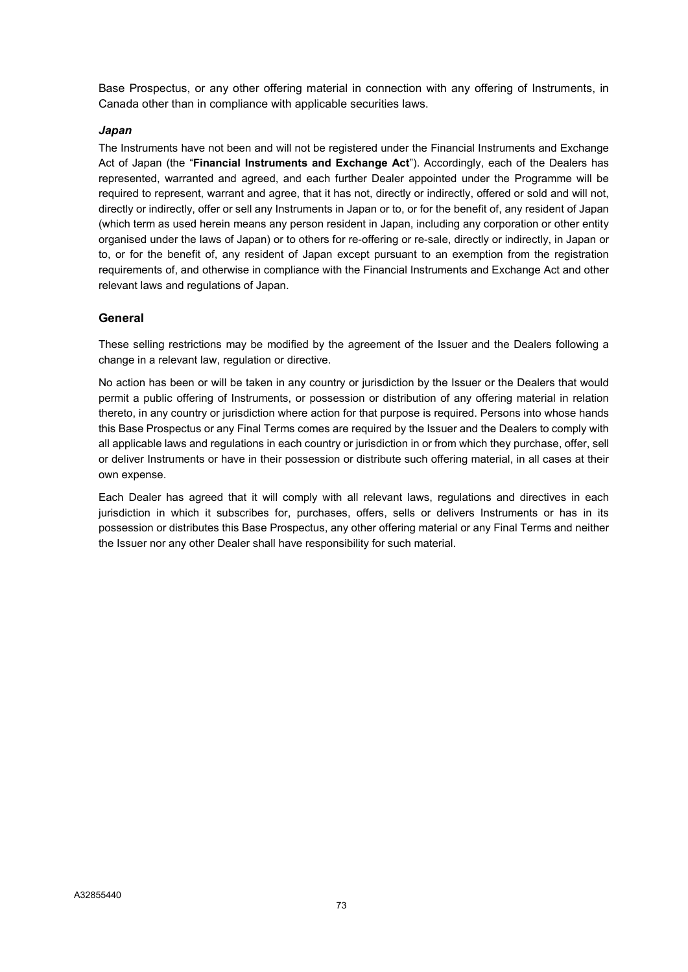Base Prospectus, or any other offering material in connection with any offering of Instruments, in Canada other than in compliance with applicable securities laws.

#### Japan

The Instruments have not been and will not be registered under the Financial Instruments and Exchange Act of Japan (the "Financial Instruments and Exchange Act"). Accordingly, each of the Dealers has represented, warranted and agreed, and each further Dealer appointed under the Programme will be required to represent, warrant and agree, that it has not, directly or indirectly, offered or sold and will not, directly or indirectly, offer or sell any Instruments in Japan or to, or for the benefit of, any resident of Japan (which term as used herein means any person resident in Japan, including any corporation or other entity organised under the laws of Japan) or to others for re-offering or re-sale, directly or indirectly, in Japan or to, or for the benefit of, any resident of Japan except pursuant to an exemption from the registration requirements of, and otherwise in compliance with the Financial Instruments and Exchange Act and other relevant laws and regulations of Japan.

#### General

These selling restrictions may be modified by the agreement of the Issuer and the Dealers following a change in a relevant law, regulation or directive.

No action has been or will be taken in any country or jurisdiction by the Issuer or the Dealers that would permit a public offering of Instruments, or possession or distribution of any offering material in relation thereto, in any country or jurisdiction where action for that purpose is required. Persons into whose hands this Base Prospectus or any Final Terms comes are required by the Issuer and the Dealers to comply with all applicable laws and regulations in each country or jurisdiction in or from which they purchase, offer, sell or deliver Instruments or have in their possession or distribute such offering material, in all cases at their own expense.

Each Dealer has agreed that it will comply with all relevant laws, regulations and directives in each jurisdiction in which it subscribes for, purchases, offers, sells or delivers Instruments or has in its possession or distributes this Base Prospectus, any other offering material or any Final Terms and neither the Issuer nor any other Dealer shall have responsibility for such material.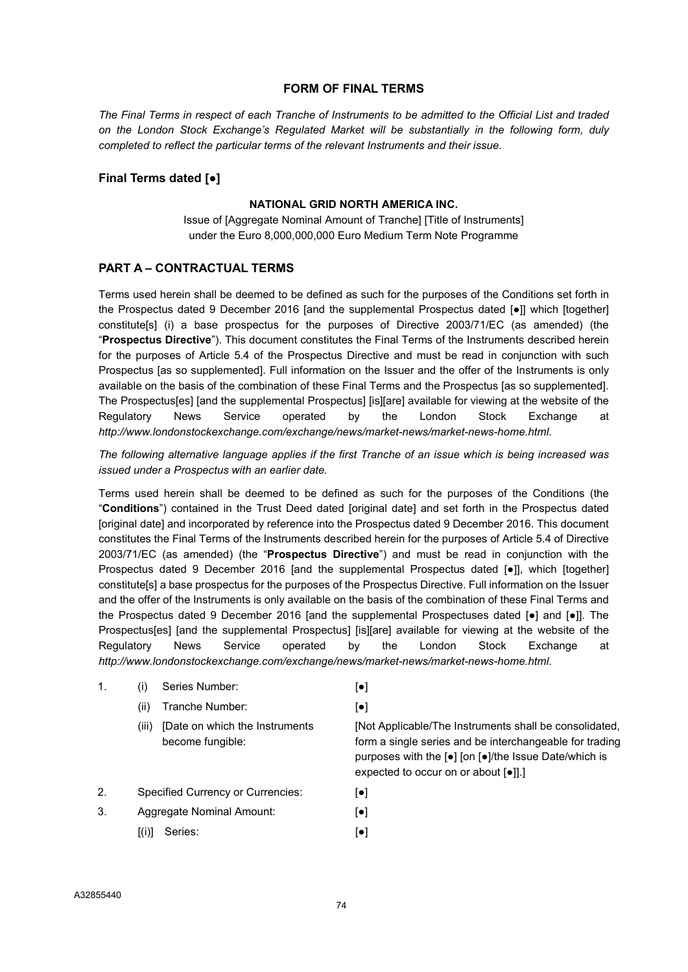#### FORM OF FINAL TERMS

The Final Terms in respect of each Tranche of Instruments to be admitted to the Official List and traded on the London Stock Exchange's Regulated Market will be substantially in the following form, duly completed to reflect the particular terms of the relevant Instruments and their issue.

#### Final Terms dated [●]

#### NATIONAL GRID NORTH AMERICA INC.

Issue of [Aggregate Nominal Amount of Tranche] [Title of Instruments] under the Euro 8,000,000,000 Euro Medium Term Note Programme

#### PART A – CONTRACTUAL TERMS

Terms used herein shall be deemed to be defined as such for the purposes of the Conditions set forth in the Prospectus dated 9 December 2016 [and the supplemental Prospectus dated [●]] which [together] constitute[s] (i) a base prospectus for the purposes of Directive 2003/71/EC (as amended) (the "Prospectus Directive"). This document constitutes the Final Terms of the Instruments described herein for the purposes of Article 5.4 of the Prospectus Directive and must be read in conjunction with such Prospectus [as so supplemented]. Full information on the Issuer and the offer of the Instruments is only available on the basis of the combination of these Final Terms and the Prospectus [as so supplemented]. The Prospectus[es] [and the supplemental Prospectus] [is][are] available for viewing at the website of the Regulatory News Service operated by the London Stock Exchange at http://www.londonstockexchange.com/exchange/news/market-news/market-news-home.html.

The following alternative language applies if the first Tranche of an issue which is being increased was issued under a Prospectus with an earlier date.

Terms used herein shall be deemed to be defined as such for the purposes of the Conditions (the "Conditions") contained in the Trust Deed dated [original date] and set forth in the Prospectus dated [original date] and incorporated by reference into the Prospectus dated 9 December 2016. This document constitutes the Final Terms of the Instruments described herein for the purposes of Article 5.4 of Directive 2003/71/EC (as amended) (the "Prospectus Directive") and must be read in conjunction with the Prospectus dated 9 December 2016 [and the supplemental Prospectus dated [●]], which [together] constitute[s] a base prospectus for the purposes of the Prospectus Directive. Full information on the Issuer and the offer of the Instruments is only available on the basis of the combination of these Final Terms and the Prospectus dated 9 December 2016 [and the supplemental Prospectuses dated [●] and [●]]. The Prospectus[es] [and the supplemental Prospectus] [is][are] available for viewing at the website of the Regulatory News Service operated by the London Stock Exchange at http://www.londonstockexchange.com/exchange/news/market-news/market-news-home.html.

| 1. |       | Series Number:                                      | [●]                                                                                                                                                                                                                          |
|----|-------|-----------------------------------------------------|------------------------------------------------------------------------------------------------------------------------------------------------------------------------------------------------------------------------------|
|    | (ii)  | Tranche Number:                                     | $ \bullet $                                                                                                                                                                                                                  |
|    | (III) | [Date on which the Instruments]<br>become fungible: | [Not Applicable/The Instruments shall be consolidated,<br>form a single series and be interchangeable for trading<br>purposes with the [•] [on [•]/the Issue Date/which is<br>expected to occur on or about [ $\bullet$ ]].] |
| 2. |       | <b>Specified Currency or Currencies:</b>            | ا • ا                                                                                                                                                                                                                        |
|    |       |                                                     |                                                                                                                                                                                                                              |

- 3. Aggregate Nominal Amount: [●]
	- $[(i)]$  Series:  $[•]$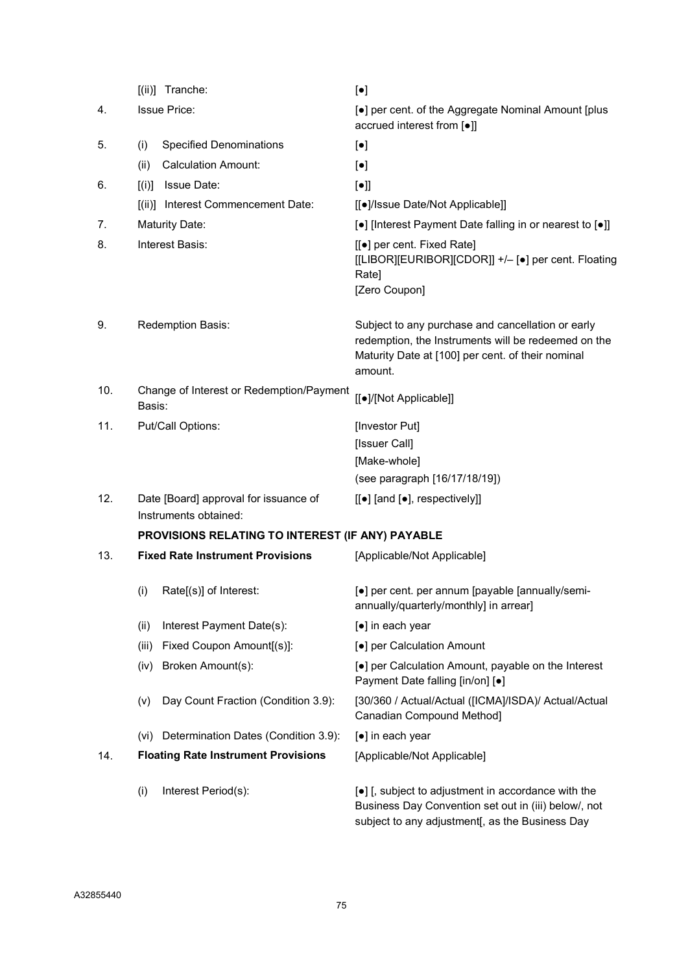|     | [(ii)] Tranche:                                                | $[\bullet]$                                                                                                                                                              |
|-----|----------------------------------------------------------------|--------------------------------------------------------------------------------------------------------------------------------------------------------------------------|
| 4.  | <b>Issue Price:</b>                                            | [•] per cent. of the Aggregate Nominal Amount [plus<br>accrued interest from [•]]                                                                                        |
| 5.  | <b>Specified Denominations</b><br>(i)                          | $[\bullet]$                                                                                                                                                              |
|     | <b>Calculation Amount:</b><br>(ii)                             | $[\bullet]$                                                                                                                                                              |
| 6.  | Issue Date:<br>[(i)]                                           | $[\bullet]$                                                                                                                                                              |
|     | [(ii)]<br>Interest Commencement Date:                          | [[●]/Issue Date/Not Applicable]]                                                                                                                                         |
| 7.  | <b>Maturity Date:</b>                                          | [•] [Interest Payment Date falling in or nearest to [•]]                                                                                                                 |
| 8.  | Interest Basis:                                                | [[●] per cent. Fixed Rate]<br>[[LIBOR][EURIBOR][CDOR]] +/- [•] per cent. Floating<br>Rate]<br>[Zero Coupon]                                                              |
| 9.  | Redemption Basis:                                              | Subject to any purchase and cancellation or early<br>redemption, the Instruments will be redeemed on the<br>Maturity Date at [100] per cent. of their nominal<br>amount. |
| 10. | Change of Interest or Redemption/Payment<br>Basis:             | [[•]/[Not Applicable]]                                                                                                                                                   |
| 11. | Put/Call Options:                                              | [Investor Put]                                                                                                                                                           |
|     |                                                                | [Issuer Call]                                                                                                                                                            |
|     |                                                                | [Make-whole]                                                                                                                                                             |
|     |                                                                | (see paragraph [16/17/18/19])                                                                                                                                            |
| 12. | Date [Board] approval for issuance of<br>Instruments obtained: | $[[\bullet]$ [and $[\bullet]$ , respectively]]                                                                                                                           |
|     | PROVISIONS RELATING TO INTEREST (IF ANY) PAYABLE               |                                                                                                                                                                          |
| 13. | <b>Fixed Rate Instrument Provisions</b>                        | [Applicable/Not Applicable]                                                                                                                                              |
|     | (i)<br>Rate[(s)] of Interest:                                  | [•] per cent. per annum [payable [annually/semi-<br>annually/quarterly/monthly] in arrear]                                                                               |
|     | Interest Payment Date(s):<br>(ii)                              | [•] in each year                                                                                                                                                         |
|     | Fixed Coupon Amount[(s)]:<br>(iii)                             | [•] per Calculation Amount                                                                                                                                               |
|     | Broken Amount(s):<br>(iv)                                      | [•] per Calculation Amount, payable on the Interest<br>Payment Date falling [in/on] [•]                                                                                  |
|     | Day Count Fraction (Condition 3.9):<br>(v)                     | [30/360 / Actual/Actual ([ICMA]/ISDA)/ Actual/Actual<br>Canadian Compound Method]                                                                                        |
|     | Determination Dates (Condition 3.9):<br>(vi)                   | [●] in each year                                                                                                                                                         |
| 14. | <b>Floating Rate Instrument Provisions</b>                     | [Applicable/Not Applicable]                                                                                                                                              |
|     | Interest Period(s):<br>(i)                                     | [•] [, subject to adjustment in accordance with the<br>Business Day Convention set out in (iii) below/, not<br>subject to any adjustment[, as the Business Day           |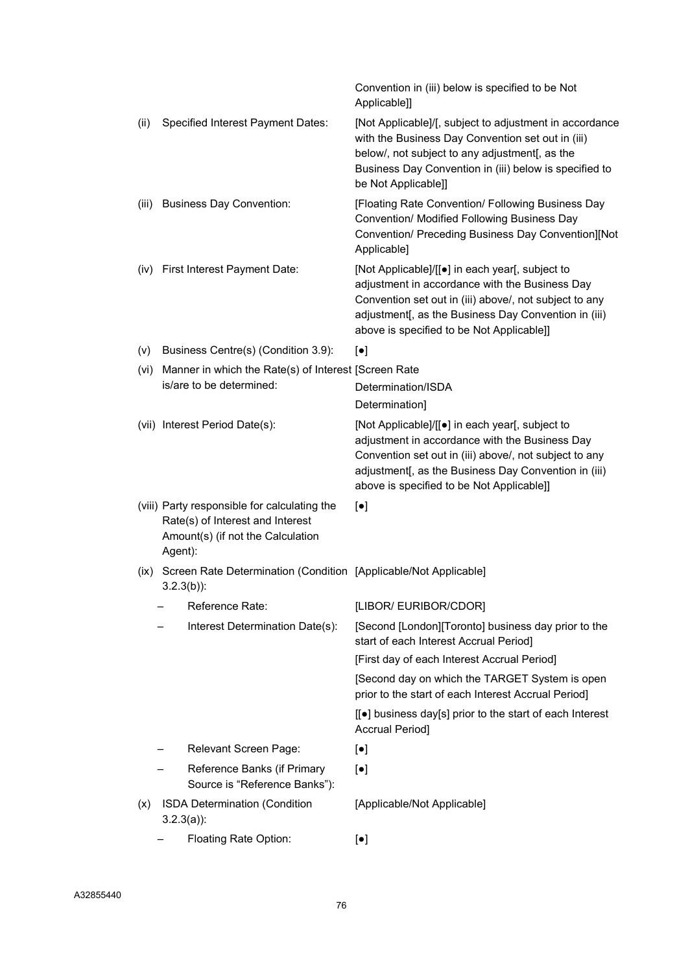|       |                                                                                                                                  | Convention in (iii) below is specified to be Not<br>Applicable]]                                                                                                                                                                                                           |
|-------|----------------------------------------------------------------------------------------------------------------------------------|----------------------------------------------------------------------------------------------------------------------------------------------------------------------------------------------------------------------------------------------------------------------------|
| (ii)  | Specified Interest Payment Dates:                                                                                                | [Not Applicable]/[, subject to adjustment in accordance<br>with the Business Day Convention set out in (iii)<br>below/, not subject to any adjustment[, as the<br>Business Day Convention in (iii) below is specified to<br>be Not Applicable]]                            |
| (iii) | <b>Business Day Convention:</b>                                                                                                  | [Floating Rate Convention/ Following Business Day<br>Convention/ Modified Following Business Day<br>Convention/ Preceding Business Day Convention][Not<br>Applicable]                                                                                                      |
| (iv)  | First Interest Payment Date:                                                                                                     | [Not Applicable]/[[ $\bullet$ ] in each year[, subject to<br>adjustment in accordance with the Business Day<br>Convention set out in (iii) above/, not subject to any<br>adjustment[, as the Business Day Convention in (iii)<br>above is specified to be Not Applicable]] |
| (v)   | Business Centre(s) (Condition 3.9):                                                                                              | $\left[\bullet\right]$                                                                                                                                                                                                                                                     |
| (vi)  | Manner in which the Rate(s) of Interest [Screen Rate                                                                             |                                                                                                                                                                                                                                                                            |
|       | is/are to be determined:                                                                                                         | Determination/ISDA                                                                                                                                                                                                                                                         |
|       |                                                                                                                                  | Determination]                                                                                                                                                                                                                                                             |
|       | (vii) Interest Period Date(s):                                                                                                   | [Not Applicable]/[[ $\bullet$ ] in each year[, subject to<br>adjustment in accordance with the Business Day<br>Convention set out in (iii) above/, not subject to any<br>adjustment[, as the Business Day Convention in (iii)<br>above is specified to be Not Applicable]] |
|       | (viii) Party responsible for calculating the<br>Rate(s) of Interest and Interest<br>Amount(s) (if not the Calculation<br>Agent): | $[\bullet]$                                                                                                                                                                                                                                                                |
| (IX)  | Screen Rate Determination (Condition [Applicable/Not Applicable]<br>$3.2.3(b)$ :                                                 |                                                                                                                                                                                                                                                                            |
|       | Reference Rate:                                                                                                                  | [LIBOR/ EURIBOR/CDOR]                                                                                                                                                                                                                                                      |
|       | Interest Determination Date(s):                                                                                                  | [Second [London][Toronto] business day prior to the<br>start of each Interest Accrual Period]                                                                                                                                                                              |
|       |                                                                                                                                  | [First day of each Interest Accrual Period]                                                                                                                                                                                                                                |
|       |                                                                                                                                  | [Second day on which the TARGET System is open<br>prior to the start of each Interest Accrual Period]                                                                                                                                                                      |
|       |                                                                                                                                  | [[●] business day[s] prior to the start of each Interest<br>Accrual Period]                                                                                                                                                                                                |
|       | Relevant Screen Page:                                                                                                            | $[\bullet]$                                                                                                                                                                                                                                                                |
|       | Reference Banks (if Primary<br>Source is "Reference Banks"):                                                                     | $[\bullet]$                                                                                                                                                                                                                                                                |
| (x)   | ISDA Determination (Condition<br>$3.2.3(a)$ :                                                                                    | [Applicable/Not Applicable]                                                                                                                                                                                                                                                |
|       | Floating Rate Option:                                                                                                            | [•]                                                                                                                                                                                                                                                                        |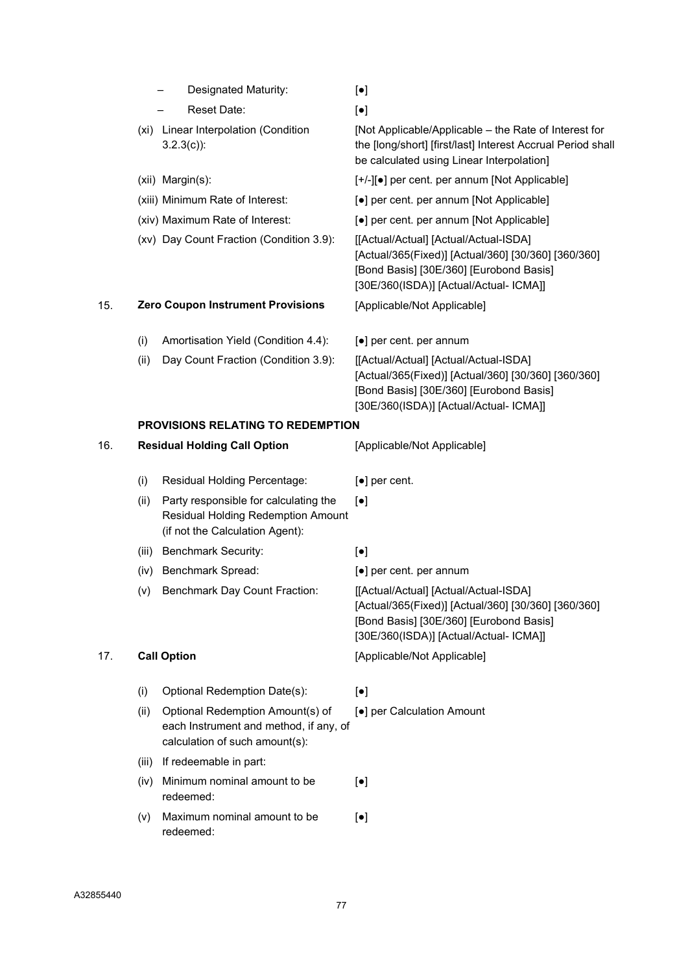|     | Designated Maturity:                                    | $[\bullet]$                                                                                                                                                                       |
|-----|---------------------------------------------------------|-----------------------------------------------------------------------------------------------------------------------------------------------------------------------------------|
|     | Reset Date:                                             | $\left[\bullet\right]$                                                                                                                                                            |
|     | Linear Interpolation (Condition<br>(xi)<br>$3.2.3(c)$ : | [Not Applicable/Applicable – the Rate of Interest for<br>the [long/short] [first/last] Interest Accrual Period shall<br>be calculated using Linear Interpolation]                 |
|     | (xii) Margin(s):                                        | [+/-][•] per cent. per annum [Not Applicable]                                                                                                                                     |
|     | (xiii) Minimum Rate of Interest:                        | [•] per cent. per annum [Not Applicable]                                                                                                                                          |
|     | (xiv) Maximum Rate of Interest:                         | [●] per cent. per annum [Not Applicable]                                                                                                                                          |
|     | (xv) Day Count Fraction (Condition 3.9):                | [[Actual/Actual] [Actual/Actual-ISDA]<br>[Actual/365(Fixed)] [Actual/360] [30/360] [360/360]<br>[Bond Basis] [30E/360] [Eurobond Basis]<br>[30E/360(ISDA)] [Actual/Actual- ICMA]] |
| 15. | <b>Zero Coupon Instrument Provisions</b>                | [Applicable/Not Applicable]                                                                                                                                                       |
|     | (i)<br>Amortisation Yield (Condition 4.4):              | [•] per cent. per annum                                                                                                                                                           |
|     | (ii)<br>Day Count Fraction (Condition 3.9):             | [[Actual/Actual] [Actual/Actual-ISDA]<br>[Actual/365(Fixed)] [Actual/360] [30/360] [360/360]                                                                                      |

[Bond Basis] [30E/360] [Eurobond Basis] [30E/360(ISDA)] [Actual/Actual- ICMA]]

#### PROVISIONS RELATING TO REDEMPTION

| 16. |       | <b>Residual Holding Call Option</b>                                                                            | [Applicable/Not Applicable]                                                                                                                                                       |  |
|-----|-------|----------------------------------------------------------------------------------------------------------------|-----------------------------------------------------------------------------------------------------------------------------------------------------------------------------------|--|
|     | (i)   | Residual Holding Percentage:                                                                                   | $\lceil \bullet \rceil$ per cent.                                                                                                                                                 |  |
|     | (ii)  | Party responsible for calculating the<br>Residual Holding Redemption Amount<br>(if not the Calculation Agent): | $\lceil \bullet \rceil$                                                                                                                                                           |  |
|     | (iii) | <b>Benchmark Security:</b>                                                                                     | $[\bullet]$                                                                                                                                                                       |  |
|     | (iv)  | Benchmark Spread:                                                                                              | $\left[\bullet\right]$ per cent. per annum                                                                                                                                        |  |
|     | (v)   | <b>Benchmark Day Count Fraction:</b>                                                                           | [[Actual/Actual] [Actual/Actual-ISDA]<br>[Actual/365(Fixed)] [Actual/360] [30/360] [360/360]<br>[Bond Basis] [30E/360] [Eurobond Basis]<br>[30E/360(ISDA)] [Actual/Actual- ICMA]] |  |
| 17. |       | <b>Call Option</b>                                                                                             | [Applicable/Not Applicable]                                                                                                                                                       |  |
|     | (i)   | Optional Redemption Date(s):                                                                                   | $\lceil \bullet \rceil$                                                                                                                                                           |  |
|     | (ii)  | Optional Redemption Amount(s) of<br>each Instrument and method, if any, of<br>calculation of such amount(s):   | [●] per Calculation Amount                                                                                                                                                        |  |
|     | (iii) | If redeemable in part:                                                                                         |                                                                                                                                                                                   |  |
|     | (iv)  | Minimum nominal amount to be<br>redeemed:                                                                      | $\left[\bullet\right]$                                                                                                                                                            |  |
|     | (v)   | Maximum nominal amount to be<br>redeemed:                                                                      | $[\bullet]$                                                                                                                                                                       |  |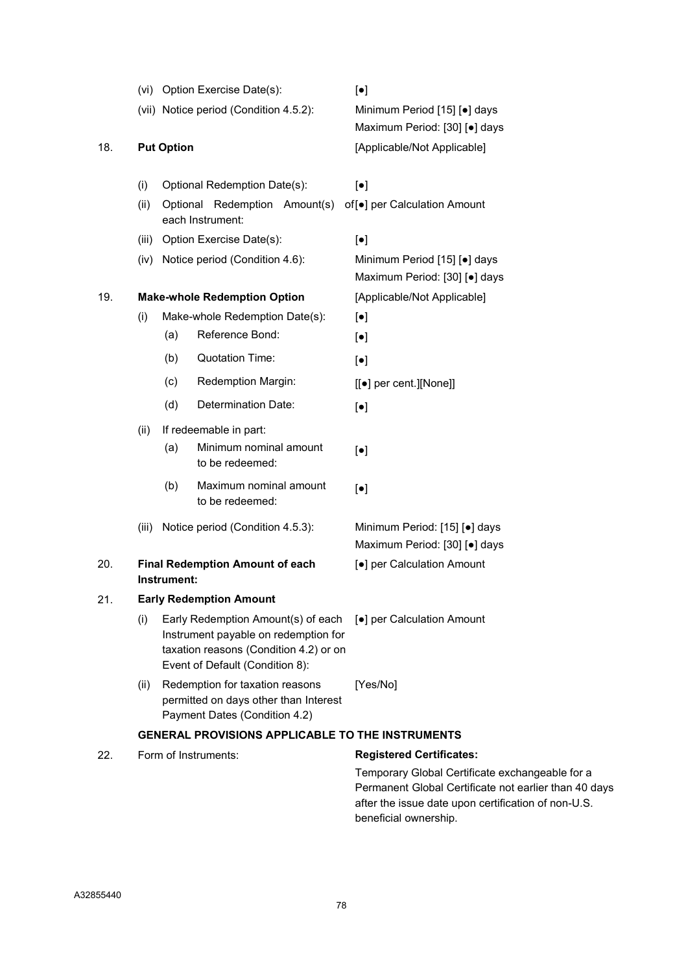|     |       |                   | (vi) Option Exercise Date(s):                                                                                                                           |  | $\left[\bullet\right]$                                                  |
|-----|-------|-------------------|---------------------------------------------------------------------------------------------------------------------------------------------------------|--|-------------------------------------------------------------------------|
|     |       |                   | (vii) Notice period (Condition 4.5.2):                                                                                                                  |  | Minimum Period [15] [.] days<br>Maximum Period: [30] [•] days           |
| 18. |       | <b>Put Option</b> |                                                                                                                                                         |  | [Applicable/Not Applicable]                                             |
|     | (i)   |                   | Optional Redemption Date(s):                                                                                                                            |  | $\left[\bullet\right]$                                                  |
|     | (ii)  | Optional          | Redemption Amount(s)<br>each Instrument:                                                                                                                |  | of [•] per Calculation Amount                                           |
|     | (iii) |                   | Option Exercise Date(s):                                                                                                                                |  | $\left[\bullet\right]$                                                  |
|     | (iv)  |                   | Notice period (Condition 4.6):                                                                                                                          |  | Minimum Period [15] [.] days<br>Maximum Period: [30] [.] days           |
| 19. |       |                   | <b>Make-whole Redemption Option</b>                                                                                                                     |  | [Applicable/Not Applicable]                                             |
|     | (i)   |                   | Make-whole Redemption Date(s):                                                                                                                          |  | $\left[\bullet\right]$                                                  |
|     |       | (a)               | Reference Bond:                                                                                                                                         |  | $[\bullet]$                                                             |
|     |       | (b)               | <b>Quotation Time:</b>                                                                                                                                  |  | $\lceil \bullet \rceil$                                                 |
|     |       | (c)               | Redemption Margin:                                                                                                                                      |  | [[●] per cent.][None]]                                                  |
|     |       | (d)               | Determination Date:                                                                                                                                     |  | $\left[\bullet\right]$                                                  |
|     | (ii)  |                   | If redeemable in part:                                                                                                                                  |  |                                                                         |
|     |       | (a)               | Minimum nominal amount<br>to be redeemed:                                                                                                               |  | $[\bullet]$                                                             |
|     |       | (b)               | Maximum nominal amount<br>to be redeemed:                                                                                                               |  | $\left[\bullet\right]$                                                  |
|     | (iii) |                   | Notice period (Condition 4.5.3):                                                                                                                        |  | Minimum Period: [15] [.] days<br>Maximum Period: [30] [.] days          |
| 20. |       | Instrument:       | <b>Final Redemption Amount of each</b>                                                                                                                  |  | [●] per Calculation Amount                                              |
| 21. |       |                   | <b>Early Redemption Amount</b>                                                                                                                          |  |                                                                         |
|     | (i)   |                   | Early Redemption Amount(s) of each<br>Instrument payable on redemption for<br>taxation reasons (Condition 4.2) or on<br>Event of Default (Condition 8): |  | [●] per Calculation Amount                                              |
|     | (ii)  |                   | Redemption for taxation reasons<br>permitted on days other than Interest<br>Payment Dates (Condition 4.2)                                               |  | [Yes/No]                                                                |
|     |       |                   |                                                                                                                                                         |  | <b>GENERAL PROVISIONS APPLICABLE TO THE INSTRUMENTS</b>                 |
| 22. |       |                   | Form of Instruments:                                                                                                                                    |  | <b>Registered Certificates:</b>                                         |
|     |       |                   |                                                                                                                                                         |  | Temporary Global Certificate exch<br>Dermanent Clobal Certificate not e |

nangeable for a Permanent Global Certificate not earlier than 40 days after the issue date upon certification of non-U.S. beneficial ownership.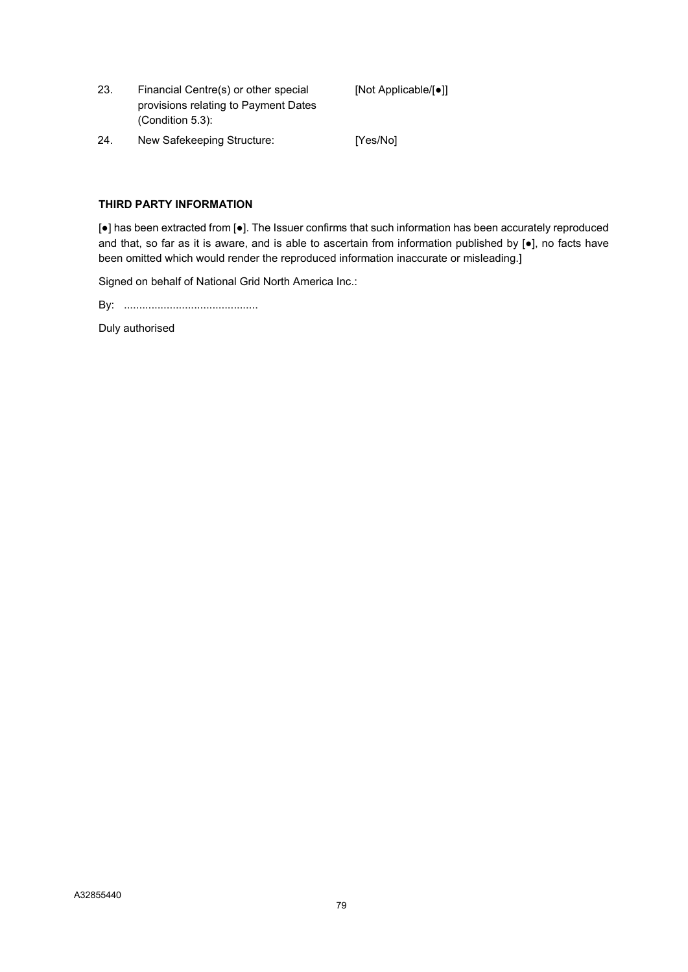- 23. Financial Centre(s) or other special provisions relating to Payment Dates (Condition 5.3): [Not Applicable/[●]]
- 24. New Safekeeping Structure: [Yes/No]

#### THIRD PARTY INFORMATION

[●] has been extracted from [●]. The Issuer confirms that such information has been accurately reproduced and that, so far as it is aware, and is able to ascertain from information published by [•], no facts have been omitted which would render the reproduced information inaccurate or misleading.]

Signed on behalf of National Grid North America Inc.:

By: ............................................

Duly authorised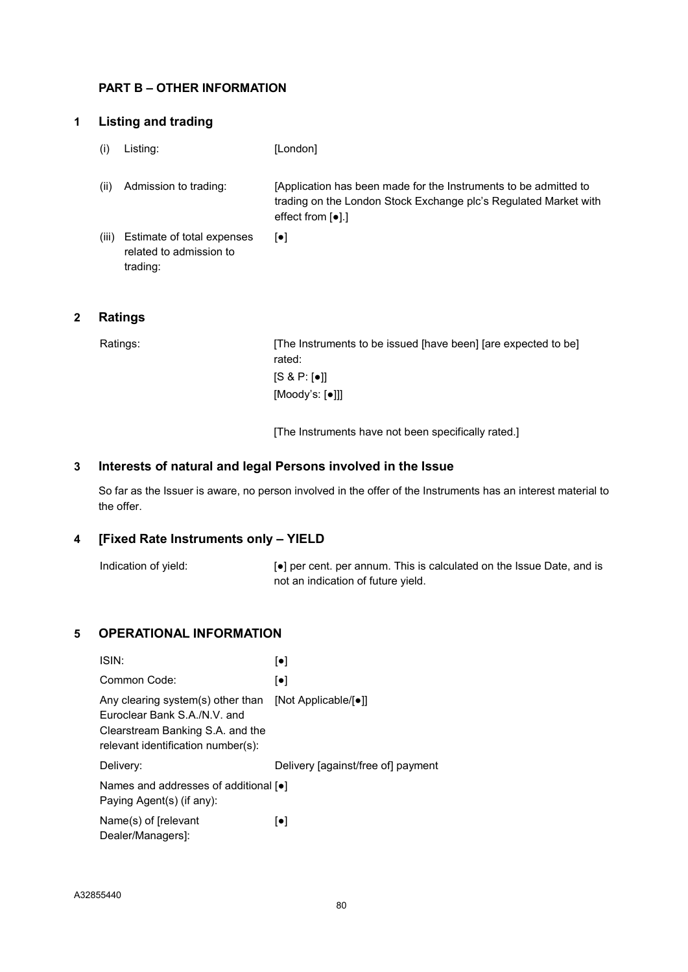## PART B – OTHER INFORMATION

## 1 Listing and trading

- (i) Listing: [London]
- (ii) Admission to trading: [Application has been made for the Instruments to be admitted to trading on the London Stock Exchange plc's Regulated Market with effect from [●].]
- (iii) Estimate of total expenses related to admission to trading:  $\lceil \bullet \rceil$

# 2 Ratings

Ratings: [The Instruments to be issued [have been] [are expected to be] rated: [S & P: [●]] [Moody's: [●]]]

[The Instruments have not been specifically rated.]

## 3 Interests of natural and legal Persons involved in the Issue

So far as the Issuer is aware, no person involved in the offer of the Instruments has an interest material to the offer.

# 4 [Fixed Rate Instruments only – YIELD

Indication of yield:  $\bullet$  per cent. per annum. This is calculated on the Issue Date, and is not an indication of future yield.

# 5 OPERATIONAL INFORMATION

| ISIN:                                                                                                                                       | $\lceil \bullet \rceil$            |
|---------------------------------------------------------------------------------------------------------------------------------------------|------------------------------------|
| Common Code:                                                                                                                                | $\lceil \bullet \rceil$            |
| Any clearing system(s) other than<br>Euroclear Bank S.A./N.V. and<br>Clearstream Banking S.A. and the<br>relevant identification number(s): | [Not Applicable/[●]]               |
| Delivery:                                                                                                                                   | Delivery [against/free of] payment |
| Names and addresses of additional [ $\bullet$ ]<br>Paying Agent(s) (if any):                                                                |                                    |
| Name(s) of [relevant<br>Dealer/Managers]:                                                                                                   | $\lceil \bullet \rceil$            |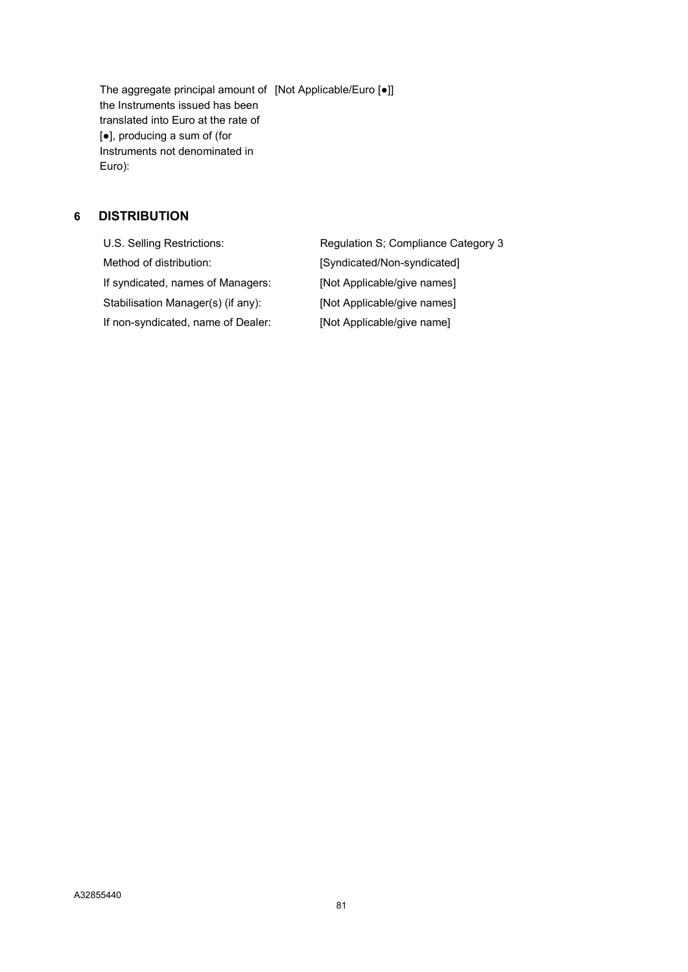The aggregate principal amount of [Not Applicable/Euro [●]] the Instruments issued has been translated into Euro at the rate of [●], producing a sum of (for Instruments not denominated in Euro):

# 6 DISTRIBUTION

U.S. Selling Restrictions: Regulation S; Compliance Category 3 Method of distribution: <br> [Syndicated/Non-syndicated] If syndicated, names of Managers: [Not Applicable/give names] Stabilisation Manager(s) (if any): [Not Applicable/give names] If non-syndicated, name of Dealer: [Not Applicable/give name]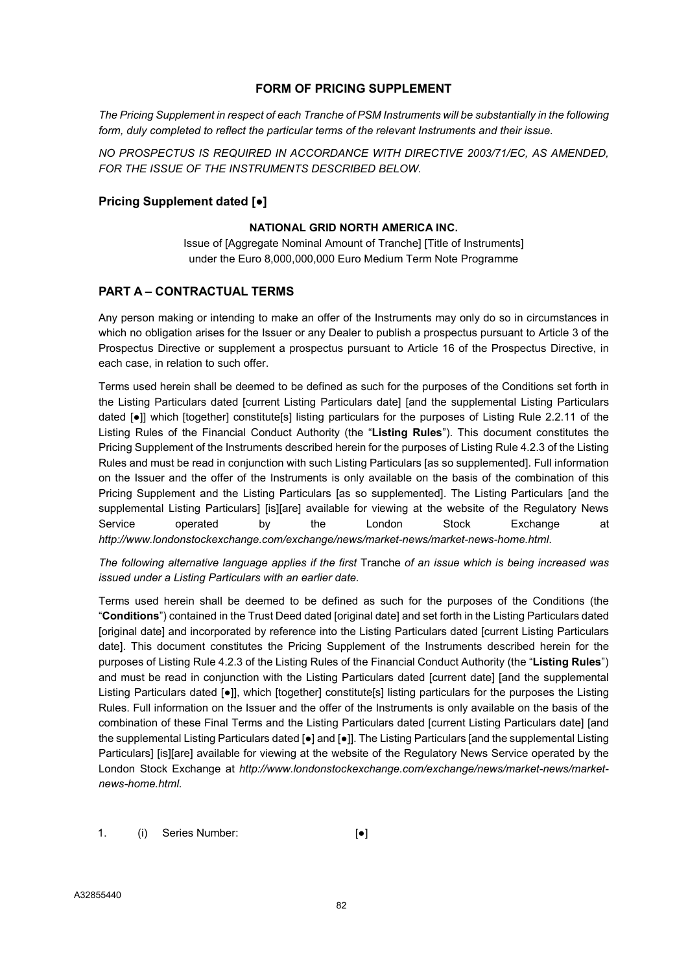#### FORM OF PRICING SUPPLEMENT

The Pricing Supplement in respect of each Tranche of PSM Instruments will be substantially in the following form, duly completed to reflect the particular terms of the relevant Instruments and their issue.

NO PROSPECTUS IS REQUIRED IN ACCORDANCE WITH DIRECTIVE 2003/71/EC, AS AMENDED, FOR THE ISSUE OF THE INSTRUMENTS DESCRIBED BELOW.

#### Pricing Supplement dated [●]

#### NATIONAL GRID NORTH AMERICA INC.

Issue of [Aggregate Nominal Amount of Tranche] [Title of Instruments] under the Euro 8,000,000,000 Euro Medium Term Note Programme

#### PART A – CONTRACTUAL TERMS

Any person making or intending to make an offer of the Instruments may only do so in circumstances in which no obligation arises for the Issuer or any Dealer to publish a prospectus pursuant to Article 3 of the Prospectus Directive or supplement a prospectus pursuant to Article 16 of the Prospectus Directive, in each case, in relation to such offer.

Terms used herein shall be deemed to be defined as such for the purposes of the Conditions set forth in the Listing Particulars dated [current Listing Particulars date] [and the supplemental Listing Particulars dated [●]] which [together] constitute[s] listing particulars for the purposes of Listing Rule 2.2.11 of the Listing Rules of the Financial Conduct Authority (the "Listing Rules"). This document constitutes the Pricing Supplement of the Instruments described herein for the purposes of Listing Rule 4.2.3 of the Listing Rules and must be read in conjunction with such Listing Particulars [as so supplemented]. Full information on the Issuer and the offer of the Instruments is only available on the basis of the combination of this Pricing Supplement and the Listing Particulars [as so supplemented]. The Listing Particulars [and the supplemental Listing Particulars] [is][are] available for viewing at the website of the Regulatory News Service operated by the London Stock Exchange at http://www.londonstockexchange.com/exchange/news/market-news/market-news-home.html.

The following alternative language applies if the first Tranche of an issue which is being increased was issued under a Listing Particulars with an earlier date.

Terms used herein shall be deemed to be defined as such for the purposes of the Conditions (the "Conditions") contained in the Trust Deed dated [original date] and set forth in the Listing Particulars dated [original date] and incorporated by reference into the Listing Particulars dated [current Listing Particulars date]. This document constitutes the Pricing Supplement of the Instruments described herein for the purposes of Listing Rule 4.2.3 of the Listing Rules of the Financial Conduct Authority (the "Listing Rules") and must be read in conjunction with the Listing Particulars dated [current date] [and the supplemental Listing Particulars dated [●]], which [together] constitute[s] listing particulars for the purposes the Listing Rules. Full information on the Issuer and the offer of the Instruments is only available on the basis of the combination of these Final Terms and the Listing Particulars dated [current Listing Particulars date] [and the supplemental Listing Particulars dated [●] and [●]]. The Listing Particulars [and the supplemental Listing Particulars] [is][are] available for viewing at the website of the Regulatory News Service operated by the London Stock Exchange at http://www.londonstockexchange.com/exchange/news/market-news/marketnews-home.html.

1. (i) Series Number: [<sup>●]</sup>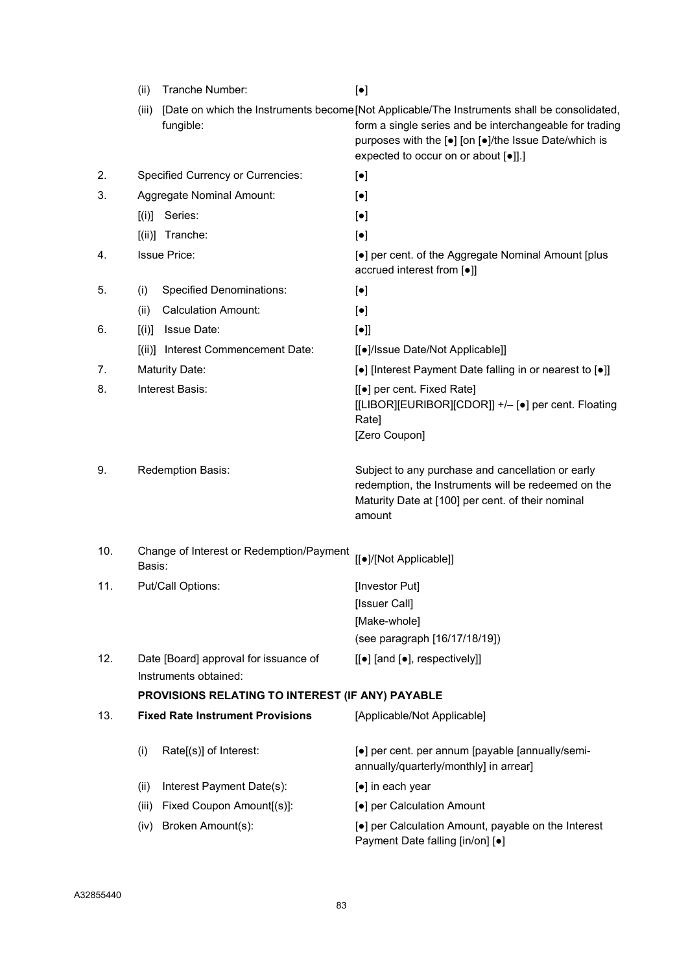|     | (ii)   | Tranche Number:                                                | $[\bullet]$                                                                                                                                                                                                                                             |
|-----|--------|----------------------------------------------------------------|---------------------------------------------------------------------------------------------------------------------------------------------------------------------------------------------------------------------------------------------------------|
|     | (iii)  | fungible:                                                      | [Date on which the Instruments become [Not Applicable/The Instruments shall be consolidated,<br>form a single series and be interchangeable for trading<br>purposes with the [•] [on [•]/the Issue Date/which is<br>expected to occur on or about [.].] |
| 2.  |        | <b>Specified Currency or Currencies:</b>                       | $[\bullet]$                                                                                                                                                                                                                                             |
| 3.  |        | Aggregate Nominal Amount:                                      | $[\bullet]$                                                                                                                                                                                                                                             |
|     | [(i)]  | Series:                                                        | $[\bullet]$                                                                                                                                                                                                                                             |
|     | [(ii)] | Tranche:                                                       | $[\bullet]$                                                                                                                                                                                                                                             |
| 4.  |        | <b>Issue Price:</b>                                            | [•] per cent. of the Aggregate Nominal Amount [plus<br>accrued interest from [.]                                                                                                                                                                        |
| 5.  | (i)    | <b>Specified Denominations:</b>                                | $[\bullet]$                                                                                                                                                                                                                                             |
|     | (ii)   | <b>Calculation Amount:</b>                                     | $[\bullet]$                                                                                                                                                                                                                                             |
| 6.  |        | $[(i)]$ Issue Date:                                            | $[\bullet]$                                                                                                                                                                                                                                             |
|     |        | [(ii)] Interest Commencement Date:                             | [[●]/Issue Date/Not Applicable]]                                                                                                                                                                                                                        |
| 7.  |        | <b>Maturity Date:</b>                                          | [•] [Interest Payment Date falling in or nearest to [•]]                                                                                                                                                                                                |
| 8.  |        | Interest Basis:                                                | [[●] per cent. Fixed Rate]<br>[[LIBOR][EURIBOR][CDOR]] +/- [•] per cent. Floating<br>Rate]<br>[Zero Coupon]                                                                                                                                             |
| 9.  |        | Redemption Basis:                                              | Subject to any purchase and cancellation or early<br>redemption, the Instruments will be redeemed on the<br>Maturity Date at [100] per cent. of their nominal<br>amount                                                                                 |
| 10. | Basis: | Change of Interest or Redemption/Payment                       | [[·]/[Not Applicable]]                                                                                                                                                                                                                                  |
| 11. |        | Put/Call Options:                                              | [Investor Put]                                                                                                                                                                                                                                          |
|     |        |                                                                | [Issuer Call]                                                                                                                                                                                                                                           |
|     |        |                                                                | [Make-whole]                                                                                                                                                                                                                                            |
|     |        |                                                                | (see paragraph [16/17/18/19])                                                                                                                                                                                                                           |
| 12. |        | Date [Board] approval for issuance of<br>Instruments obtained: | [[•] [and [•], respectively]]                                                                                                                                                                                                                           |
|     |        | PROVISIONS RELATING TO INTEREST (IF ANY) PAYABLE               |                                                                                                                                                                                                                                                         |
| 13. |        | <b>Fixed Rate Instrument Provisions</b>                        | [Applicable/Not Applicable]                                                                                                                                                                                                                             |
|     | (i)    | Rate[(s)] of Interest:                                         | [•] per cent. per annum [payable [annually/semi-<br>annually/quarterly/monthly] in arrear]                                                                                                                                                              |
|     | (ii)   | Interest Payment Date(s):                                      | [•] in each year                                                                                                                                                                                                                                        |
|     | (iii)  | Fixed Coupon Amount[(s)]:                                      | [●] per Calculation Amount                                                                                                                                                                                                                              |
|     | (iv)   | Broken Amount(s):                                              | [•] per Calculation Amount, payable on the Interest<br>Payment Date falling [in/on] [•]                                                                                                                                                                 |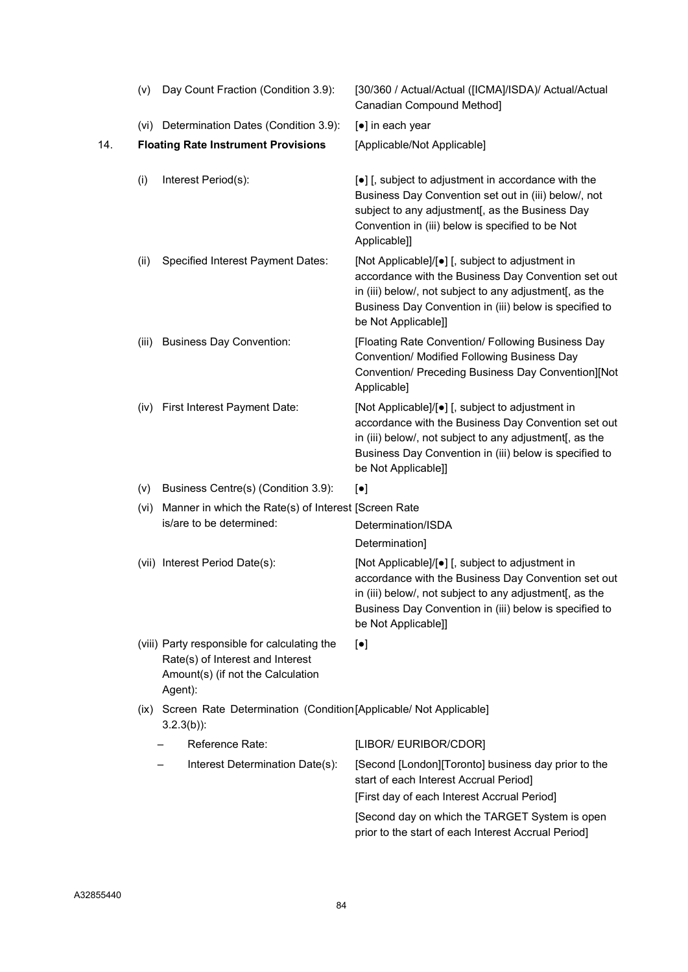|     | (v)   | Day Count Fraction (Condition 3.9):                                                                                              | [30/360 / Actual/Actual ([ICMA]/ISDA)/ Actual/Actual<br>Canadian Compound Method]                                                                                                                                                                    |
|-----|-------|----------------------------------------------------------------------------------------------------------------------------------|------------------------------------------------------------------------------------------------------------------------------------------------------------------------------------------------------------------------------------------------------|
|     |       | (vi) Determination Dates (Condition 3.9):                                                                                        | [●] in each year                                                                                                                                                                                                                                     |
| 14. |       | <b>Floating Rate Instrument Provisions</b>                                                                                       | [Applicable/Not Applicable]                                                                                                                                                                                                                          |
|     | (i)   | Interest Period(s):                                                                                                              | [•] [, subject to adjustment in accordance with the<br>Business Day Convention set out in (iii) below/, not<br>subject to any adjustment[, as the Business Day<br>Convention in (iii) below is specified to be Not<br>Applicable]]                   |
|     | (ii)  | Specified Interest Payment Dates:                                                                                                | [Not Applicable]/[•] [, subject to adjustment in<br>accordance with the Business Day Convention set out<br>in (iii) below/, not subject to any adjustment[, as the<br>Business Day Convention in (iii) below is specified to<br>be Not Applicable]]  |
|     | (iii) | <b>Business Day Convention:</b>                                                                                                  | [Floating Rate Convention/ Following Business Day<br>Convention/ Modified Following Business Day<br>Convention/ Preceding Business Day Convention][Not<br>Applicable]                                                                                |
|     | (iv)  | First Interest Payment Date:                                                                                                     | [Not Applicable]/[•] [, subject to adjustment in<br>accordance with the Business Day Convention set out<br>in (iii) below/, not subject to any adjustment[, as the<br>Business Day Convention in (iii) below is specified to<br>be Not Applicable]]  |
|     | (v)   | Business Centre(s) (Condition 3.9):                                                                                              | $[\bullet]$                                                                                                                                                                                                                                          |
|     | (vi)  | Manner in which the Rate(s) of Interest [Screen Rate                                                                             |                                                                                                                                                                                                                                                      |
|     |       | is/are to be determined:                                                                                                         | Determination/ISDA                                                                                                                                                                                                                                   |
|     |       |                                                                                                                                  | Determination]                                                                                                                                                                                                                                       |
|     |       | (vii) Interest Period Date(s):                                                                                                   | [Not Applicable]/[•] [, subject to adjustment in<br>accordance with the Business Day Convention set out<br>in (iii) below/, not subject to any adjustment [, as the<br>Business Day Convention in (iii) below is specified to<br>be Not Applicable]] |
|     |       | (viii) Party responsible for calculating the<br>Rate(s) of Interest and Interest<br>Amount(s) (if not the Calculation<br>Agent): | $\left[\bullet\right]$                                                                                                                                                                                                                               |
|     |       | (ix) Screen Rate Determination (Condition [Applicable/ Not Applicable]<br>$3.2.3(b)$ :                                           |                                                                                                                                                                                                                                                      |
|     |       | Reference Rate:                                                                                                                  | [LIBOR/ EURIBOR/CDOR]                                                                                                                                                                                                                                |
|     |       | Interest Determination Date(s):                                                                                                  | [Second [London][Toronto] business day prior to the<br>start of each Interest Accrual Period]                                                                                                                                                        |
|     |       |                                                                                                                                  | [First day of each Interest Accrual Period]                                                                                                                                                                                                          |
|     |       |                                                                                                                                  | [Second day on which the TARGET System is open<br>prior to the start of each Interest Accrual Period]                                                                                                                                                |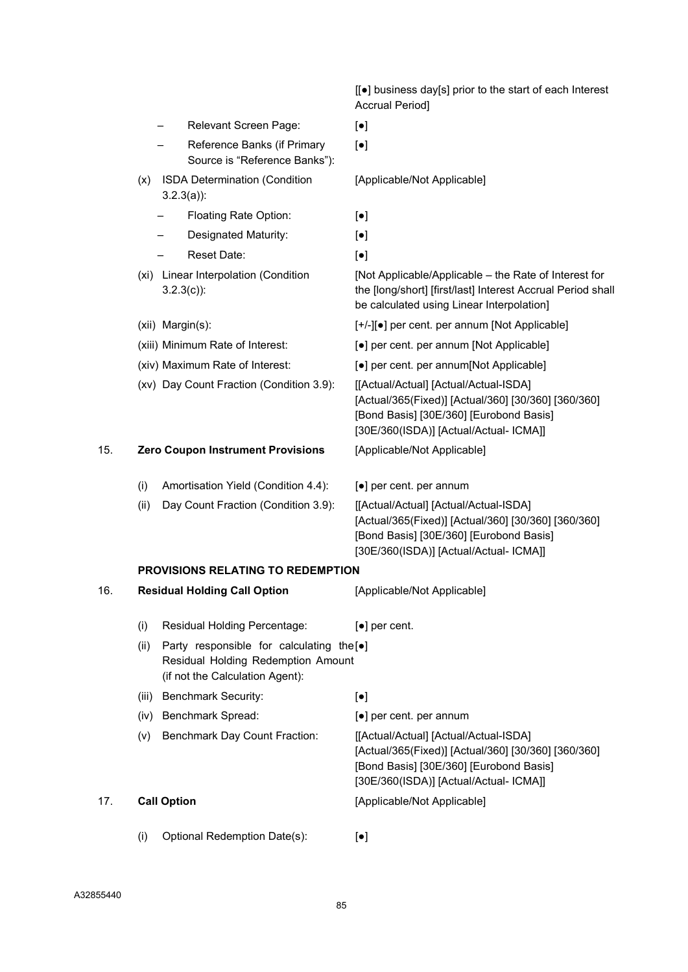|     |                    |                                                                                                                              | [[●] business day[s] prior to the start of each Interest<br><b>Accrual Period]</b>                                                                                                |
|-----|--------------------|------------------------------------------------------------------------------------------------------------------------------|-----------------------------------------------------------------------------------------------------------------------------------------------------------------------------------|
|     |                    | Relevant Screen Page:                                                                                                        | $\left[\bullet\right]$                                                                                                                                                            |
|     |                    | Reference Banks (if Primary<br>Source is "Reference Banks"):                                                                 | $[\bullet]$                                                                                                                                                                       |
|     | (x)                | <b>ISDA Determination (Condition</b><br>$3.2.3(a)$ :                                                                         | [Applicable/Not Applicable]                                                                                                                                                       |
|     |                    | Floating Rate Option:                                                                                                        | $[\bullet]$                                                                                                                                                                       |
|     |                    | Designated Maturity:                                                                                                         | $\left[\bullet\right]$                                                                                                                                                            |
|     |                    | Reset Date:                                                                                                                  | $[\bullet]$                                                                                                                                                                       |
|     |                    | (xi) Linear Interpolation (Condition<br>$3.2.3(c)$ :                                                                         | [Not Applicable/Applicable – the Rate of Interest for<br>the [long/short] [first/last] Interest Accrual Period shall<br>be calculated using Linear Interpolation]                 |
|     |                    | (xii) Margin(s):                                                                                                             | [+/-][•] per cent. per annum [Not Applicable]                                                                                                                                     |
|     |                    | (xiii) Minimum Rate of Interest:                                                                                             | [•] per cent. per annum [Not Applicable]                                                                                                                                          |
|     |                    | (xiv) Maximum Rate of Interest:                                                                                              | [•] per cent. per annum[Not Applicable]                                                                                                                                           |
|     |                    | (xv) Day Count Fraction (Condition 3.9):                                                                                     | [[Actual/Actual] [Actual/Actual-ISDA]<br>[Actual/365(Fixed)] [Actual/360] [30/360] [360/360]<br>[Bond Basis] [30E/360] [Eurobond Basis]<br>[30E/360(ISDA)] [Actual/Actual- ICMA]] |
| 15. |                    | <b>Zero Coupon Instrument Provisions</b>                                                                                     | [Applicable/Not Applicable]                                                                                                                                                       |
|     | (i)                | Amortisation Yield (Condition 4.4):                                                                                          | [•] per cent. per annum                                                                                                                                                           |
|     | (ii)               | Day Count Fraction (Condition 3.9):                                                                                          | [[Actual/Actual] [Actual/Actual-ISDA]<br>[Actual/365(Fixed)] [Actual/360] [30/360] [360/360]<br>[Bond Basis] [30E/360] [Eurobond Basis]<br>[30E/360(ISDA)] [Actual/Actual- ICMA]] |
|     |                    | <b>PROVISIONS RELATING TO REDEMPTION</b>                                                                                     |                                                                                                                                                                                   |
| 16. |                    | <b>Residual Holding Call Option</b>                                                                                          | [Applicable/Not Applicable]                                                                                                                                                       |
|     | (i)                | Residual Holding Percentage:                                                                                                 | $\left[\bullet\right]$ per cent.                                                                                                                                                  |
|     | (ii)               | Party responsible for calculating the [ $\bullet$ ]<br>Residual Holding Redemption Amount<br>(if not the Calculation Agent): |                                                                                                                                                                                   |
|     | (iii)              | <b>Benchmark Security:</b>                                                                                                   | $[\bullet]$                                                                                                                                                                       |
|     | (iv)               | <b>Benchmark Spread:</b>                                                                                                     | [•] per cent. per annum                                                                                                                                                           |
|     | (v)                | <b>Benchmark Day Count Fraction:</b>                                                                                         | [[Actual/Actual] [Actual/Actual-ISDA]<br>[Actual/365(Fixed)] [Actual/360] [30/360] [360/360]<br>[Bond Basis] [30E/360] [Eurobond Basis]<br>[30E/360(ISDA)] [Actual/Actual- ICMA]] |
| 17. | <b>Call Option</b> |                                                                                                                              | [Applicable/Not Applicable]                                                                                                                                                       |
|     | (i)                | Optional Redemption Date(s):                                                                                                 | $[\bullet]$                                                                                                                                                                       |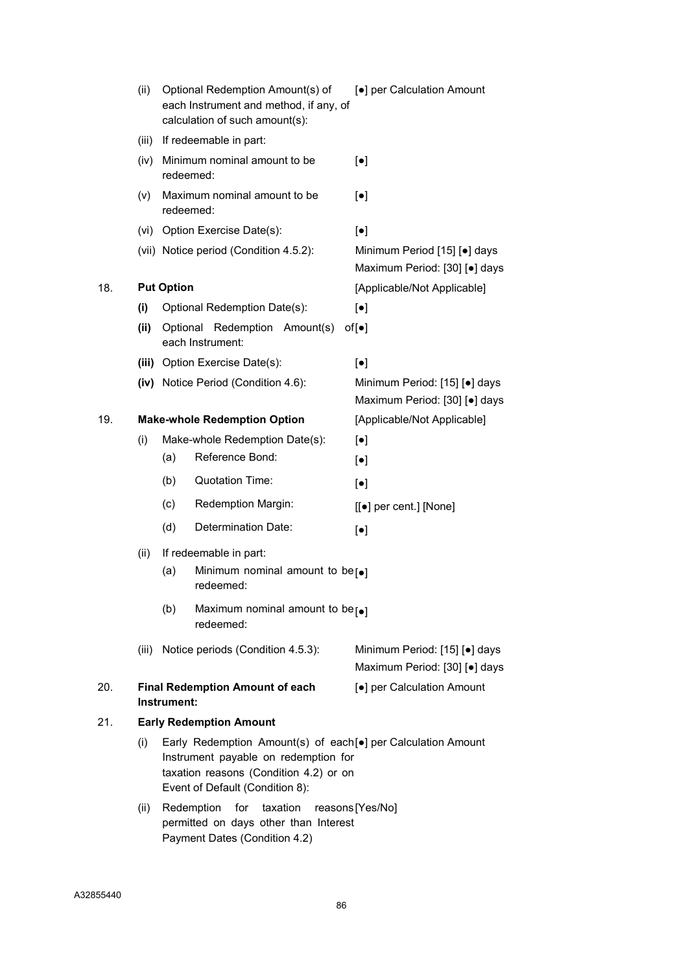|     | (ii)  | Optional Redemption Amount(s) of<br>each Instrument and method, if any, of<br>calculation of such amount(s): |                                                                                                                                                                                   | [•] per Calculation Amount                                     |  |
|-----|-------|--------------------------------------------------------------------------------------------------------------|-----------------------------------------------------------------------------------------------------------------------------------------------------------------------------------|----------------------------------------------------------------|--|
|     |       |                                                                                                              | (iii) If redeemable in part:                                                                                                                                                      |                                                                |  |
|     |       | redeemed:                                                                                                    | (iv) Minimum nominal amount to be                                                                                                                                                 | $[\bullet]$                                                    |  |
|     | (v)   | redeemed:                                                                                                    | Maximum nominal amount to be                                                                                                                                                      | $\left[\bullet\right]$                                         |  |
|     |       |                                                                                                              | (vi) Option Exercise Date(s):                                                                                                                                                     | $\left[\bullet\right]$                                         |  |
|     |       |                                                                                                              | (vii) Notice period (Condition 4.5.2):                                                                                                                                            | Minimum Period [15] [•] days<br>Maximum Period: [30] [.] days  |  |
| 18. |       | <b>Put Option</b>                                                                                            |                                                                                                                                                                                   | [Applicable/Not Applicable]                                    |  |
|     | (i)   |                                                                                                              | Optional Redemption Date(s):                                                                                                                                                      | $[\bullet]$                                                    |  |
|     | (ii)  |                                                                                                              | Optional Redemption Amount(s)<br>each Instrument:                                                                                                                                 | $of[\bullet]$                                                  |  |
|     |       |                                                                                                              | (iii) Option Exercise Date(s):                                                                                                                                                    | $\left[\bullet\right]$                                         |  |
|     |       |                                                                                                              | (iv) Notice Period (Condition 4.6):                                                                                                                                               | Minimum Period: [15] [.] days<br>Maximum Period: [30] [.] days |  |
| 19. |       |                                                                                                              | <b>Make-whole Redemption Option</b>                                                                                                                                               | [Applicable/Not Applicable]                                    |  |
|     | (i)   |                                                                                                              | Make-whole Redemption Date(s):                                                                                                                                                    | $\left[\bullet\right]$                                         |  |
|     |       | (a)                                                                                                          | Reference Bond:                                                                                                                                                                   | $\left[\bullet\right]$                                         |  |
|     |       | (b)                                                                                                          | <b>Quotation Time:</b>                                                                                                                                                            | $[\bullet]$                                                    |  |
|     |       | (c)                                                                                                          | Redemption Margin:                                                                                                                                                                | [[●] per cent.] [None]                                         |  |
|     |       | (d)                                                                                                          | Determination Date:                                                                                                                                                               | $[\bullet]$                                                    |  |
|     | (ii)  | If redeemable in part:                                                                                       |                                                                                                                                                                                   |                                                                |  |
|     |       | (a)                                                                                                          | Minimum nominal amount to be $\lceil\bullet\rceil$<br>redeemed:                                                                                                                   |                                                                |  |
|     |       | (b)                                                                                                          | Maximum nominal amount to be $\lceil\bullet\rceil$<br>redeemed:                                                                                                                   |                                                                |  |
|     | (iii) |                                                                                                              | Notice periods (Condition 4.5.3):                                                                                                                                                 | Minimum Period: [15] [•] days<br>Maximum Period: [30] [.] days |  |
| 20. |       | Instrument:                                                                                                  | <b>Final Redemption Amount of each</b>                                                                                                                                            | [•] per Calculation Amount                                     |  |
| 21. |       |                                                                                                              | <b>Early Redemption Amount</b>                                                                                                                                                    |                                                                |  |
|     | (i)   |                                                                                                              | Early Redemption Amount(s) of each[.] per Calculation Amount<br>Instrument payable on redemption for<br>taxation reasons (Condition 4.2) or on<br>Event of Default (Condition 8): |                                                                |  |
|     | (ii)  | Redemption                                                                                                   | for<br>taxation<br>permitted on days other than Interest<br>Payment Dates (Condition 4.2)                                                                                         | reasons [Yes/No]                                               |  |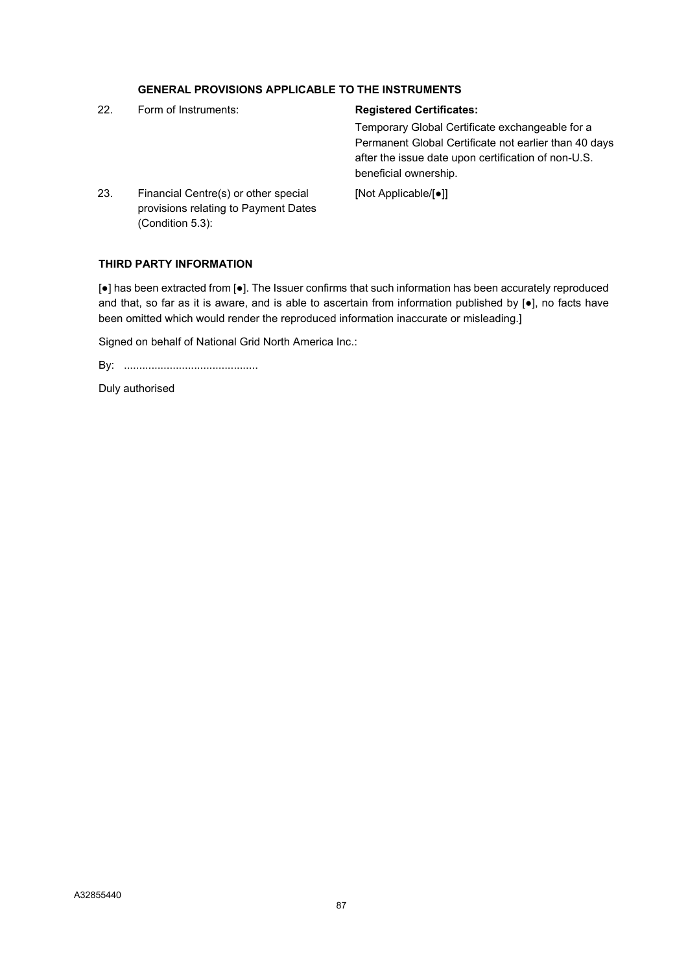|     | <b>GENERAL PROVISIONS APPLICABLE TO THE INSTRUMENTS</b>                                             |                                                                                                                                       |
|-----|-----------------------------------------------------------------------------------------------------|---------------------------------------------------------------------------------------------------------------------------------------|
| 22. | Form of Instruments:                                                                                | <b>Registered Certificates:</b>                                                                                                       |
|     |                                                                                                     | Temporary Global Certificate exchangeable for a                                                                                       |
|     |                                                                                                     | Permanent Global Certificate not earlier than 40 days<br>after the issue date upon certification of non-U.S.<br>beneficial ownership. |
| 23. | Financial Centre(s) or other special<br>provisions relating to Payment Dates<br>$(Condition 5.3)$ : | [Not Applicable/[●]]                                                                                                                  |

#### THIRD PARTY INFORMATION

[●] has been extracted from [●]. The Issuer confirms that such information has been accurately reproduced and that, so far as it is aware, and is able to ascertain from information published by [•], no facts have been omitted which would render the reproduced information inaccurate or misleading.]

Signed on behalf of National Grid North America Inc.:

By: ............................................

Duly authorised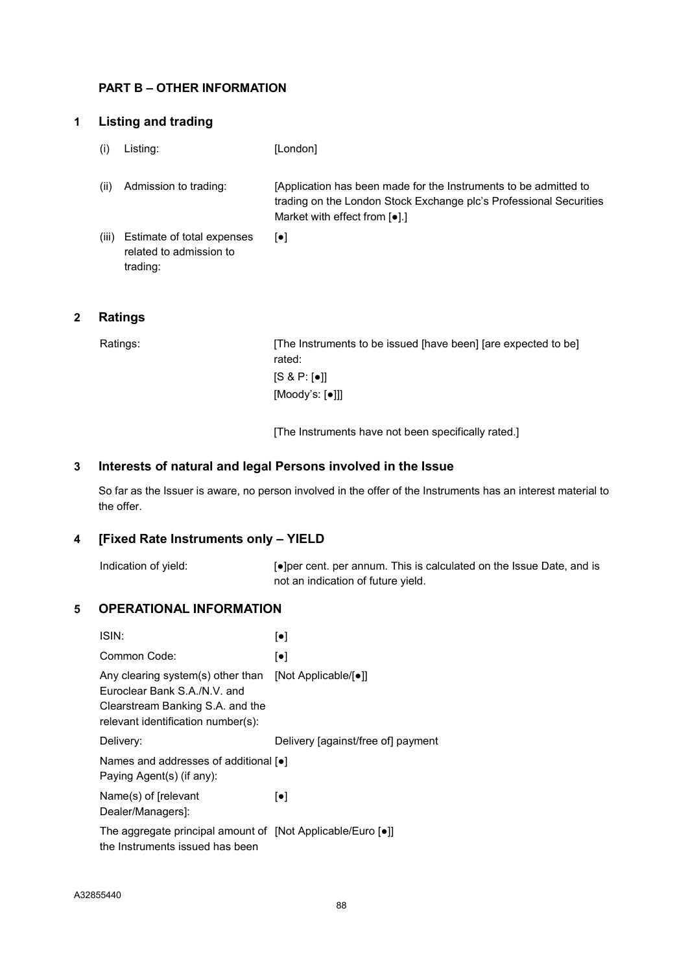## PART B – OTHER INFORMATION

## 1 Listing and trading

- (i) Listing: [London]
- (ii) Admission to trading: [Application has been made for the Instruments to be admitted to trading on the London Stock Exchange plc's Professional Securities Market with effect from [●].]
- (iii) Estimate of total expenses related to admission to trading: [●]

# 2 Ratings

Ratings: [The Instruments to be issued [have been] [are expected to be] rated: [S & P: [●]] [Moody's: [●]]]

[The Instruments have not been specifically rated.]

# 3 Interests of natural and legal Persons involved in the Issue

So far as the Issuer is aware, no person involved in the offer of the Instruments has an interest material to the offer.

### 4 [Fixed Rate Instruments only – YIELD

Indication of yield: [●]per cent. per annum. This is calculated on the Issue Date, and is not an indication of future yield.

# 5 OPERATIONAL INFORMATION

| ISIN:                                                                                                                                       | $\lceil \bullet \rceil$            |  |
|---------------------------------------------------------------------------------------------------------------------------------------------|------------------------------------|--|
| Common Code:                                                                                                                                | $\lceil \bullet \rceil$            |  |
| Any clearing system(s) other than<br>Euroclear Bank S.A./N.V. and<br>Clearstream Banking S.A. and the<br>relevant identification number(s): | [Not Applicable/[•]]               |  |
| Delivery:                                                                                                                                   | Delivery [against/free of] payment |  |
| Names and addresses of additional $\lceil \bullet \rceil$<br>Paying Agent(s) (if any):                                                      |                                    |  |
| Name(s) of [relevant<br>Dealer/Managers]:                                                                                                   | $\lceil \bullet \rceil$            |  |
| The aggregate principal amount of [Not Applicable/Euro [•]]<br>the Instruments issued has been                                              |                                    |  |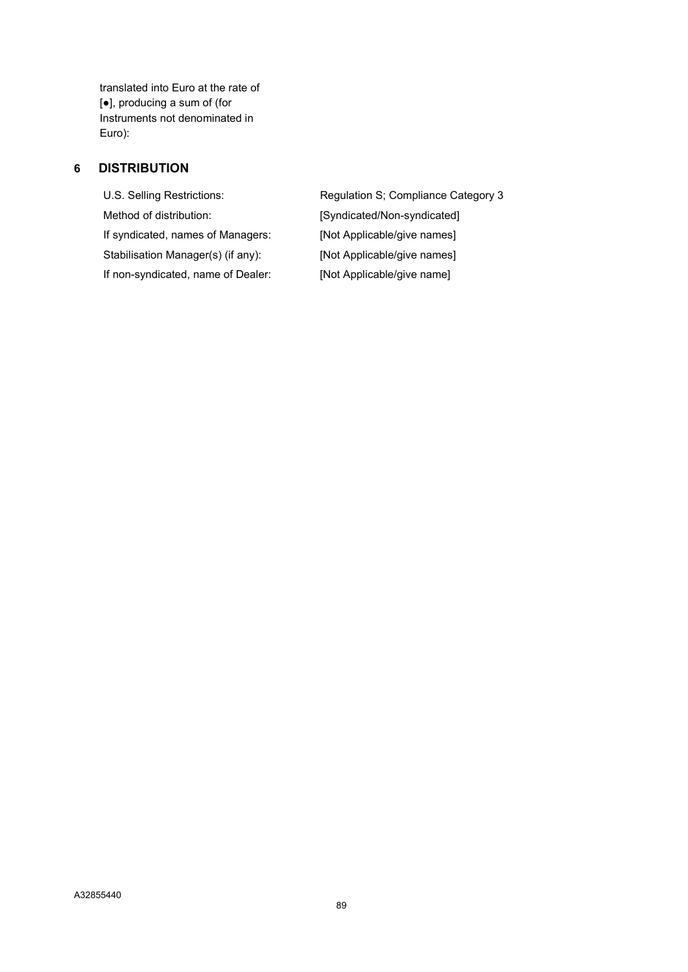translated into Euro at the rate of [●], producing a sum of (for Instruments not denominated in Euro):

# 6 DISTRIBUTION

Method of distribution: <br> [Syndicated/Non-syndicated] If syndicated, names of Managers: [Not Applicable/give names] Stabilisation Manager(s) (if any): [Not Applicable/give names] If non-syndicated, name of Dealer: [Not Applicable/give name]

U.S. Selling Restrictions: Regulation S; Compliance Category 3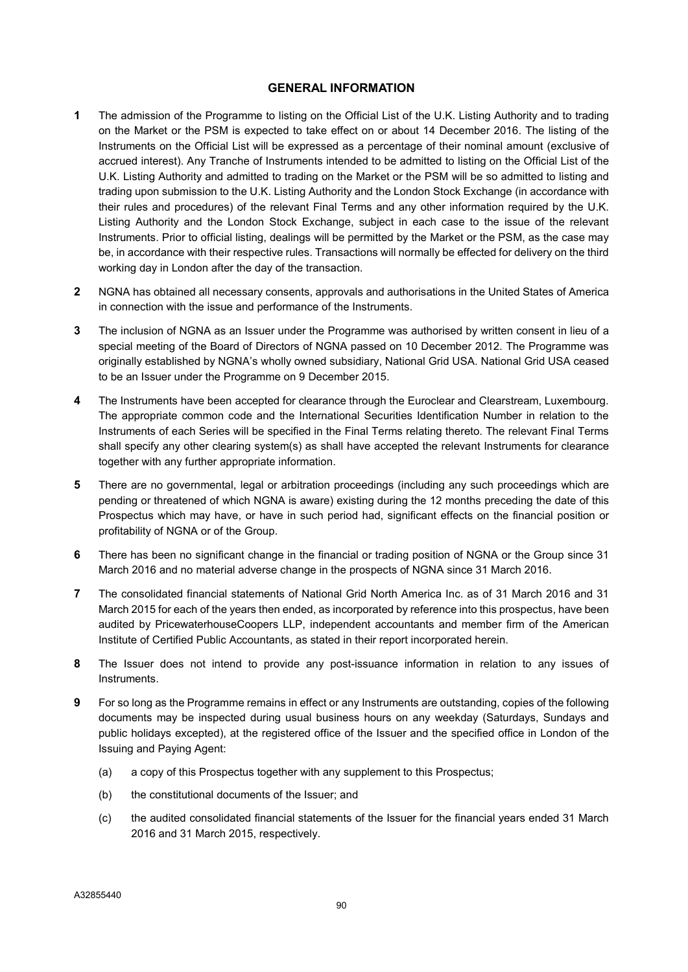#### GENERAL INFORMATION

- 1 The admission of the Programme to listing on the Official List of the U.K. Listing Authority and to trading on the Market or the PSM is expected to take effect on or about 14 December 2016. The listing of the Instruments on the Official List will be expressed as a percentage of their nominal amount (exclusive of accrued interest). Any Tranche of Instruments intended to be admitted to listing on the Official List of the U.K. Listing Authority and admitted to trading on the Market or the PSM will be so admitted to listing and trading upon submission to the U.K. Listing Authority and the London Stock Exchange (in accordance with their rules and procedures) of the relevant Final Terms and any other information required by the U.K. Listing Authority and the London Stock Exchange, subject in each case to the issue of the relevant Instruments. Prior to official listing, dealings will be permitted by the Market or the PSM, as the case may be, in accordance with their respective rules. Transactions will normally be effected for delivery on the third working day in London after the day of the transaction.
- 2 NGNA has obtained all necessary consents, approvals and authorisations in the United States of America in connection with the issue and performance of the Instruments.
- 3 The inclusion of NGNA as an Issuer under the Programme was authorised by written consent in lieu of a special meeting of the Board of Directors of NGNA passed on 10 December 2012. The Programme was originally established by NGNA's wholly owned subsidiary, National Grid USA. National Grid USA ceased to be an Issuer under the Programme on 9 December 2015.
- 4 The Instruments have been accepted for clearance through the Euroclear and Clearstream, Luxembourg. The appropriate common code and the International Securities Identification Number in relation to the Instruments of each Series will be specified in the Final Terms relating thereto. The relevant Final Terms shall specify any other clearing system(s) as shall have accepted the relevant Instruments for clearance together with any further appropriate information.
- 5 There are no governmental, legal or arbitration proceedings (including any such proceedings which are pending or threatened of which NGNA is aware) existing during the 12 months preceding the date of this Prospectus which may have, or have in such period had, significant effects on the financial position or profitability of NGNA or of the Group.
- 6 There has been no significant change in the financial or trading position of NGNA or the Group since 31 March 2016 and no material adverse change in the prospects of NGNA since 31 March 2016.
- 7 The consolidated financial statements of National Grid North America Inc. as of 31 March 2016 and 31 March 2015 for each of the years then ended, as incorporated by reference into this prospectus, have been audited by PricewaterhouseCoopers LLP, independent accountants and member firm of the American Institute of Certified Public Accountants, as stated in their report incorporated herein.
- 8 The Issuer does not intend to provide any post-issuance information in relation to any issues of Instruments.
- 9 For so long as the Programme remains in effect or any Instruments are outstanding, copies of the following documents may be inspected during usual business hours on any weekday (Saturdays, Sundays and public holidays excepted), at the registered office of the Issuer and the specified office in London of the Issuing and Paying Agent:
	- (a) a copy of this Prospectus together with any supplement to this Prospectus;
	- (b) the constitutional documents of the Issuer; and
	- (c) the audited consolidated financial statements of the Issuer for the financial years ended 31 March 2016 and 31 March 2015, respectively.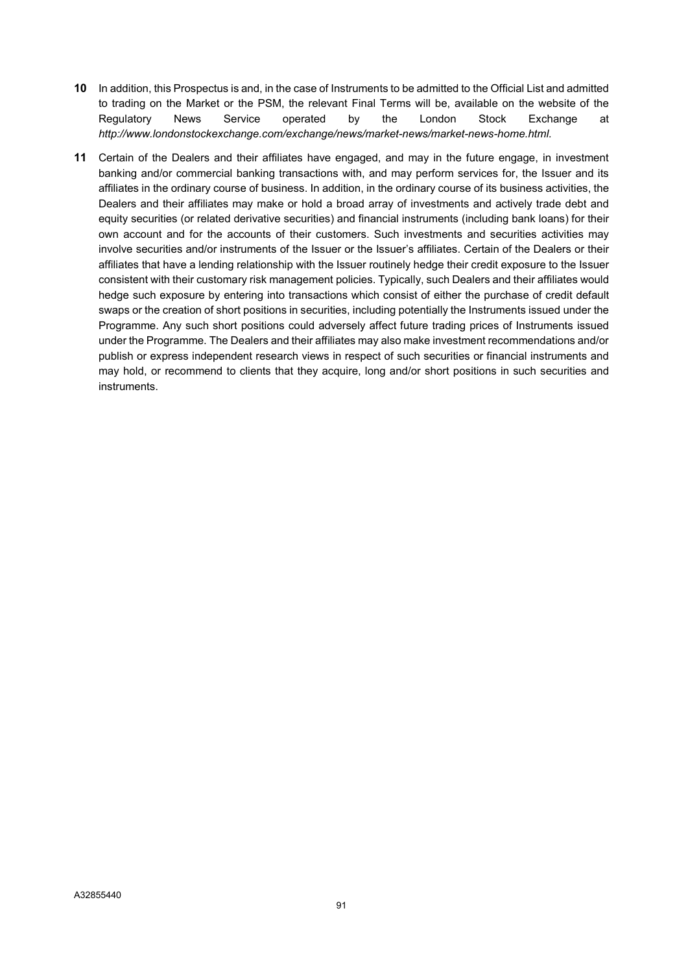- 10 In addition, this Prospectus is and, in the case of Instruments to be admitted to the Official List and admitted to trading on the Market or the PSM, the relevant Final Terms will be, available on the website of the Regulatory News Service operated by the London Stock Exchange at http://www.londonstockexchange.com/exchange/news/market-news/market-news-home.html.
- 11 Certain of the Dealers and their affiliates have engaged, and may in the future engage, in investment banking and/or commercial banking transactions with, and may perform services for, the Issuer and its affiliates in the ordinary course of business. In addition, in the ordinary course of its business activities, the Dealers and their affiliates may make or hold a broad array of investments and actively trade debt and equity securities (or related derivative securities) and financial instruments (including bank loans) for their own account and for the accounts of their customers. Such investments and securities activities may involve securities and/or instruments of the Issuer or the Issuer's affiliates. Certain of the Dealers or their affiliates that have a lending relationship with the Issuer routinely hedge their credit exposure to the Issuer consistent with their customary risk management policies. Typically, such Dealers and their affiliates would hedge such exposure by entering into transactions which consist of either the purchase of credit default swaps or the creation of short positions in securities, including potentially the Instruments issued under the Programme. Any such short positions could adversely affect future trading prices of Instruments issued under the Programme. The Dealers and their affiliates may also make investment recommendations and/or publish or express independent research views in respect of such securities or financial instruments and may hold, or recommend to clients that they acquire, long and/or short positions in such securities and instruments.